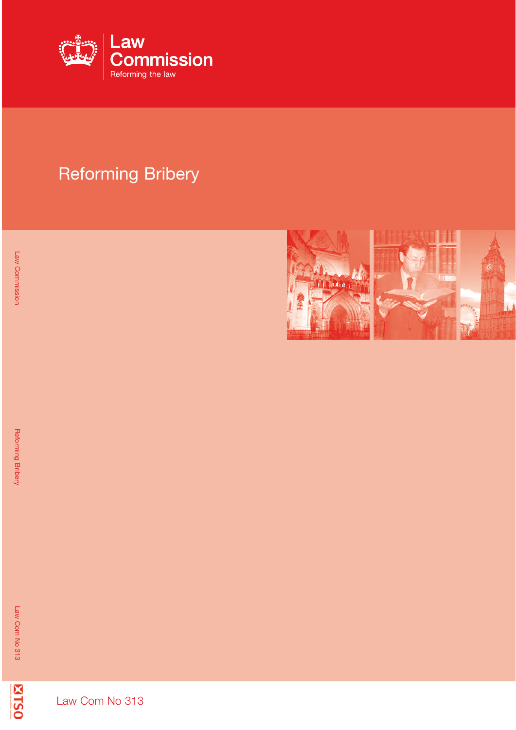

## Reforming Bribery



**ZITS0** 

Law Com No 313

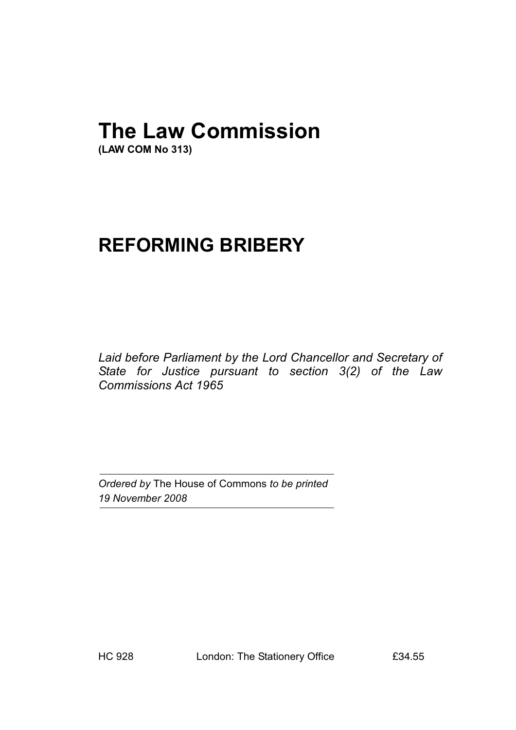# **The Law Commission**

**(LAW COM No 313)**

## **REFORMING BRIBERY**

*Laid before Parliament by the Lord Chancellor and Secretary of State for Justice pursuant to section 3(2) of the Law Commissions Act 1965*

*Ordered by* The House of Commons *to be printed 19 November 2008*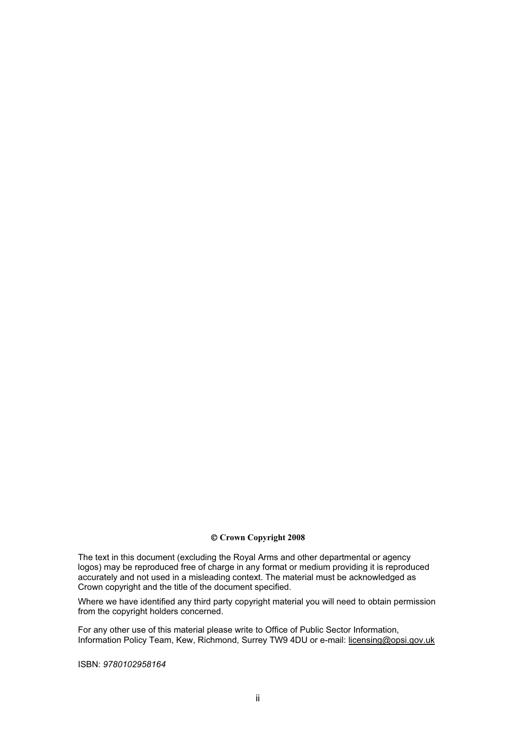#### $\ddot{\text{o}}$  **Crown Copyright 2008**

The text in this document (excluding the Royal Arms and other departmental or agency logos) may be reproduced free of charge in any format or medium providing it is reproduced accurately and not used in a misleading context. The material must be acknowledged as Crown copyright and the title of the document specified.

Where we have identified any third party copyright material you will need to obtain permission from the copyright holders concerned.

For any other use of this material please write to Office of Public Sector Information, Information Policy Team, Kew, Richmond, Surrey TW9 4DU or e-mail: licensing@opsi.gov.uk

ISBN: *9780102958164*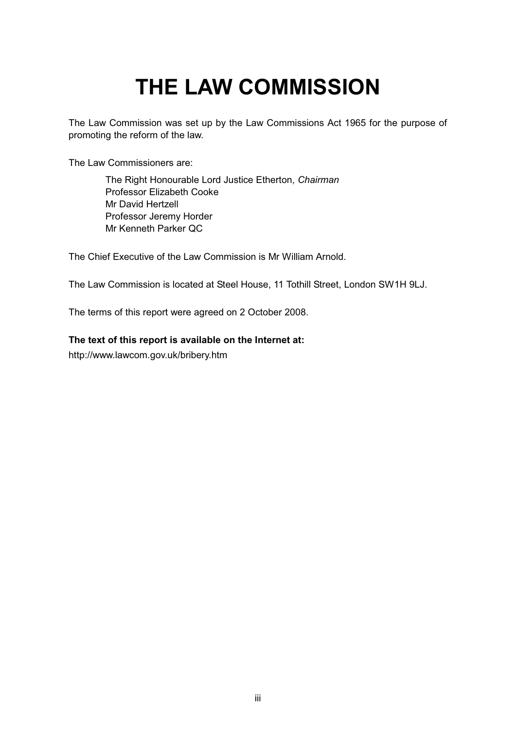# **THE LAW COMMISSION**

The Law Commission was set up by the Law Commissions Act 1965 for the purpose of promoting the reform of the law.

The Law Commissioners are:

The Right Honourable Lord Justice Etherton, *Chairman* Professor Elizabeth Cooke Mr David Hertzell Professor Jeremy Horder Mr Kenneth Parker QC

The Chief Executive of the Law Commission is Mr William Arnold.

The Law Commission is located at Steel House, 11 Tothill Street, London SW1H 9LJ.

The terms of this report were agreed on 2 October 2008.

#### **The text of this report is available on the Internet at:**

http://www.lawcom.gov.uk/bribery.htm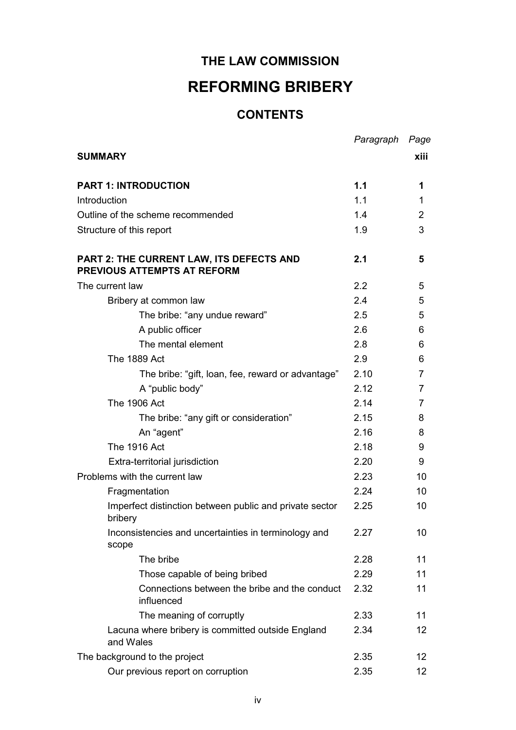### **THE LAW COMMISSION**

## **REFORMING BRIBERY**

#### **CONTENTS**

|                                                                                       | Paragraph | Page            |
|---------------------------------------------------------------------------------------|-----------|-----------------|
| <b>SUMMARY</b>                                                                        |           | xiii            |
|                                                                                       |           |                 |
| <b>PART 1: INTRODUCTION</b>                                                           | 1.1       | 1               |
| Introduction                                                                          | 1.1       | 1               |
| Outline of the scheme recommended                                                     | 1.4       | $\overline{2}$  |
| Structure of this report                                                              | 1.9       | 3               |
| <b>PART 2: THE CURRENT LAW, ITS DEFECTS AND</b><br><b>PREVIOUS ATTEMPTS AT REFORM</b> | 2.1       | 5               |
| The current law                                                                       | 2.2       | 5               |
| Bribery at common law                                                                 | 2.4       | 5               |
| The bribe: "any undue reward"                                                         | 2.5       | 5               |
| A public officer                                                                      | 2.6       | 6               |
| The mental element                                                                    | 2.8       | 6               |
| <b>The 1889 Act</b>                                                                   | 2.9       | 6               |
| The bribe: "gift, loan, fee, reward or advantage"                                     | 2.10      | 7               |
| A "public body"                                                                       | 2.12      | 7               |
| <b>The 1906 Act</b>                                                                   | 2.14      | 7               |
| The bribe: "any gift or consideration"                                                | 2.15      | 8               |
| An "agent"                                                                            | 2.16      | 8               |
| <b>The 1916 Act</b>                                                                   | 2.18      | 9               |
| Extra-territorial jurisdiction                                                        | 2.20      | 9               |
| Problems with the current law                                                         | 2.23      | 10              |
| Fragmentation                                                                         | 2.24      | 10              |
| Imperfect distinction between public and private sector<br>bribery                    | 2.25      | 10              |
| Inconsistencies and uncertainties in terminology and<br>scope                         | 2.27      | 10              |
| The bribe                                                                             | 2.28      | 11              |
| Those capable of being bribed                                                         | 2.29      | 11              |
| Connections between the bribe and the conduct<br>influenced                           | 2.32      | 11              |
| The meaning of corruptly                                                              | 2.33      | 11              |
| Lacuna where bribery is committed outside England<br>and Wales                        | 2.34      | 12              |
| The background to the project                                                         | 2.35      | 12 <sub>2</sub> |
| Our previous report on corruption                                                     | 2.35      | 12 <sub>2</sub> |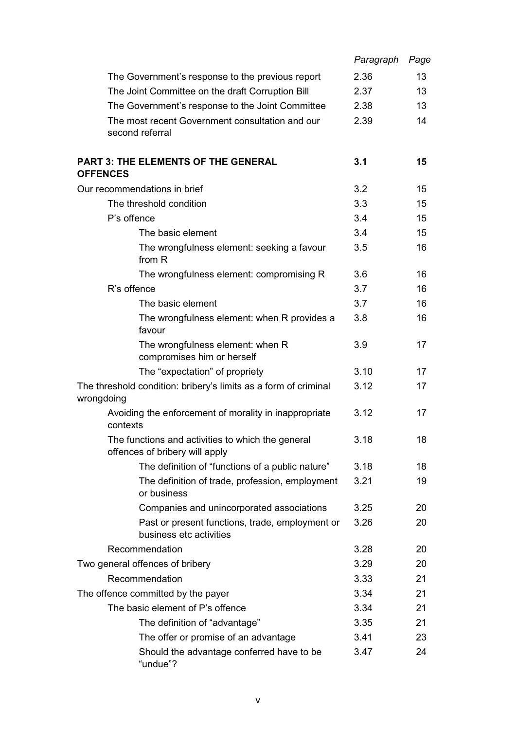|                 |                                                                                     | Paragraph | Page |
|-----------------|-------------------------------------------------------------------------------------|-----------|------|
|                 | The Government's response to the previous report                                    | 2.36      | 13   |
|                 | The Joint Committee on the draft Corruption Bill                                    | 2.37      | 13   |
|                 | The Government's response to the Joint Committee                                    | 2.38      | 13   |
|                 | The most recent Government consultation and our<br>second referral                  | 2.39      | 14   |
| <b>OFFENCES</b> | <b>PART 3: THE ELEMENTS OF THE GENERAL</b>                                          | 3.1       | 15   |
|                 | Our recommendations in brief                                                        | 3.2       | 15   |
|                 | The threshold condition                                                             | 3.3       | 15   |
|                 | P's offence                                                                         | 3.4       | 15   |
|                 | The basic element                                                                   | 3.4       | 15   |
|                 | The wrongfulness element: seeking a favour<br>from R                                | 3.5       | 16   |
|                 | The wrongfulness element: compromising R                                            | 3.6       | 16   |
|                 | R's offence                                                                         | 3.7       | 16   |
|                 | The basic element                                                                   | 3.7       | 16   |
|                 | The wrongfulness element: when R provides a<br>favour                               | 3.8       | 16   |
|                 | The wrongfulness element: when R<br>compromises him or herself                      | 3.9       | 17   |
|                 | The "expectation" of propriety                                                      | 3.10      | 17   |
| wrongdoing      | The threshold condition: bribery's limits as a form of criminal                     | 3.12      | 17   |
|                 | Avoiding the enforcement of morality in inappropriate<br>contexts                   | 3.12      | 17   |
|                 | The functions and activities to which the general<br>offences of bribery will apply | 3.18      | 18   |
|                 | The definition of "functions of a public nature"                                    | 3.18      | 18   |
|                 | The definition of trade, profession, employment<br>or business                      | 3.21      | 19   |
|                 | Companies and unincorporated associations                                           | 3.25      | 20   |
|                 | Past or present functions, trade, employment or<br>business etc activities          | 3.26      | 20   |
|                 | Recommendation                                                                      | 3.28      | 20   |
|                 | Two general offences of bribery                                                     | 3.29      | 20   |
|                 | Recommendation                                                                      | 3.33      | 21   |
|                 | The offence committed by the payer                                                  | 3.34      | 21   |
|                 | The basic element of P's offence                                                    | 3.34      | 21   |
|                 | The definition of "advantage"                                                       | 3.35      | 21   |
|                 | The offer or promise of an advantage                                                | 3.41      | 23   |
|                 | Should the advantage conferred have to be<br>"undue"?                               | 3.47      | 24   |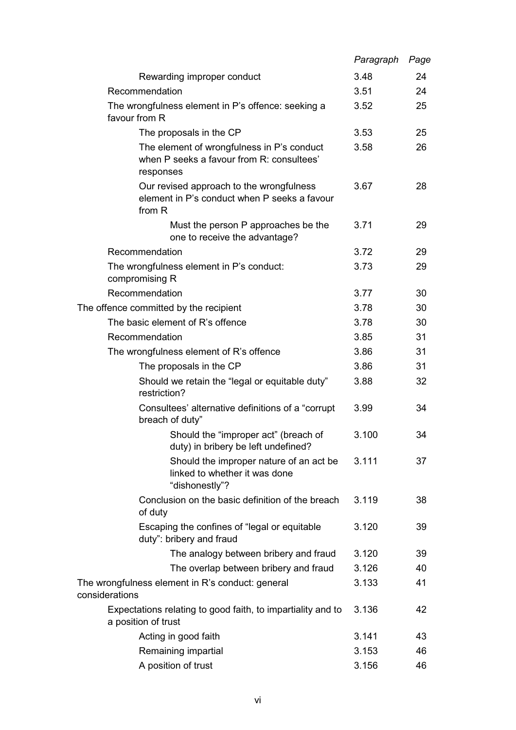|                |                                                                                                      | Paragraph | Page |
|----------------|------------------------------------------------------------------------------------------------------|-----------|------|
|                | Rewarding improper conduct                                                                           | 3.48      | 24   |
|                | Recommendation                                                                                       | 3.51      | 24   |
|                | The wrongfulness element in P's offence: seeking a<br>favour from R                                  | 3.52      | 25   |
|                | The proposals in the CP                                                                              | 3.53      | 25   |
|                | The element of wrongfulness in P's conduct<br>when P seeks a favour from R: consultees'<br>responses | 3.58      | 26   |
|                | Our revised approach to the wrongfulness<br>element in P's conduct when P seeks a favour<br>from R   | 3.67      | 28   |
|                | Must the person P approaches be the<br>one to receive the advantage?                                 | 3.71      | 29   |
|                | Recommendation                                                                                       | 3.72      | 29   |
|                | The wrongfulness element in P's conduct:<br>compromising R                                           | 3.73      | 29   |
|                | Recommendation                                                                                       | 3.77      | 30   |
|                | The offence committed by the recipient                                                               | 3.78      | 30   |
|                | The basic element of R's offence                                                                     | 3.78      | 30   |
|                | Recommendation                                                                                       | 3.85      | 31   |
|                | The wrongfulness element of R's offence                                                              | 3.86      | 31   |
|                | The proposals in the CP                                                                              | 3.86      | 31   |
|                | Should we retain the "legal or equitable duty"<br>restriction?                                       | 3.88      | 32   |
|                | Consultees' alternative definitions of a "corrupt"<br>breach of duty"                                | 3.99      | 34   |
|                | Should the "improper act" (breach of<br>duty) in bribery be left undefined?                          | 3.100     | 34   |
|                | Should the improper nature of an act be<br>linked to whether it was done<br>"dishonestly"?           | 3.111     | 37   |
|                | Conclusion on the basic definition of the breach<br>of duty                                          | 3.119     | 38   |
|                | Escaping the confines of "legal or equitable<br>duty": bribery and fraud                             | 3.120     | 39   |
|                | The analogy between bribery and fraud                                                                | 3.120     | 39   |
|                | The overlap between bribery and fraud                                                                | 3.126     | 40   |
| considerations | The wrongfulness element in R's conduct: general                                                     | 3.133     | 41   |
|                | Expectations relating to good faith, to impartiality and to<br>a position of trust                   | 3.136     | 42   |
|                | Acting in good faith                                                                                 | 3.141     | 43   |
|                | Remaining impartial                                                                                  | 3.153     | 46   |
|                | A position of trust                                                                                  | 3.156     | 46   |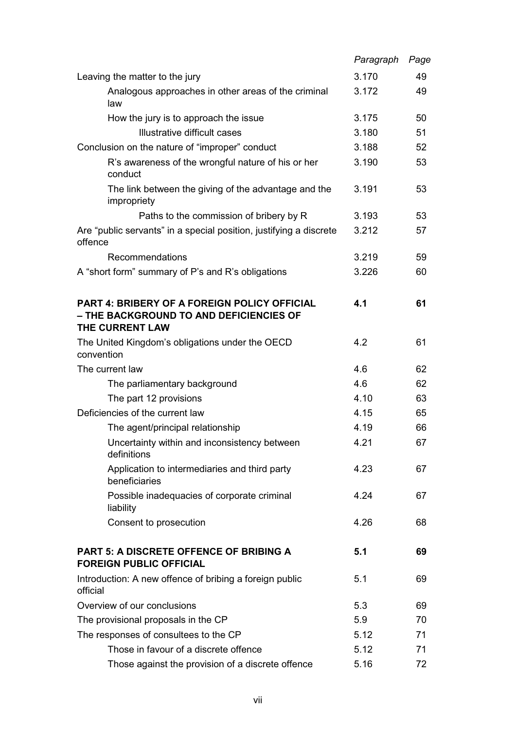|                                                                                                                   | Paragraph | Page |
|-------------------------------------------------------------------------------------------------------------------|-----------|------|
| Leaving the matter to the jury                                                                                    | 3.170     | 49   |
| Analogous approaches in other areas of the criminal<br>law                                                        | 3.172     | 49   |
| How the jury is to approach the issue                                                                             | 3.175     | 50   |
| Illustrative difficult cases                                                                                      | 3.180     | 51   |
| Conclusion on the nature of "improper" conduct                                                                    | 3.188     | 52   |
| R's awareness of the wrongful nature of his or her<br>conduct                                                     | 3.190     | 53   |
| The link between the giving of the advantage and the<br>impropriety                                               | 3.191     | 53   |
| Paths to the commission of bribery by R                                                                           | 3.193     | 53   |
| Are "public servants" in a special position, justifying a discrete<br>offence                                     | 3.212     | 57   |
| Recommendations                                                                                                   | 3.219     | 59   |
| A "short form" summary of P's and R's obligations                                                                 | 3.226     | 60   |
| <b>PART 4: BRIBERY OF A FOREIGN POLICY OFFICIAL</b><br>- THE BACKGROUND TO AND DEFICIENCIES OF<br>THE CURRENT LAW | 4.1       | 61   |
| The United Kingdom's obligations under the OECD<br>convention                                                     | 4.2       | 61   |
| The current law                                                                                                   | 4.6       | 62   |
| The parliamentary background                                                                                      | 4.6       | 62   |
| The part 12 provisions                                                                                            | 4.10      | 63   |
| Deficiencies of the current law                                                                                   | 4.15      | 65   |
| The agent/principal relationship                                                                                  | 4.19      | 66   |
| Uncertainty within and inconsistency between<br>definitions                                                       | 4.21      | 67   |
| Application to intermediaries and third party<br>beneficiaries                                                    | 4.23      | 67   |
| Possible inadequacies of corporate criminal<br>liability                                                          | 4.24      | 67   |
| Consent to prosecution                                                                                            | 4.26      | 68   |
| <b>PART 5: A DISCRETE OFFENCE OF BRIBING A</b><br><b>FOREIGN PUBLIC OFFICIAL</b>                                  | 5.1       | 69   |
| Introduction: A new offence of bribing a foreign public<br>official                                               | 5.1       | 69   |
| Overview of our conclusions                                                                                       | 5.3       | 69   |
| The provisional proposals in the CP                                                                               | 5.9       | 70   |
| The responses of consultees to the CP                                                                             | 5.12      | 71   |
| Those in favour of a discrete offence                                                                             | 5.12      | 71   |
| Those against the provision of a discrete offence                                                                 | 5.16      | 72   |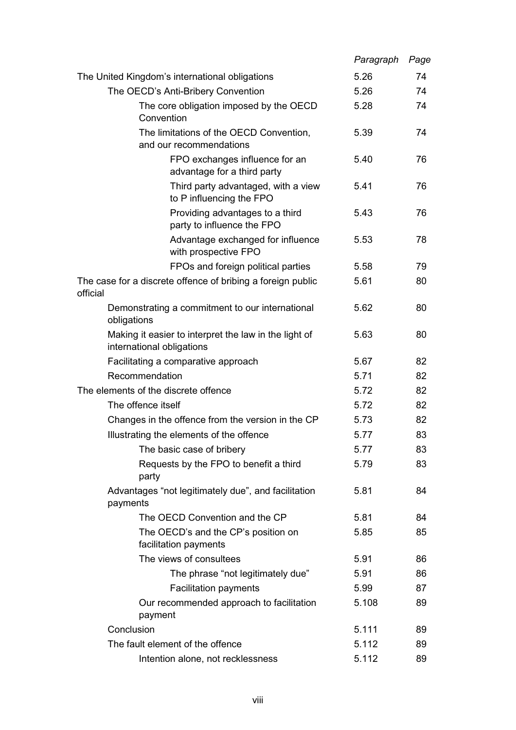|                                                                                    | Paragraph | Page |
|------------------------------------------------------------------------------------|-----------|------|
| The United Kingdom's international obligations                                     | 5.26      | 74   |
| The OECD's Anti-Bribery Convention                                                 | 5.26      | 74   |
| The core obligation imposed by the OECD<br>Convention                              | 5.28      | 74   |
| The limitations of the OECD Convention,<br>and our recommendations                 | 5.39      | 74   |
| FPO exchanges influence for an<br>advantage for a third party                      | 5.40      | 76   |
| Third party advantaged, with a view<br>to P influencing the FPO                    | 5.41      | 76   |
| Providing advantages to a third<br>party to influence the FPO                      | 5.43      | 76   |
| Advantage exchanged for influence<br>with prospective FPO                          | 5.53      | 78   |
| FPOs and foreign political parties                                                 | 5.58      | 79   |
| The case for a discrete offence of bribing a foreign public<br>official            | 5.61      | 80   |
| Demonstrating a commitment to our international<br>obligations                     | 5.62      | 80   |
| Making it easier to interpret the law in the light of<br>international obligations | 5.63      | 80   |
| Facilitating a comparative approach                                                | 5.67      | 82   |
| Recommendation                                                                     | 5.71      | 82   |
| The elements of the discrete offence                                               | 5.72      | 82   |
| The offence itself                                                                 | 5.72      | 82   |
| Changes in the offence from the version in the CP                                  | 5.73      | 82   |
| Illustrating the elements of the offence                                           | 5.77      | 83   |
| The basic case of bribery                                                          | 5.77      | 83   |
| Requests by the FPO to benefit a third<br>party                                    | 5.79      | 83   |
| Advantages "not legitimately due", and facilitation<br>payments                    | 5.81      | 84   |
| The OECD Convention and the CP                                                     | 5.81      | 84   |
| The OECD's and the CP's position on<br>facilitation payments                       | 5.85      | 85   |
| The views of consultees                                                            | 5.91      | 86   |
| The phrase "not legitimately due"                                                  | 5.91      | 86   |
| <b>Facilitation payments</b>                                                       | 5.99      | 87   |
| Our recommended approach to facilitation<br>payment                                | 5.108     | 89   |
| Conclusion                                                                         | 5.111     | 89   |
| The fault element of the offence                                                   | 5.112     | 89   |
| Intention alone, not recklessness                                                  | 5.112     | 89   |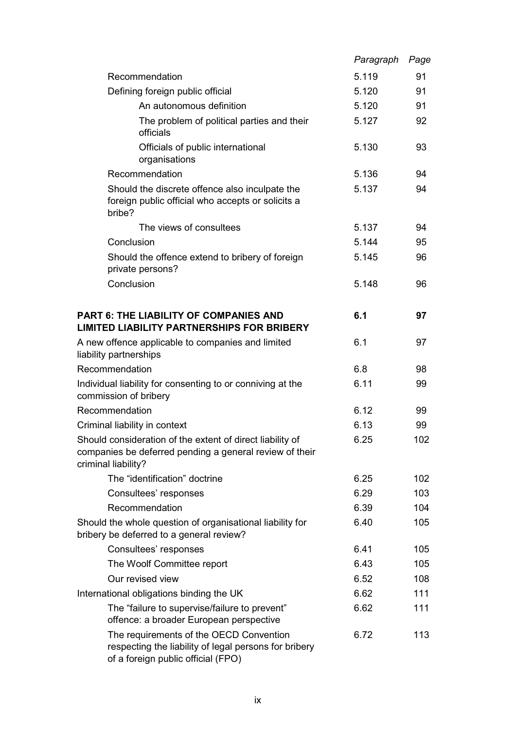|                                                                                                                                             | Paragraph | Page |
|---------------------------------------------------------------------------------------------------------------------------------------------|-----------|------|
| Recommendation                                                                                                                              | 5.119     | 91   |
| Defining foreign public official                                                                                                            | 5.120     | 91   |
| An autonomous definition                                                                                                                    | 5.120     | 91   |
| The problem of political parties and their<br>officials                                                                                     | 5.127     | 92   |
| Officials of public international<br>organisations                                                                                          | 5.130     | 93   |
| Recommendation                                                                                                                              | 5.136     | 94   |
| Should the discrete offence also inculpate the<br>foreign public official who accepts or solicits a<br>bribe?                               | 5.137     | 94   |
| The views of consultees                                                                                                                     | 5.137     | 94   |
| Conclusion                                                                                                                                  | 5.144     | 95   |
| Should the offence extend to bribery of foreign<br>private persons?                                                                         | 5.145     | 96   |
| Conclusion                                                                                                                                  | 5.148     | 96   |
| PART 6: THE LIABILITY OF COMPANIES AND<br><b>LIMITED LIABILITY PARTNERSHIPS FOR BRIBERY</b>                                                 | 6.1       | 97   |
| A new offence applicable to companies and limited<br>liability partnerships                                                                 | 6.1       | 97   |
| Recommendation                                                                                                                              | 6.8       | 98   |
| Individual liability for consenting to or conniving at the<br>commission of bribery                                                         | 6.11      | 99   |
| Recommendation                                                                                                                              | 6.12      | 99   |
| Criminal liability in context                                                                                                               | 6.13      | 99   |
| Should consideration of the extent of direct liability of<br>companies be deferred pending a general review of their<br>criminal liability? | 6.25      | 102  |
| The "identification" doctrine                                                                                                               | 6.25      | 102  |
| Consultees' responses                                                                                                                       | 6.29      | 103  |
| Recommendation                                                                                                                              | 6.39      | 104  |
| Should the whole question of organisational liability for<br>bribery be deferred to a general review?                                       | 6.40      | 105  |
| Consultees' responses                                                                                                                       | 6.41      | 105  |
| The Woolf Committee report                                                                                                                  | 6.43      | 105  |
| Our revised view                                                                                                                            | 6.52      | 108  |
| International obligations binding the UK                                                                                                    | 6.62      | 111  |
| The "failure to supervise/failure to prevent"<br>offence: a broader European perspective                                                    | 6.62      | 111  |
| The requirements of the OECD Convention<br>respecting the liability of legal persons for bribery<br>of a foreign public official (FPO)      | 6.72      | 113  |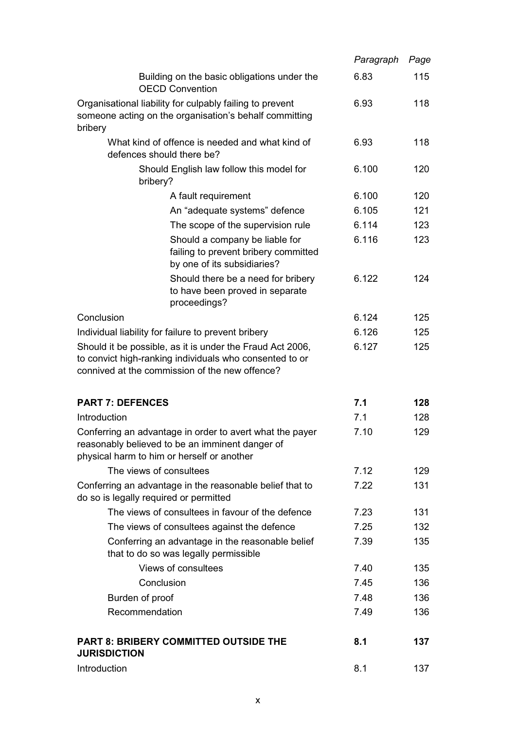|                                                                                                                                                                        | Paragraph | Page |
|------------------------------------------------------------------------------------------------------------------------------------------------------------------------|-----------|------|
| Building on the basic obligations under the<br><b>OECD Convention</b>                                                                                                  | 6.83      | 115  |
| Organisational liability for culpably failing to prevent<br>someone acting on the organisation's behalf committing<br>bribery                                          | 6.93      | 118  |
| What kind of offence is needed and what kind of<br>defences should there be?                                                                                           | 6.93      | 118  |
| Should English law follow this model for<br>bribery?                                                                                                                   | 6.100     | 120  |
| A fault requirement                                                                                                                                                    | 6.100     | 120  |
| An "adequate systems" defence                                                                                                                                          | 6.105     | 121  |
| The scope of the supervision rule                                                                                                                                      | 6.114     | 123  |
| Should a company be liable for<br>failing to prevent bribery committed<br>by one of its subsidiaries?                                                                  | 6.116     | 123  |
| Should there be a need for bribery<br>to have been proved in separate<br>proceedings?                                                                                  | 6.122     | 124  |
| Conclusion                                                                                                                                                             | 6.124     | 125  |
| Individual liability for failure to prevent bribery                                                                                                                    | 6.126     | 125  |
| Should it be possible, as it is under the Fraud Act 2006,<br>to convict high-ranking individuals who consented to or<br>connived at the commission of the new offence? | 6.127     | 125  |
| <b>PART 7: DEFENCES</b>                                                                                                                                                | 7.1       | 128  |
| Introduction                                                                                                                                                           | 7.1       | 128  |
| Conferring an advantage in order to avert what the payer<br>reasonably believed to be an imminent danger of<br>physical harm to him or herself or another              | 7.10      | 129  |
| The views of consultees                                                                                                                                                | 7.12      | 129  |
| Conferring an advantage in the reasonable belief that to<br>do so is legally required or permitted                                                                     | 7.22      | 131  |
| The views of consultees in favour of the defence                                                                                                                       | 7.23      | 131  |
| The views of consultees against the defence                                                                                                                            | 7.25      | 132  |
| Conferring an advantage in the reasonable belief<br>that to do so was legally permissible                                                                              | 7.39      | 135  |
| Views of consultees                                                                                                                                                    | 7.40      | 135  |
| Conclusion                                                                                                                                                             | 7.45      | 136  |
| Burden of proof                                                                                                                                                        | 7.48      | 136  |
| Recommendation                                                                                                                                                         | 7.49      | 136  |
| <b>PART 8: BRIBERY COMMITTED OUTSIDE THE</b><br><b>JURISDICTION</b>                                                                                                    | 8.1       | 137  |
| Introduction                                                                                                                                                           | 8.1       | 137  |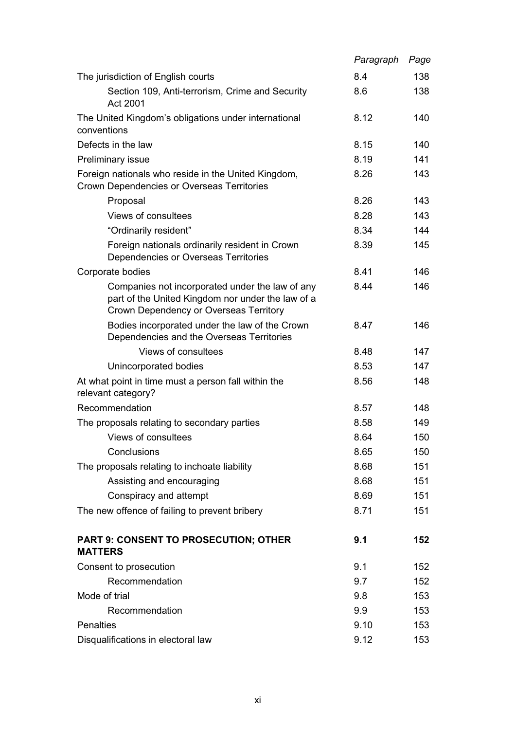|                                                                                                                                                | Paragraph | Page |
|------------------------------------------------------------------------------------------------------------------------------------------------|-----------|------|
| The jurisdiction of English courts                                                                                                             | 8.4       | 138  |
| Section 109, Anti-terrorism, Crime and Security<br>Act 2001                                                                                    | 8.6       | 138  |
| The United Kingdom's obligations under international<br>conventions                                                                            | 8.12      | 140  |
| Defects in the law                                                                                                                             | 8.15      | 140  |
| Preliminary issue                                                                                                                              | 8.19      | 141  |
| Foreign nationals who reside in the United Kingdom,<br>Crown Dependencies or Overseas Territories                                              | 8.26      | 143  |
| Proposal                                                                                                                                       | 8.26      | 143  |
| Views of consultees                                                                                                                            | 8.28      | 143  |
| "Ordinarily resident"                                                                                                                          | 8.34      | 144  |
| Foreign nationals ordinarily resident in Crown<br>Dependencies or Overseas Territories                                                         | 8.39      | 145  |
| Corporate bodies                                                                                                                               | 8.41      | 146  |
| Companies not incorporated under the law of any<br>part of the United Kingdom nor under the law of a<br>Crown Dependency or Overseas Territory | 8.44      | 146  |
| Bodies incorporated under the law of the Crown<br>Dependencies and the Overseas Territories                                                    | 8.47      | 146  |
| Views of consultees                                                                                                                            | 8.48      | 147  |
| Unincorporated bodies                                                                                                                          | 8.53      | 147  |
| At what point in time must a person fall within the<br>relevant category?                                                                      | 8.56      | 148  |
| Recommendation                                                                                                                                 | 8.57      | 148  |
| The proposals relating to secondary parties                                                                                                    | 8.58      | 149  |
| Views of consultees                                                                                                                            | 8.64      | 150  |
| Conclusions                                                                                                                                    | 8.65      | 150  |
| The proposals relating to inchoate liability                                                                                                   | 8.68      | 151  |
| Assisting and encouraging                                                                                                                      | 8.68      | 151  |
| Conspiracy and attempt                                                                                                                         | 8.69      | 151  |
| The new offence of failing to prevent bribery                                                                                                  | 8.71      | 151  |
| <b>PART 9: CONSENT TO PROSECUTION; OTHER</b><br><b>MATTERS</b>                                                                                 | 9.1       | 152  |
| Consent to prosecution                                                                                                                         | 9.1       | 152  |
| Recommendation                                                                                                                                 | 9.7       | 152  |
| Mode of trial                                                                                                                                  | 9.8       | 153  |
| Recommendation                                                                                                                                 | 9.9       | 153  |
| <b>Penalties</b>                                                                                                                               | 9.10      | 153  |
| Disqualifications in electoral law                                                                                                             | 9.12      | 153  |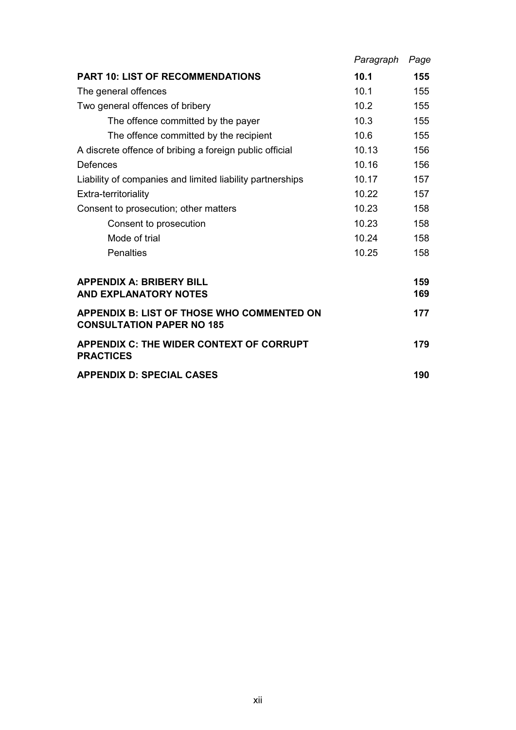|                                                                                       | Paragraph | Page       |
|---------------------------------------------------------------------------------------|-----------|------------|
| <b>PART 10: LIST OF RECOMMENDATIONS</b>                                               | 10.1      | 155        |
| The general offences                                                                  | 10.1      | 155        |
| Two general offences of bribery                                                       | 10.2      | 155        |
| The offence committed by the payer                                                    | 10.3      | 155        |
| The offence committed by the recipient                                                | 10.6      | 155        |
| A discrete offence of bribing a foreign public official                               | 10.13     | 156        |
| <b>Defences</b>                                                                       | 10.16     | 156        |
| Liability of companies and limited liability partnerships                             | 10.17     | 157        |
| Extra-territoriality                                                                  | 10.22     | 157        |
| Consent to prosecution; other matters                                                 | 10.23     | 158        |
| Consent to prosecution                                                                | 10.23     | 158        |
| Mode of trial                                                                         | 10.24     | 158        |
| <b>Penalties</b>                                                                      | 10.25     | 158        |
| <b>APPENDIX A: BRIBERY BILL</b><br><b>AND EXPLANATORY NOTES</b>                       |           | 159<br>169 |
| <b>APPENDIX B: LIST OF THOSE WHO COMMENTED ON</b><br><b>CONSULTATION PAPER NO 185</b> |           | 177        |
| <b>APPENDIX C: THE WIDER CONTEXT OF CORRUPT</b><br><b>PRACTICES</b>                   |           | 179        |
| <b>APPENDIX D: SPECIAL CASES</b>                                                      |           | 190        |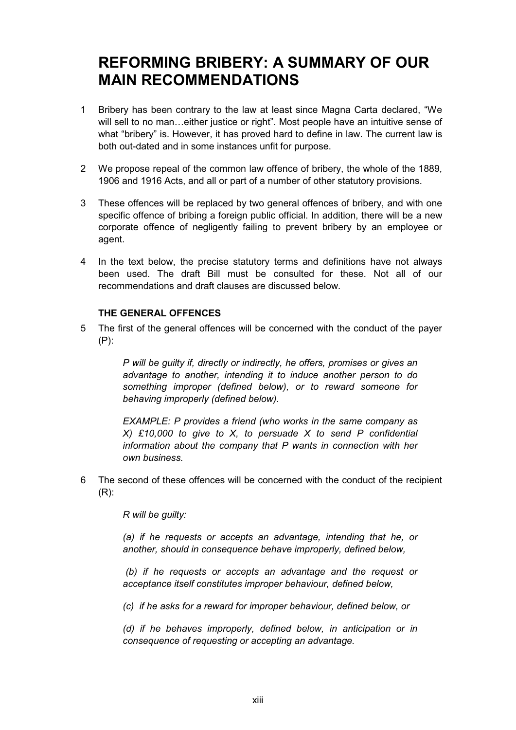## **REFORMING BRIBERY: A SUMMARY OF OUR MAIN RECOMMENDATIONS**

- 1 Bribery has been contrary to the law at least since Magna Carta declared, "We will sell to no man...either justice or right". Most people have an intuitive sense of what "bribery" is. However, it has proved hard to define in law. The current law is both out-dated and in some instances unfit for purpose.
- 2 We propose repeal of the common law offence of bribery, the whole of the 1889, 1906 and 1916 Acts, and all or part of a number of other statutory provisions.
- 3 These offences will be replaced by two general offences of bribery, and with one specific offence of bribing a foreign public official. In addition, there will be a new corporate offence of negligently failing to prevent bribery by an employee or agent.
- 4 In the text below, the precise statutory terms and definitions have not always been used. The draft Bill must be consulted for these. Not all of our recommendations and draft clauses are discussed below.

#### **THE GENERAL OFFENCES**

5 The first of the general offences will be concerned with the conduct of the payer (P):

> *P will be guilty if, directly or indirectly, he offers, promises or gives an advantage to another, intending it to induce another person to do something improper (defined below), or to reward someone for behaving improperly (defined below).*

> *EXAMPLE: P provides a friend (who works in the same company as X) £10,000 to give to X, to persuade X to send P confidential information about the company that P wants in connection with her own business.*

6 The second of these offences will be concerned with the conduct of the recipient (R):

*R will be guilty:*

*(a) if he requests or accepts an advantage, intending that he, or another, should in consequence behave improperly, defined below,*

 *(b) if he requests or accepts an advantage and the request or acceptance itself constitutes improper behaviour, defined below,*

*(c) if he asks for a reward for improper behaviour, defined below, or*

*(d) if he behaves improperly, defined below, in anticipation or in consequence of requesting or accepting an advantage.*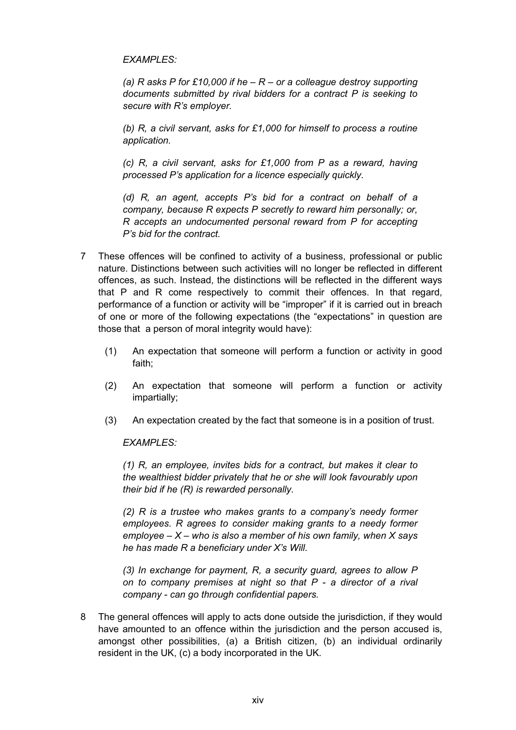#### *EXAMPLES:*

*(a) R asks P for £10,000 if he – R – or a colleague destroy supporting documents submitted by rival bidders for a contract P is seeking to secure with R's employer.*

*(b) R, a civil servant, asks for £1,000 for himself to process a routine application.*

*(c) R, a civil servant, asks for £1,000 from P as a reward, having processed P's application for a licence especially quickly.*

*(d) R, an agent, accepts P's bid for a contract on behalf of a company, because R expects P secretly to reward him personally; or, R accepts an undocumented personal reward from P for accepting P's bid for the contract.*

- 7 These offences will be confined to activity of a business, professional or public nature. Distinctions between such activities will no longer be reflected in different offences, as such. Instead, the distinctions will be reflected in the different ways that P and R come respectively to commit their offences. In that regard, performance of a function or activity will be "improper" if it is carried out in breach of one or more of the following expectations (the "expectations" in question are those that a person of moral integrity would have):
	- (1) An expectation that someone will perform a function or activity in good faith;
	- (2) An expectation that someone will perform a function or activity impartially;
	- (3) An expectation created by the fact that someone is in a position of trust.

#### *EXAMPLES:*

*(1) R, an employee, invites bids for a contract, but makes it clear to the wealthiest bidder privately that he or she will look favourably upon their bid if he (R) is rewarded personally.*

*(2) R is a trustee who makes grants to a company's needy former employees. R agrees to consider making grants to a needy former employee – X – who is also a member of his own family, when X says he has made R a beneficiary under X's Will.*

*(3) In exchange for payment, R, a security guard, agrees to allow P on to company premises at night so that P - a director of a rival company - can go through confidential papers.*

8 The general offences will apply to acts done outside the jurisdiction, if they would have amounted to an offence within the jurisdiction and the person accused is, amongst other possibilities, (a) a British citizen, (b) an individual ordinarily resident in the UK, (c) a body incorporated in the UK.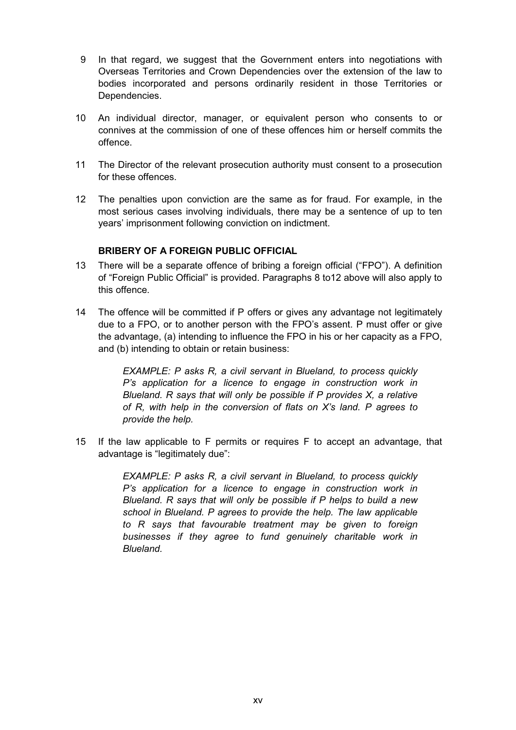- 9 In that regard, we suggest that the Government enters into negotiations with Overseas Territories and Crown Dependencies over the extension of the law to bodies incorporated and persons ordinarily resident in those Territories or Dependencies.
- 10 An individual director, manager, or equivalent person who consents to or connives at the commission of one of these offences him or herself commits the offence.
- 11 The Director of the relevant prosecution authority must consent to a prosecution for these offences.
- 12 The penalties upon conviction are the same as for fraud. For example, in the most serious cases involving individuals, there may be a sentence of up to ten years' imprisonment following conviction on indictment.

#### **BRIBERY OF A FOREIGN PUBLIC OFFICIAL**

- 13 There will be a separate offence of bribing a foreign official ("FPO"). A definition of "Foreign Public Official" is provided. Paragraphs 8 to12 above will also apply to this offence.
- 14 The offence will be committed if P offers or gives any advantage not legitimately due to a FPO, or to another person with the FPO's assent. P must offer or give the advantage, (a) intending to influence the FPO in his or her capacity as a FPO, and (b) intending to obtain or retain business:

*EXAMPLE: P asks R, a civil servant in Blueland, to process quickly P's application for a licence to engage in construction work in Blueland. R says that will only be possible if P provides X, a relative of R, with help in the conversion of flats on X's land. P agrees to provide the help.*

15 If the law applicable to F permits or requires F to accept an advantage, that advantage is "legitimately due":

> *EXAMPLE: P asks R, a civil servant in Blueland, to process quickly P's application for a licence to engage in construction work in Blueland. R says that will only be possible if P helps to build a new school in Blueland. P agrees to provide the help. The law applicable to R says that favourable treatment may be given to foreign businesses if they agree to fund genuinely charitable work in Blueland.*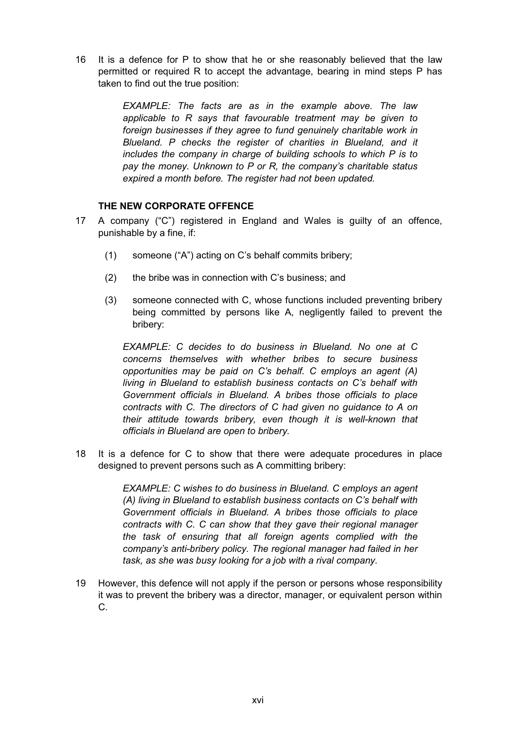16 It is a defence for P to show that he or she reasonably believed that the law permitted or required R to accept the advantage, bearing in mind steps P has taken to find out the true position:

> *EXAMPLE: The facts are as in the example above. The law applicable to R says that favourable treatment may be given to foreign businesses if they agree to fund genuinely charitable work in Blueland. P checks the register of charities in Blueland, and it includes the company in charge of building schools to which P is to pay the money. Unknown to P or R, the company's charitable status expired a month before. The register had not been updated.*

#### **THE NEW CORPORATE OFFENCE**

- 17 A company ("C") registered in England and Wales is guilty of an offence, punishable by a fine, if:
	- (1) someone ("A") acting on C's behalf commits bribery;
	- (2) the bribe was in connection with C's business; and
	- (3) someone connected with C, whose functions included preventing bribery being committed by persons like A, negligently failed to prevent the bribery:

*EXAMPLE: C decides to do business in Blueland. No one at C concerns themselves with whether bribes to secure business opportunities may be paid on C's behalf. C employs an agent (A) living in Blueland to establish business contacts on C's behalf with Government officials in Blueland. A bribes those officials to place contracts with C. The directors of C had given no guidance to A on their attitude towards bribery, even though it is well-known that officials in Blueland are open to bribery.*

18 It is a defence for C to show that there were adequate procedures in place designed to prevent persons such as A committing bribery:

> *EXAMPLE: C wishes to do business in Blueland. C employs an agent (A) living in Blueland to establish business contacts on C's behalf with Government officials in Blueland. A bribes those officials to place contracts with C. C can show that they gave their regional manager the task of ensuring that all foreign agents complied with the company's anti-bribery policy. The regional manager had failed in her task, as she was busy looking for a job with a rival company.*

19 However, this defence will not apply if the person or persons whose responsibility it was to prevent the bribery was a director, manager, or equivalent person within C.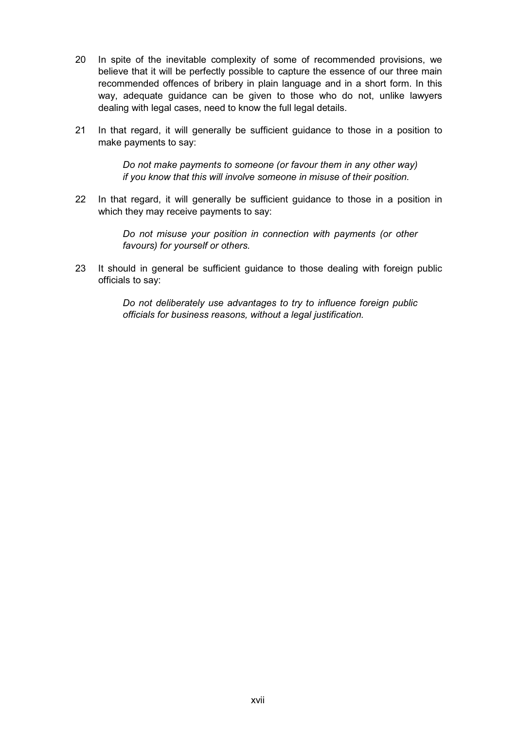- 20 In spite of the inevitable complexity of some of recommended provisions, we believe that it will be perfectly possible to capture the essence of our three main recommended offences of bribery in plain language and in a short form. In this way, adequate guidance can be given to those who do not, unlike lawyers dealing with legal cases, need to know the full legal details.
- 21 In that regard, it will generally be sufficient guidance to those in a position to make payments to say:

*Do not make payments to someone (or favour them in any other way) if you know that this will involve someone in misuse of their position.*

22 In that regard, it will generally be sufficient guidance to those in a position in which they may receive payments to say:

> *Do not misuse your position in connection with payments (or other favours) for yourself or others.*

23 It should in general be sufficient guidance to those dealing with foreign public officials to say:

> *Do not deliberately use advantages to try to influence foreign public officials for business reasons, without a legal justification.*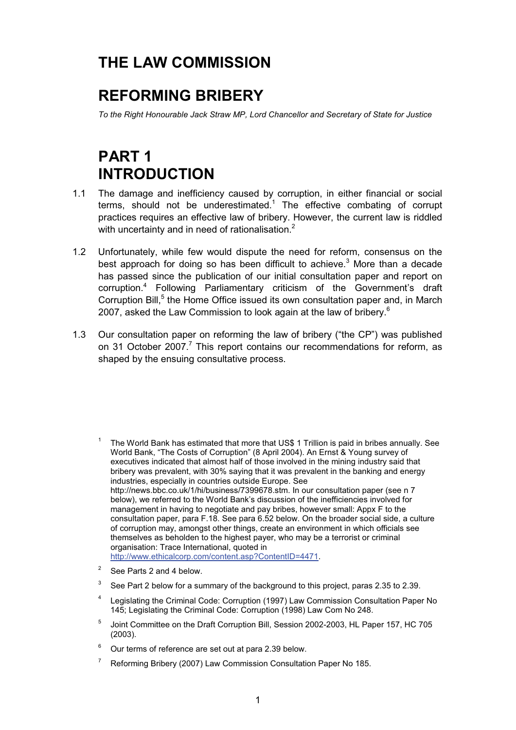## **THE LAW COMMISSION**

## **REFORMING BRIBERY**

*To the Right Honourable Jack Straw MP, Lord Chancellor and Secretary of State for Justice*

## **PART 1 INTRODUCTION**

- 1.1 The damage and inefficiency caused by corruption, in either financial or social terms, should not be underestimated.<sup>1</sup> The effective combating of corrupt practices requires an effective law of bribery. However, the current law is riddled with uncertainty and in need of rationalisation.<sup>2</sup>
- 1.2 Unfortunately, while few would dispute the need for reform, consensus on the best approach for doing so has been difficult to achieve.<sup>3</sup> More than a decade has passed since the publication of our initial consultation paper and report on corruption.<sup>4</sup> Following Parliamentary criticism of the Government's draft Corruption Bill,<sup>5</sup> the Home Office issued its own consultation paper and, in March 2007, asked the Law Commission to look again at the law of bribery.<sup>6</sup>
- 1.3 Our consultation paper on reforming the law of bribery ("the CP") was published on 31 October 2007.<sup>7</sup> This report contains our recommendations for reform, as shaped by the ensuing consultative process.

- <sup>1</sup> The World Bank has estimated that more that US\$ 1 Trillion is paid in bribes annually. See World Bank, "The Costs of Corruption" (8 April 2004). An Ernst & Young survey of executives indicated that almost half of those involved in the mining industry said that bribery was prevalent, with 30% saying that it was prevalent in the banking and energy industries, especially in countries outside Europe. See http://news.bbc.co.uk/1/hi/business/7399678.stm. In our consultation paper (see n 7 below), we referred to the World Bank's discussion of the inefficiencies involved for management in having to negotiate and pay bribes, however small: Appx F to the consultation paper, para F.18. See para 6.52 below. On the broader social side, a culture of corruption may, amongst other things, create an environment in which officials see themselves as beholden to the highest payer, who may be a terrorist or criminal organisation: Trace International, quoted in http://www.ethicalcorp.com/content.asp?ContentID=4471.
- $2^2$  See Parts 2 and 4 below.
- $3\degree$  See Part 2 below for a summary of the background to this project, paras 2.35 to 2.39.
- <sup>4</sup> Legislating the Criminal Code: Corruption (1997) Law Commission Consultation Paper No 145; Legislating the Criminal Code: Corruption (1998) Law Com No 248.
- <sup>5</sup> Joint Committee on the Draft Corruption Bill, Session 2002-2003, HL Paper 157, HC 705 (2003).
- $6$  Our terms of reference are set out at para 2.39 below.
- <sup>7</sup> Reforming Bribery (2007) Law Commission Consultation Paper No 185.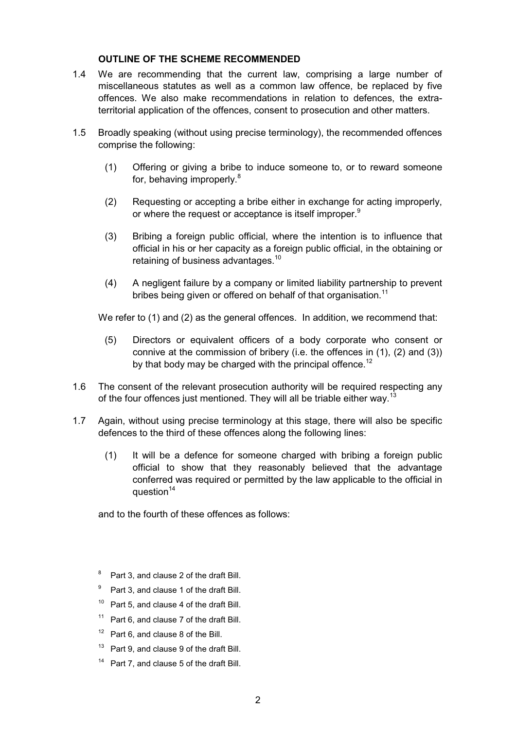#### **OUTLINE OF THE SCHEME RECOMMENDED**

- 1.4 We are recommending that the current law, comprising a large number of miscellaneous statutes as well as a common law offence, be replaced by five offences. We also make recommendations in relation to defences, the extraterritorial application of the offences, consent to prosecution and other matters.
- 1.5 Broadly speaking (without using precise terminology), the recommended offences comprise the following:
	- (1) Offering or giving a bribe to induce someone to, or to reward someone for, behaving improperly.<sup>8</sup>
	- (2) Requesting or accepting a bribe either in exchange for acting improperly, or where the request or acceptance is itself improper.<sup>9</sup>
	- (3) Bribing a foreign public official, where the intention is to influence that official in his or her capacity as a foreign public official, in the obtaining or retaining of business advantages.<sup>10</sup>
	- (4) A negligent failure by a company or limited liability partnership to prevent bribes being given or offered on behalf of that organisation.<sup>11</sup>

We refer to (1) and (2) as the general offences. In addition, we recommend that:

- (5) Directors or equivalent officers of a body corporate who consent or connive at the commission of bribery (i.e. the offences in (1), (2) and (3)) by that body may be charged with the principal offence.<sup>12</sup>
- 1.6 The consent of the relevant prosecution authority will be required respecting any of the four offences just mentioned. They will all be triable either way.<sup>13</sup>
- 1.7 Again, without using precise terminology at this stage, there will also be specific defences to the third of these offences along the following lines:
	- (1) It will be a defence for someone charged with bribing a foreign public official to show that they reasonably believed that the advantage conferred was required or permitted by the law applicable to the official in question $14$

and to the fourth of these offences as follows:

- <sup>8</sup> Part 3, and clause 2 of the draft Bill.
- <sup>9</sup> Part 3, and clause 1 of the draft Bill.
- <sup>10</sup> Part 5, and clause 4 of the draft Bill.
- <sup>11</sup> Part 6, and clause 7 of the draft Bill.
- $12$  Part 6, and clause 8 of the Bill.
- <sup>13</sup> Part 9, and clause 9 of the draft Bill.
- $14$  Part 7, and clause 5 of the draft Bill.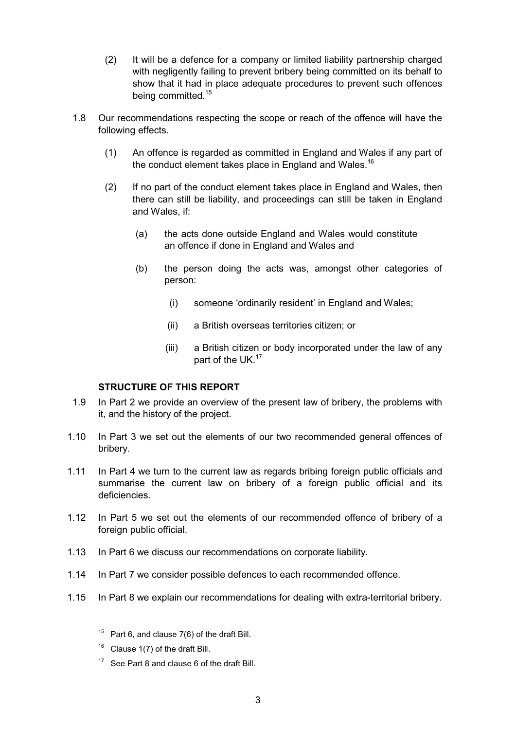- (2) It will be a defence for a company or limited liability partnership charged with negligently failing to prevent bribery being committed on its behalf to show that it had in place adequate procedures to prevent such offences being committed.<sup>15</sup>
- 1.8 Our recommendations respecting the scope or reach of the offence will have the following effects.
	- (1) An offence is regarded as committed in England and Wales if any part of the conduct element takes place in England and Wales.<sup>16</sup>
	- (2) If no part of the conduct element takes place in England and Wales, then there can still be liability, and proceedings can still be taken in England and Wales, if:
		- (a) the acts done outside England and Wales would constitute an offence if done in England and Wales and
		- (b) the person doing the acts was, amongst other categories of person:
			- (i) someone 'ordinarily resident' in England and Wales;
			- (ii) a British overseas territories citizen; or
			- (iii) a British citizen or body incorporated under the law of any part of the UK.<sup>17</sup>

#### **STRUCTURE OF THIS REPORT**

- 1.9 In Part 2 we provide an overview of the present law of bribery, the problems with it, and the history of the project.
- 1.10 In Part 3 we set out the elements of our two recommended general offences of bribery.
- 1.11 In Part 4 we turn to the current law as regards bribing foreign public officials and summarise the current law on bribery of a foreign public official and its deficiencies.
- 1.12 In Part 5 we set out the elements of our recommended offence of bribery of a foreign public official.
- 1.13 In Part 6 we discuss our recommendations on corporate liability.
- 1.14 In Part 7 we consider possible defences to each recommended offence.
- 1.15 In Part 8 we explain our recommendations for dealing with extra-territorial bribery.
	- <sup>15</sup> Part 6, and clause  $7(6)$  of the draft Bill.
	- $16$  Clause 1(7) of the draft Bill.
	- <sup>17</sup> See Part 8 and clause 6 of the draft Bill.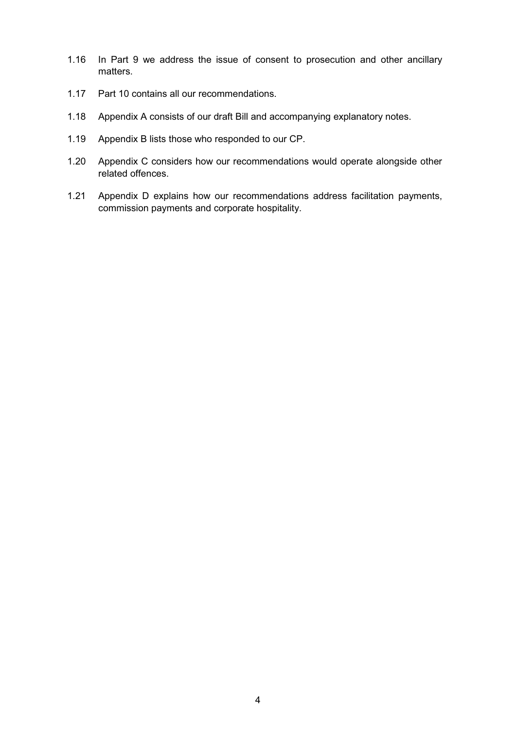- 1.16 In Part 9 we address the issue of consent to prosecution and other ancillary matters.
- 1.17 Part 10 contains all our recommendations.
- 1.18 Appendix A consists of our draft Bill and accompanying explanatory notes.
- 1.19 Appendix B lists those who responded to our CP.
- 1.20 Appendix C considers how our recommendations would operate alongside other related offences.
- 1.21 Appendix D explains how our recommendations address facilitation payments, commission payments and corporate hospitality.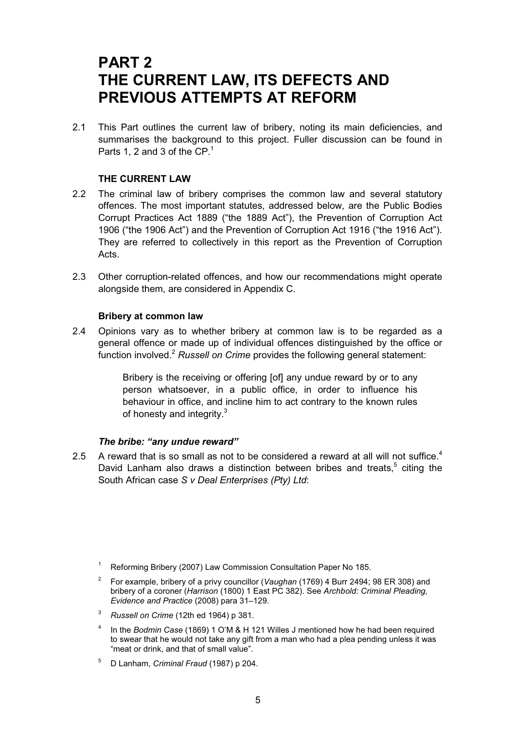### **PART 2 THE CURRENT LAW, ITS DEFECTS AND PREVIOUS ATTEMPTS AT REFORM**

2.1 This Part outlines the current law of bribery, noting its main deficiencies, and summarises the background to this project. Fuller discussion can be found in Parts 1, 2 and 3 of the  $CP<sup>1</sup>$ 

#### **THE CURRENT LAW**

- 2.2 The criminal law of bribery comprises the common law and several statutory offences. The most important statutes, addressed below, are the Public Bodies Corrupt Practices Act 1889 ("the 1889 Act"), the Prevention of Corruption Act 1906 ("the 1906 Act") and the Prevention of Corruption Act 1916 ("the 1916 Act"). They are referred to collectively in this report as the Prevention of Corruption Acts.
- 2.3 Other corruption-related offences, and how our recommendations might operate alongside them, are considered in Appendix C.

#### **Bribery at common law**

2.4 Opinions vary as to whether bribery at common law is to be regarded as a general offence or made up of individual offences distinguished by the office or function involved.<sup>2</sup> Russell on Crime provides the following general statement:

> Bribery is the receiving or offering [of] any undue reward by or to any person whatsoever, in a public office, in order to influence his behaviour in office, and incline him to act contrary to the known rules of honesty and integrity.<sup>3</sup>

#### *The bribe: "any undue reward"*

2.5 A reward that is so small as not to be considered a reward at all will not suffice.<sup>4</sup> David Lanham also draws a distinction between bribes and treats,<sup>5</sup> citing the South African case *S v Deal Enterprises (Pty) Ltd*:

- <sup>4</sup> In the *Bodmin Case* (1869) 1 O'M & H 121 Willes J mentioned how he had been required to swear that he would not take any gift from a man who had a plea pending unless it was "meat or drink, and that of small value".
- <sup>5</sup> D Lanham, *Criminal Fraud* (1987) p 204.

<sup>&</sup>lt;sup>1</sup> Reforming Bribery (2007) Law Commission Consultation Paper No 185.

<sup>2</sup> For example, bribery of a privy councillor (*Vaughan* (1769) 4 Burr 2494; 98 ER 308) and bribery of a coroner (*Harrison* (1800) 1 East PC 382). See *Archbold: Criminal Pleading, Evidence and Practice* (2008) para 31–129.

<sup>3</sup> *Russell on Crime* (12th ed 1964) p 381.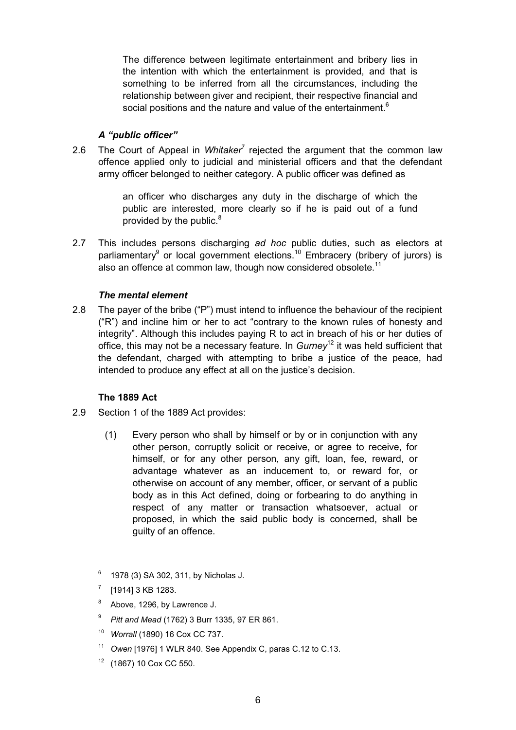The difference between legitimate entertainment and bribery lies in the intention with which the entertainment is provided, and that is something to be inferred from all the circumstances, including the relationship between giver and recipient, their respective financial and social positions and the nature and value of the entertainment.<sup>6</sup>

#### *A "public officer"*

2.6 The Court of Appeal in *Whitaker<sup>7</sup>* rejected the argument that the common law offence applied only to judicial and ministerial officers and that the defendant army officer belonged to neither category. A public officer was defined as

> an officer who discharges any duty in the discharge of which the public are interested, more clearly so if he is paid out of a fund provided by the public.<sup>8</sup>

2.7 This includes persons discharging *ad hoc* public duties, such as electors at parliamentary<sup>9</sup> or local government elections.<sup>10</sup> Embracery (bribery of jurors) is also an offence at common law, though now considered obsolete.<sup>11</sup>

#### *The mental element*

2.8 The payer of the bribe ("P") must intend to influence the behaviour of the recipient ("R") and incline him or her to act "contrary to the known rules of honesty and integrity". Although this includes paying R to act in breach of his or her duties of office, this may not be a necessary feature. In *Gurney*12 it was held sufficient that the defendant, charged with attempting to bribe a justice of the peace, had intended to produce any effect at all on the justice's decision.

#### **The 1889 Act**

- 2.9 Section 1 of the 1889 Act provides:
	- (1) Every person who shall by himself or by or in conjunction with any other person, corruptly solicit or receive, or agree to receive, for himself, or for any other person, any gift, loan, fee, reward, or advantage whatever as an inducement to, or reward for, or otherwise on account of any member, officer, or servant of a public body as in this Act defined, doing or forbearing to do anything in respect of any matter or transaction whatsoever, actual or proposed, in which the said public body is concerned, shall be guilty of an offence.
	- <sup>6</sup> 1978 (3) SA 302, 311, by Nicholas J.
	- $^7$  [1914] 3 KB 1283.
	- <sup>8</sup> Above, 1296, by Lawrence J.
	- <sup>9</sup> *Pitt and Mead* (1762) 3 Burr 1335, 97 ER 861.
	- <sup>10</sup> *Worrall* (1890) 16 Cox CC 737.
	- <sup>11</sup> *Owen* [1976] 1 WLR 840. See Appendix C, paras C.12 to C.13.
	- <sup>12</sup> (1867) 10 Cox CC 550.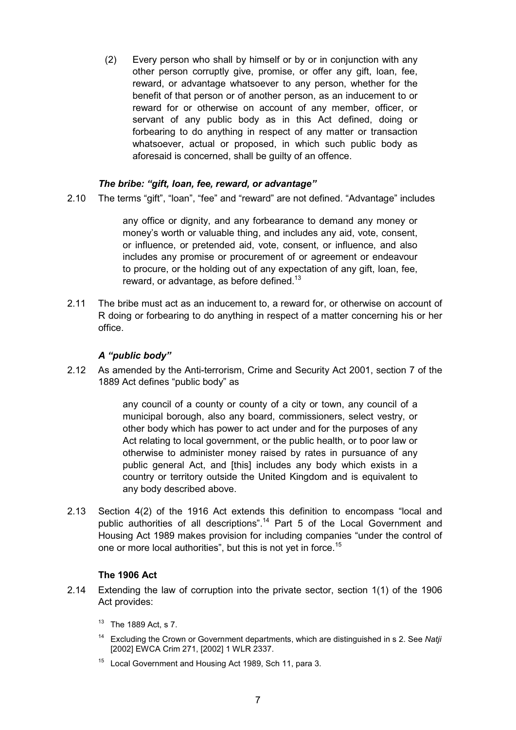(2) Every person who shall by himself or by or in conjunction with any other person corruptly give, promise, or offer any gift, loan, fee, reward, or advantage whatsoever to any person, whether for the benefit of that person or of another person, as an inducement to or reward for or otherwise on account of any member, officer, or servant of any public body as in this Act defined, doing or forbearing to do anything in respect of any matter or transaction whatsoever, actual or proposed, in which such public body as aforesaid is concerned, shall be guilty of an offence.

#### *The bribe: "gift, loan, fee, reward, or advantage"*

2.10 The terms "gift", "loan", "fee" and "reward" are not defined. "Advantage" includes

any office or dignity, and any forbearance to demand any money or money's worth or valuable thing, and includes any aid, vote, consent, or influence, or pretended aid, vote, consent, or influence, and also includes any promise or procurement of or agreement or endeavour to procure, or the holding out of any expectation of any gift, loan, fee, reward, or advantage, as before defined.<sup>13</sup>

2.11 The bribe must act as an inducement to, a reward for, or otherwise on account of R doing or forbearing to do anything in respect of a matter concerning his or her office.

#### *A "public body"*

2.12 As amended by the Anti-terrorism, Crime and Security Act 2001, section 7 of the 1889 Act defines "public body" as

> any council of a county or county of a city or town, any council of a municipal borough, also any board, commissioners, select vestry, or other body which has power to act under and for the purposes of any Act relating to local government, or the public health, or to poor law or otherwise to administer money raised by rates in pursuance of any public general Act, and [this] includes any body which exists in a country or territory outside the United Kingdom and is equivalent to any body described above.

2.13 Section 4(2) of the 1916 Act extends this definition to encompass "local and public authorities of all descriptions".<sup>14</sup> Part 5 of the Local Government and Housing Act 1989 makes provision for including companies "under the control of one or more local authorities", but this is not yet in force.<sup>15</sup>

#### **The 1906 Act**

- 2.14 Extending the law of corruption into the private sector, section 1(1) of the 1906 Act provides:
	- $13$  The 1889 Act, s 7.
	- <sup>14</sup> Excluding the Crown or Government departments, which are distinguished in s 2. See *Natji* [2002] EWCA Crim 271, [2002] 1 WLR 2337.
	- <sup>15</sup> Local Government and Housing Act 1989, Sch 11, para 3.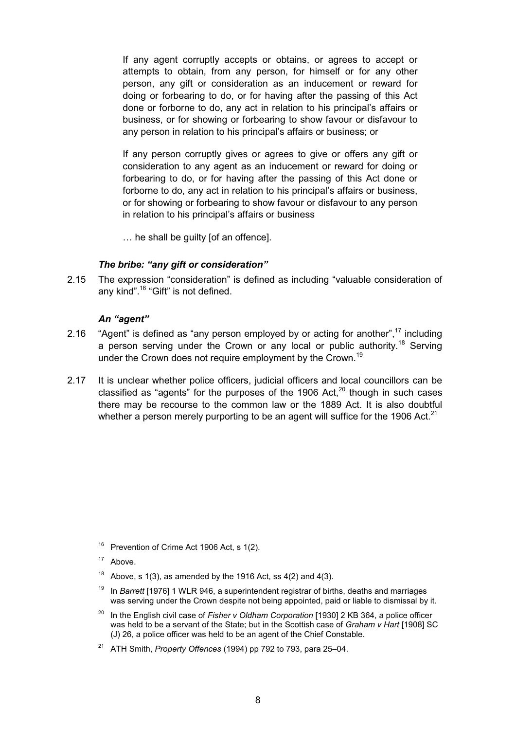If any agent corruptly accepts or obtains, or agrees to accept or attempts to obtain, from any person, for himself or for any other person, any gift or consideration as an inducement or reward for doing or forbearing to do, or for having after the passing of this Act done or forborne to do, any act in relation to his principal's affairs or business, or for showing or forbearing to show favour or disfavour to any person in relation to his principal's affairs or business; or

If any person corruptly gives or agrees to give or offers any gift or consideration to any agent as an inducement or reward for doing or forbearing to do, or for having after the passing of this Act done or forborne to do, any act in relation to his principal's affairs or business, or for showing or forbearing to show favour or disfavour to any person in relation to his principal's affairs or business

… he shall be guilty [of an offence].

#### *The bribe: "any gift or consideration"*

2.15 The expression "consideration" is defined as including "valuable consideration of any kind".<sup>16</sup> "Gift" is not defined.

#### *An "agent"*

- 2.16 "Agent" is defined as "any person employed by or acting for another", $17$  including a person serving under the Crown or any local or public authority.<sup>18</sup> Serving under the Crown does not require employment by the Crown.<sup>19</sup>
- 2.17 It is unclear whether police officers, judicial officers and local councillors can be classified as "agents" for the purposes of the 1906 Act, $^{20}$  though in such cases there may be recourse to the common law or the 1889 Act. It is also doubtful whether a person merely purporting to be an agent will suffice for the 1906 Act. $^{21}$

- <sup>18</sup> Above, s 1(3), as amended by the 1916 Act, ss  $4(2)$  and  $4(3)$ .
- <sup>19</sup> In *Barrett* [1976] 1 WLR 946, a superintendent registrar of births, deaths and marriages was serving under the Crown despite not being appointed, paid or liable to dismissal by it.
- <sup>20</sup> In the English civil case of *Fisher v Oldham Corporation* [1930] 2 KB 364, a police officer was held to be a servant of the State; but in the Scottish case of *Graham v Hart* [1908] SC (J) 26, a police officer was held to be an agent of the Chief Constable.
- <sup>21</sup> ATH Smith, *Property Offences* (1994) pp 792 to 793, para 25–04.

<sup>&</sup>lt;sup>16</sup> Prevention of Crime Act 1906 Act, s 1(2).

<sup>&</sup>lt;sup>17</sup> Above.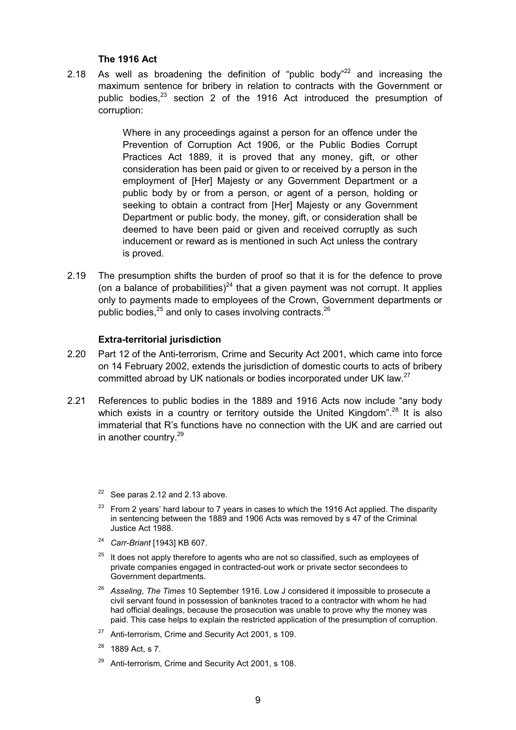#### **The 1916 Act**

2.18 As well as broadening the definition of "public body"<sup>22</sup> and increasing the maximum sentence for bribery in relation to contracts with the Government or public bodies,<sup>23</sup> section 2 of the 1916 Act introduced the presumption of corruption:

> Where in any proceedings against a person for an offence under the Prevention of Corruption Act 1906, or the Public Bodies Corrupt Practices Act 1889, it is proved that any money, gift, or other consideration has been paid or given to or received by a person in the employment of [Her] Majesty or any Government Department or a public body by or from a person, or agent of a person, holding or seeking to obtain a contract from [Her] Majesty or any Government Department or public body, the money, gift, or consideration shall be deemed to have been paid or given and received corruptly as such inducement or reward as is mentioned in such Act unless the contrary is proved.

2.19 The presumption shifts the burden of proof so that it is for the defence to prove (on a balance of probabilities)<sup>24</sup> that a given payment was not corrupt. It applies only to payments made to employees of the Crown, Government departments or public bodies, $^{25}$  and only to cases involving contracts. $^{26}$ 

#### **Extra-territorial jurisdiction**

- 2.20 Part 12 of the Anti-terrorism, Crime and Security Act 2001, which came into force on 14 February 2002, extends the jurisdiction of domestic courts to acts of bribery committed abroad by UK nationals or bodies incorporated under UK law.<sup>27</sup>
- 2.21 References to public bodies in the 1889 and 1916 Acts now include "any body which exists in a country or territory outside the United Kingdom".<sup>28</sup> It is also immaterial that R's functions have no connection with the UK and are carried out in another country.<sup>29</sup>

 $22$  See paras 2.12 and 2.13 above.

- $23$  From 2 years' hard labour to 7 years in cases to which the 1916 Act applied. The disparity in sentencing between the 1889 and 1906 Acts was removed by s 47 of the Criminal Justice Act 1988.
- <sup>24</sup> *Carr-Briant* [1943] KB 607.
- $25$  It does not apply therefore to agents who are not so classified, such as employees of private companies engaged in contracted-out work or private sector secondees to Government departments.
- <sup>26</sup> *Asseling*, *The Times* 10 September 1916. Low J considered it impossible to prosecute a civil servant found in possession of banknotes traced to a contractor with whom he had had official dealings, because the prosecution was unable to prove why the money was paid. This case helps to explain the restricted application of the presumption of corruption.
- <sup>27</sup> Anti-terrorism, Crime and Security Act 2001, s 109.
- <sup>28</sup> 1889 Act, s 7.
- Anti-terrorism, Crime and Security Act 2001, s 108.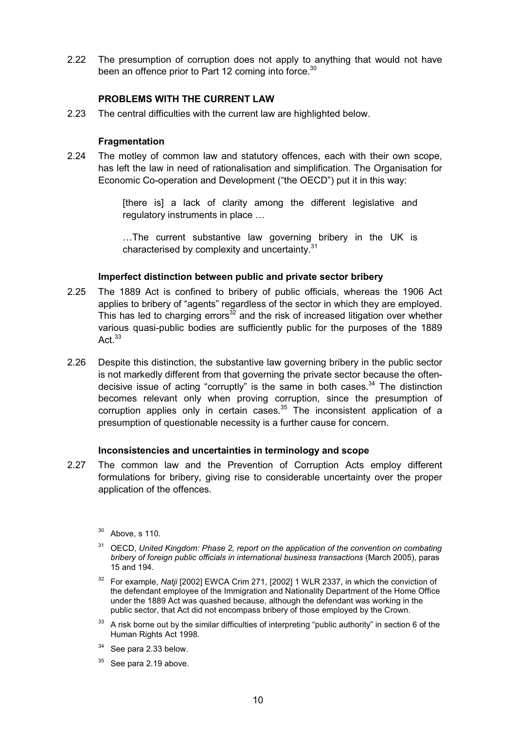2.22 The presumption of corruption does not apply to anything that would not have been an offence prior to Part 12 coming into force.<sup>30</sup>

#### **PROBLEMS WITH THE CURRENT LAW**

2.23 The central difficulties with the current law are highlighted below.

#### **Fragmentation**

2.24 The motley of common law and statutory offences, each with their own scope, has left the law in need of rationalisation and simplification. The Organisation for Economic Co-operation and Development ("the OECD") put it in this way:

> [there is] a lack of clarity among the different legislative and regulatory instruments in place …

> …The current substantive law governing bribery in the UK is characterised by complexity and uncertainty.<sup>31</sup>

#### **Imperfect distinction between public and private sector bribery**

- 2.25 The 1889 Act is confined to bribery of public officials, whereas the 1906 Act applies to bribery of "agents" regardless of the sector in which they are employed. This has led to charging errors<sup>32</sup> and the risk of increased litigation over whether various quasi-public bodies are sufficiently public for the purposes of the 1889 Act $33$
- 2.26 Despite this distinction, the substantive law governing bribery in the public sector is not markedly different from that governing the private sector because the oftendecisive issue of acting "corruptly" is the same in both cases. $34$  The distinction becomes relevant only when proving corruption, since the presumption of corruption applies only in certain cases. $35$  The inconsistent application of a presumption of questionable necessity is a further cause for concern.

#### **Inconsistencies and uncertainties in terminology and scope**

- 2.27 The common law and the Prevention of Corruption Acts employ different formulations for bribery, giving rise to considerable uncertainty over the proper application of the offences.
	- <sup>30</sup> Above, s 110.
	- <sup>31</sup> OECD, *United Kingdom: Phase 2, report on the application of the convention on combating bribery of foreign public officials in international business transactions* (March 2005), paras 15 and 194.
	- <sup>32</sup> For example. Natii [2002] EWCA Crim 271, [2002] 1 WLR 2337, in which the conviction of the defendant employee of the Immigration and Nationality Department of the Home Office under the 1889 Act was quashed because, although the defendant was working in the public sector, that Act did not encompass bribery of those employed by the Crown.
	- <sup>33</sup> A risk borne out by the similar difficulties of interpreting "public authority" in section 6 of the Human Rights Act 1998.
	- $34$  See para 2.33 below.
	- See para 2.19 above.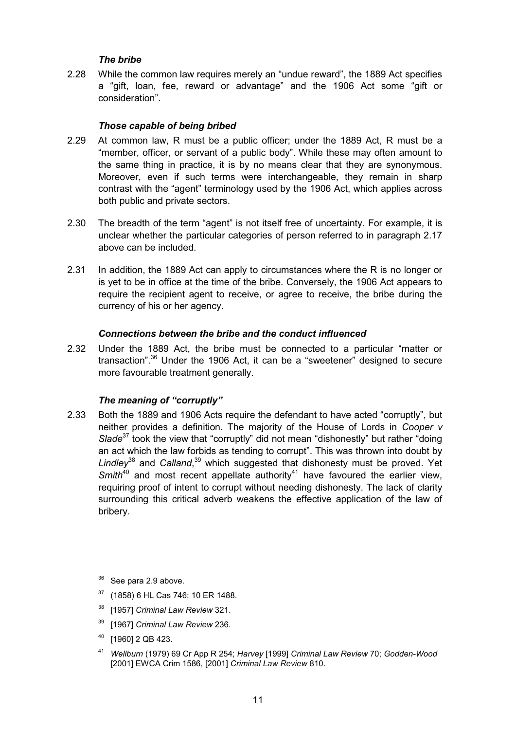#### *The bribe*

2.28 While the common law requires merely an "undue reward", the 1889 Act specifies a "gift, loan, fee, reward or advantage" and the 1906 Act some "gift or consideration".

#### *Those capable of being bribed*

- 2.29 At common law, R must be a public officer; under the 1889 Act, R must be a "member, officer, or servant of a public body". While these may often amount to the same thing in practice, it is by no means clear that they are synonymous. Moreover, even if such terms were interchangeable, they remain in sharp contrast with the "agent" terminology used by the 1906 Act, which applies across both public and private sectors.
- 2.30 The breadth of the term "agent" is not itself free of uncertainty. For example, it is unclear whether the particular categories of person referred to in paragraph 2.17 above can be included.
- 2.31 In addition, the 1889 Act can apply to circumstances where the R is no longer or is yet to be in office at the time of the bribe. Conversely, the 1906 Act appears to require the recipient agent to receive, or agree to receive, the bribe during the currency of his or her agency.

#### *Connections between the bribe and the conduct influenced*

2.32 Under the 1889 Act, the bribe must be connected to a particular "matter or transaction".<sup>36</sup> Under the 1906 Act, it can be a "sweetener" designed to secure more favourable treatment generally.

#### *The meaning of "corruptly"*

2.33 Both the 1889 and 1906 Acts require the defendant to have acted "corruptly", but neither provides a definition. The majority of the House of Lords in *Cooper v Slade*<sup>37</sup> took the view that "corruptly" did not mean "dishonestly" but rather "doing an act which the law forbids as tending to corrupt". This was thrown into doubt by Lindley<sup>38</sup> and Calland,<sup>39</sup> which suggested that dishonesty must be proved. Yet *Smith*<sup>40</sup> and most recent appellate authority<sup>41</sup> have favoured the earlier view, requiring proof of intent to corrupt without needing dishonesty. The lack of clarity surrounding this critical adverb weakens the effective application of the law of bribery.

 $36$  See para 2.9 above.

- <sup>37</sup> (1858) 6 HL Cas 746; 10 ER 1488.
- <sup>38</sup> [1957] *Criminal Law Review* 321.
- <sup>39</sup> [1967] *Criminal Law Review* 236.
- <sup>40</sup> [1960] 2 QB 423.
- <sup>41</sup> *Wellburn* (1979) 69 Cr App R 254; *Harvey* [1999] *Criminal Law Review* 70; *Godden-Wood* [2001] EWCA Crim 1586, [2001] *Criminal Law Review* 810.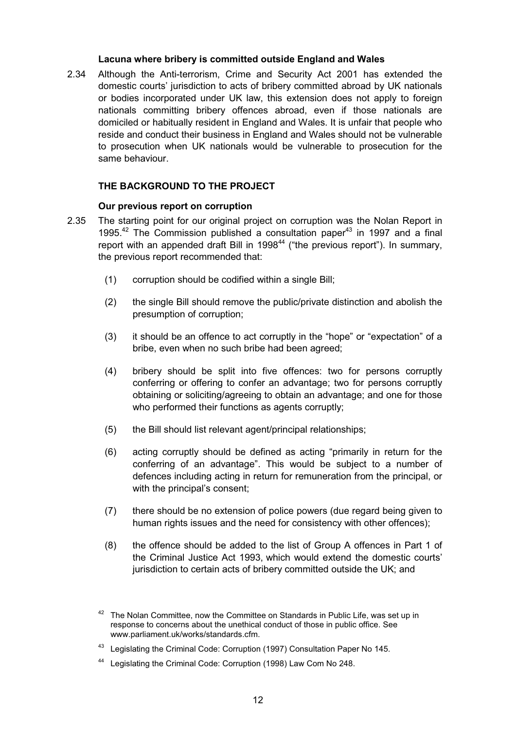#### **Lacuna where bribery is committed outside England and Wales**

2.34 Although the Anti-terrorism, Crime and Security Act 2001 has extended the domestic courts' jurisdiction to acts of bribery committed abroad by UK nationals or bodies incorporated under UK law, this extension does not apply to foreign nationals committing bribery offences abroad, even if those nationals are domiciled or habitually resident in England and Wales. It is unfair that people who reside and conduct their business in England and Wales should not be vulnerable to prosecution when UK nationals would be vulnerable to prosecution for the same behaviour.

#### **THE BACKGROUND TO THE PROJECT**

#### **Our previous report on corruption**

- 2.35 The starting point for our original project on corruption was the Nolan Report in 1995.<sup>42</sup> The Commission published a consultation paper<sup>43</sup> in 1997 and a final report with an appended draft Bill in 1998<sup>44</sup> ("the previous report"). In summary, the previous report recommended that:
	- (1) corruption should be codified within a single Bill;
	- (2) the single Bill should remove the public/private distinction and abolish the presumption of corruption;
	- (3) it should be an offence to act corruptly in the "hope" or "expectation" of a bribe, even when no such bribe had been agreed;
	- (4) bribery should be split into five offences: two for persons corruptly conferring or offering to confer an advantage; two for persons corruptly obtaining or soliciting/agreeing to obtain an advantage; and one for those who performed their functions as agents corruptly:
	- (5) the Bill should list relevant agent/principal relationships;
	- (6) acting corruptly should be defined as acting "primarily in return for the conferring of an advantage". This would be subject to a number of defences including acting in return for remuneration from the principal, or with the principal's consent;
	- (7) there should be no extension of police powers (due regard being given to human rights issues and the need for consistency with other offences):
	- (8) the offence should be added to the list of Group A offences in Part 1 of the Criminal Justice Act 1993, which would extend the domestic courts' jurisdiction to certain acts of bribery committed outside the UK; and

<sup>43</sup> Legislating the Criminal Code: Corruption (1997) Consultation Paper No 145.

 $42$  The Nolan Committee, now the Committee on Standards in Public Life, was set up in response to concerns about the unethical conduct of those in public office. See www.parliament.uk/works/standards.cfm.

<sup>&</sup>lt;sup>44</sup> Legislating the Criminal Code: Corruption (1998) Law Com No 248.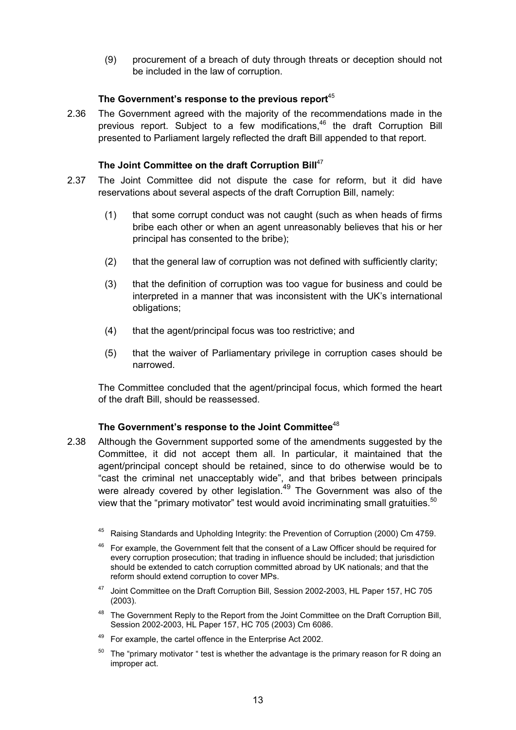(9) procurement of a breach of duty through threats or deception should not be included in the law of corruption.

#### **The Government's response to the previous report**<sup>45</sup>

2.36 The Government agreed with the majority of the recommendations made in the previous report. Subject to a few modifications,<sup>46</sup> the draft Corruption Bill presented to Parliament largely reflected the draft Bill appended to that report.

#### The Joint Committee on the draft Corruption Bill<sup>47</sup>

- 2.37 The Joint Committee did not dispute the case for reform, but it did have reservations about several aspects of the draft Corruption Bill, namely:
	- (1) that some corrupt conduct was not caught (such as when heads of firms bribe each other or when an agent unreasonably believes that his or her principal has consented to the bribe);
	- (2) that the general law of corruption was not defined with sufficiently clarity;
	- (3) that the definition of corruption was too vague for business and could be interpreted in a manner that was inconsistent with the UK's international obligations;
	- (4) that the agent/principal focus was too restrictive; and
	- (5) that the waiver of Parliamentary privilege in corruption cases should be narrowed.

The Committee concluded that the agent/principal focus, which formed the heart of the draft Bill, should be reassessed.

#### **The Government's response to the Joint Committee**<sup>48</sup>

- 2.38 Although the Government supported some of the amendments suggested by the Committee, it did not accept them all. In particular, it maintained that the agent/principal concept should be retained, since to do otherwise would be to "cast the criminal net unacceptably wide", and that bribes between principals were already covered by other legislation.<sup>49</sup> The Government was also of the view that the "primary motivator" test would avoid incriminating small gratuities. $50$ 
	- <sup>45</sup> Raising Standards and Upholding Integrity: the Prevention of Corruption (2000) Cm 4759.
	- $46$  For example, the Government felt that the consent of a Law Officer should be required for every corruption prosecution; that trading in influence should be included; that jurisdiction should be extended to catch corruption committed abroad by UK nationals; and that the reform should extend corruption to cover MPs.
	- <sup>47</sup> Joint Committee on the Draft Corruption Bill, Session 2002-2003, HL Paper 157, HC 705 (2003).
	- <sup>48</sup> The Government Reply to the Report from the Joint Committee on the Draft Corruption Bill, Session 2002-2003, HL Paper 157, HC 705 (2003) Cm 6086.
	- For example, the cartel offence in the Enterprise Act 2002.
	- The "primary motivator " test is whether the advantage is the primary reason for R doing an improper act.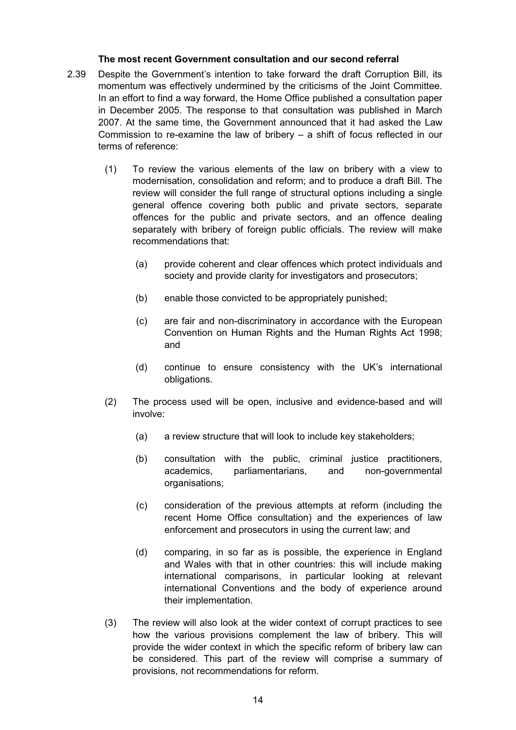#### **The most recent Government consultation and our second referral**

- 2.39 Despite the Government's intention to take forward the draft Corruption Bill, its momentum was effectively undermined by the criticisms of the Joint Committee. In an effort to find a way forward, the Home Office published a consultation paper in December 2005. The response to that consultation was published in March 2007. At the same time, the Government announced that it had asked the Law Commission to re-examine the law of bribery  $-$  a shift of focus reflected in our terms of reference:
	- (1) To review the various elements of the law on bribery with a view to modernisation, consolidation and reform; and to produce a draft Bill. The review will consider the full range of structural options including a single general offence covering both public and private sectors, separate offences for the public and private sectors, and an offence dealing separately with bribery of foreign public officials. The review will make recommendations that:
		- (a) provide coherent and clear offences which protect individuals and society and provide clarity for investigators and prosecutors;
		- (b) enable those convicted to be appropriately punished;
		- (c) are fair and non-discriminatory in accordance with the European Convention on Human Rights and the Human Rights Act 1998; and
		- (d) continue to ensure consistency with the UK's international obligations.
	- (2) The process used will be open, inclusive and evidence-based and will involve:
		- (a) a review structure that will look to include key stakeholders;
		- (b) consultation with the public, criminal justice practitioners, academics, parliamentarians, and non-governmental organisations;
		- (c) consideration of the previous attempts at reform (including the recent Home Office consultation) and the experiences of law enforcement and prosecutors in using the current law; and
		- (d) comparing, in so far as is possible, the experience in England and Wales with that in other countries: this will include making international comparisons, in particular looking at relevant international Conventions and the body of experience around their implementation.
	- (3) The review will also look at the wider context of corrupt practices to see how the various provisions complement the law of bribery. This will provide the wider context in which the specific reform of bribery law can be considered. This part of the review will comprise a summary of provisions, not recommendations for reform.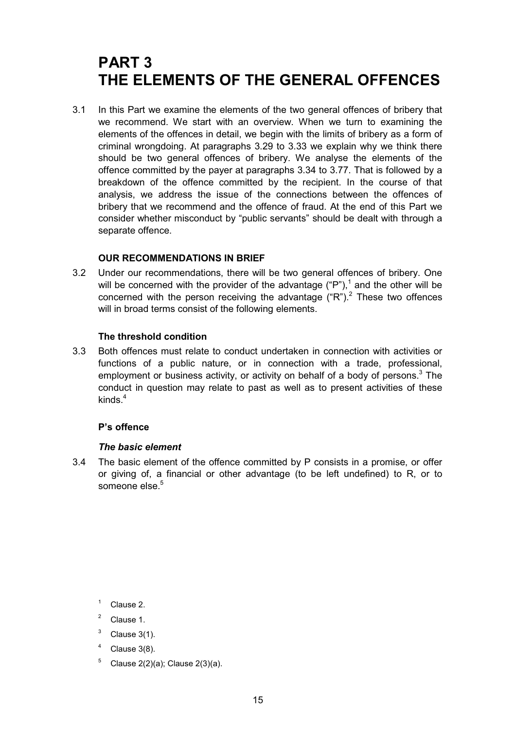## **PART 3 THE ELEMENTS OF THE GENERAL OFFENCES**

3.1 In this Part we examine the elements of the two general offences of bribery that we recommend. We start with an overview. When we turn to examining the elements of the offences in detail, we begin with the limits of bribery as a form of criminal wrongdoing. At paragraphs 3.29 to 3.33 we explain why we think there should be two general offences of bribery. We analyse the elements of the offence committed by the payer at paragraphs 3.34 to 3.77. That is followed by a breakdown of the offence committed by the recipient. In the course of that analysis, we address the issue of the connections between the offences of bribery that we recommend and the offence of fraud. At the end of this Part we consider whether misconduct by "public servants" should be dealt with through a separate offence.

#### **OUR RECOMMENDATIONS IN BRIEF**

3.2 Under our recommendations, there will be two general offences of bribery. One will be concerned with the provider of the advantage ("P"),<sup>1</sup> and the other will be concerned with the person receiving the advantage  $("R")$ . These two offences will in broad terms consist of the following elements.

#### **The threshold condition**

3.3 Both offences must relate to conduct undertaken in connection with activities or functions of a public nature, or in connection with a trade, professional, employment or business activity, or activity on behalf of a body of persons.<sup>3</sup> The conduct in question may relate to past as well as to present activities of these kinds $4$ 

#### **P's offence**

#### *The basic element*

3.4 The basic element of the offence committed by P consists in a promise, or offer or giving of, a financial or other advantage (to be left undefined) to R, or to someone else.<sup>5</sup>

- <sup>2</sup> Clause 1.
- $3$  Clause 3(1).
- Clause 3(8).
- $5$  Clause 2(2)(a); Clause 2(3)(a).

 $1 \quad$  Clause 2.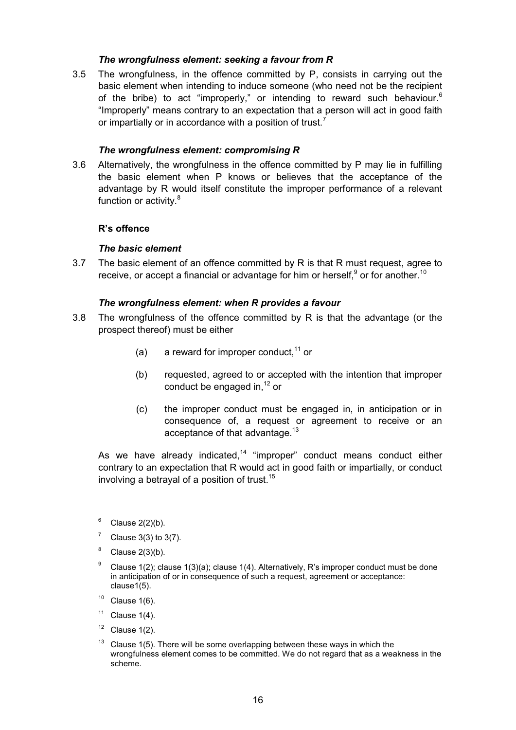#### *The wrongfulness element: seeking a favour from R*

3.5 The wrongfulness, in the offence committed by P, consists in carrying out the basic element when intending to induce someone (who need not be the recipient of the bribe) to act "improperly," or intending to reward such behaviour.<sup>6</sup> "Improperly" means contrary to an expectation that a person will act in good faith or impartially or in accordance with a position of trust.<sup>7</sup>

#### *The wrongfulness element: compromising R*

3.6 Alternatively, the wrongfulness in the offence committed by P may lie in fulfilling the basic element when P knows or believes that the acceptance of the advantage by R would itself constitute the improper performance of a relevant function or activity.<sup>8</sup>

#### **R's offence**

#### *The basic element*

3.7 The basic element of an offence committed by R is that R must request, agree to receive, or accept a financial or advantage for him or herself, $^9$  or for another.<sup>10</sup>

#### *The wrongfulness element: when R provides a favour*

- 3.8 The wrongfulness of the offence committed by R is that the advantage (or the prospect thereof) must be either
	- (a) a reward for improper conduct,  $11$  or
	- (b) requested, agreed to or accepted with the intention that improper conduct be engaged in. $12$  or
	- (c) the improper conduct must be engaged in, in anticipation or in consequence of, a request or agreement to receive or an acceptance of that advantage.<sup>13</sup>

As we have already indicated, $14$  "improper" conduct means conduct either contrary to an expectation that R would act in good faith or impartially, or conduct involving a betrayal of a position of trust.<sup>15</sup>

- $6$  Clause 2(2)(b).
- Clause  $3(3)$  to  $3(7)$ .
- Clause  $2(3)(b)$ .
- <sup>9</sup> Clause 1(2); clause 1(3)(a); clause 1(4). Alternatively, R's improper conduct must be done in anticipation of or in consequence of such a request, agreement or acceptance: clause1(5).
- $10$  Clause 1(6).
- $11$  Clause 1(4).
- $12$  Clause 1(2).
- Clause 1(5). There will be some overlapping between these ways in which the wrongfulness element comes to be committed. We do not regard that as a weakness in the scheme.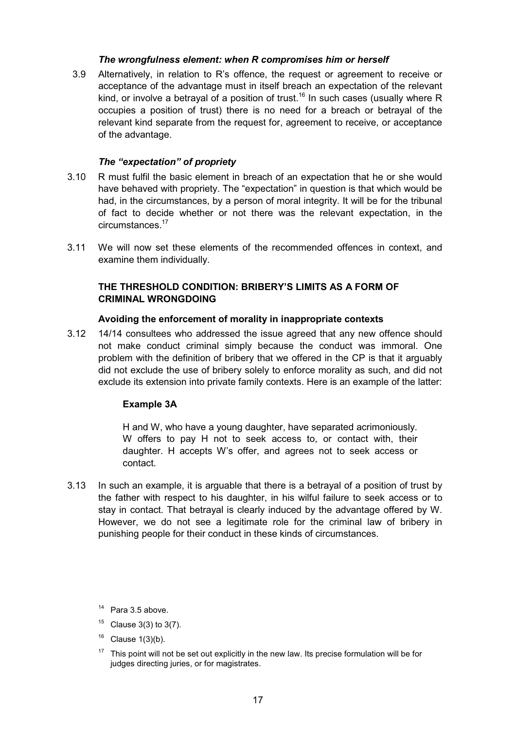#### *The wrongfulness element: when R compromises him or herself*

3.9 Alternatively, in relation to R's offence, the request or agreement to receive or acceptance of the advantage must in itself breach an expectation of the relevant kind, or involve a betrayal of a position of trust.<sup>16</sup> In such cases (usually where R occupies a position of trust) there is no need for a breach or betrayal of the relevant kind separate from the request for, agreement to receive, or acceptance of the advantage.

#### *The "expectation" of propriety*

- 3.10 R must fulfil the basic element in breach of an expectation that he or she would have behaved with propriety. The "expectation" in question is that which would be had, in the circumstances, by a person of moral integrity. It will be for the tribunal of fact to decide whether or not there was the relevant expectation, in the circumstances.<sup>17</sup>
- 3.11 We will now set these elements of the recommended offences in context, and examine them individually.

#### **THE THRESHOLD CONDITION: BRIBERY'S LIMITS AS A FORM OF CRIMINAL WRONGDOING**

#### **Avoiding the enforcement of morality in inappropriate contexts**

3.12 14/14 consultees who addressed the issue agreed that any new offence should not make conduct criminal simply because the conduct was immoral. One problem with the definition of bribery that we offered in the CP is that it arguably did not exclude the use of bribery solely to enforce morality as such, and did not exclude its extension into private family contexts. Here is an example of the latter:

#### **Example 3A**

H and W, who have a young daughter, have separated acrimoniously. W offers to pay H not to seek access to, or contact with, their daughter. H accepts W's offer, and agrees not to seek access or contact.

- 3.13 In such an example, it is arguable that there is a betrayal of a position of trust by the father with respect to his daughter, in his wilful failure to seek access or to stay in contact. That betrayal is clearly induced by the advantage offered by W. However, we do not see a legitimate role for the criminal law of bribery in punishing people for their conduct in these kinds of circumstances.
	- <sup>14</sup> Para 3.5 above.
	- $15$  Clause 3(3) to 3(7).
	- Clause  $1(3)(b)$ .
	- $17$  This point will not be set out explicitly in the new law. Its precise formulation will be for judges directing juries, or for magistrates.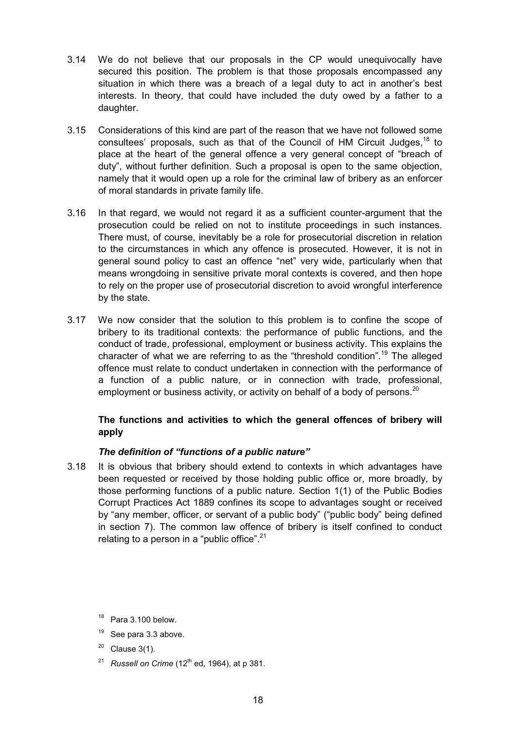- 3.14 We do not believe that our proposals in the CP would unequivocally have secured this position. The problem is that those proposals encompassed any situation in which there was a breach of a legal duty to act in another's best interests. In theory, that could have included the duty owed by a father to a daughter.
- 3.15 Considerations of this kind are part of the reason that we have not followed some consultees' proposals, such as that of the Council of HM Circuit Judges,  $18$  to place at the heart of the general offence a very general concept of "breach of duty", without further definition. Such a proposal is open to the same objection, namely that it would open up a role for the criminal law of bribery as an enforcer of moral standards in private family life.
- 3.16 In that regard, we would not regard it as a sufficient counter-argument that the prosecution could be relied on not to institute proceedings in such instances. There must, of course, inevitably be a role for prosecutorial discretion in relation to the circumstances in which any offence is prosecuted. However, it is not in general sound policy to cast an offence "net" very wide, particularly when that means wrongdoing in sensitive private moral contexts is covered, and then hope to rely on the proper use of prosecutorial discretion to avoid wrongful interference by the state.
- 3.17 We now consider that the solution to this problem is to confine the scope of bribery to its traditional contexts: the performance of public functions, and the conduct of trade, professional, employment or business activity. This explains the character of what we are referring to as the "threshold condition".<sup>19</sup> The alleged offence must relate to conduct undertaken in connection with the performance of a function of a public nature, or in connection with trade, professional, employment or business activity, or activity on behalf of a body of persons.<sup>20</sup>

# **The functions and activities to which the general offences of bribery will apply**

# *The definition of "functions of a public nature"*

3.18 It is obvious that bribery should extend to contexts in which advantages have been requested or received by those holding public office or, more broadly, by those performing functions of a public nature. Section 1(1) of the Public Bodies Corrupt Practices Act 1889 confines its scope to advantages sought or received by "any member, officer, or servant of a public body" ("public body" being defined in section 7). The common law offence of bribery is itself confined to conduct relating to a person in a "public office". $21$ 

- $20$  Clause 3(1).
- <sup>21</sup> *Russell on Crime* (12<sup>th</sup> ed, 1964), at p 381.

 $18$  Para 3.100 below.

 $19$  See para 3.3 above.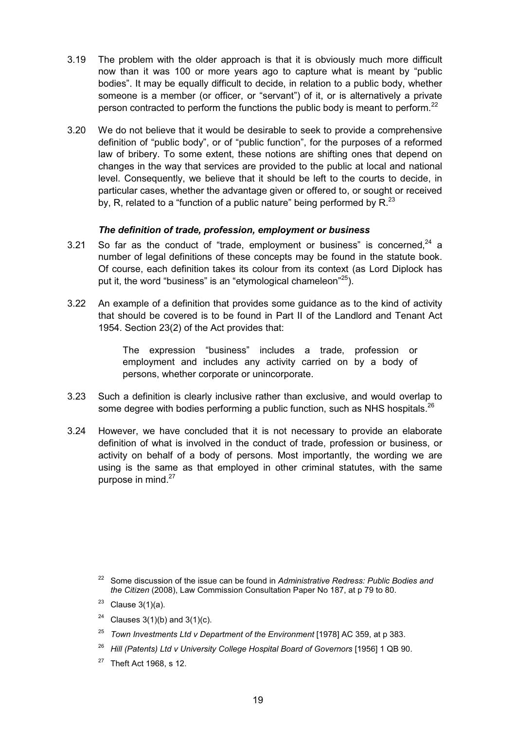- 3.19 The problem with the older approach is that it is obviously much more difficult now than it was 100 or more years ago to capture what is meant by "public bodies". It may be equally difficult to decide, in relation to a public body, whether someone is a member (or officer, or "servant") of it, or is alternatively a private person contracted to perform the functions the public body is meant to perform.<sup>22</sup>
- 3.20 We do not believe that it would be desirable to seek to provide a comprehensive definition of "public body", or of "public function", for the purposes of a reformed law of bribery. To some extent, these notions are shifting ones that depend on changes in the way that services are provided to the public at local and national level. Consequently, we believe that it should be left to the courts to decide, in particular cases, whether the advantage given or offered to, or sought or received by, R, related to a "function of a public nature" being performed by  $R^{23}$

# *The definition of trade, profession, employment or business*

- 3.21 So far as the conduct of "trade, employment or business" is concerned, $24$  a number of legal definitions of these concepts may be found in the statute book. Of course, each definition takes its colour from its context (as Lord Diplock has put it, the word "business" is an "etymological chameleon"<sup>25</sup>).
- 3.22 An example of a definition that provides some guidance as to the kind of activity that should be covered is to be found in Part II of the Landlord and Tenant Act 1954. Section 23(2) of the Act provides that:

The expression "business" includes a trade, profession or employment and includes any activity carried on by a body of persons, whether corporate or unincorporate.

- 3.23 Such a definition is clearly inclusive rather than exclusive, and would overlap to some degree with bodies performing a public function, such as NHS hospitals.<sup>26</sup>
- 3.24 However, we have concluded that it is not necessary to provide an elaborate definition of what is involved in the conduct of trade, profession or business, or activity on behalf of a body of persons. Most importantly, the wording we are using is the same as that employed in other criminal statutes, with the same purpose in mind.<sup>27</sup>

- <sup>24</sup> Clauses 3(1)(b) and 3(1)(c).
- <sup>25</sup> *Town Investments Ltd v Department of the Environment* [1978] AC 359, at p 383.
- <sup>26</sup> *Hill (Patents) Ltd v University College Hospital Board of Governors* [1956] 1 QB 90.
- $27$  Theft Act 1968, s 12.

<sup>22</sup> Some discussion of the issue can be found in *Administrative Redress: Public Bodies and the Citizen* (2008), Law Commission Consultation Paper No 187, at p 79 to 80.

 $23$  Clause 3(1)(a).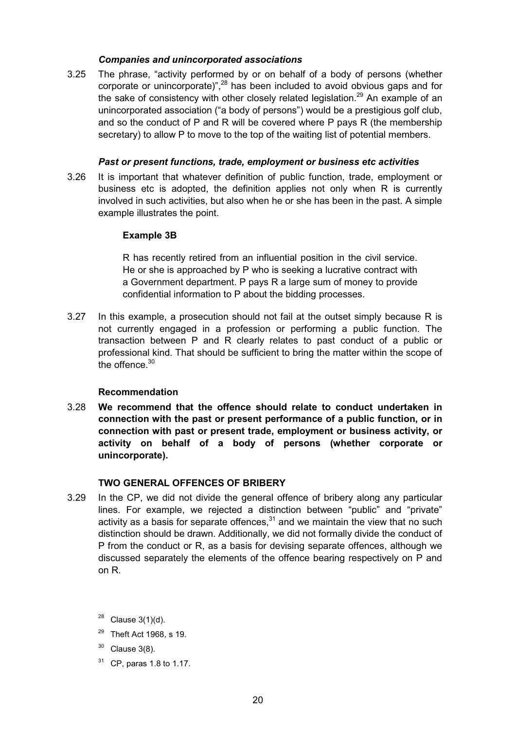### *Companies and unincorporated associations*

3.25 The phrase, "activity performed by or on behalf of a body of persons (whether corporate or unincorporate)", $^{28}$  has been included to avoid obvious gaps and for the sake of consistency with other closely related legislation.<sup>29</sup> An example of an unincorporated association ("a body of persons") would be a prestigious golf club, and so the conduct of P and R will be covered where P pays R (the membership secretary) to allow P to move to the top of the waiting list of potential members.

### *Past or present functions, trade, employment or business etc activities*

3.26 It is important that whatever definition of public function, trade, employment or business etc is adopted, the definition applies not only when R is currently involved in such activities, but also when he or she has been in the past. A simple example illustrates the point.

### **Example 3B**

R has recently retired from an influential position in the civil service. He or she is approached by P who is seeking a lucrative contract with a Government department. P pays R a large sum of money to provide confidential information to P about the bidding processes.

3.27 In this example, a prosecution should not fail at the outset simply because R is not currently engaged in a profession or performing a public function. The transaction between P and R clearly relates to past conduct of a public or professional kind. That should be sufficient to bring the matter within the scope of the offence.<sup>30</sup>

#### **Recommendation**

3.28 **We recommend that the offence should relate to conduct undertaken in connection with the past or present performance of a public function, or in connection with past or present trade, employment or business activity, or activity on behalf of a body of persons (whether corporate or unincorporate).**

# **TWO GENERAL OFFENCES OF BRIBERY**

3.29 In the CP, we did not divide the general offence of bribery along any particular lines. For example, we rejected a distinction between "public" and "private" activity as a basis for separate offences, $31$  and we maintain the view that no such distinction should be drawn. Additionally, we did not formally divide the conduct of P from the conduct or R, as a basis for devising separate offences, although we discussed separately the elements of the offence bearing respectively on P and on R.

 $28$  Clause 3(1)(d).

- $29$  Theft Act 1968, s 19.
- Clause  $3(8)$ .
- $31$  CP, paras 1.8 to 1.17.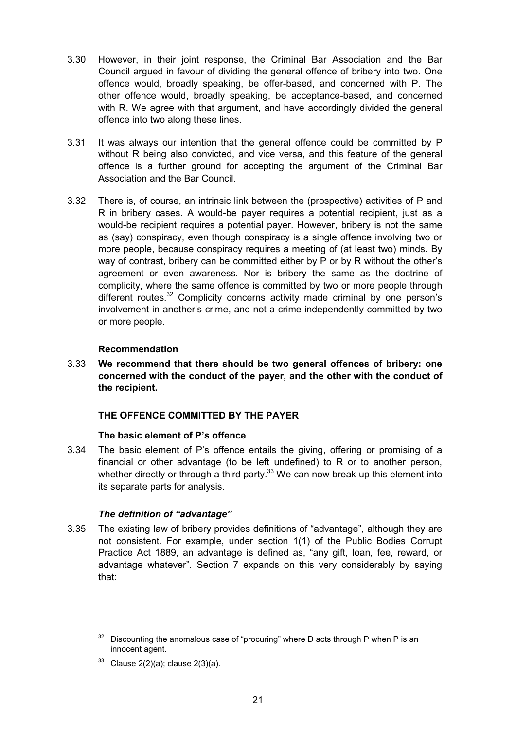- 3.30 However, in their joint response, the Criminal Bar Association and the Bar Council argued in favour of dividing the general offence of bribery into two. One offence would, broadly speaking, be offer-based, and concerned with P. The other offence would, broadly speaking, be acceptance-based, and concerned with R. We agree with that argument, and have accordingly divided the general offence into two along these lines.
- 3.31 It was always our intention that the general offence could be committed by P without R being also convicted, and vice versa, and this feature of the general offence is a further ground for accepting the argument of the Criminal Bar Association and the Bar Council.
- 3.32 There is, of course, an intrinsic link between the (prospective) activities of P and R in bribery cases. A would-be payer requires a potential recipient, just as a would-be recipient requires a potential payer. However, bribery is not the same as (say) conspiracy, even though conspiracy is a single offence involving two or more people, because conspiracy requires a meeting of (at least two) minds. By way of contrast, bribery can be committed either by P or by R without the other's agreement or even awareness. Nor is bribery the same as the doctrine of complicity, where the same offence is committed by two or more people through different routes.<sup>32</sup> Complicity concerns activity made criminal by one person's involvement in another's crime, and not a crime independently committed by two or more people.

# **Recommendation**

3.33 **We recommend that there should be two general offences of bribery: one concerned with the conduct of the payer, and the other with the conduct of the recipient.**

# **THE OFFENCE COMMITTED BY THE PAYER**

# **The basic element of P's offence**

3.34 The basic element of P's offence entails the giving, offering or promising of a financial or other advantage (to be left undefined) to R or to another person, whether directly or through a third party.<sup>33</sup> We can now break up this element into its separate parts for analysis.

# *The definition of "advantage"*

3.35 The existing law of bribery provides definitions of "advantage", although they are not consistent. For example, under section 1(1) of the Public Bodies Corrupt Practice Act 1889, an advantage is defined as, "any gift, loan, fee, reward, or advantage whatever". Section 7 expands on this very considerably by saying that:

 $33$  Clause 2(2)(a); clause 2(3)(a).

 $32$  Discounting the anomalous case of "procuring" where D acts through P when P is an innocent agent.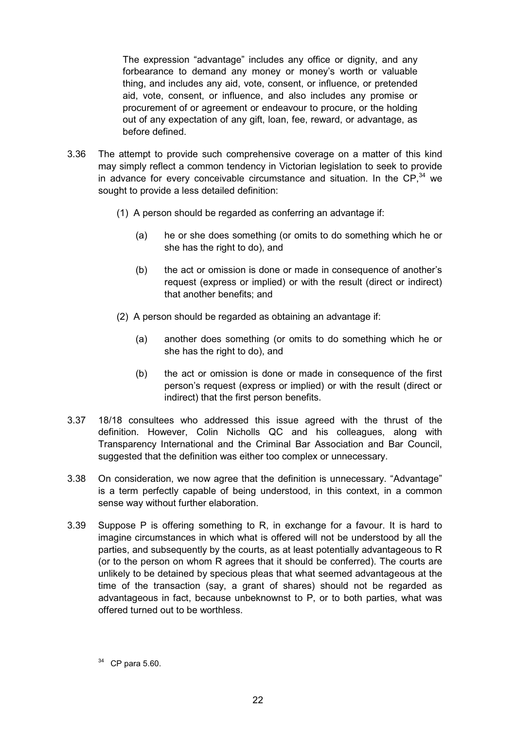The expression "advantage" includes any office or dignity, and any forbearance to demand any money or money's worth or valuable thing, and includes any aid, vote, consent, or influence, or pretended aid, vote, consent, or influence, and also includes any promise or procurement of or agreement or endeavour to procure, or the holding out of any expectation of any gift, loan, fee, reward, or advantage, as before defined.

- 3.36 The attempt to provide such comprehensive coverage on a matter of this kind may simply reflect a common tendency in Victorian legislation to seek to provide in advance for every conceivable circumstance and situation. In the CP, $34$  we sought to provide a less detailed definition:
	- (1) A person should be regarded as conferring an advantage if:
		- (a) he or she does something (or omits to do something which he or she has the right to do), and
		- (b) the act or omission is done or made in consequence of another's request (express or implied) or with the result (direct or indirect) that another benefits; and
	- (2) A person should be regarded as obtaining an advantage if:
		- (a) another does something (or omits to do something which he or she has the right to do), and
		- (b) the act or omission is done or made in consequence of the first person's request (express or implied) or with the result (direct or indirect) that the first person benefits.
- 3.37 18/18 consultees who addressed this issue agreed with the thrust of the definition. However, Colin Nicholls QC and his colleagues, along with Transparency International and the Criminal Bar Association and Bar Council, suggested that the definition was either too complex or unnecessary.
- 3.38 On consideration, we now agree that the definition is unnecessary. "Advantage" is a term perfectly capable of being understood, in this context, in a common sense way without further elaboration.
- 3.39 Suppose P is offering something to R, in exchange for a favour. It is hard to imagine circumstances in which what is offered will not be understood by all the parties, and subsequently by the courts, as at least potentially advantageous to R (or to the person on whom R agrees that it should be conferred). The courts are unlikely to be detained by specious pleas that what seemed advantageous at the time of the transaction (say, a grant of shares) should not be regarded as advantageous in fact, because unbeknownst to P, or to both parties, what was offered turned out to be worthless.

 $34$  CP para 5.60.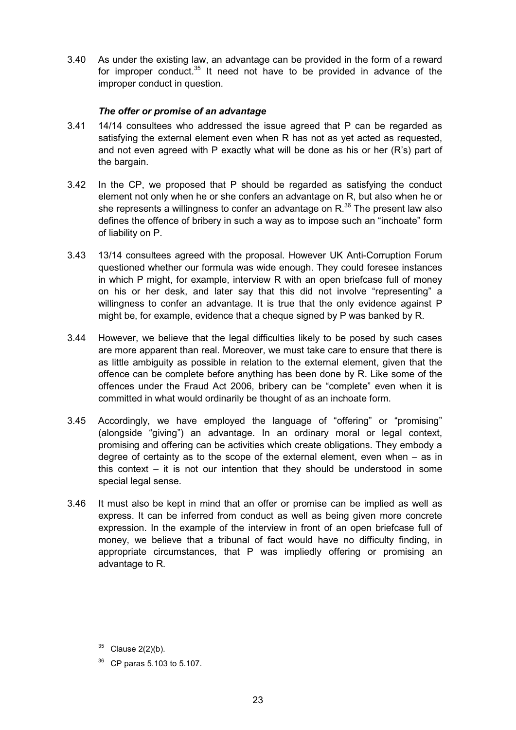3.40 As under the existing law, an advantage can be provided in the form of a reward for improper conduct. $35$  It need not have to be provided in advance of the improper conduct in question.

# *The offer or promise of an advantage*

- 3.41 14/14 consultees who addressed the issue agreed that P can be regarded as satisfying the external element even when R has not as yet acted as requested, and not even agreed with P exactly what will be done as his or her (R's) part of the bargain.
- 3.42 In the CP, we proposed that P should be regarded as satisfying the conduct element not only when he or she confers an advantage on R, but also when he or she represents a willingness to confer an advantage on  $R^{36}$  The present law also defines the offence of bribery in such a way as to impose such an "inchoate" form of liability on P.
- 3.43 13/14 consultees agreed with the proposal. However UK Anti-Corruption Forum questioned whether our formula was wide enough. They could foresee instances in which P might, for example, interview R with an open briefcase full of money on his or her desk, and later say that this did not involve "representing" a willingness to confer an advantage. It is true that the only evidence against P might be, for example, evidence that a cheque signed by P was banked by R.
- 3.44 However, we believe that the legal difficulties likely to be posed by such cases are more apparent than real. Moreover, we must take care to ensure that there is as little ambiguity as possible in relation to the external element, given that the offence can be complete before anything has been done by R. Like some of the offences under the Fraud Act 2006, bribery can be "complete" even when it is committed in what would ordinarily be thought of as an inchoate form.
- 3.45 Accordingly, we have employed the language of "offering" or "promising" (alongside "giving") an advantage. In an ordinary moral or legal context, promising and offering can be activities which create obligations. They embody a degree of certainty as to the scope of the external element, even when – as in this context – it is not our intention that they should be understood in some special legal sense.
- 3.46 It must also be kept in mind that an offer or promise can be implied as well as express. It can be inferred from conduct as well as being given more concrete expression. In the example of the interview in front of an open briefcase full of money, we believe that a tribunal of fact would have no difficulty finding, in appropriate circumstances, that P was impliedly offering or promising an advantage to R.

 $35$  Clause 2(2)(b).

<sup>36</sup> CP paras 5.103 to 5.107.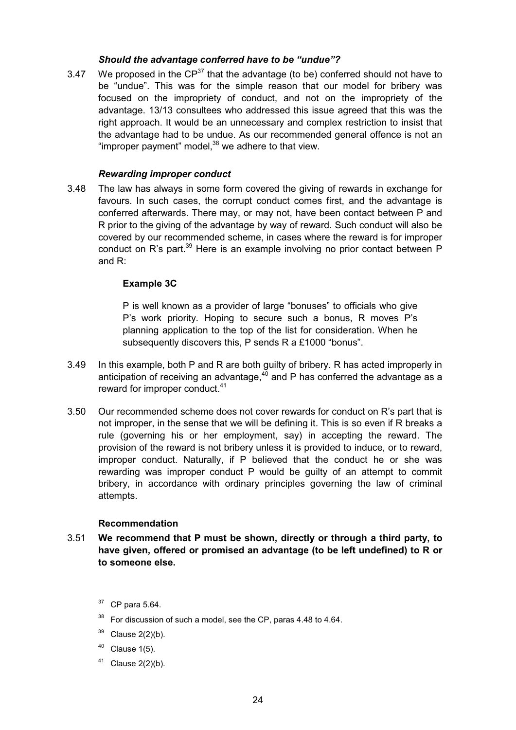# *Should the advantage conferred have to be "undue"?*

3.47 We proposed in the  $CP^{37}$  that the advantage (to be) conferred should not have to be "undue". This was for the simple reason that our model for bribery was focused on the impropriety of conduct, and not on the impropriety of the advantage. 13/13 consultees who addressed this issue agreed that this was the right approach. It would be an unnecessary and complex restriction to insist that the advantage had to be undue. As our recommended general offence is not an "improper payment" model, $38$  we adhere to that view.

# *Rewarding improper conduct*

3.48 The law has always in some form covered the giving of rewards in exchange for favours. In such cases, the corrupt conduct comes first, and the advantage is conferred afterwards. There may, or may not, have been contact between P and R prior to the giving of the advantage by way of reward. Such conduct will also be covered by our recommended scheme, in cases where the reward is for improper conduct on R's part. $39$  Here is an example involving no prior contact between P and R:

# **Example 3C**

P is well known as a provider of large "bonuses" to officials who give P's work priority. Hoping to secure such a bonus, R moves P's planning application to the top of the list for consideration. When he subsequently discovers this, P sends R a £1000 "bonus".

- 3.49 In this example, both P and R are both guilty of bribery. R has acted improperly in anticipation of receiving an advantage, $40$  and P has conferred the advantage as a reward for improper conduct.<sup>41</sup>
- 3.50 Our recommended scheme does not cover rewards for conduct on R's part that is not improper, in the sense that we will be defining it. This is so even if R breaks a rule (governing his or her employment, say) in accepting the reward. The provision of the reward is not bribery unless it is provided to induce, or to reward, improper conduct. Naturally, if P believed that the conduct he or she was rewarding was improper conduct P would be guilty of an attempt to commit bribery, in accordance with ordinary principles governing the law of criminal attempts.

# **Recommendation**

- 3.51 **We recommend that P must be shown, directly or through a third party, to have given, offered or promised an advantage (to be left undefined) to R or to someone else.**
	- $37$  CP para 5.64.
	- <sup>38</sup> For discussion of such a model, see the CP, paras 4.48 to 4.64.
	- $39$  Clause 2(2)(b).
	- $40$  Clause 1(5).
	- $41$  Clause 2(2)(b).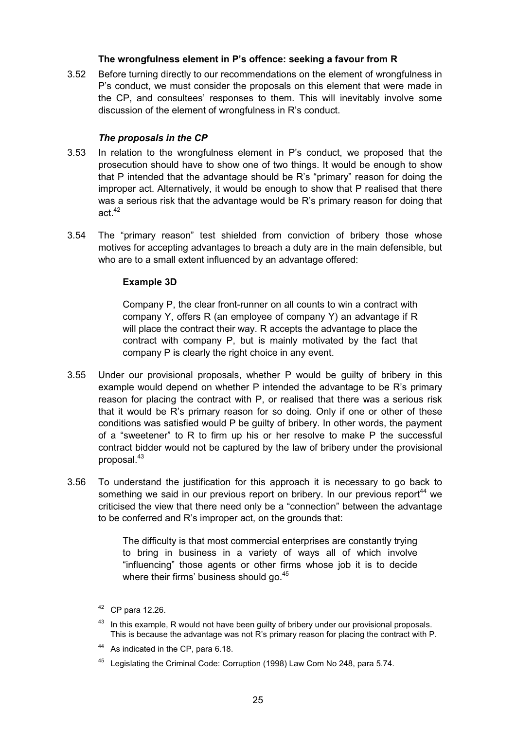# **The wrongfulness element in P's offence: seeking a favour from R**

3.52 Before turning directly to our recommendations on the element of wrongfulness in P's conduct, we must consider the proposals on this element that were made in the CP, and consultees' responses to them. This will inevitably involve some discussion of the element of wrongfulness in R's conduct.

# *The proposals in the CP*

- 3.53 In relation to the wrongfulness element in P's conduct, we proposed that the prosecution should have to show one of two things. It would be enough to show that P intended that the advantage should be R's "primary" reason for doing the improper act. Alternatively, it would be enough to show that P realised that there was a serious risk that the advantage would be R's primary reason for doing that act $42$
- 3.54 The "primary reason" test shielded from conviction of bribery those whose motives for accepting advantages to breach a duty are in the main defensible, but who are to a small extent influenced by an advantage offered:

# **Example 3D**

Company P, the clear front-runner on all counts to win a contract with company Y, offers R (an employee of company Y) an advantage if R will place the contract their way. R accepts the advantage to place the contract with company P, but is mainly motivated by the fact that company P is clearly the right choice in any event.

- 3.55 Under our provisional proposals, whether P would be guilty of bribery in this example would depend on whether P intended the advantage to be R's primary reason for placing the contract with P, or realised that there was a serious risk that it would be R's primary reason for so doing. Only if one or other of these conditions was satisfied would P be guilty of bribery. In other words, the payment of a "sweetener" to R to firm up his or her resolve to make P the successful contract bidder would not be captured by the law of bribery under the provisional proposal.43
- 3.56 To understand the justification for this approach it is necessary to go back to something we said in our previous report on bribery. In our previous report<sup>44</sup> we criticised the view that there need only be a "connection" between the advantage to be conferred and R's improper act, on the grounds that:

The difficulty is that most commercial enterprises are constantly trying to bring in business in a variety of ways all of which involve "influencing" those agents or other firms whose job it is to decide where their firms' business should go.<sup>45</sup>

- 44 As indicated in the CP, para 6.18.
- 45 Legislating the Criminal Code: Corruption (1998) Law Com No 248, para 5.74.

 $42$  CP para 12.26.

<sup>&</sup>lt;sup>43</sup> In this example, R would not have been guilty of bribery under our provisional proposals. This is because the advantage was not R's primary reason for placing the contract with P.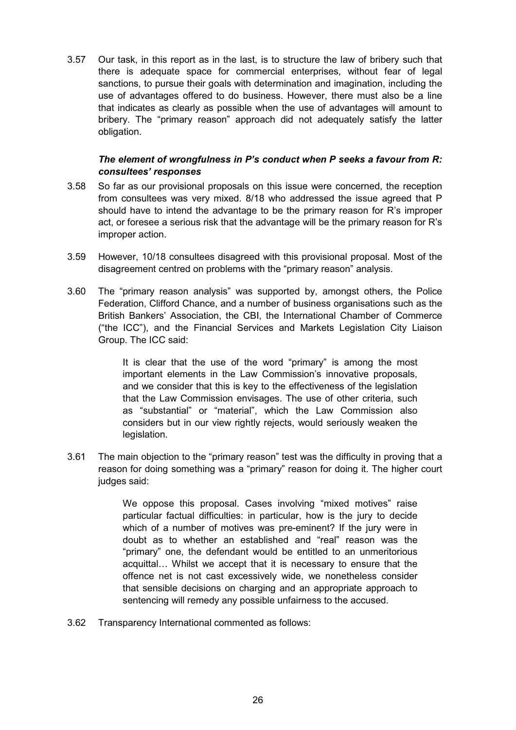3.57 Our task, in this report as in the last, is to structure the law of bribery such that there is adequate space for commercial enterprises, without fear of legal sanctions, to pursue their goals with determination and imagination, including the use of advantages offered to do business. However, there must also be a line that indicates as clearly as possible when the use of advantages will amount to bribery. The "primary reason" approach did not adequately satisfy the latter obligation.

# *The element of wrongfulness in P's conduct when P seeks a favour from R: consultees' responses*

- 3.58 So far as our provisional proposals on this issue were concerned, the reception from consultees was very mixed. 8/18 who addressed the issue agreed that P should have to intend the advantage to be the primary reason for R's improper act, or foresee a serious risk that the advantage will be the primary reason for R's improper action.
- 3.59 However, 10/18 consultees disagreed with this provisional proposal. Most of the disagreement centred on problems with the "primary reason" analysis.
- 3.60 The "primary reason analysis" was supported by, amongst others, the Police Federation, Clifford Chance, and a number of business organisations such as the British Bankers' Association, the CBI, the International Chamber of Commerce ("the ICC"), and the Financial Services and Markets Legislation City Liaison Group. The ICC said:

It is clear that the use of the word "primary" is among the most important elements in the Law Commission's innovative proposals, and we consider that this is key to the effectiveness of the legislation that the Law Commission envisages. The use of other criteria, such as "substantial" or "material", which the Law Commission also considers but in our view rightly rejects, would seriously weaken the legislation.

3.61 The main objection to the "primary reason" test was the difficulty in proving that a reason for doing something was a "primary" reason for doing it. The higher court judges said:

> We oppose this proposal. Cases involving "mixed motives" raise particular factual difficulties: in particular, how is the jury to decide which of a number of motives was pre-eminent? If the jury were in doubt as to whether an established and "real" reason was the "primary" one, the defendant would be entitled to an unmeritorious acquittal… Whilst we accept that it is necessary to ensure that the offence net is not cast excessively wide, we nonetheless consider that sensible decisions on charging and an appropriate approach to sentencing will remedy any possible unfairness to the accused.

3.62 Transparency International commented as follows: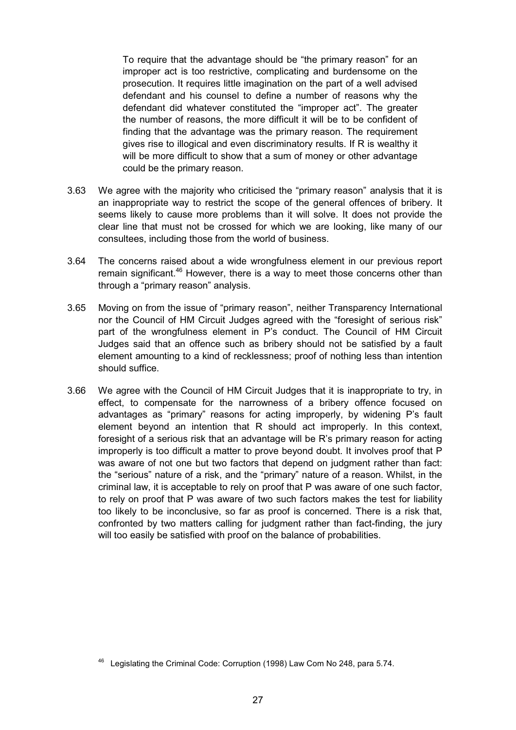To require that the advantage should be "the primary reason" for an improper act is too restrictive, complicating and burdensome on the prosecution. It requires little imagination on the part of a well advised defendant and his counsel to define a number of reasons why the defendant did whatever constituted the "improper act". The greater the number of reasons, the more difficult it will be to be confident of finding that the advantage was the primary reason. The requirement gives rise to illogical and even discriminatory results. If R is wealthy it will be more difficult to show that a sum of money or other advantage could be the primary reason.

- 3.63 We agree with the majority who criticised the "primary reason" analysis that it is an inappropriate way to restrict the scope of the general offences of bribery. It seems likely to cause more problems than it will solve. It does not provide the clear line that must not be crossed for which we are looking, like many of our consultees, including those from the world of business.
- 3.64 The concerns raised about a wide wrongfulness element in our previous report remain significant.<sup>46</sup> However, there is a way to meet those concerns other than through a "primary reason" analysis.
- 3.65 Moving on from the issue of "primary reason", neither Transparency International nor the Council of HM Circuit Judges agreed with the "foresight of serious risk" part of the wrongfulness element in P's conduct. The Council of HM Circuit Judges said that an offence such as bribery should not be satisfied by a fault element amounting to a kind of recklessness; proof of nothing less than intention should suffice.
- 3.66 We agree with the Council of HM Circuit Judges that it is inappropriate to try, in effect, to compensate for the narrowness of a bribery offence focused on advantages as "primary" reasons for acting improperly, by widening P's fault element beyond an intention that R should act improperly. In this context, foresight of a serious risk that an advantage will be R's primary reason for acting improperly is too difficult a matter to prove beyond doubt. It involves proof that P was aware of not one but two factors that depend on judgment rather than fact: the "serious" nature of a risk, and the "primary" nature of a reason. Whilst, in the criminal law, it is acceptable to rely on proof that P was aware of one such factor, to rely on proof that P was aware of two such factors makes the test for liability too likely to be inconclusive, so far as proof is concerned. There is a risk that, confronted by two matters calling for judgment rather than fact-finding, the jury will too easily be satisfied with proof on the balance of probabilities.

<sup>46</sup> Legislating the Criminal Code: Corruption (1998) Law Com No 248, para 5.74.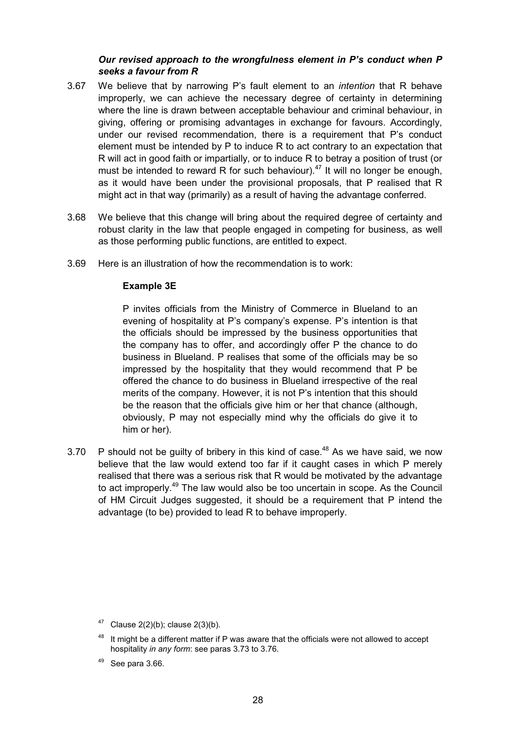# *Our revised approach to the wrongfulness element in P's conduct when P seeks a favour from R*

- 3.67 We believe that by narrowing P's fault element to an *intention* that R behave improperly, we can achieve the necessary degree of certainty in determining where the line is drawn between acceptable behaviour and criminal behaviour, in giving, offering or promising advantages in exchange for favours. Accordingly, under our revised recommendation, there is a requirement that P's conduct element must be intended by P to induce R to act contrary to an expectation that R will act in good faith or impartially, or to induce R to betray a position of trust (or must be intended to reward R for such behaviour).<sup>47</sup> It will no longer be enough, as it would have been under the provisional proposals, that P realised that R might act in that way (primarily) as a result of having the advantage conferred.
- 3.68 We believe that this change will bring about the required degree of certainty and robust clarity in the law that people engaged in competing for business, as well as those performing public functions, are entitled to expect.
- 3.69 Here is an illustration of how the recommendation is to work:

# **Example 3E**

P invites officials from the Ministry of Commerce in Blueland to an evening of hospitality at P's company's expense. P's intention is that the officials should be impressed by the business opportunities that the company has to offer, and accordingly offer P the chance to do business in Blueland. P realises that some of the officials may be so impressed by the hospitality that they would recommend that P be offered the chance to do business in Blueland irrespective of the real merits of the company. However, it is not P's intention that this should be the reason that the officials give him or her that chance (although, obviously, P may not especially mind why the officials do give it to him or her).

3.70 P should not be guilty of bribery in this kind of case. $48$  As we have said, we now believe that the law would extend too far if it caught cases in which P merely realised that there was a serious risk that R would be motivated by the advantage to act improperly.<sup>49</sup> The law would also be too uncertain in scope. As the Council of HM Circuit Judges suggested, it should be a requirement that P intend the advantage (to be) provided to lead R to behave improperly.

<sup>&</sup>lt;sup>47</sup> Clause 2(2)(b); clause 2(3)(b).

It might be a different matter if P was aware that the officials were not allowed to accept hospitality *in any form*: see paras 3.73 to 3.76.

See para 3.66.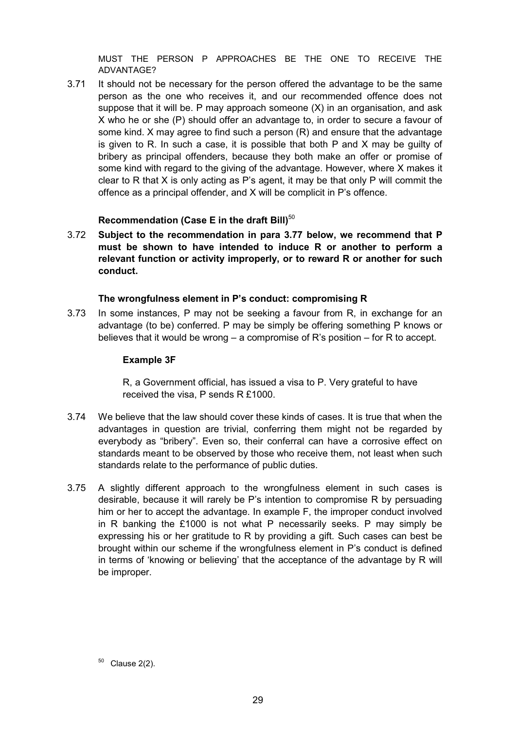MUST THE PERSON P APPROACHES BE THE ONE TO RECEIVE THE ADVANTAGE?

3.71 It should not be necessary for the person offered the advantage to be the same person as the one who receives it, and our recommended offence does not suppose that it will be. P may approach someone (X) in an organisation, and ask X who he or she (P) should offer an advantage to, in order to secure a favour of some kind. X may agree to find such a person (R) and ensure that the advantage is given to R. In such a case, it is possible that both P and X may be guilty of bribery as principal offenders, because they both make an offer or promise of some kind with regard to the giving of the advantage. However, where X makes it clear to R that X is only acting as P's agent, it may be that only P will commit the offence as a principal offender, and X will be complicit in P's offence.

# **Recommendation (Case E in the draft Bill)**<sup>50</sup>

3.72 **Subject to the recommendation in para 3.77 below, we recommend that P must be shown to have intended to induce R or another to perform a relevant function or activity improperly, or to reward R or another for such conduct.**

### **The wrongfulness element in P's conduct: compromising R**

3.73 In some instances, P may not be seeking a favour from R, in exchange for an advantage (to be) conferred. P may be simply be offering something P knows or believes that it would be wrong – a compromise of R's position – for R to accept.

### **Example 3F**

R, a Government official, has issued a visa to P. Very grateful to have received the visa, P sends R £1000.

- 3.74 We believe that the law should cover these kinds of cases. It is true that when the advantages in question are trivial, conferring them might not be regarded by everybody as "bribery". Even so, their conferral can have a corrosive effect on standards meant to be observed by those who receive them, not least when such standards relate to the performance of public duties.
- 3.75 A slightly different approach to the wrongfulness element in such cases is desirable, because it will rarely be P's intention to compromise R by persuading him or her to accept the advantage. In example F, the improper conduct involved in R banking the £1000 is not what P necessarily seeks. P may simply be expressing his or her gratitude to R by providing a gift. Such cases can best be brought within our scheme if the wrongfulness element in P's conduct is defined in terms of 'knowing or believing' that the acceptance of the advantage by R will be improper.

 $50$  Clause 2(2).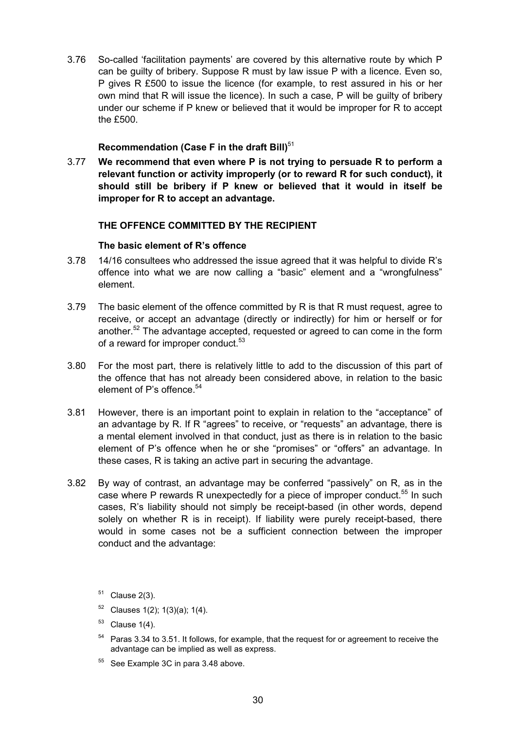3.76 So-called 'facilitation payments' are covered by this alternative route by which P can be guilty of bribery. Suppose R must by law issue P with a licence. Even so, P gives R £500 to issue the licence (for example, to rest assured in his or her own mind that R will issue the licence). In such a case, P will be guilty of bribery under our scheme if P knew or believed that it would be improper for R to accept the £500.

# **Recommendation (Case F in the draft Bill)**<sup>51</sup>

3.77 **We recommend that even where P is not trying to persuade R to perform a relevant function or activity improperly (or to reward R for such conduct), it should still be bribery if P knew or believed that it would in itself be improper for R to accept an advantage.**

# **THE OFFENCE COMMITTED BY THE RECIPIENT**

# **The basic element of R's offence**

- 3.78 14/16 consultees who addressed the issue agreed that it was helpful to divide R's offence into what we are now calling a "basic" element and a "wrongfulness" element.
- 3.79 The basic element of the offence committed by R is that R must request, agree to receive, or accept an advantage (directly or indirectly) for him or herself or for another.<sup>52</sup> The advantage accepted, requested or agreed to can come in the form of a reward for improper conduct.<sup>53</sup>
- 3.80 For the most part, there is relatively little to add to the discussion of this part of the offence that has not already been considered above, in relation to the basic element of P's offence<sup>54</sup>
- 3.81 However, there is an important point to explain in relation to the "acceptance" of an advantage by R. If R "agrees" to receive, or "requests" an advantage, there is a mental element involved in that conduct, just as there is in relation to the basic element of P's offence when he or she "promises" or "offers" an advantage. In these cases, R is taking an active part in securing the advantage.
- 3.82 By way of contrast, an advantage may be conferred "passively" on R, as in the case where P rewards R unexpectedly for a piece of improper conduct.<sup>55</sup> In such cases, R's liability should not simply be receipt-based (in other words, depend solely on whether R is in receipt). If liability were purely receipt-based, there would in some cases not be a sufficient connection between the improper conduct and the advantage:
	- $51$  Clause 2(3).
	- $52$  Clauses 1(2); 1(3)(a); 1(4).
	- $53$  Clause 1(4).
	- <sup>54</sup> Paras 3.34 to 3.51. It follows, for example, that the request for or agreement to receive the advantage can be implied as well as express.
	- <sup>55</sup> See Example 3C in para 3.48 above.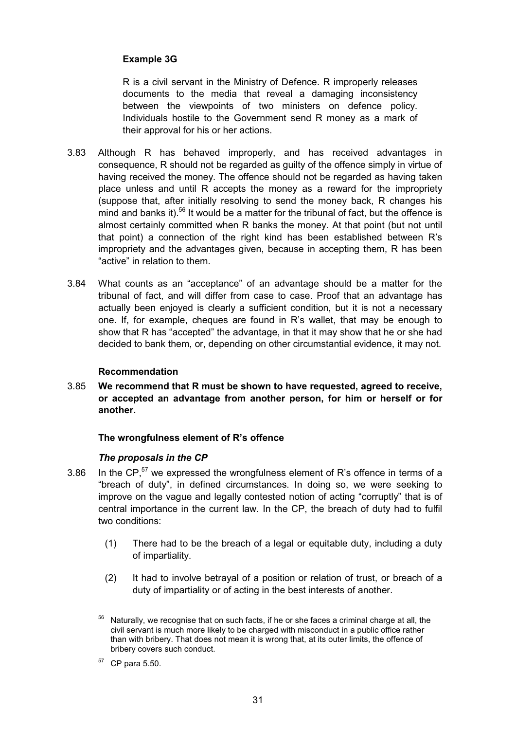# **Example 3G**

R is a civil servant in the Ministry of Defence. R improperly releases documents to the media that reveal a damaging inconsistency between the viewpoints of two ministers on defence policy. Individuals hostile to the Government send R money as a mark of their approval for his or her actions.

- 3.83 Although R has behaved improperly, and has received advantages in consequence, R should not be regarded as guilty of the offence simply in virtue of having received the money. The offence should not be regarded as having taken place unless and until R accepts the money as a reward for the impropriety (suppose that, after initially resolving to send the money back, R changes his mind and banks it).<sup>56</sup> It would be a matter for the tribunal of fact, but the offence is almost certainly committed when R banks the money. At that point (but not until that point) a connection of the right kind has been established between R's impropriety and the advantages given, because in accepting them, R has been "active" in relation to them.
- 3.84 What counts as an "acceptance" of an advantage should be a matter for the tribunal of fact, and will differ from case to case. Proof that an advantage has actually been enjoyed is clearly a sufficient condition, but it is not a necessary one. If, for example, cheques are found in R's wallet, that may be enough to show that R has "accepted" the advantage, in that it may show that he or she had decided to bank them, or, depending on other circumstantial evidence, it may not.

# **Recommendation**

3.85 **We recommend that R must be shown to have requested, agreed to receive, or accepted an advantage from another person, for him or herself or for another.**

#### **The wrongfulness element of R's offence**

# *The proposals in the CP*

- 3.86 In the CP, $57$  we expressed the wrongfulness element of R's offence in terms of a "breach of duty", in defined circumstances. In doing so, we were seeking to improve on the vague and legally contested notion of acting "corruptly" that is of central importance in the current law. In the CP, the breach of duty had to fulfil two conditions:
	- (1) There had to be the breach of a legal or equitable duty, including a duty of impartiality.
	- (2) It had to involve betrayal of a position or relation of trust, or breach of a duty of impartiality or of acting in the best interests of another.
	- <sup>56</sup> Naturally, we recognise that on such facts, if he or she faces a criminal charge at all, the civil servant is much more likely to be charged with misconduct in a public office rather than with bribery. That does not mean it is wrong that, at its outer limits, the offence of bribery covers such conduct.
	- $57$  CP para 5.50.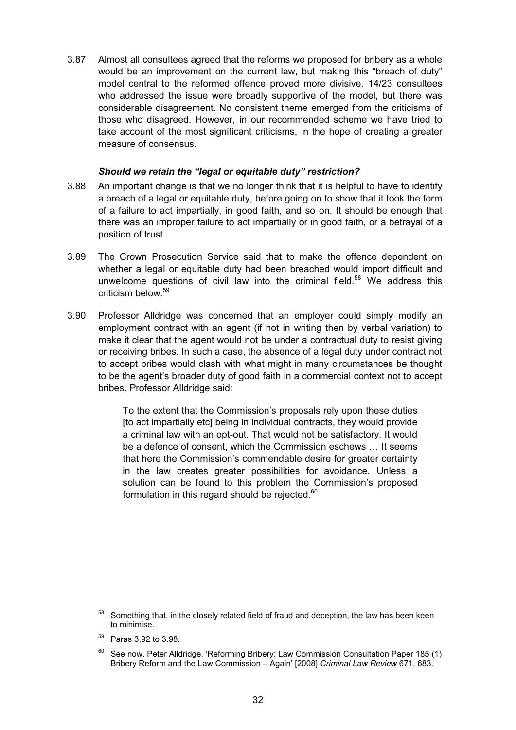3.87 Almost all consultees agreed that the reforms we proposed for bribery as a whole would be an improvement on the current law, but making this "breach of duty" model central to the reformed offence proved more divisive. 14/23 consultees who addressed the issue were broadly supportive of the model, but there was considerable disagreement. No consistent theme emerged from the criticisms of those who disagreed. However, in our recommended scheme we have tried to take account of the most significant criticisms, in the hope of creating a greater measure of consensus.

### *Should we retain the "legal or equitable duty" restriction?*

- 3.88 An important change is that we no longer think that it is helpful to have to identify a breach of a legal or equitable duty, before going on to show that it took the form of a failure to act impartially, in good faith, and so on. It should be enough that there was an improper failure to act impartially or in good faith, or a betrayal of a position of trust.
- 3.89 The Crown Prosecution Service said that to make the offence dependent on whether a legal or equitable duty had been breached would import difficult and unwelcome questions of civil law into the criminal field. $58$  We address this criticism below.<sup>59</sup>
- 3.90 Professor Alldridge was concerned that an employer could simply modify an employment contract with an agent (if not in writing then by verbal variation) to make it clear that the agent would not be under a contractual duty to resist giving or receiving bribes. In such a case, the absence of a legal duty under contract not to accept bribes would clash with what might in many circumstances be thought to be the agent's broader duty of good faith in a commercial context not to accept bribes. Professor Alldridge said:

To the extent that the Commission's proposals rely upon these duties [to act impartially etc] being in individual contracts, they would provide a criminal law with an opt-out. That would not be satisfactory. It would be a defence of consent, which the Commission eschews … It seems that here the Commission's commendable desire for greater certainty in the law creates greater possibilities for avoidance. Unless a solution can be found to this problem the Commission's proposed formulation in this regard should be rejected. $60$ 

- 59 Paras 3.92 to 3.98.
- 60 See now, Peter Alldridge, 'Reforming Bribery: Law Commission Consultation Paper 185 (1) Bribery Reform and the Law Commission – Again' [2008] *Criminal Law Review* 671, 683.

 $58$  Something that, in the closely related field of fraud and deception, the law has been keen to minimise.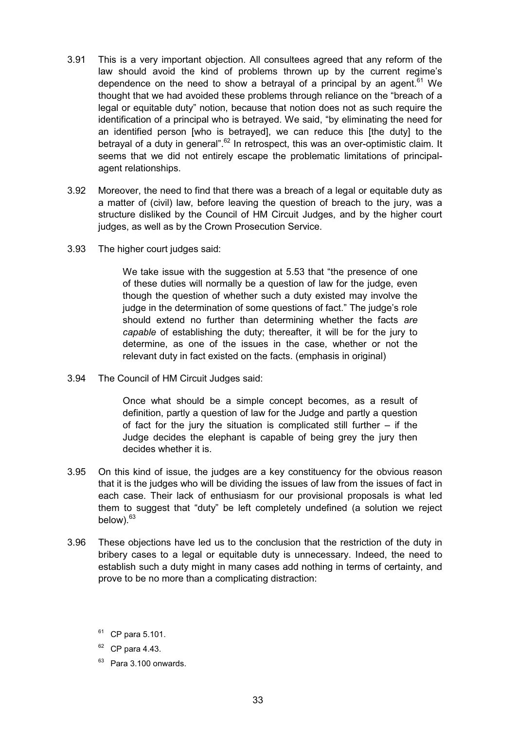- 3.91 This is a very important objection. All consultees agreed that any reform of the law should avoid the kind of problems thrown up by the current regime's dependence on the need to show a betrayal of a principal by an agent.<sup>61</sup> We thought that we had avoided these problems through reliance on the "breach of a legal or equitable duty" notion, because that notion does not as such require the identification of a principal who is betrayed. We said, "by eliminating the need for an identified person [who is betrayed], we can reduce this [the duty] to the betrayal of a duty in general".<sup>62</sup> In retrospect, this was an over-optimistic claim. It seems that we did not entirely escape the problematic limitations of principalagent relationships.
- 3.92 Moreover, the need to find that there was a breach of a legal or equitable duty as a matter of (civil) law, before leaving the question of breach to the jury, was a structure disliked by the Council of HM Circuit Judges, and by the higher court judges, as well as by the Crown Prosecution Service.
- 3.93 The higher court judges said:

We take issue with the suggestion at 5.53 that "the presence of one of these duties will normally be a question of law for the judge, even though the question of whether such a duty existed may involve the judge in the determination of some questions of fact." The judge's role should extend no further than determining whether the facts *are capable* of establishing the duty; thereafter, it will be for the jury to determine, as one of the issues in the case, whether or not the relevant duty in fact existed on the facts. (emphasis in original)

3.94 The Council of HM Circuit Judges said:

Once what should be a simple concept becomes, as a result of definition, partly a question of law for the Judge and partly a question of fact for the jury the situation is complicated still further – if the Judge decides the elephant is capable of being grey the jury then decides whether it is.

- 3.95 On this kind of issue, the judges are a key constituency for the obvious reason that it is the judges who will be dividing the issues of law from the issues of fact in each case. Their lack of enthusiasm for our provisional proposals is what led them to suggest that "duty" be left completely undefined (a solution we reject below).<sup>63</sup>
- 3.96 These objections have led us to the conclusion that the restriction of the duty in bribery cases to a legal or equitable duty is unnecessary. Indeed, the need to establish such a duty might in many cases add nothing in terms of certainty, and prove to be no more than a complicating distraction:
	- $61$  CP para 5.101.
	- $62$  CP para 4.43.
	- $63$  Para 3.100 onwards.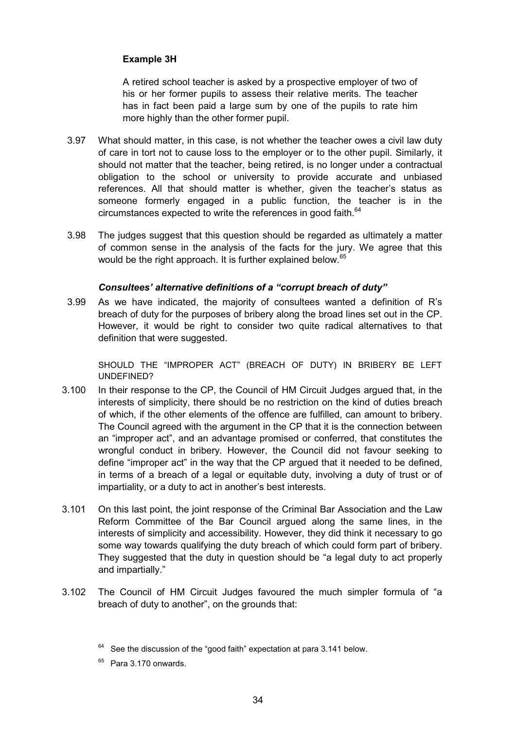# **Example 3H**

A retired school teacher is asked by a prospective employer of two of his or her former pupils to assess their relative merits. The teacher has in fact been paid a large sum by one of the pupils to rate him more highly than the other former pupil.

- 3.97 What should matter, in this case, is not whether the teacher owes a civil law duty of care in tort not to cause loss to the employer or to the other pupil. Similarly, it should not matter that the teacher, being retired, is no longer under a contractual obligation to the school or university to provide accurate and unbiased references. All that should matter is whether, given the teacher's status as someone formerly engaged in a public function, the teacher is in the circumstances expected to write the references in good faith.<sup>64</sup>
- 3.98 The judges suggest that this question should be regarded as ultimately a matter of common sense in the analysis of the facts for the jury. We agree that this would be the right approach. It is further explained below.<sup>65</sup>

# *Consultees' alternative definitions of a "corrupt breach of duty"*

3.99 As we have indicated, the majority of consultees wanted a definition of R's breach of duty for the purposes of bribery along the broad lines set out in the CP. However, it would be right to consider two quite radical alternatives to that definition that were suggested.

SHOULD THE "IMPROPER ACT" (BREACH OF DUTY) IN BRIBERY BE LEFT UNDEFINED?

- 3.100 In their response to the CP, the Council of HM Circuit Judges argued that, in the interests of simplicity, there should be no restriction on the kind of duties breach of which, if the other elements of the offence are fulfilled, can amount to bribery. The Council agreed with the argument in the CP that it is the connection between an "improper act", and an advantage promised or conferred, that constitutes the wrongful conduct in bribery. However, the Council did not favour seeking to define "improper act" in the way that the CP argued that it needed to be defined, in terms of a breach of a legal or equitable duty, involving a duty of trust or of impartiality, or a duty to act in another's best interests.
- 3.101 On this last point, the joint response of the Criminal Bar Association and the Law Reform Committee of the Bar Council argued along the same lines, in the interests of simplicity and accessibility. However, they did think it necessary to go some way towards qualifying the duty breach of which could form part of bribery. They suggested that the duty in question should be "a legal duty to act properly and impartially."
- 3.102 The Council of HM Circuit Judges favoured the much simpler formula of "a breach of duty to another", on the grounds that:

 $64$  See the discussion of the "good faith" expectation at para 3.141 below.

 $65$  Para 3.170 onwards.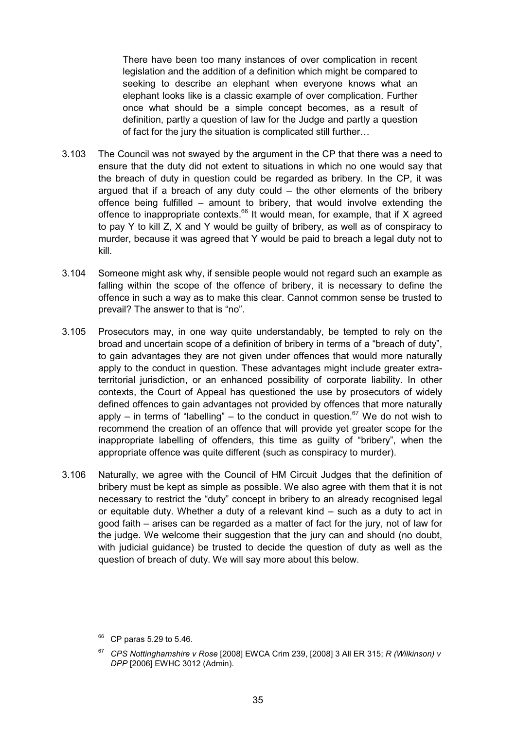There have been too many instances of over complication in recent legislation and the addition of a definition which might be compared to seeking to describe an elephant when everyone knows what an elephant looks like is a classic example of over complication. Further once what should be a simple concept becomes, as a result of definition, partly a question of law for the Judge and partly a question of fact for the jury the situation is complicated still further…

- 3.103 The Council was not swayed by the argument in the CP that there was a need to ensure that the duty did not extent to situations in which no one would say that the breach of duty in question could be regarded as bribery. In the CP, it was argued that if a breach of any duty could – the other elements of the bribery offence being fulfilled – amount to bribery, that would involve extending the offence to inappropriate contexts.<sup>66</sup> It would mean, for example, that if X agreed to pay Y to kill Z, X and Y would be guilty of bribery, as well as of conspiracy to murder, because it was agreed that Y would be paid to breach a legal duty not to kill.
- 3.104 Someone might ask why, if sensible people would not regard such an example as falling within the scope of the offence of bribery, it is necessary to define the offence in such a way as to make this clear. Cannot common sense be trusted to prevail? The answer to that is "no".
- 3.105 Prosecutors may, in one way quite understandably, be tempted to rely on the broad and uncertain scope of a definition of bribery in terms of a "breach of duty", to gain advantages they are not given under offences that would more naturally apply to the conduct in question. These advantages might include greater extraterritorial jurisdiction, or an enhanced possibility of corporate liability. In other contexts, the Court of Appeal has questioned the use by prosecutors of widely defined offences to gain advantages not provided by offences that more naturally apply – in terms of "labelling" – to the conduct in question.<sup>67</sup> We do not wish to recommend the creation of an offence that will provide yet greater scope for the inappropriate labelling of offenders, this time as guilty of "bribery", when the appropriate offence was quite different (such as conspiracy to murder).
- 3.106 Naturally, we agree with the Council of HM Circuit Judges that the definition of bribery must be kept as simple as possible. We also agree with them that it is not necessary to restrict the "duty" concept in bribery to an already recognised legal or equitable duty. Whether a duty of a relevant kind – such as a duty to act in good faith – arises can be regarded as a matter of fact for the jury, not of law for the judge. We welcome their suggestion that the jury can and should (no doubt, with judicial guidance) be trusted to decide the question of duty as well as the question of breach of duty. We will say more about this below.

<sup>66</sup> CP paras 5.29 to 5.46.

<sup>67</sup> *CPS Nottinghamshire v Rose* [2008] EWCA Crim 239, [2008] 3 All ER 315; *R (Wilkinson) v DPP* [2006] EWHC 3012 (Admin).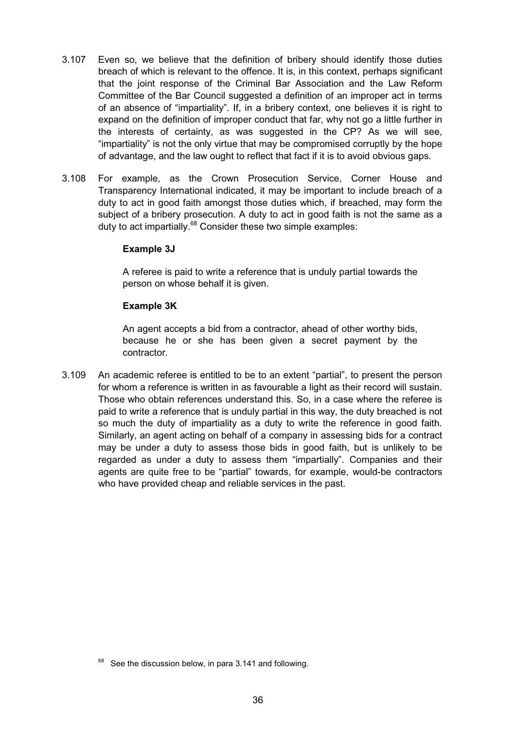- 3.107 Even so, we believe that the definition of bribery should identify those duties breach of which is relevant to the offence. It is, in this context, perhaps significant that the joint response of the Criminal Bar Association and the Law Reform Committee of the Bar Council suggested a definition of an improper act in terms of an absence of "impartiality". If, in a bribery context, one believes it is right to expand on the definition of improper conduct that far, why not go a little further in the interests of certainty, as was suggested in the CP? As we will see, "impartiality" is not the only virtue that may be compromised corruptly by the hope of advantage, and the law ought to reflect that fact if it is to avoid obvious gaps.
- 3.108 For example, as the Crown Prosecution Service, Corner House and Transparency International indicated, it may be important to include breach of a duty to act in good faith amongst those duties which, if breached, may form the subject of a bribery prosecution. A duty to act in good faith is not the same as a duty to act impartially.<sup>68</sup> Consider these two simple examples:

# **Example 3J**

A referee is paid to write a reference that is unduly partial towards the person on whose behalf it is given.

### **Example 3K**

An agent accepts a bid from a contractor, ahead of other worthy bids, because he or she has been given a secret payment by the contractor.

3.109 An academic referee is entitled to be to an extent "partial", to present the person for whom a reference is written in as favourable a light as their record will sustain. Those who obtain references understand this. So, in a case where the referee is paid to write a reference that is unduly partial in this way, the duty breached is not so much the duty of impartiality as a duty to write the reference in good faith. Similarly, an agent acting on behalf of a company in assessing bids for a contract may be under a duty to assess those bids in good faith, but is unlikely to be regarded as under a duty to assess them "impartially". Companies and their agents are quite free to be "partial" towards, for example, would-be contractors who have provided cheap and reliable services in the past.

See the discussion below, in para 3.141 and following.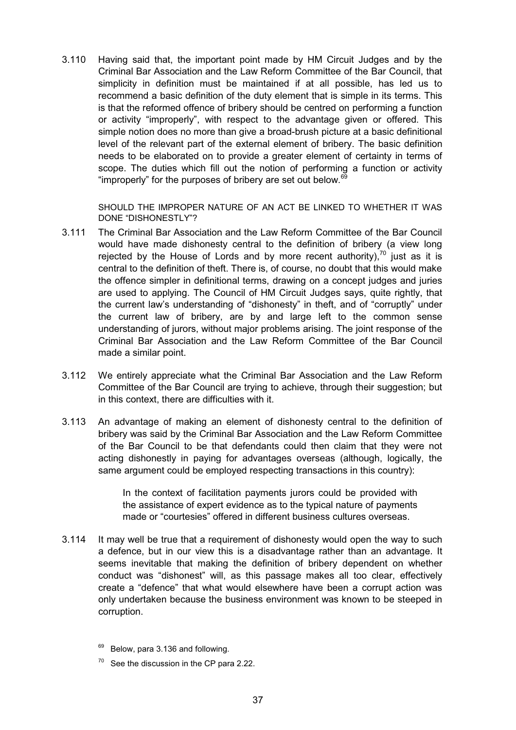3.110 Having said that, the important point made by HM Circuit Judges and by the Criminal Bar Association and the Law Reform Committee of the Bar Council, that simplicity in definition must be maintained if at all possible, has led us to recommend a basic definition of the duty element that is simple in its terms. This is that the reformed offence of bribery should be centred on performing a function or activity "improperly", with respect to the advantage given or offered. This simple notion does no more than give a broad-brush picture at a basic definitional level of the relevant part of the external element of bribery. The basic definition needs to be elaborated on to provide a greater element of certainty in terms of scope. The duties which fill out the notion of performing a function or activity "improperly" for the purposes of bribery are set out below.<sup>69</sup>

SHOULD THE IMPROPER NATURE OF AN ACT BE LINKED TO WHETHER IT WAS DONE "DISHONESTLY"?

- 3.111 The Criminal Bar Association and the Law Reform Committee of the Bar Council would have made dishonesty central to the definition of bribery (a view long rejected by the House of Lords and by more recent authority), $70$  just as it is central to the definition of theft. There is, of course, no doubt that this would make the offence simpler in definitional terms, drawing on a concept judges and juries are used to applying. The Council of HM Circuit Judges says, quite rightly, that the current law's understanding of "dishonesty" in theft, and of "corruptly" under the current law of bribery, are by and large left to the common sense understanding of jurors, without major problems arising. The joint response of the Criminal Bar Association and the Law Reform Committee of the Bar Council made a similar point.
- 3.112 We entirely appreciate what the Criminal Bar Association and the Law Reform Committee of the Bar Council are trying to achieve, through their suggestion; but in this context, there are difficulties with it.
- 3.113 An advantage of making an element of dishonesty central to the definition of bribery was said by the Criminal Bar Association and the Law Reform Committee of the Bar Council to be that defendants could then claim that they were not acting dishonestly in paying for advantages overseas (although, logically, the same argument could be employed respecting transactions in this country):

In the context of facilitation payments jurors could be provided with the assistance of expert evidence as to the typical nature of payments made or "courtesies" offered in different business cultures overseas.

- 3.114 It may well be true that a requirement of dishonesty would open the way to such a defence, but in our view this is a disadvantage rather than an advantage. It seems inevitable that making the definition of bribery dependent on whether conduct was "dishonest" will, as this passage makes all too clear, effectively create a "defence" that what would elsewhere have been a corrupt action was only undertaken because the business environment was known to be steeped in corruption.
	- <sup>69</sup> Below, para 3.136 and following.
	- See the discussion in the CP para 2.22.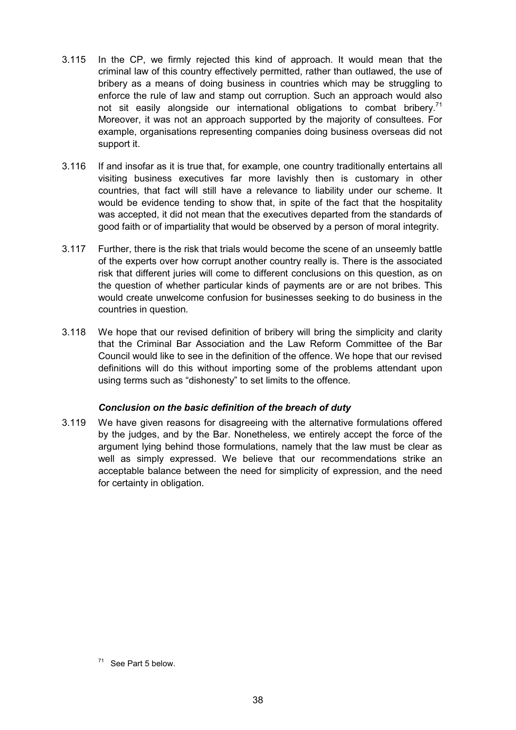- 3.115 In the CP, we firmly rejected this kind of approach. It would mean that the criminal law of this country effectively permitted, rather than outlawed, the use of bribery as a means of doing business in countries which may be struggling to enforce the rule of law and stamp out corruption. Such an approach would also not sit easily alongside our international obligations to combat bribery.<sup>71</sup> Moreover, it was not an approach supported by the majority of consultees. For example, organisations representing companies doing business overseas did not support it.
- 3.116 If and insofar as it is true that, for example, one country traditionally entertains all visiting business executives far more lavishly then is customary in other countries, that fact will still have a relevance to liability under our scheme. It would be evidence tending to show that, in spite of the fact that the hospitality was accepted, it did not mean that the executives departed from the standards of good faith or of impartiality that would be observed by a person of moral integrity.
- 3.117 Further, there is the risk that trials would become the scene of an unseemly battle of the experts over how corrupt another country really is. There is the associated risk that different juries will come to different conclusions on this question, as on the question of whether particular kinds of payments are or are not bribes. This would create unwelcome confusion for businesses seeking to do business in the countries in question.
- 3.118 We hope that our revised definition of bribery will bring the simplicity and clarity that the Criminal Bar Association and the Law Reform Committee of the Bar Council would like to see in the definition of the offence. We hope that our revised definitions will do this without importing some of the problems attendant upon using terms such as "dishonesty" to set limits to the offence.

# *Conclusion on the basic definition of the breach of duty*

3.119 We have given reasons for disagreeing with the alternative formulations offered by the judges, and by the Bar. Nonetheless, we entirely accept the force of the argument lying behind those formulations, namely that the law must be clear as well as simply expressed. We believe that our recommendations strike an acceptable balance between the need for simplicity of expression, and the need for certainty in obligation.

 $71$  See Part 5 below.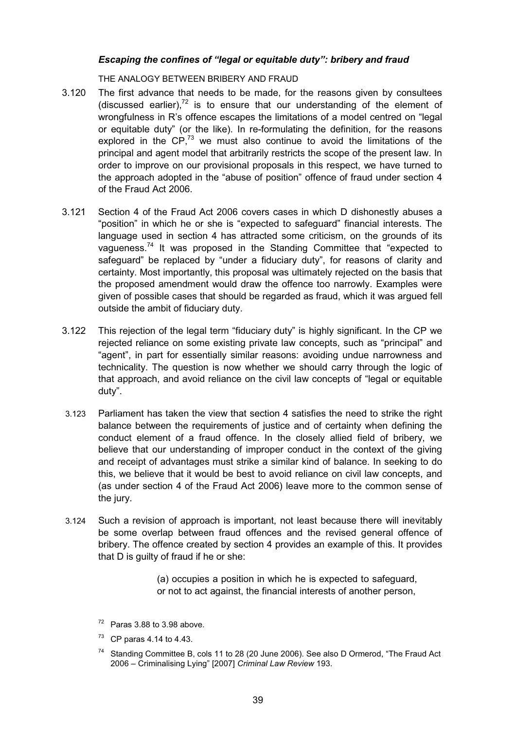# *Escaping the confines of "legal or equitable duty": bribery and fraud*

THE ANALOGY BETWEEN BRIBERY AND FRAUD

- 3.120 The first advance that needs to be made, for the reasons given by consultees (discussed earlier), $72$  is to ensure that our understanding of the element of wrongfulness in R's offence escapes the limitations of a model centred on "legal or equitable duty" (or the like). In re-formulating the definition, for the reasons explored in the  $\text{CP}$ <sup>73</sup> we must also continue to avoid the limitations of the principal and agent model that arbitrarily restricts the scope of the present law. In order to improve on our provisional proposals in this respect, we have turned to the approach adopted in the "abuse of position" offence of fraud under section 4 of the Fraud Act 2006.
- 3.121 Section 4 of the Fraud Act 2006 covers cases in which D dishonestly abuses a "position" in which he or she is "expected to safeguard" financial interests. The language used in section 4 has attracted some criticism, on the grounds of its vagueness.<sup>74</sup> It was proposed in the Standing Committee that "expected to safeguard" be replaced by "under a fiduciary duty", for reasons of clarity and certainty. Most importantly, this proposal was ultimately rejected on the basis that the proposed amendment would draw the offence too narrowly. Examples were given of possible cases that should be regarded as fraud, which it was argued fell outside the ambit of fiduciary duty.
- 3.122 This rejection of the legal term "fiduciary duty" is highly significant. In the CP we rejected reliance on some existing private law concepts, such as "principal" and "agent", in part for essentially similar reasons: avoiding undue narrowness and technicality. The question is now whether we should carry through the logic of that approach, and avoid reliance on the civil law concepts of "legal or equitable duty".
- 3.123 Parliament has taken the view that section 4 satisfies the need to strike the right balance between the requirements of justice and of certainty when defining the conduct element of a fraud offence. In the closely allied field of bribery, we believe that our understanding of improper conduct in the context of the giving and receipt of advantages must strike a similar kind of balance. In seeking to do this, we believe that it would be best to avoid reliance on civil law concepts, and (as under section 4 of the Fraud Act 2006) leave more to the common sense of the jury.
- 3.124 Such a revision of approach is important, not least because there will inevitably be some overlap between fraud offences and the revised general offence of bribery. The offence created by section 4 provides an example of this. It provides that D is guilty of fraud if he or she:

(a) occupies a position in which he is expected to safeguard, or not to act against, the financial interests of another person,

<sup>74</sup> Standing Committee B, cols 11 to 28 (20 June 2006). See also D Ormerod, "The Fraud Act 2006 – Criminalising Lying" [2007] *Criminal Law Review* 193.

 $72$  Paras 3.88 to 3.98 above.

 $73$  CP paras 4.14 to 4.43.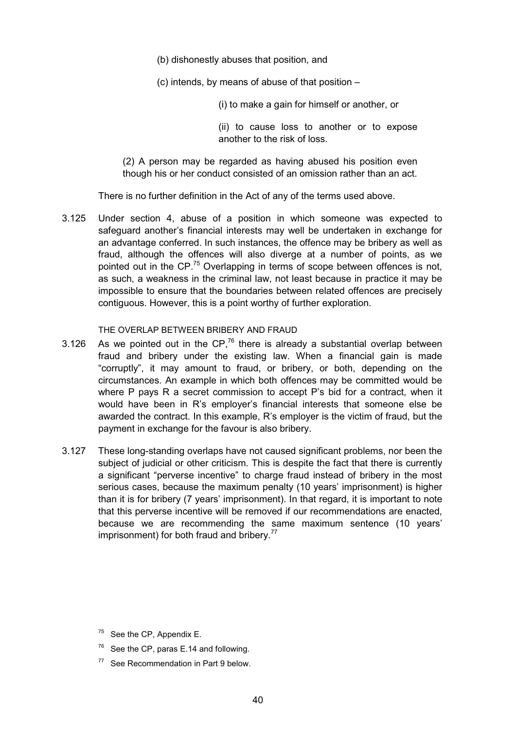(b) dishonestly abuses that position, and

(c) intends, by means of abuse of that position –

(i) to make a gain for himself or another, or

(ii) to cause loss to another or to expose another to the risk of loss.

(2) A person may be regarded as having abused his position even though his or her conduct consisted of an omission rather than an act.

There is no further definition in the Act of any of the terms used above.

3.125 Under section 4, abuse of a position in which someone was expected to safeguard another's financial interests may well be undertaken in exchange for an advantage conferred. In such instances, the offence may be bribery as well as fraud, although the offences will also diverge at a number of points, as we pointed out in the CP.<sup>75</sup> Overlapping in terms of scope between offences is not, as such, a weakness in the criminal law, not least because in practice it may be impossible to ensure that the boundaries between related offences are precisely contiguous. However, this is a point worthy of further exploration.

### THE OVERLAP BETWEEN BRIBERY AND FRAUD

- 3.126 As we pointed out in the  $CP<sup>76</sup>$  there is already a substantial overlap between fraud and bribery under the existing law. When a financial gain is made "corruptly", it may amount to fraud, or bribery, or both, depending on the circumstances. An example in which both offences may be committed would be where P pays R a secret commission to accept P's bid for a contract, when it would have been in R's employer's financial interests that someone else be awarded the contract. In this example, R's employer is the victim of fraud, but the payment in exchange for the favour is also bribery.
- 3.127 These long-standing overlaps have not caused significant problems, nor been the subject of judicial or other criticism. This is despite the fact that there is currently a significant "perverse incentive" to charge fraud instead of bribery in the most serious cases, because the maximum penalty (10 years' imprisonment) is higher than it is for bribery (7 years' imprisonment). In that regard, it is important to note that this perverse incentive will be removed if our recommendations are enacted, because we are recommending the same maximum sentence (10 years' imprisonment) for both fraud and bribery.<sup>77</sup>

- $75$  See the CP, Appendix E.
- $76$  See the CP, paras E.14 and following.
- $77$  See Recommendation in Part 9 below.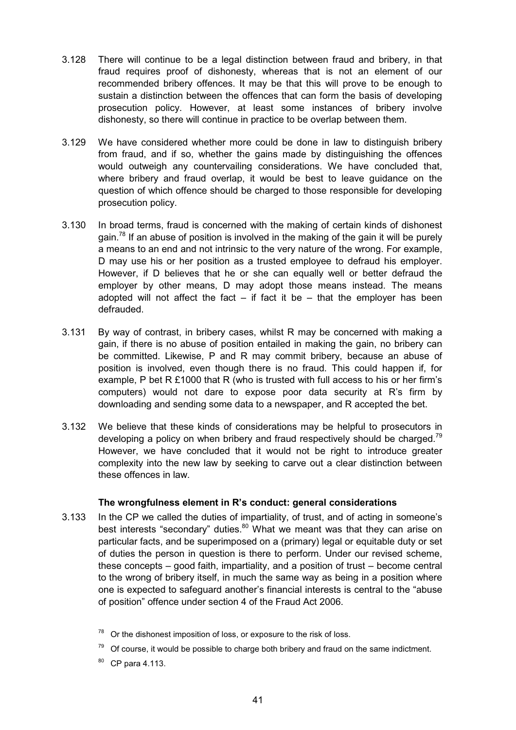- 3.128 There will continue to be a legal distinction between fraud and bribery, in that fraud requires proof of dishonesty, whereas that is not an element of our recommended bribery offences. It may be that this will prove to be enough to sustain a distinction between the offences that can form the basis of developing prosecution policy. However, at least some instances of bribery involve dishonesty, so there will continue in practice to be overlap between them.
- 3.129 We have considered whether more could be done in law to distinguish bribery from fraud, and if so, whether the gains made by distinguishing the offences would outweigh any countervailing considerations. We have concluded that, where bribery and fraud overlap, it would be best to leave guidance on the question of which offence should be charged to those responsible for developing prosecution policy.
- 3.130 In broad terms, fraud is concerned with the making of certain kinds of dishonest gain.<sup>78</sup> If an abuse of position is involved in the making of the gain it will be purely a means to an end and not intrinsic to the very nature of the wrong. For example, D may use his or her position as a trusted employee to defraud his employer. However, if D believes that he or she can equally well or better defraud the employer by other means, D may adopt those means instead. The means adopted will not affect the fact – if fact it be  $-$  that the employer has been defrauded.
- 3.131 By way of contrast, in bribery cases, whilst R may be concerned with making a gain, if there is no abuse of position entailed in making the gain, no bribery can be committed. Likewise, P and R may commit bribery, because an abuse of position is involved, even though there is no fraud. This could happen if, for example, P bet R £1000 that R (who is trusted with full access to his or her firm's computers) would not dare to expose poor data security at R's firm by downloading and sending some data to a newspaper, and R accepted the bet.
- 3.132 We believe that these kinds of considerations may be helpful to prosecutors in developing a policy on when bribery and fraud respectively should be charged.<sup>79</sup> However, we have concluded that it would not be right to introduce greater complexity into the new law by seeking to carve out a clear distinction between these offences in law.

#### **The wrongfulness element in R's conduct: general considerations**

3.133 In the CP we called the duties of impartiality, of trust, and of acting in someone's best interests "secondary" duties.<sup>80</sup> What we meant was that they can arise on particular facts, and be superimposed on a (primary) legal or equitable duty or set of duties the person in question is there to perform. Under our revised scheme, these concepts – good faith, impartiality, and a position of trust – become central to the wrong of bribery itself, in much the same way as being in a position where one is expected to safeguard another's financial interests is central to the "abuse of position" offence under section 4 of the Fraud Act 2006.

- $79$  Of course, it would be possible to charge both bribery and fraud on the same indictment.
- <sup>80</sup> CP para 4.113.

 $78$  Or the dishonest imposition of loss, or exposure to the risk of loss.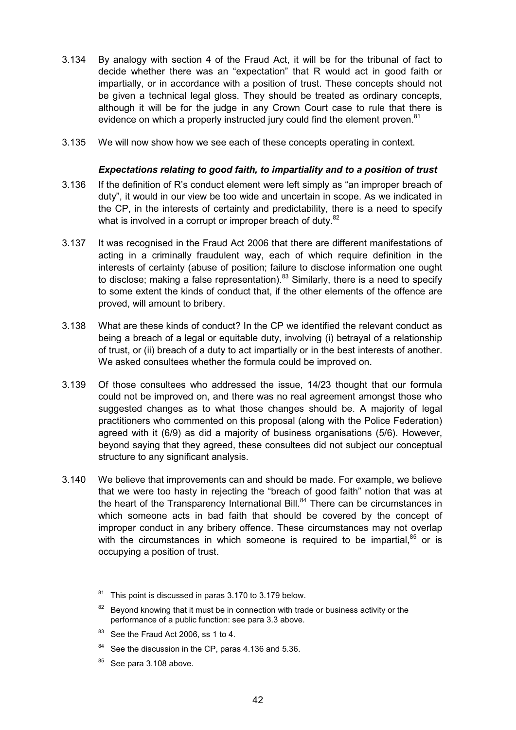- 3.134 By analogy with section 4 of the Fraud Act, it will be for the tribunal of fact to decide whether there was an "expectation" that R would act in good faith or impartially, or in accordance with a position of trust. These concepts should not be given a technical legal gloss. They should be treated as ordinary concepts, although it will be for the judge in any Crown Court case to rule that there is evidence on which a properly instructed jury could find the element proven.<sup>81</sup>
- 3.135 We will now show how we see each of these concepts operating in context.

### *Expectations relating to good faith, to impartiality and to a position of trust*

- 3.136 If the definition of R's conduct element were left simply as "an improper breach of duty", it would in our view be too wide and uncertain in scope. As we indicated in the CP, in the interests of certainty and predictability, there is a need to specify what is involved in a corrupt or improper breach of duty. $82$
- 3.137 It was recognised in the Fraud Act 2006 that there are different manifestations of acting in a criminally fraudulent way, each of which require definition in the interests of certainty (abuse of position; failure to disclose information one ought to disclose; making a false representation). $83$  Similarly, there is a need to specify to some extent the kinds of conduct that, if the other elements of the offence are proved, will amount to bribery.
- 3.138 What are these kinds of conduct? In the CP we identified the relevant conduct as being a breach of a legal or equitable duty, involving (i) betrayal of a relationship of trust, or (ii) breach of a duty to act impartially or in the best interests of another. We asked consultees whether the formula could be improved on.
- 3.139 Of those consultees who addressed the issue, 14/23 thought that our formula could not be improved on, and there was no real agreement amongst those who suggested changes as to what those changes should be. A majority of legal practitioners who commented on this proposal (along with the Police Federation) agreed with it (6/9) as did a majority of business organisations (5/6). However, beyond saying that they agreed, these consultees did not subject our conceptual structure to any significant analysis.
- 3.140 We believe that improvements can and should be made. For example, we believe that we were too hasty in rejecting the "breach of good faith" notion that was at the heart of the Transparency International Bill. $84$  There can be circumstances in which someone acts in bad faith that should be covered by the concept of improper conduct in any bribery offence. These circumstances may not overlap with the circumstances in which someone is required to be impartial. $85$  or is occupying a position of trust.

- <sup>83</sup> See the Fraud Act 2006, ss 1 to 4.
- <sup>84</sup> See the discussion in the CP, paras 4.136 and 5.36.
- $85$  See para 3.108 above.

<sup>81</sup> This point is discussed in paras 3.170 to 3.179 below.

 $82$  Beyond knowing that it must be in connection with trade or business activity or the performance of a public function: see para 3.3 above.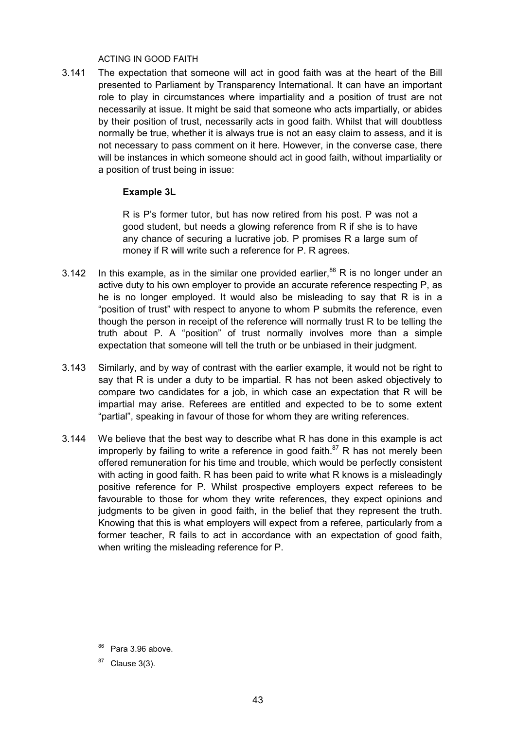#### ACTING IN GOOD FAITH

3.141 The expectation that someone will act in good faith was at the heart of the Bill presented to Parliament by Transparency International. It can have an important role to play in circumstances where impartiality and a position of trust are not necessarily at issue. It might be said that someone who acts impartially, or abides by their position of trust, necessarily acts in good faith. Whilst that will doubtless normally be true, whether it is always true is not an easy claim to assess, and it is not necessary to pass comment on it here. However, in the converse case, there will be instances in which someone should act in good faith, without impartiality or a position of trust being in issue:

### **Example 3L**

R is P's former tutor, but has now retired from his post. P was not a good student, but needs a glowing reference from R if she is to have any chance of securing a lucrative job. P promises R a large sum of money if R will write such a reference for P. R agrees.

- 3.142 In this example, as in the similar one provided earlier,  $86$  R is no longer under an active duty to his own employer to provide an accurate reference respecting P, as he is no longer employed. It would also be misleading to say that R is in a "position of trust" with respect to anyone to whom P submits the reference, even though the person in receipt of the reference will normally trust R to be telling the truth about P. A "position" of trust normally involves more than a simple expectation that someone will tell the truth or be unbiased in their judgment.
- 3.143 Similarly, and by way of contrast with the earlier example, it would not be right to say that R is under a duty to be impartial. R has not been asked objectively to compare two candidates for a job, in which case an expectation that R will be impartial may arise. Referees are entitled and expected to be to some extent "partial", speaking in favour of those for whom they are writing references.
- 3.144 We believe that the best way to describe what R has done in this example is act improperly by failing to write a reference in good faith. $87$  R has not merely been offered remuneration for his time and trouble, which would be perfectly consistent with acting in good faith. R has been paid to write what R knows is a misleadingly positive reference for P. Whilst prospective employers expect referees to be favourable to those for whom they write references, they expect opinions and judgments to be given in good faith, in the belief that they represent the truth. Knowing that this is what employers will expect from a referee, particularly from a former teacher, R fails to act in accordance with an expectation of good faith, when writing the misleading reference for P.

<sup>86</sup> Para 3.96 above.

 $87$  Clause 3(3).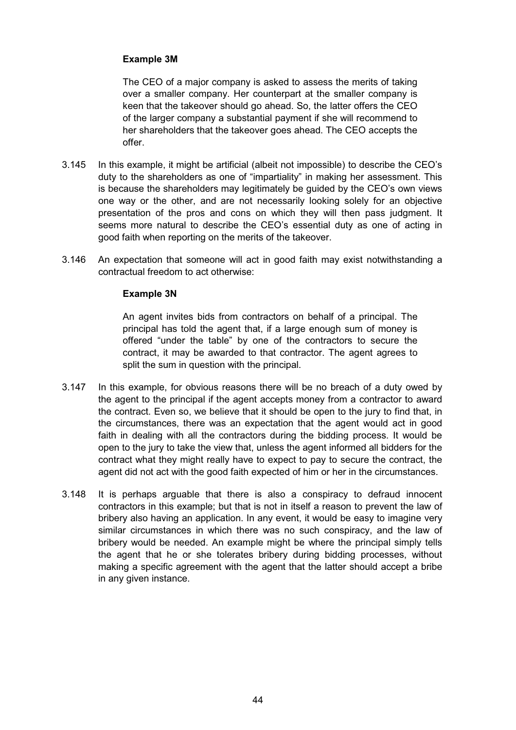# **Example 3M**

The CEO of a major company is asked to assess the merits of taking over a smaller company. Her counterpart at the smaller company is keen that the takeover should go ahead. So, the latter offers the CEO of the larger company a substantial payment if she will recommend to her shareholders that the takeover goes ahead. The CEO accepts the offer.

- 3.145 In this example, it might be artificial (albeit not impossible) to describe the CEO's duty to the shareholders as one of "impartiality" in making her assessment. This is because the shareholders may legitimately be guided by the CEO's own views one way or the other, and are not necessarily looking solely for an objective presentation of the pros and cons on which they will then pass judgment. It seems more natural to describe the CEO's essential duty as one of acting in good faith when reporting on the merits of the takeover.
- 3.146 An expectation that someone will act in good faith may exist notwithstanding a contractual freedom to act otherwise:

# **Example 3N**

An agent invites bids from contractors on behalf of a principal. The principal has told the agent that, if a large enough sum of money is offered "under the table" by one of the contractors to secure the contract, it may be awarded to that contractor. The agent agrees to split the sum in question with the principal.

- 3.147 In this example, for obvious reasons there will be no breach of a duty owed by the agent to the principal if the agent accepts money from a contractor to award the contract. Even so, we believe that it should be open to the jury to find that, in the circumstances, there was an expectation that the agent would act in good faith in dealing with all the contractors during the bidding process. It would be open to the jury to take the view that, unless the agent informed all bidders for the contract what they might really have to expect to pay to secure the contract, the agent did not act with the good faith expected of him or her in the circumstances.
- 3.148 It is perhaps arguable that there is also a conspiracy to defraud innocent contractors in this example; but that is not in itself a reason to prevent the law of bribery also having an application. In any event, it would be easy to imagine very similar circumstances in which there was no such conspiracy, and the law of bribery would be needed. An example might be where the principal simply tells the agent that he or she tolerates bribery during bidding processes, without making a specific agreement with the agent that the latter should accept a bribe in any given instance.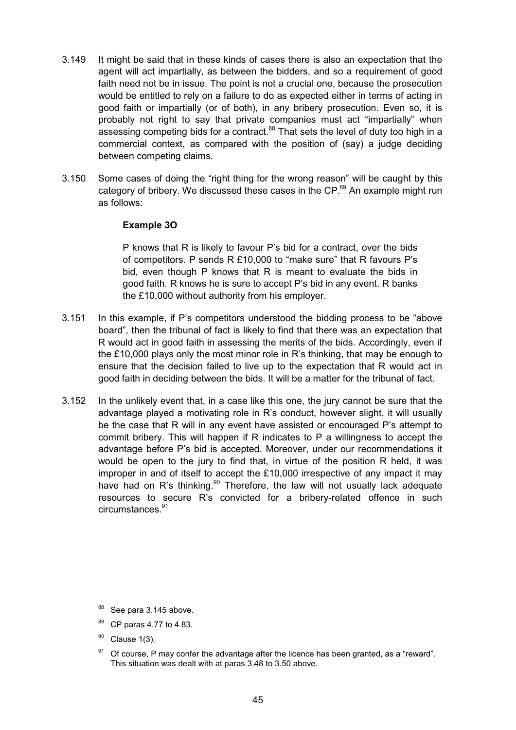- 3.149 It might be said that in these kinds of cases there is also an expectation that the agent will act impartially, as between the bidders, and so a requirement of good faith need not be in issue. The point is not a crucial one, because the prosecution would be entitled to rely on a failure to do as expected either in terms of acting in good faith or impartially (or of both), in any bribery prosecution. Even so, it is probably not right to say that private companies must act "impartially" when assessing competing bids for a contract.<sup>88</sup> That sets the level of duty too high in a commercial context, as compared with the position of (say) a judge deciding between competing claims.
- 3.150 Some cases of doing the "right thing for the wrong reason" will be caught by this category of bribery. We discussed these cases in the CP.<sup>89</sup> An example might run as follows:

### **Example 3O**

P knows that R is likely to favour P's bid for a contract, over the bids of competitors. P sends R £10,000 to "make sure" that R favours P's bid, even though P knows that R is meant to evaluate the bids in good faith. R knows he is sure to accept P's bid in any event. R banks the £10,000 without authority from his employer.

- 3.151 In this example, if P's competitors understood the bidding process to be "above board", then the tribunal of fact is likely to find that there was an expectation that R would act in good faith in assessing the merits of the bids. Accordingly, even if the £10,000 plays only the most minor role in R's thinking, that may be enough to ensure that the decision failed to live up to the expectation that R would act in good faith in deciding between the bids. It will be a matter for the tribunal of fact.
- 3.152 In the unlikely event that, in a case like this one, the jury cannot be sure that the advantage played a motivating role in R's conduct, however slight, it will usually be the case that R will in any event have assisted or encouraged P's attempt to commit bribery. This will happen if R indicates to P a willingness to accept the advantage before P's bid is accepted. Moreover, under our recommendations it would be open to the jury to find that, in virtue of the position R held, it was improper in and of itself to accept the £10,000 irrespective of any impact it may have had on R's thinking.<sup>90</sup> Therefore, the law will not usually lack adequate resources to secure R's convicted for a bribery-related offence in such circumstances.<sup>91</sup>

- 88 See para 3.145 above.
- 89 CP paras 4.77 to 4.83.
- $90$  Clause 1(3).
- Of course, P may confer the advantage after the licence has been granted, as a "reward". This situation was dealt with at paras 3.48 to 3.50 above.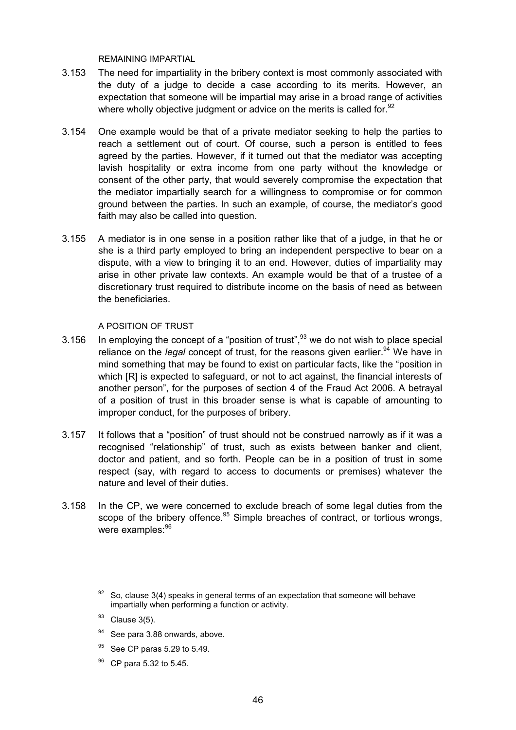REMAINING IMPARTIAL

- 3.153 The need for impartiality in the bribery context is most commonly associated with the duty of a judge to decide a case according to its merits. However, an expectation that someone will be impartial may arise in a broad range of activities where wholly objective judgment or advice on the merits is called for. $92$
- 3.154 One example would be that of a private mediator seeking to help the parties to reach a settlement out of court. Of course, such a person is entitled to fees agreed by the parties. However, if it turned out that the mediator was accepting lavish hospitality or extra income from one party without the knowledge or consent of the other party, that would severely compromise the expectation that the mediator impartially search for a willingness to compromise or for common ground between the parties. In such an example, of course, the mediator's good faith may also be called into question.
- 3.155 A mediator is in one sense in a position rather like that of a judge, in that he or she is a third party employed to bring an independent perspective to bear on a dispute, with a view to bringing it to an end. However, duties of impartiality may arise in other private law contexts. An example would be that of a trustee of a discretionary trust required to distribute income on the basis of need as between the beneficiaries.

#### A POSITION OF TRUST

- 3.156 In employing the concept of a "position of trust",  $93$  we do not wish to place special reliance on the *legal* concept of trust, for the reasons given earlier.<sup>94</sup> We have in mind something that may be found to exist on particular facts, like the "position in which [R] is expected to safeguard, or not to act against, the financial interests of another person", for the purposes of section 4 of the Fraud Act 2006. A betrayal of a position of trust in this broader sense is what is capable of amounting to improper conduct, for the purposes of bribery.
- 3.157 It follows that a "position" of trust should not be construed narrowly as if it was a recognised "relationship" of trust, such as exists between banker and client, doctor and patient, and so forth. People can be in a position of trust in some respect (say, with regard to access to documents or premises) whatever the nature and level of their duties.
- 3.158 In the CP, we were concerned to exclude breach of some legal duties from the scope of the bribery offence.<sup>95</sup> Simple breaches of contract, or tortious wrongs, were examples: 96

- <sup>94</sup> See para 3.88 onwards, above.
- See CP paras 5.29 to 5.49.
- 96 CP para 5.32 to 5.45.

 $92$  So, clause 3(4) speaks in general terms of an expectation that someone will behave impartially when performing a function or activity.

 $93$  Clause 3(5).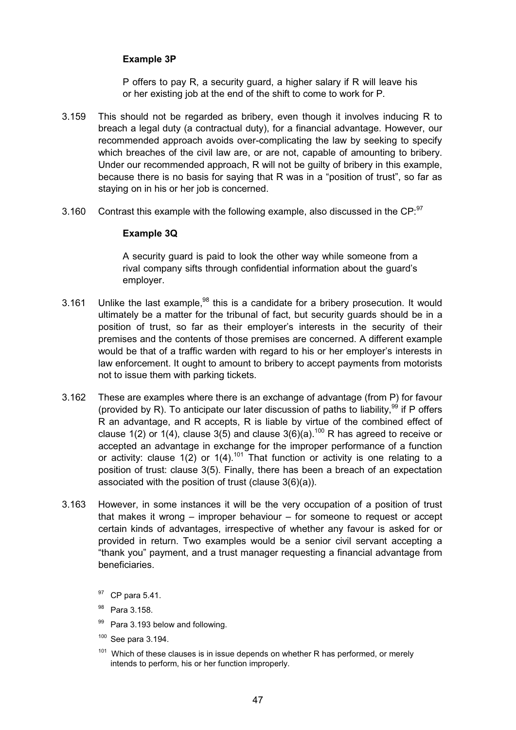# **Example 3P**

P offers to pay R, a security guard, a higher salary if R will leave his or her existing job at the end of the shift to come to work for P.

- 3.159 This should not be regarded as bribery, even though it involves inducing R to breach a legal duty (a contractual duty), for a financial advantage. However, our recommended approach avoids over-complicating the law by seeking to specify which breaches of the civil law are, or are not, capable of amounting to bribery. Under our recommended approach, R will not be guilty of bribery in this example, because there is no basis for saying that R was in a "position of trust", so far as staying on in his or her job is concerned.
- 3.160 Contrast this example with the following example, also discussed in the CP: $97$

# **Example 3Q**

A security guard is paid to look the other way while someone from a rival company sifts through confidential information about the guard's employer.

- 3.161 Unlike the last example,  $98$  this is a candidate for a bribery prosecution. It would ultimately be a matter for the tribunal of fact, but security guards should be in a position of trust, so far as their employer's interests in the security of their premises and the contents of those premises are concerned. A different example would be that of a traffic warden with regard to his or her employer's interests in law enforcement. It ought to amount to bribery to accept payments from motorists not to issue them with parking tickets.
- 3.162 These are examples where there is an exchange of advantage (from P) for favour (provided by R). To anticipate our later discussion of paths to liability,  $99$  if P offers R an advantage, and R accepts, R is liable by virtue of the combined effect of clause 1(2) or 1(4), clause 3(5) and clause 3(6)(a).<sup>100</sup> R has agreed to receive or accepted an advantage in exchange for the improper performance of a function or activity: clause  $1(2)$  or  $1(4)$ .<sup>101</sup> That function or activity is one relating to a position of trust: clause 3(5). Finally, there has been a breach of an expectation associated with the position of trust (clause 3(6)(a)).
- 3.163 However, in some instances it will be the very occupation of a position of trust that makes it wrong – improper behaviour – for someone to request or accept certain kinds of advantages, irrespective of whether any favour is asked for or provided in return. Two examples would be a senior civil servant accepting a "thank you" payment, and a trust manager requesting a financial advantage from beneficiaries.

- 98 Para 3.158.
- 99 Para 3.193 below and following.
- $100$  See para 3.194.
- $101$  Which of these clauses is in issue depends on whether R has performed, or merely intends to perform, his or her function improperly.

<sup>&</sup>lt;sup>97</sup> CP para 5.41.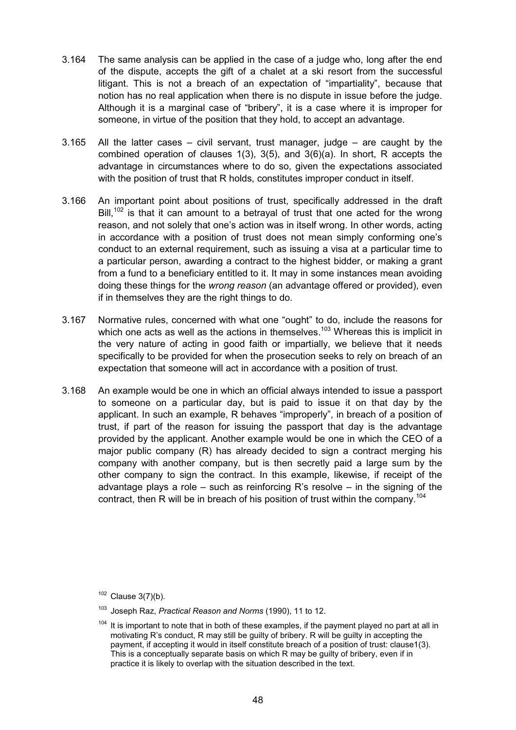- 3.164 The same analysis can be applied in the case of a judge who, long after the end of the dispute, accepts the gift of a chalet at a ski resort from the successful litigant. This is not a breach of an expectation of "impartiality", because that notion has no real application when there is no dispute in issue before the judge. Although it is a marginal case of "bribery", it is a case where it is improper for someone, in virtue of the position that they hold, to accept an advantage.
- 3.165 All the latter cases civil servant, trust manager, judge are caught by the combined operation of clauses 1(3), 3(5), and 3(6)(a). In short, R accepts the advantage in circumstances where to do so, given the expectations associated with the position of trust that R holds, constitutes improper conduct in itself.
- 3.166 An important point about positions of trust, specifically addressed in the draft  $Bill<sub>102</sub>$  is that it can amount to a betrayal of trust that one acted for the wrong reason, and not solely that one's action was in itself wrong. In other words, acting in accordance with a position of trust does not mean simply conforming one's conduct to an external requirement, such as issuing a visa at a particular time to a particular person, awarding a contract to the highest bidder, or making a grant from a fund to a beneficiary entitled to it. It may in some instances mean avoiding doing these things for the *wrong reason* (an advantage offered or provided), even if in themselves they are the right things to do.
- 3.167 Normative rules, concerned with what one "ought" to do, include the reasons for which one acts as well as the actions in themselves.<sup>103</sup> Whereas this is implicit in the very nature of acting in good faith or impartially, we believe that it needs specifically to be provided for when the prosecution seeks to rely on breach of an expectation that someone will act in accordance with a position of trust.
- 3.168 An example would be one in which an official always intended to issue a passport to someone on a particular day, but is paid to issue it on that day by the applicant. In such an example, R behaves "improperly", in breach of a position of trust, if part of the reason for issuing the passport that day is the advantage provided by the applicant. Another example would be one in which the CEO of a major public company (R) has already decided to sign a contract merging his company with another company, but is then secretly paid a large sum by the other company to sign the contract. In this example, likewise, if receipt of the advantage plays a role – such as reinforcing R's resolve – in the signing of the contract, then R will be in breach of his position of trust within the company.<sup>104</sup>

 $102$  Clause 3(7)(b).

<sup>103</sup> Joseph Raz, *Practical Reason and Norms* (1990), 11 to 12.

 $104$  It is important to note that in both of these examples, if the payment played no part at all in motivating R's conduct, R may still be guilty of bribery. R will be guilty in accepting the payment, if accepting it would in itself constitute breach of a position of trust: clause1(3). This is a conceptually separate basis on which R may be guilty of bribery, even if in practice it is likely to overlap with the situation described in the text.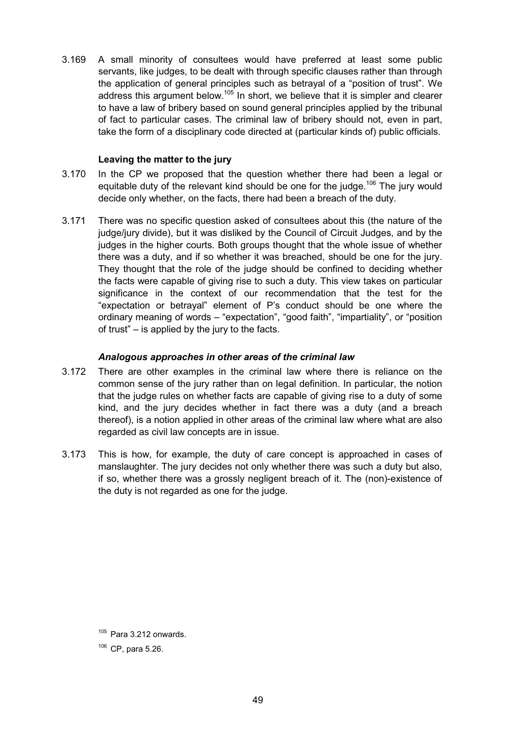3.169 A small minority of consultees would have preferred at least some public servants, like judges, to be dealt with through specific clauses rather than through the application of general principles such as betrayal of a "position of trust". We address this argument below.<sup>105</sup> In short, we believe that it is simpler and clearer to have a law of bribery based on sound general principles applied by the tribunal of fact to particular cases. The criminal law of bribery should not, even in part, take the form of a disciplinary code directed at (particular kinds of) public officials.

### **Leaving the matter to the jury**

- 3.170 In the CP we proposed that the question whether there had been a legal or equitable duty of the relevant kind should be one for the judge.<sup>106</sup> The jury would decide only whether, on the facts, there had been a breach of the duty.
- 3.171 There was no specific question asked of consultees about this (the nature of the judge/jury divide), but it was disliked by the Council of Circuit Judges, and by the judges in the higher courts. Both groups thought that the whole issue of whether there was a duty, and if so whether it was breached, should be one for the jury. They thought that the role of the judge should be confined to deciding whether the facts were capable of giving rise to such a duty. This view takes on particular significance in the context of our recommendation that the test for the "expectation or betrayal" element of P's conduct should be one where the ordinary meaning of words – "expectation", "good faith", "impartiality", or "position of trust" – is applied by the jury to the facts.

### *Analogous approaches in other areas of the criminal law*

- 3.172 There are other examples in the criminal law where there is reliance on the common sense of the jury rather than on legal definition. In particular, the notion that the judge rules on whether facts are capable of giving rise to a duty of some kind, and the jury decides whether in fact there was a duty (and a breach thereof), is a notion applied in other areas of the criminal law where what are also regarded as civil law concepts are in issue.
- 3.173 This is how, for example, the duty of care concept is approached in cases of manslaughter. The jury decides not only whether there was such a duty but also, if so, whether there was a grossly negligent breach of it. The (non)-existence of the duty is not regarded as one for the judge.

 $105$  Para 3.212 onwards.

 $106$  CP, para 5.26.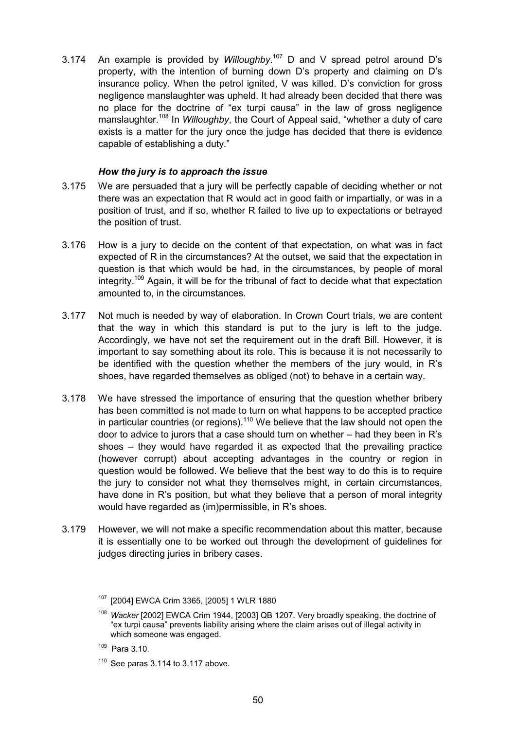3.174 An example is provided by *Willoughby*.<sup>107</sup> D and V spread petrol around D's property, with the intention of burning down D's property and claiming on D's insurance policy. When the petrol ignited, V was killed. D's conviction for gross negligence manslaughter was upheld. It had already been decided that there was no place for the doctrine of "ex turpi causa" in the law of gross negligence manslaughter.108 In *Willoughby*, the Court of Appeal said, "whether a duty of care exists is a matter for the jury once the judge has decided that there is evidence capable of establishing a duty."

# *How the jury is to approach the issue*

- 3.175 We are persuaded that a jury will be perfectly capable of deciding whether or not there was an expectation that R would act in good faith or impartially, or was in a position of trust, and if so, whether R failed to live up to expectations or betrayed the position of trust.
- 3.176 How is a jury to decide on the content of that expectation, on what was in fact expected of R in the circumstances? At the outset, we said that the expectation in question is that which would be had, in the circumstances, by people of moral integrity.<sup>109</sup> Again, it will be for the tribunal of fact to decide what that expectation amounted to, in the circumstances.
- 3.177 Not much is needed by way of elaboration. In Crown Court trials, we are content that the way in which this standard is put to the jury is left to the judge. Accordingly, we have not set the requirement out in the draft Bill. However, it is important to say something about its role. This is because it is not necessarily to be identified with the question whether the members of the jury would, in R's shoes, have regarded themselves as obliged (not) to behave in a certain way.
- 3.178 We have stressed the importance of ensuring that the question whether bribery has been committed is not made to turn on what happens to be accepted practice in particular countries (or regions).<sup>110</sup> We believe that the law should not open the door to advice to jurors that a case should turn on whether – had they been in R's shoes – they would have regarded it as expected that the prevailing practice (however corrupt) about accepting advantages in the country or region in question would be followed. We believe that the best way to do this is to require the jury to consider not what they themselves might, in certain circumstances, have done in R's position, but what they believe that a person of moral integrity would have regarded as (im)permissible, in R's shoes.
- 3.179 However, we will not make a specific recommendation about this matter, because it is essentially one to be worked out through the development of guidelines for judges directing juries in bribery cases.

109 Para 3.10.

<sup>107</sup> [2004] EWCA Crim 3365, [2005] 1 WLR 1880

<sup>108</sup> *Wacker* [2002] EWCA Crim 1944, [2003] QB 1207. Very broadly speaking, the doctrine of "ex turpi causa" prevents liability arising where the claim arises out of illegal activity in which someone was engaged.

 $110$  See paras 3.114 to 3.117 above.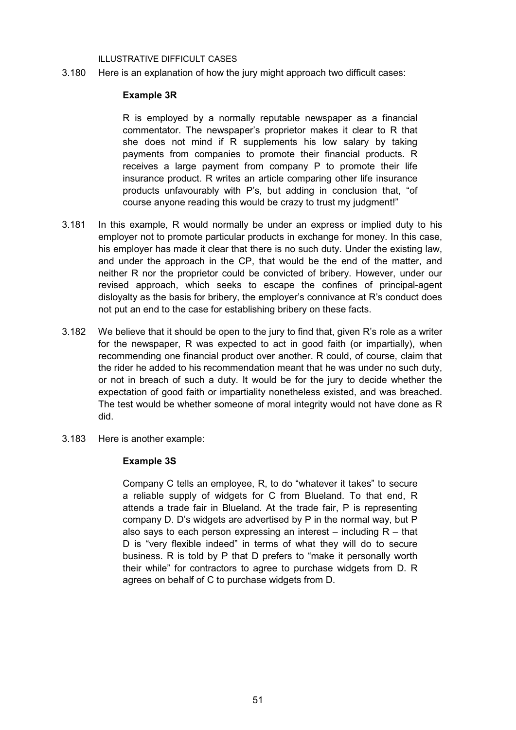#### ILLUSTRATIVE DIFFICULT CASES

3.180 Here is an explanation of how the jury might approach two difficult cases:

#### **Example 3R**

R is employed by a normally reputable newspaper as a financial commentator. The newspaper's proprietor makes it clear to R that she does not mind if R supplements his low salary by taking payments from companies to promote their financial products. R receives a large payment from company P to promote their life insurance product. R writes an article comparing other life insurance products unfavourably with P's, but adding in conclusion that, "of course anyone reading this would be crazy to trust my judgment!"

- 3.181 In this example, R would normally be under an express or implied duty to his employer not to promote particular products in exchange for money. In this case, his employer has made it clear that there is no such duty. Under the existing law, and under the approach in the CP, that would be the end of the matter, and neither R nor the proprietor could be convicted of bribery. However, under our revised approach, which seeks to escape the confines of principal-agent disloyalty as the basis for bribery, the employer's connivance at R's conduct does not put an end to the case for establishing bribery on these facts.
- 3.182 We believe that it should be open to the jury to find that, given R's role as a writer for the newspaper, R was expected to act in good faith (or impartially), when recommending one financial product over another. R could, of course, claim that the rider he added to his recommendation meant that he was under no such duty, or not in breach of such a duty. It would be for the jury to decide whether the expectation of good faith or impartiality nonetheless existed, and was breached. The test would be whether someone of moral integrity would not have done as R did.
- 3.183 Here is another example:

#### **Example 3S**

Company C tells an employee, R, to do "whatever it takes" to secure a reliable supply of widgets for C from Blueland. To that end, R attends a trade fair in Blueland. At the trade fair, P is representing company D. D's widgets are advertised by P in the normal way, but P also says to each person expressing an interest  $-$  including  $R -$  that D is "very flexible indeed" in terms of what they will do to secure business. R is told by P that D prefers to "make it personally worth their while" for contractors to agree to purchase widgets from D. R agrees on behalf of C to purchase widgets from D.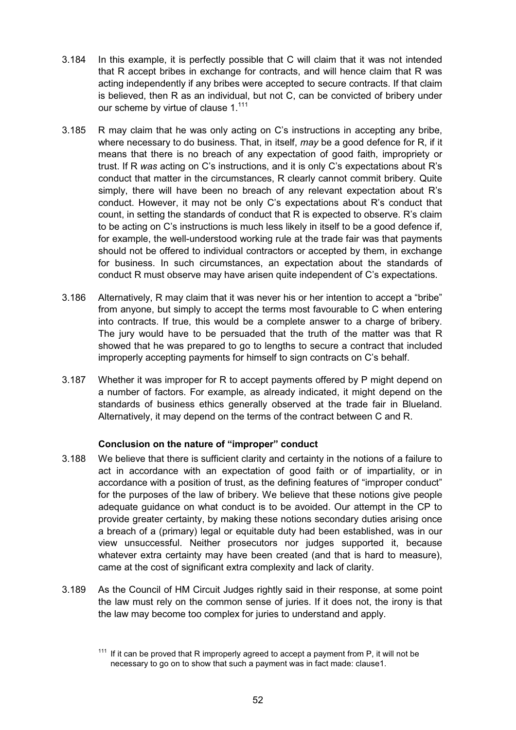- 3.184 In this example, it is perfectly possible that C will claim that it was not intended that R accept bribes in exchange for contracts, and will hence claim that R was acting independently if any bribes were accepted to secure contracts. If that claim is believed, then R as an individual, but not C, can be convicted of bribery under our scheme by virtue of clause 1.<sup>111</sup>
- 3.185 R may claim that he was only acting on C's instructions in accepting any bribe, where necessary to do business. That, in itself, *may* be a good defence for R, if it means that there is no breach of any expectation of good faith, impropriety or trust. If R *was* acting on C's instructions, and it is only C's expectations about R's conduct that matter in the circumstances, R clearly cannot commit bribery. Quite simply, there will have been no breach of any relevant expectation about R's conduct. However, it may not be only C's expectations about R's conduct that count, in setting the standards of conduct that R is expected to observe. R's claim to be acting on C's instructions is much less likely in itself to be a good defence if, for example, the well-understood working rule at the trade fair was that payments should not be offered to individual contractors or accepted by them, in exchange for business. In such circumstances, an expectation about the standards of conduct R must observe may have arisen quite independent of C's expectations.
- 3.186 Alternatively, R may claim that it was never his or her intention to accept a "bribe" from anyone, but simply to accept the terms most favourable to C when entering into contracts. If true, this would be a complete answer to a charge of bribery. The jury would have to be persuaded that the truth of the matter was that R showed that he was prepared to go to lengths to secure a contract that included improperly accepting payments for himself to sign contracts on C's behalf.
- 3.187 Whether it was improper for R to accept payments offered by P might depend on a number of factors. For example, as already indicated, it might depend on the standards of business ethics generally observed at the trade fair in Blueland. Alternatively, it may depend on the terms of the contract between C and R.

# **Conclusion on the nature of "improper" conduct**

- 3.188 We believe that there is sufficient clarity and certainty in the notions of a failure to act in accordance with an expectation of good faith or of impartiality, or in accordance with a position of trust, as the defining features of "improper conduct" for the purposes of the law of bribery. We believe that these notions give people adequate guidance on what conduct is to be avoided. Our attempt in the CP to provide greater certainty, by making these notions secondary duties arising once a breach of a (primary) legal or equitable duty had been established, was in our view unsuccessful. Neither prosecutors nor judges supported it, because whatever extra certainty may have been created (and that is hard to measure), came at the cost of significant extra complexity and lack of clarity.
- 3.189 As the Council of HM Circuit Judges rightly said in their response, at some point the law must rely on the common sense of juries. If it does not, the irony is that the law may become too complex for juries to understand and apply.

 $111$  If it can be proved that R improperly agreed to accept a payment from P, it will not be necessary to go on to show that such a payment was in fact made: clause1.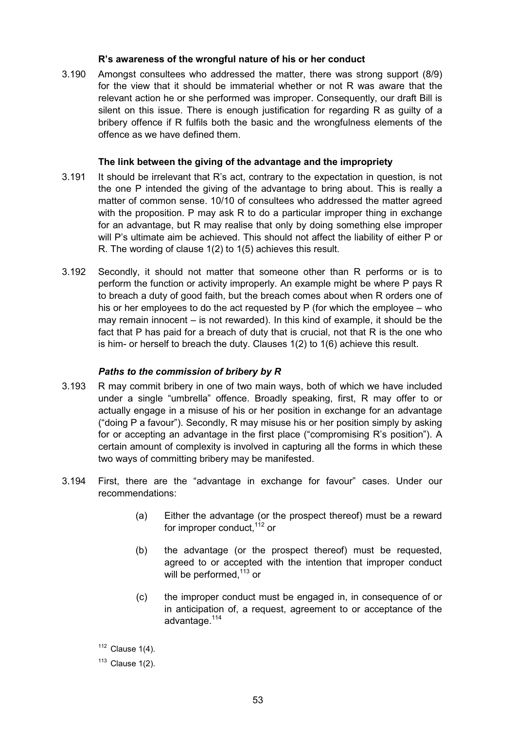# **R's awareness of the wrongful nature of his or her conduct**

3.190 Amongst consultees who addressed the matter, there was strong support (8/9) for the view that it should be immaterial whether or not R was aware that the relevant action he or she performed was improper. Consequently, our draft Bill is silent on this issue. There is enough justification for regarding R as guilty of a bribery offence if R fulfils both the basic and the wrongfulness elements of the offence as we have defined them.

# **The link between the giving of the advantage and the impropriety**

- 3.191 It should be irrelevant that R's act, contrary to the expectation in question, is not the one P intended the giving of the advantage to bring about. This is really a matter of common sense. 10/10 of consultees who addressed the matter agreed with the proposition. P may ask R to do a particular improper thing in exchange for an advantage, but R may realise that only by doing something else improper will P's ultimate aim be achieved. This should not affect the liability of either P or R. The wording of clause 1(2) to 1(5) achieves this result.
- 3.192 Secondly, it should not matter that someone other than R performs or is to perform the function or activity improperly. An example might be where P pays R to breach a duty of good faith, but the breach comes about when R orders one of his or her employees to do the act requested by P (for which the employee – who may remain innocent – is not rewarded). In this kind of example, it should be the fact that P has paid for a breach of duty that is crucial, not that R is the one who is him- or herself to breach the duty. Clauses 1(2) to 1(6) achieve this result.

# *Paths to the commission of bribery by R*

- 3.193 R may commit bribery in one of two main ways, both of which we have included under a single "umbrella" offence. Broadly speaking, first, R may offer to or actually engage in a misuse of his or her position in exchange for an advantage ("doing P a favour"). Secondly, R may misuse his or her position simply by asking for or accepting an advantage in the first place ("compromising R's position"). A certain amount of complexity is involved in capturing all the forms in which these two ways of committing bribery may be manifested.
- 3.194 First, there are the "advantage in exchange for favour" cases. Under our recommendations:
	- (a) Either the advantage (or the prospect thereof) must be a reward for improper conduct.  $112$  or
	- (b) the advantage (or the prospect thereof) must be requested, agreed to or accepted with the intention that improper conduct will be performed, $113$  or
	- (c) the improper conduct must be engaged in, in consequence of or in anticipation of, a request, agreement to or acceptance of the advantage.<sup>114</sup>
	- $112$  Clause 1(4).

 $113$  Clause 1(2).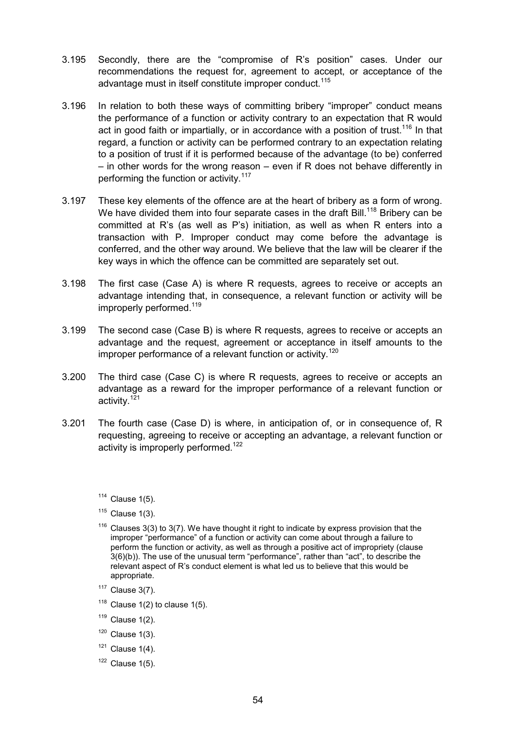- 3.195 Secondly, there are the "compromise of R's position" cases. Under our recommendations the request for, agreement to accept, or acceptance of the advantage must in itself constitute improper conduct.<sup>115</sup>
- 3.196 In relation to both these ways of committing bribery "improper" conduct means the performance of a function or activity contrary to an expectation that R would act in good faith or impartially, or in accordance with a position of trust.<sup>116</sup> In that regard, a function or activity can be performed contrary to an expectation relating to a position of trust if it is performed because of the advantage (to be) conferred – in other words for the wrong reason – even if R does not behave differently in performing the function or activity.<sup>117</sup>
- 3.197 These key elements of the offence are at the heart of bribery as a form of wrong. We have divided them into four separate cases in the draft Bill.<sup>118</sup> Bribery can be committed at R's (as well as P's) initiation, as well as when R enters into a transaction with P. Improper conduct may come before the advantage is conferred, and the other way around. We believe that the law will be clearer if the key ways in which the offence can be committed are separately set out.
- 3.198 The first case (Case A) is where R requests, agrees to receive or accepts an advantage intending that, in consequence, a relevant function or activity will be improperly performed.<sup>119</sup>
- 3.199 The second case (Case B) is where R requests, agrees to receive or accepts an advantage and the request, agreement or acceptance in itself amounts to the improper performance of a relevant function or activity.<sup>120</sup>
- 3.200 The third case (Case C) is where R requests, agrees to receive or accepts an advantage as a reward for the improper performance of a relevant function or activity.<sup>121</sup>
- 3.201 The fourth case (Case D) is where, in anticipation of, or in consequence of, R requesting, agreeing to receive or accepting an advantage, a relevant function or activity is improperly performed.<sup>122</sup>

- $115$  Clause  $1(3)$ .
- $116$  Clauses 3(3) to 3(7). We have thought it right to indicate by express provision that the improper "performance" of a function or activity can come about through a failure to perform the function or activity, as well as through a positive act of impropriety (clause 3(6)(b)). The use of the unusual term "performance", rather than "act", to describe the relevant aspect of R's conduct element is what led us to believe that this would be appropriate.
- $117$  Clause 3(7).
- $118$  Clause 1(2) to clause 1(5).
- $119$  Clause 1(2).
- $120$  Clause 1(3).
- $121$  Clause 1(4).
- $122$  Clause  $1(5)$ .

 $114$  Clause 1(5).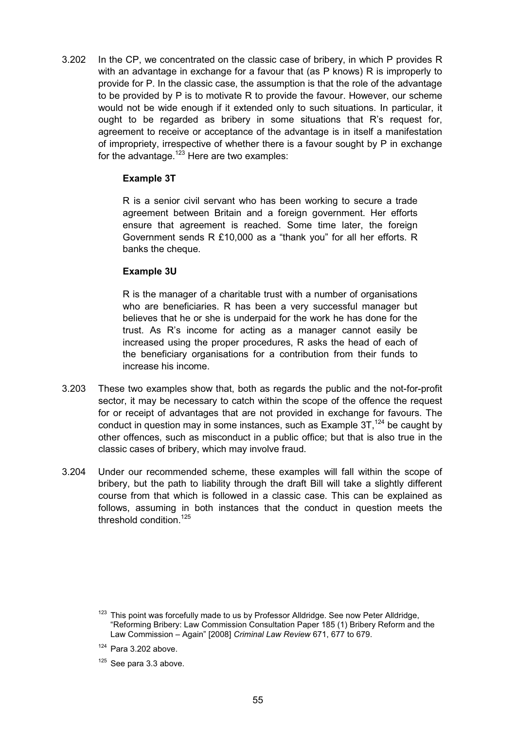3.202 In the CP, we concentrated on the classic case of bribery, in which P provides R with an advantage in exchange for a favour that (as P knows) R is improperly to provide for P. In the classic case, the assumption is that the role of the advantage to be provided by P is to motivate R to provide the favour. However, our scheme would not be wide enough if it extended only to such situations. In particular, it ought to be regarded as bribery in some situations that R's request for, agreement to receive or acceptance of the advantage is in itself a manifestation of impropriety, irrespective of whether there is a favour sought by P in exchange for the advantage.<sup>123</sup> Here are two examples:

## **Example 3T**

R is a senior civil servant who has been working to secure a trade agreement between Britain and a foreign government. Her efforts ensure that agreement is reached. Some time later, the foreign Government sends R £10,000 as a "thank you" for all her efforts. R banks the cheque.

## **Example 3U**

R is the manager of a charitable trust with a number of organisations who are beneficiaries. R has been a very successful manager but believes that he or she is underpaid for the work he has done for the trust. As R's income for acting as a manager cannot easily be increased using the proper procedures, R asks the head of each of the beneficiary organisations for a contribution from their funds to increase his income.

- 3.203 These two examples show that, both as regards the public and the not-for-profit sector, it may be necessary to catch within the scope of the offence the request for or receipt of advantages that are not provided in exchange for favours. The conduct in question may in some instances, such as Example  $3T<sup>124</sup>$  be caught by other offences, such as misconduct in a public office; but that is also true in the classic cases of bribery, which may involve fraud.
- 3.204 Under our recommended scheme, these examples will fall within the scope of bribery, but the path to liability through the draft Bill will take a slightly different course from that which is followed in a classic case. This can be explained as follows, assuming in both instances that the conduct in question meets the threshold condition  $125$

<sup>&</sup>lt;sup>123</sup> This point was forcefully made to us by Professor Alldridge. See now Peter Alldridge, "Reforming Bribery: Law Commission Consultation Paper 185 (1) Bribery Reform and the Law Commission – Again" [2008] *Criminal Law Review* 671, 677 to 679.

 $124$  Para 3.202 above.

 $125$  See para 3.3 above.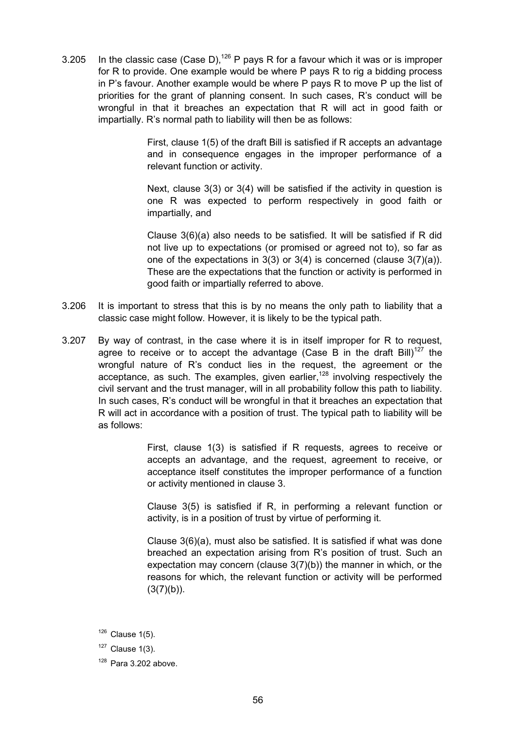3.205 In the classic case (Case D),<sup>126</sup> P pays R for a favour which it was or is improper for R to provide. One example would be where P pays R to rig a bidding process in P's favour. Another example would be where P pays R to move P up the list of priorities for the grant of planning consent. In such cases, R's conduct will be wrongful in that it breaches an expectation that R will act in good faith or impartially. R's normal path to liability will then be as follows:

> First, clause 1(5) of the draft Bill is satisfied if R accepts an advantage and in consequence engages in the improper performance of a relevant function or activity.

> Next, clause 3(3) or 3(4) will be satisfied if the activity in question is one R was expected to perform respectively in good faith or impartially, and

> Clause 3(6)(a) also needs to be satisfied. It will be satisfied if R did not live up to expectations (or promised or agreed not to), so far as one of the expectations in 3(3) or 3(4) is concerned (clause 3(7)(a)). These are the expectations that the function or activity is performed in good faith or impartially referred to above.

- 3.206 It is important to stress that this is by no means the only path to liability that a classic case might follow. However, it is likely to be the typical path.
- 3.207 By way of contrast, in the case where it is in itself improper for R to request, agree to receive or to accept the advantage (Case B in the draft Bill)<sup>127</sup> the wrongful nature of R's conduct lies in the request, the agreement or the acceptance, as such. The examples, given earlier,  $128$  involving respectively the civil servant and the trust manager, will in all probability follow this path to liability. In such cases, R's conduct will be wrongful in that it breaches an expectation that R will act in accordance with a position of trust. The typical path to liability will be as follows:

First, clause 1(3) is satisfied if R requests, agrees to receive or accepts an advantage, and the request, agreement to receive, or acceptance itself constitutes the improper performance of a function or activity mentioned in clause 3.

Clause 3(5) is satisfied if R, in performing a relevant function or activity, is in a position of trust by virtue of performing it.

Clause 3(6)(a), must also be satisfied. It is satisfied if what was done breached an expectation arising from R's position of trust. Such an expectation may concern (clause 3(7)(b)) the manner in which, or the reasons for which, the relevant function or activity will be performed  $(3(7)(b))$ .

 $126$  Clause 1(5).

 $127$  Clause 1(3).

 $128$  Para 3.202 above.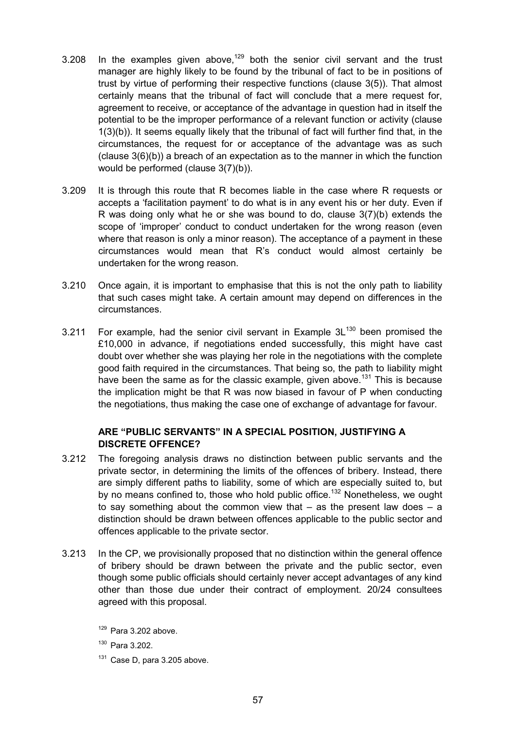- 3.208 In the examples given above,<sup>129</sup> both the senior civil servant and the trust manager are highly likely to be found by the tribunal of fact to be in positions of trust by virtue of performing their respective functions (clause 3(5)). That almost certainly means that the tribunal of fact will conclude that a mere request for, agreement to receive, or acceptance of the advantage in question had in itself the potential to be the improper performance of a relevant function or activity (clause 1(3)(b)). It seems equally likely that the tribunal of fact will further find that, in the circumstances, the request for or acceptance of the advantage was as such  $\alpha$  (clause  $3(6)(b)$ ) a breach of an expectation as to the manner in which the function would be performed (clause 3(7)(b)).
- 3.209 It is through this route that R becomes liable in the case where R requests or accepts a 'facilitation payment' to do what is in any event his or her duty. Even if R was doing only what he or she was bound to do, clause 3(7)(b) extends the scope of 'improper' conduct to conduct undertaken for the wrong reason (even where that reason is only a minor reason). The acceptance of a payment in these circumstances would mean that R's conduct would almost certainly be undertaken for the wrong reason.
- 3.210 Once again, it is important to emphasise that this is not the only path to liability that such cases might take. A certain amount may depend on differences in the circumstances.
- 3.211 For example, had the senior civil servant in Example  $3L^{130}$  been promised the £10,000 in advance, if negotiations ended successfully, this might have cast doubt over whether she was playing her role in the negotiations with the complete good faith required in the circumstances. That being so, the path to liability might have been the same as for the classic example, given above.<sup>131</sup> This is because the implication might be that R was now biased in favour of P when conducting the negotiations, thus making the case one of exchange of advantage for favour.

# **ARE "PUBLIC SERVANTS" IN A SPECIAL POSITION, JUSTIFYING A DISCRETE OFFENCE?**

- 3.212 The foregoing analysis draws no distinction between public servants and the private sector, in determining the limits of the offences of bribery. Instead, there are simply different paths to liability, some of which are especially suited to, but by no means confined to, those who hold public office.<sup>132</sup> Nonetheless, we ought to say something about the common view that  $-$  as the present law does  $-$  a distinction should be drawn between offences applicable to the public sector and offences applicable to the private sector.
- 3.213 In the CP, we provisionally proposed that no distinction within the general offence of bribery should be drawn between the private and the public sector, even though some public officials should certainly never accept advantages of any kind other than those due under their contract of employment. 20/24 consultees agreed with this proposal.

 $131$  Case D, para 3.205 above.

 $129$  Para 3.202 above.

<sup>130</sup> Para 3.202.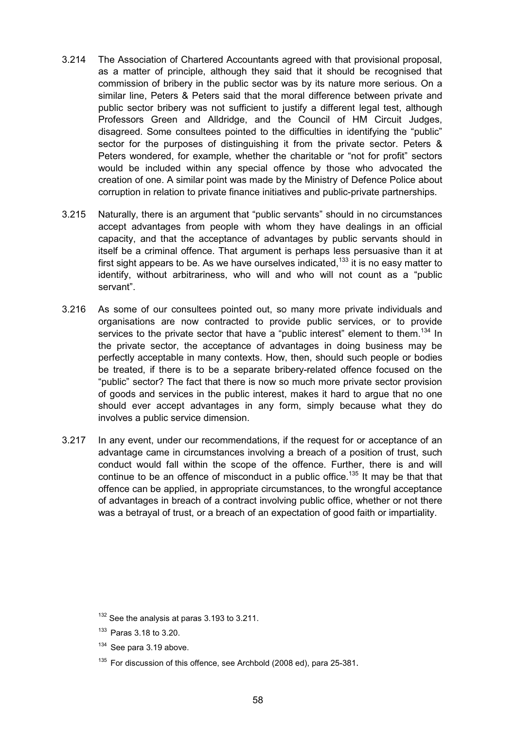- 3.214 The Association of Chartered Accountants agreed with that provisional proposal, as a matter of principle, although they said that it should be recognised that commission of bribery in the public sector was by its nature more serious. On a similar line, Peters & Peters said that the moral difference between private and public sector bribery was not sufficient to justify a different legal test, although Professors Green and Alldridge, and the Council of HM Circuit Judges, disagreed. Some consultees pointed to the difficulties in identifying the "public" sector for the purposes of distinguishing it from the private sector. Peters & Peters wondered, for example, whether the charitable or "not for profit" sectors would be included within any special offence by those who advocated the creation of one. A similar point was made by the Ministry of Defence Police about corruption in relation to private finance initiatives and public-private partnerships.
- 3.215 Naturally, there is an argument that "public servants" should in no circumstances accept advantages from people with whom they have dealings in an official capacity, and that the acceptance of advantages by public servants should in itself be a criminal offence. That argument is perhaps less persuasive than it at first sight appears to be. As we have ourselves indicated,<sup>133</sup> it is no easy matter to identify, without arbitrariness, who will and who will not count as a "public servant".
- 3.216 As some of our consultees pointed out, so many more private individuals and organisations are now contracted to provide public services, or to provide services to the private sector that have a "public interest" element to them.<sup>134</sup> In the private sector, the acceptance of advantages in doing business may be perfectly acceptable in many contexts. How, then, should such people or bodies be treated, if there is to be a separate bribery-related offence focused on the "public" sector? The fact that there is now so much more private sector provision of goods and services in the public interest, makes it hard to argue that no one should ever accept advantages in any form, simply because what they do involves a public service dimension.
- 3.217 In any event, under our recommendations, if the request for or acceptance of an advantage came in circumstances involving a breach of a position of trust, such conduct would fall within the scope of the offence. Further, there is and will continue to be an offence of misconduct in a public office.<sup>135</sup> It may be that that offence can be applied, in appropriate circumstances, to the wrongful acceptance of advantages in breach of a contract involving public office, whether or not there was a betrayal of trust, or a breach of an expectation of good faith or impartiality.

 $132$  See the analysis at paras 3.193 to 3.211.

<sup>133</sup> Paras 3.18 to 3.20.

<sup>&</sup>lt;sup>134</sup> See para 3.19 above.

 $135$  For discussion of this offence, see Archbold (2008 ed), para 25-381.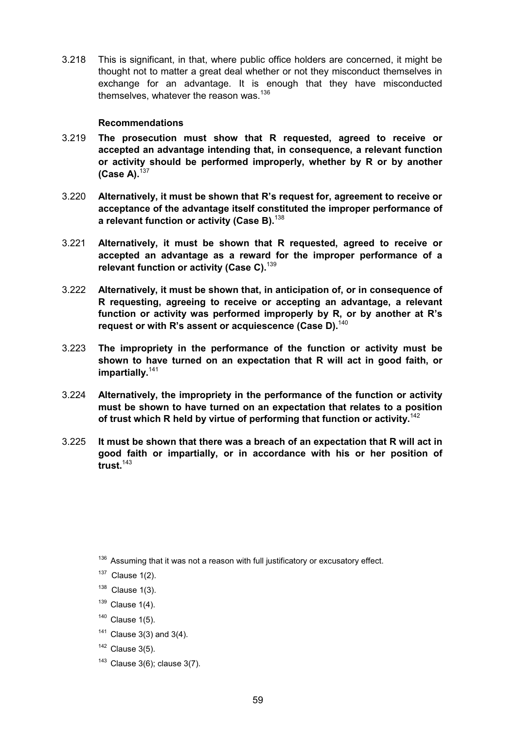3.218 This is significant, in that, where public office holders are concerned, it might be thought not to matter a great deal whether or not they misconduct themselves in exchange for an advantage. It is enough that they have misconducted themselves, whatever the reason was.<sup>136</sup>

#### **Recommendations**

- 3.219 **The prosecution must show that R requested, agreed to receive or accepted an advantage intending that, in consequence, a relevant function or activity should be performed improperly, whether by R or by another (Case A).**<sup>137</sup>
- 3.220 **Alternatively, it must be shown that R's request for, agreement to receive or acceptance of the advantage itself constituted the improper performance of a relevant function or activity (Case B).**<sup>138</sup>
- 3.221 **Alternatively, it must be shown that R requested, agreed to receive or accepted an advantage as a reward for the improper performance of a relevant function or activity (Case C).**<sup>139</sup>
- 3.222 **Alternatively, it must be shown that, in anticipation of, or in consequence of R requesting, agreeing to receive or accepting an advantage, a relevant function or activity was performed improperly by R, or by another at R's request or with R's assent or acquiescence (Case D).**<sup>140</sup>
- 3.223 **The impropriety in the performance of the function or activity must be shown to have turned on an expectation that R will act in good faith, or impartially.**<sup>141</sup>
- 3.224 **Alternatively, the impropriety in the performance of the function or activity must be shown to have turned on an expectation that relates to a position of trust which R held by virtue of performing that function or activity.**<sup>142</sup>
- 3.225 **It must be shown that there was a breach of an expectation that R will act in good faith or impartially, or in accordance with his or her position of trust.**<sup>143</sup>

- $139$  Clause 1(4).
- $140$  Clause 1(5).
- $141$  Clause 3(3) and 3(4).
- $142$  Clause 3(5).
- $143$  Clause 3(6); clause 3(7).

 $136$  Assuming that it was not a reason with full justificatory or excusatory effect.

 $137$  Clause 1(2).

 $138$  Clause 1(3).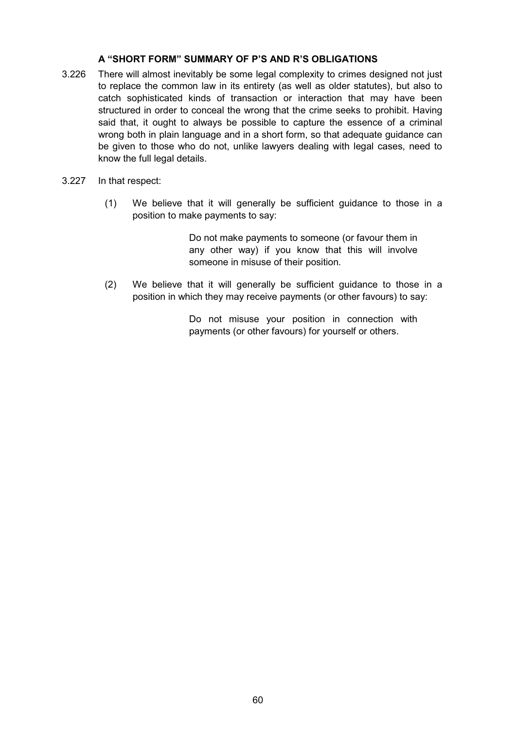# **A "SHORT FORM" SUMMARY OF P'S AND R'S OBLIGATIONS**

- 3.226 There will almost inevitably be some legal complexity to crimes designed not just to replace the common law in its entirety (as well as older statutes), but also to catch sophisticated kinds of transaction or interaction that may have been structured in order to conceal the wrong that the crime seeks to prohibit. Having said that, it ought to always be possible to capture the essence of a criminal wrong both in plain language and in a short form, so that adequate guidance can be given to those who do not, unlike lawyers dealing with legal cases, need to know the full legal details.
- 3.227 In that respect:
	- (1) We believe that it will generally be sufficient guidance to those in a position to make payments to say:

Do not make payments to someone (or favour them in any other way) if you know that this will involve someone in misuse of their position.

(2) We believe that it will generally be sufficient guidance to those in a position in which they may receive payments (or other favours) to say:

> Do not misuse your position in connection with payments (or other favours) for yourself or others.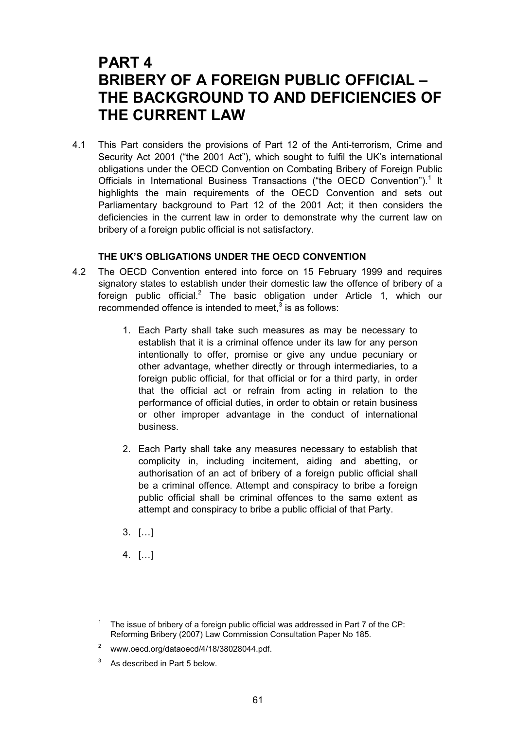# **PART 4 BRIBERY OF A FOREIGN PUBLIC OFFICIAL – THE BACKGROUND TO AND DEFICIENCIES OF THE CURRENT LAW**

4.1 This Part considers the provisions of Part 12 of the Anti-terrorism, Crime and Security Act 2001 ("the 2001 Act"), which sought to fulfil the UK's international obligations under the OECD Convention on Combating Bribery of Foreign Public Officials in International Business Transactions ("the OECD Convention").<sup>1</sup> It highlights the main requirements of the OECD Convention and sets out Parliamentary background to Part 12 of the 2001 Act; it then considers the deficiencies in the current law in order to demonstrate why the current law on bribery of a foreign public official is not satisfactory.

# **THE UK'S OBLIGATIONS UNDER THE OECD CONVENTION**

- 4.2 The OECD Convention entered into force on 15 February 1999 and requires signatory states to establish under their domestic law the offence of bribery of a foreign public official.<sup>2</sup> The basic obligation under Article 1, which our recommended offence is intended to meet, $^3$  is as follows:
	- 1. Each Party shall take such measures as may be necessary to establish that it is a criminal offence under its law for any person intentionally to offer, promise or give any undue pecuniary or other advantage, whether directly or through intermediaries, to a foreign public official, for that official or for a third party, in order that the official act or refrain from acting in relation to the performance of official duties, in order to obtain or retain business or other improper advantage in the conduct of international business.
	- 2. Each Party shall take any measures necessary to establish that complicity in, including incitement, aiding and abetting, or authorisation of an act of bribery of a foreign public official shall be a criminal offence. Attempt and conspiracy to bribe a foreign public official shall be criminal offences to the same extent as attempt and conspiracy to bribe a public official of that Party.
	- 3. […]
	- 4. […]

3 As described in Part 5 below.

The issue of bribery of a foreign public official was addressed in Part 7 of the CP: Reforming Bribery (2007) Law Commission Consultation Paper No 185.

 $2^{\circ}$  www.oecd.org/dataoecd/4/18/38028044.pdf.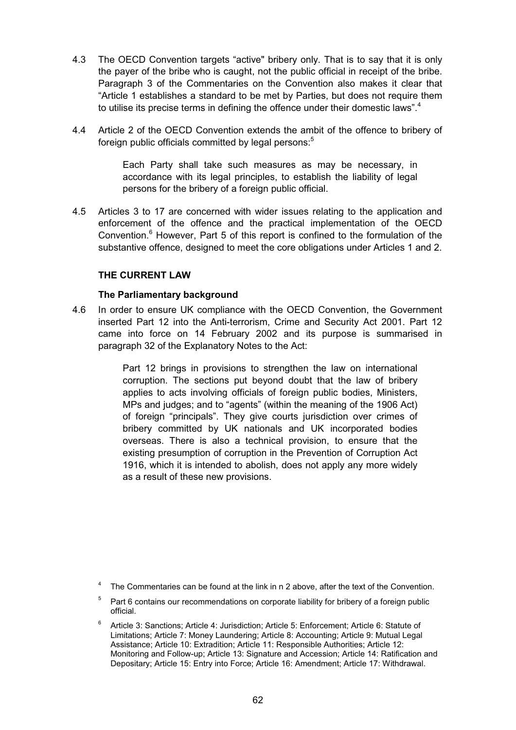- 4.3 The OECD Convention targets "active" bribery only. That is to say that it is only the payer of the bribe who is caught, not the public official in receipt of the bribe. Paragraph 3 of the Commentaries on the Convention also makes it clear that "Article 1 establishes a standard to be met by Parties, but does not require them to utilise its precise terms in defining the offence under their domestic laws".<sup>4</sup>
- 4.4 Article 2 of the OECD Convention extends the ambit of the offence to bribery of foreign public officials committed by legal persons:<sup>5</sup>

Each Party shall take such measures as may be necessary, in accordance with its legal principles, to establish the liability of legal persons for the bribery of a foreign public official.

4.5 Articles 3 to 17 are concerned with wider issues relating to the application and enforcement of the offence and the practical implementation of the OECD Convention.<sup>6</sup> However, Part 5 of this report is confined to the formulation of the substantive offence, designed to meet the core obligations under Articles 1 and 2.

## **THE CURRENT LAW**

#### **The Parliamentary background**

4.6 In order to ensure UK compliance with the OECD Convention, the Government inserted Part 12 into the Anti-terrorism, Crime and Security Act 2001. Part 12 came into force on 14 February 2002 and its purpose is summarised in paragraph 32 of the Explanatory Notes to the Act:

> Part 12 brings in provisions to strengthen the law on international corruption. The sections put beyond doubt that the law of bribery applies to acts involving officials of foreign public bodies, Ministers, MPs and judges; and to "agents" (within the meaning of the 1906 Act) of foreign "principals". They give courts jurisdiction over crimes of bribery committed by UK nationals and UK incorporated bodies overseas. There is also a technical provision, to ensure that the existing presumption of corruption in the Prevention of Corruption Act 1916, which it is intended to abolish, does not apply any more widely as a result of these new provisions.

<sup>6</sup> Article 3: Sanctions; Article 4: Jurisdiction; Article 5: Enforcement; Article 6: Statute of Limitations; Article 7: Money Laundering; Article 8: Accounting; Article 9: Mutual Legal Assistance; Article 10: Extradition; Article 11: Responsible Authorities; Article 12: Monitoring and Follow-up; Article 13: Signature and Accession; Article 14: Ratification and Depositary; Article 15: Entry into Force; Article 16: Amendment; Article 17: Withdrawal.

The Commentaries can be found at the link in n 2 above, after the text of the Convention.

 $5$  Part 6 contains our recommendations on corporate liability for bribery of a foreign public official.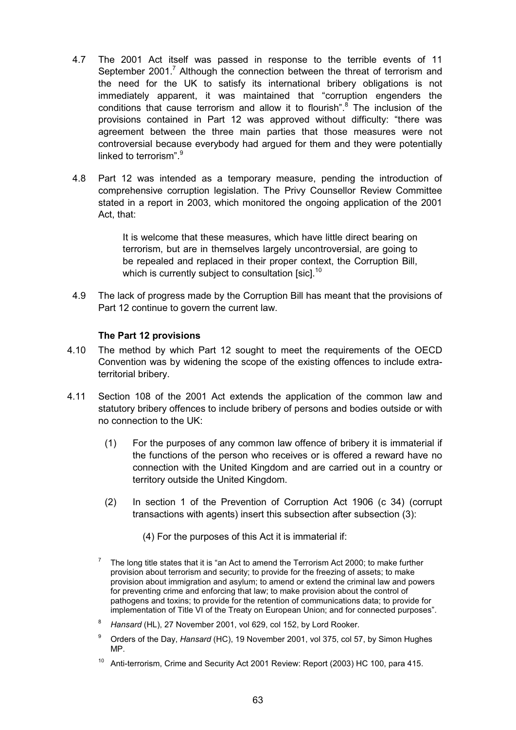- 4.7 The 2001 Act itself was passed in response to the terrible events of 11 September 2001.<sup>7</sup> Although the connection between the threat of terrorism and the need for the UK to satisfy its international bribery obligations is not immediately apparent, it was maintained that "corruption engenders the conditions that cause terrorism and allow it to flourish".<sup>8</sup> The inclusion of the provisions contained in Part 12 was approved without difficulty: "there was agreement between the three main parties that those measures were not controversial because everybody had argued for them and they were potentially linked to terrorism".<sup>9</sup>
- 4.8 Part 12 was intended as a temporary measure, pending the introduction of comprehensive corruption legislation. The Privy Counsellor Review Committee stated in a report in 2003, which monitored the ongoing application of the 2001 Act, that:

It is welcome that these measures, which have little direct bearing on terrorism, but are in themselves largely uncontroversial, are going to be repealed and replaced in their proper context, the Corruption Bill, which is currently subject to consultation [sic].<sup>10</sup>

4.9 The lack of progress made by the Corruption Bill has meant that the provisions of Part 12 continue to govern the current law.

# **The Part 12 provisions**

- 4.10 The method by which Part 12 sought to meet the requirements of the OECD Convention was by widening the scope of the existing offences to include extraterritorial bribery.
- 4.11 Section 108 of the 2001 Act extends the application of the common law and statutory bribery offences to include bribery of persons and bodies outside or with no connection to the UK:
	- (1) For the purposes of any common law offence of bribery it is immaterial if the functions of the person who receives or is offered a reward have no connection with the United Kingdom and are carried out in a country or territory outside the United Kingdom.
	- (2) In section 1 of the Prevention of Corruption Act 1906 (c 34) (corrupt transactions with agents) insert this subsection after subsection (3):
		- (4) For the purposes of this Act it is immaterial if:
	- <sup>7</sup> The long title states that it is "an Act to amend the Terrorism Act 2000; to make further provision about terrorism and security; to provide for the freezing of assets; to make provision about immigration and asylum; to amend or extend the criminal law and powers for preventing crime and enforcing that law; to make provision about the control of pathogens and toxins; to provide for the retention of communications data; to provide for implementation of Title VI of the Treaty on European Union; and for connected purposes".
	- <sup>8</sup> *Hansard* (HL), 27 November 2001, vol 629, col 152, by Lord Rooker.
	- <sup>9</sup> Orders of the Day, *Hansard* (HC), 19 November 2001, vol 375, col 57, by Simon Hughes MP.
	- <sup>10</sup> Anti-terrorism, Crime and Security Act 2001 Review: Report (2003) HC 100, para 415.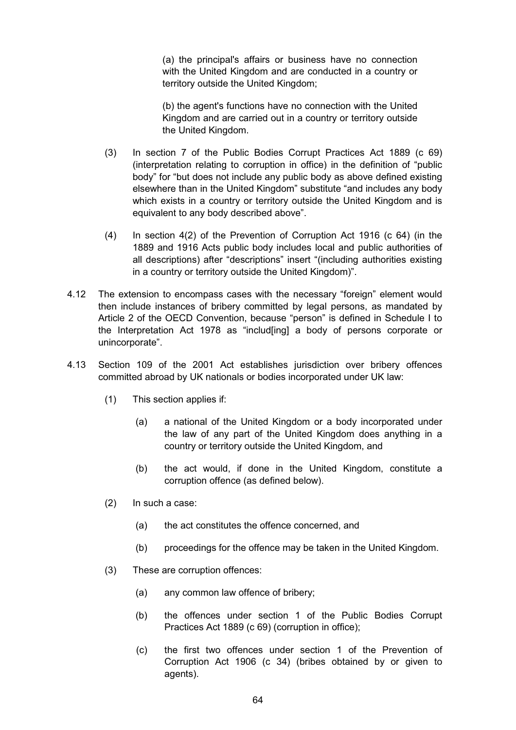(a) the principal's affairs or business have no connection with the United Kingdom and are conducted in a country or territory outside the United Kingdom;

(b) the agent's functions have no connection with the United Kingdom and are carried out in a country or territory outside the United Kingdom.

- (3) In section 7 of the Public Bodies Corrupt Practices Act 1889 (c 69) (interpretation relating to corruption in office) in the definition of "public body" for "but does not include any public body as above defined existing elsewhere than in the United Kingdom" substitute "and includes any body which exists in a country or territory outside the United Kingdom and is equivalent to any body described above".
- (4) In section 4(2) of the Prevention of Corruption Act 1916 (c 64) (in the 1889 and 1916 Acts public body includes local and public authorities of all descriptions) after "descriptions" insert "(including authorities existing in a country or territory outside the United Kingdom)".
- 4.12 The extension to encompass cases with the necessary "foreign" element would then include instances of bribery committed by legal persons, as mandated by Article 2 of the OECD Convention, because "person" is defined in Schedule I to the Interpretation Act 1978 as "includ[ing] a body of persons corporate or unincorporate".
- 4.13 Section 109 of the 2001 Act establishes jurisdiction over bribery offences committed abroad by UK nationals or bodies incorporated under UK law:
	- (1) This section applies if:
		- (a) a national of the United Kingdom or a body incorporated under the law of any part of the United Kingdom does anything in a country or territory outside the United Kingdom, and
		- (b) the act would, if done in the United Kingdom, constitute a corruption offence (as defined below).
	- (2) In such a case:
		- (a) the act constitutes the offence concerned, and
		- (b) proceedings for the offence may be taken in the United Kingdom.
	- (3) These are corruption offences:
		- (a) any common law offence of bribery;
		- (b) the offences under section 1 of the Public Bodies Corrupt Practices Act 1889 (c 69) (corruption in office);
		- (c) the first two offences under section 1 of the Prevention of Corruption Act 1906 (c 34) (bribes obtained by or given to agents).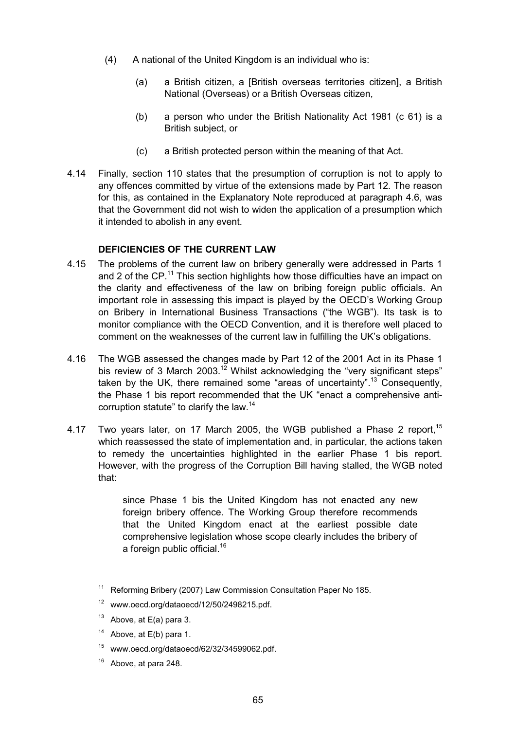- (4) A national of the United Kingdom is an individual who is:
	- (a) a British citizen, a [British overseas territories citizen], a British National (Overseas) or a British Overseas citizen,
	- (b) a person who under the British Nationality Act 1981 (c 61) is a British subject, or
	- (c) a British protected person within the meaning of that Act.
- 4.14 Finally, section 110 states that the presumption of corruption is not to apply to any offences committed by virtue of the extensions made by Part 12. The reason for this, as contained in the Explanatory Note reproduced at paragraph 4.6, was that the Government did not wish to widen the application of a presumption which it intended to abolish in any event.

# **DEFICIENCIES OF THE CURRENT LAW**

- 4.15 The problems of the current law on bribery generally were addressed in Parts 1 and 2 of the  $\text{CP}$ <sup>11</sup>. This section highlights how those difficulties have an impact on the clarity and effectiveness of the law on bribing foreign public officials. An important role in assessing this impact is played by the OECD's Working Group on Bribery in International Business Transactions ("the WGB"). Its task is to monitor compliance with the OECD Convention, and it is therefore well placed to comment on the weaknesses of the current law in fulfilling the UK's obligations.
- 4.16 The WGB assessed the changes made by Part 12 of the 2001 Act in its Phase 1 bis review of 3 March 2003.<sup>12</sup> Whilst acknowledging the "very significant steps" taken by the UK, there remained some "areas of uncertainty".<sup>13</sup> Consequently, the Phase 1 bis report recommended that the UK "enact a comprehensive anticorruption statute" to clarify the law.<sup>14</sup>
- 4.17 Two years later, on 17 March 2005, the WGB published a Phase 2 report,  $15$ which reassessed the state of implementation and, in particular, the actions taken to remedy the uncertainties highlighted in the earlier Phase 1 bis report. However, with the progress of the Corruption Bill having stalled, the WGB noted that:

since Phase 1 bis the United Kingdom has not enacted any new foreign bribery offence. The Working Group therefore recommends that the United Kingdom enact at the earliest possible date comprehensive legislation whose scope clearly includes the bribery of a foreign public official.<sup>16</sup>

- <sup>11</sup> Reforming Bribery (2007) Law Commission Consultation Paper No 185.
- <sup>12</sup> www.oecd.org/dataoecd/12/50/2498215.pdf.
- $13$  Above, at E(a) para 3.
- <sup>14</sup> Above, at  $E(b)$  para 1.
- $15$  www.oecd.org/dataoecd/62/32/34599062.pdf.
- Above, at para 248.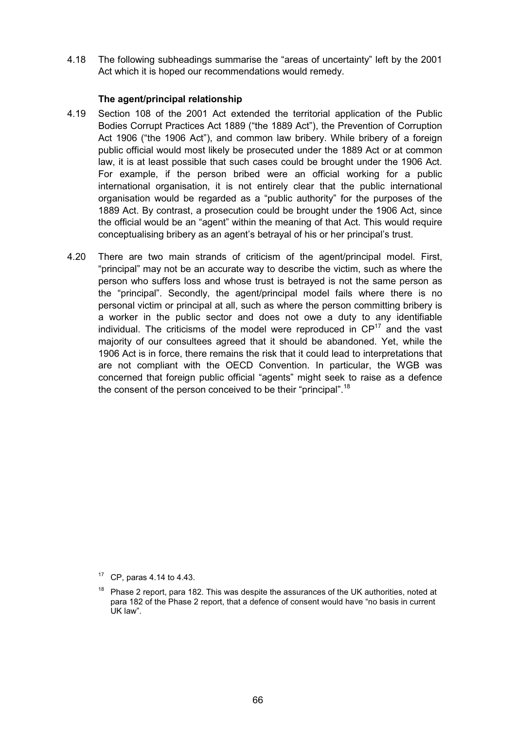4.18 The following subheadings summarise the "areas of uncertainty" left by the 2001 Act which it is hoped our recommendations would remedy.

#### **The agent/principal relationship**

- 4.19 Section 108 of the 2001 Act extended the territorial application of the Public Bodies Corrupt Practices Act 1889 ("the 1889 Act"), the Prevention of Corruption Act 1906 ("the 1906 Act"), and common law bribery. While bribery of a foreign public official would most likely be prosecuted under the 1889 Act or at common law, it is at least possible that such cases could be brought under the 1906 Act. For example, if the person bribed were an official working for a public international organisation, it is not entirely clear that the public international organisation would be regarded as a "public authority" for the purposes of the 1889 Act. By contrast, a prosecution could be brought under the 1906 Act, since the official would be an "agent" within the meaning of that Act. This would require conceptualising bribery as an agent's betrayal of his or her principal's trust.
- 4.20 There are two main strands of criticism of the agent/principal model. First, "principal" may not be an accurate way to describe the victim, such as where the person who suffers loss and whose trust is betrayed is not the same person as the "principal". Secondly, the agent/principal model fails where there is no personal victim or principal at all, such as where the person committing bribery is a worker in the public sector and does not owe a duty to any identifiable individual. The criticisms of the model were reproduced in  $\mathbb{CP}^{17}$  and the vast majority of our consultees agreed that it should be abandoned. Yet, while the 1906 Act is in force, there remains the risk that it could lead to interpretations that are not compliant with the OECD Convention. In particular, the WGB was concerned that foreign public official "agents" might seek to raise as a defence the consent of the person conceived to be their "principal".<sup>18</sup>

 $17$  CP, paras 4.14 to 4.43.

 $18$  Phase 2 report, para 182. This was despite the assurances of the UK authorities, noted at para 182 of the Phase 2 report, that a defence of consent would have "no basis in current UK law".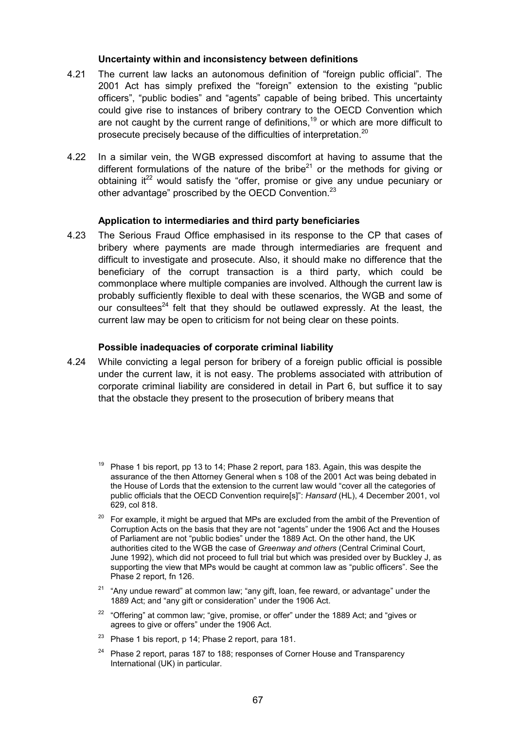#### **Uncertainty within and inconsistency between definitions**

- 4.21 The current law lacks an autonomous definition of "foreign public official". The 2001 Act has simply prefixed the "foreign" extension to the existing "public officers", "public bodies" and "agents" capable of being bribed. This uncertainty could give rise to instances of bribery contrary to the OECD Convention which are not caught by the current range of definitions,<sup>19</sup> or which are more difficult to prosecute precisely because of the difficulties of interpretation.<sup>20</sup>
- 4.22 In a similar vein, the WGB expressed discomfort at having to assume that the different formulations of the nature of the bribe<sup>21</sup> or the methods for giving or obtaining it $^{22}$  would satisfy the "offer, promise or give any undue pecuniary or other advantage" proscribed by the OECD Convention.<sup>23</sup>

#### **Application to intermediaries and third party beneficiaries**

4.23 The Serious Fraud Office emphasised in its response to the CP that cases of bribery where payments are made through intermediaries are frequent and difficult to investigate and prosecute. Also, it should make no difference that the beneficiary of the corrupt transaction is a third party, which could be commonplace where multiple companies are involved. Although the current law is probably sufficiently flexible to deal with these scenarios, the WGB and some of our consultees<sup>24</sup> felt that they should be outlawed expressly. At the least, the current law may be open to criticism for not being clear on these points.

#### **Possible inadequacies of corporate criminal liability**

- 4.24 While convicting a legal person for bribery of a foreign public official is possible under the current law, it is not easy. The problems associated with attribution of corporate criminal liability are considered in detail in Part 6, but suffice it to say that the obstacle they present to the prosecution of bribery means that
	- <sup>19</sup> Phase 1 bis report, pp 13 to 14; Phase 2 report, para 183. Again, this was despite the assurance of the then Attorney General when s 108 of the 2001 Act was being debated in the House of Lords that the extension to the current law would "cover all the categories of public officials that the OECD Convention require[s]": *Hansard* (HL), 4 December 2001, vol 629, col 818.
	- $20$  For example, it might be argued that MPs are excluded from the ambit of the Prevention of Corruption Acts on the basis that they are not "agents" under the 1906 Act and the Houses of Parliament are not "public bodies" under the 1889 Act. On the other hand, the UK authorities cited to the WGB the case of *Greenway and others* (Central Criminal Court, June 1992), which did not proceed to full trial but which was presided over by Buckley J, as supporting the view that MPs would be caught at common law as "public officers". See the Phase 2 report, fn 126.
	- $21$  "Anv undue reward" at common law; "any gift, loan, fee reward, or advantage" under the 1889 Act; and "any gift or consideration" under the 1906 Act.
	- <sup>22</sup> "Offering" at common law; "give, promise, or offer" under the 1889 Act; and "gives or agrees to give or offers" under the 1906 Act.
	- <sup>23</sup> Phase 1 bis report, p 14; Phase 2 report, para 181.
	- $24$  Phase 2 report, paras 187 to 188; responses of Corner House and Transparency International (UK) in particular.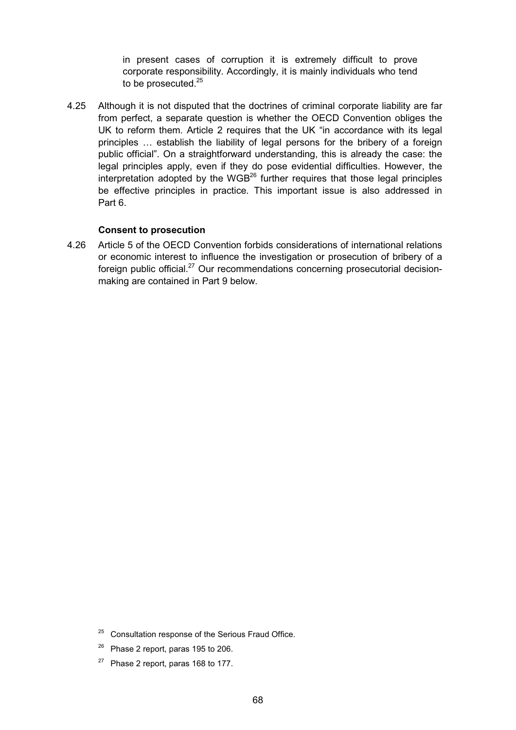in present cases of corruption it is extremely difficult to prove corporate responsibility. Accordingly, it is mainly individuals who tend to be prosecuted. $25$ 

4.25 Although it is not disputed that the doctrines of criminal corporate liability are far from perfect, a separate question is whether the OECD Convention obliges the UK to reform them. Article 2 requires that the UK "in accordance with its legal principles … establish the liability of legal persons for the bribery of a foreign public official". On a straightforward understanding, this is already the case: the legal principles apply, even if they do pose evidential difficulties. However, the interpretation adopted by the  $WGB^{26}$  further requires that those legal principles be effective principles in practice. This important issue is also addressed in Part 6.

## **Consent to prosecution**

4.26 Article 5 of the OECD Convention forbids considerations of international relations or economic interest to influence the investigation or prosecution of bribery of a foreign public official. $^{27}$  Our recommendations concerning prosecutorial decisionmaking are contained in Part 9 below.

 $27$  Phase 2 report, paras 168 to 177.

<sup>&</sup>lt;sup>25</sup> Consultation response of the Serious Fraud Office.

 $26$  Phase 2 report, paras 195 to 206.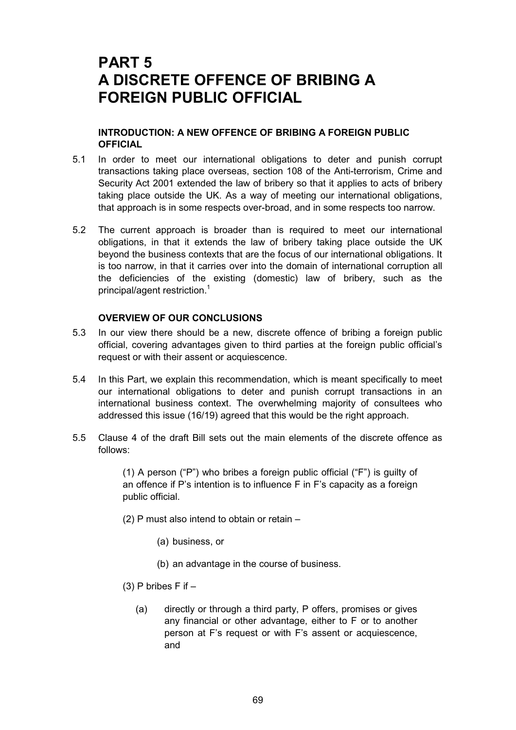# **PART 5 A DISCRETE OFFENCE OF BRIBING A FOREIGN PUBLIC OFFICIAL**

# **INTRODUCTION: A NEW OFFENCE OF BRIBING A FOREIGN PUBLIC OFFICIAL**

- 5.1 In order to meet our international obligations to deter and punish corrupt transactions taking place overseas, section 108 of the Anti-terrorism, Crime and Security Act 2001 extended the law of bribery so that it applies to acts of bribery taking place outside the UK. As a way of meeting our international obligations, that approach is in some respects over-broad, and in some respects too narrow.
- 5.2 The current approach is broader than is required to meet our international obligations, in that it extends the law of bribery taking place outside the UK beyond the business contexts that are the focus of our international obligations. It is too narrow, in that it carries over into the domain of international corruption all the deficiencies of the existing (domestic) law of bribery, such as the principal/agent restriction.<sup>1</sup>

## **OVERVIEW OF OUR CONCLUSIONS**

- 5.3 In our view there should be a new, discrete offence of bribing a foreign public official, covering advantages given to third parties at the foreign public official's request or with their assent or acquiescence.
- 5.4 In this Part, we explain this recommendation, which is meant specifically to meet our international obligations to deter and punish corrupt transactions in an international business context. The overwhelming majority of consultees who addressed this issue (16/19) agreed that this would be the right approach.
- 5.5 Clause 4 of the draft Bill sets out the main elements of the discrete offence as follows:

(1) A person ("P") who bribes a foreign public official ("F") is guilty of an offence if P's intention is to influence F in F's capacity as a foreign public official.

- (2) P must also intend to obtain or retain
	- (a) business, or
	- (b) an advantage in the course of business.
- (3) P bribes  $F$  if  $-$ 
	- (a) directly or through a third party, P offers, promises or gives any financial or other advantage, either to F or to another person at F's request or with F's assent or acquiescence, and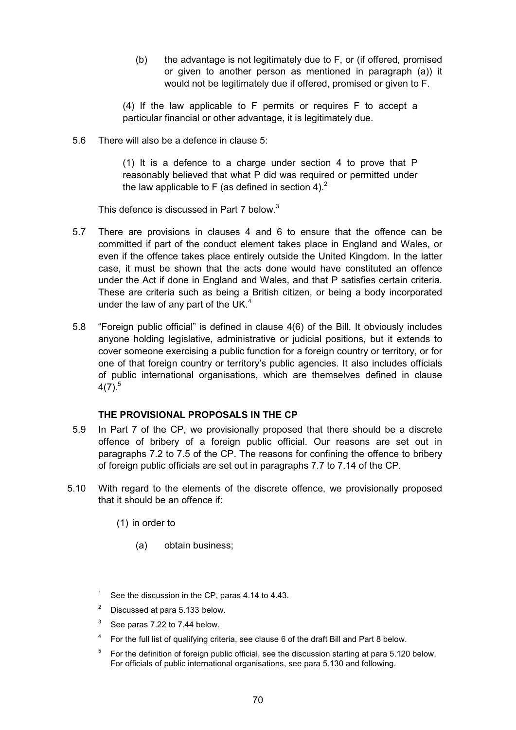(b) the advantage is not legitimately due to F, or (if offered, promised or given to another person as mentioned in paragraph (a)) it would not be legitimately due if offered, promised or given to F.

(4) If the law applicable to F permits or requires F to accept a particular financial or other advantage, it is legitimately due.

5.6 There will also be a defence in clause 5:

(1) It is a defence to a charge under section 4 to prove that P reasonably believed that what P did was required or permitted under the law applicable to F (as defined in section 4).<sup>2</sup>

This defence is discussed in Part 7 below.<sup>3</sup>

- 5.7 There are provisions in clauses 4 and 6 to ensure that the offence can be committed if part of the conduct element takes place in England and Wales, or even if the offence takes place entirely outside the United Kingdom. In the latter case, it must be shown that the acts done would have constituted an offence under the Act if done in England and Wales, and that P satisfies certain criteria. These are criteria such as being a British citizen, or being a body incorporated under the law of any part of the UK. $4$
- 5.8 "Foreign public official" is defined in clause 4(6) of the Bill. It obviously includes anyone holding legislative, administrative or judicial positions, but it extends to cover someone exercising a public function for a foreign country or territory, or for one of that foreign country or territory's public agencies. It also includes officials of public international organisations, which are themselves defined in clause  $4(7).^{5}$

#### **THE PROVISIONAL PROPOSALS IN THE CP**

- 5.9 In Part 7 of the CP, we provisionally proposed that there should be a discrete offence of bribery of a foreign public official. Our reasons are set out in paragraphs 7.2 to 7.5 of the CP. The reasons for confining the offence to bribery of foreign public officials are set out in paragraphs 7.7 to 7.14 of the CP.
- 5.10 With regard to the elements of the discrete offence, we provisionally proposed that it should be an offence if:

(1) in order to

- (a) obtain business;
- See the discussion in the CP, paras 4.14 to 4.43.
- Discussed at para 5.133 below.
- $3$  See paras 7.22 to 7.44 below.
- <sup>4</sup> For the full list of qualifying criteria, see clause 6 of the draft Bill and Part 8 below.
- $5$  For the definition of foreign public official, see the discussion starting at para 5.120 below. For officials of public international organisations, see para 5.130 and following.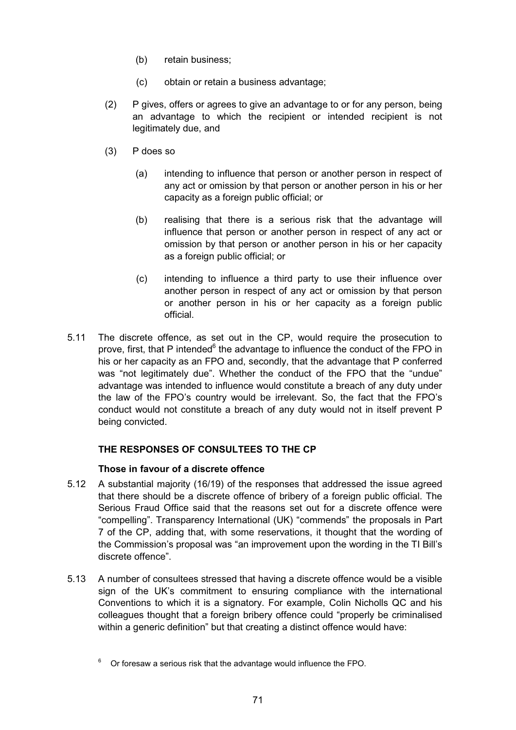- (b) retain business;
- (c) obtain or retain a business advantage;
- (2) P gives, offers or agrees to give an advantage to or for any person, being an advantage to which the recipient or intended recipient is not legitimately due, and
- (3) P does so
	- (a) intending to influence that person or another person in respect of any act or omission by that person or another person in his or her capacity as a foreign public official; or
	- (b) realising that there is a serious risk that the advantage will influence that person or another person in respect of any act or omission by that person or another person in his or her capacity as a foreign public official; or
	- (c) intending to influence a third party to use their influence over another person in respect of any act or omission by that person or another person in his or her capacity as a foreign public official.
- 5.11 The discrete offence, as set out in the CP, would require the prosecution to prove, first, that P intended<sup>6</sup> the advantage to influence the conduct of the FPO in his or her capacity as an FPO and, secondly, that the advantage that P conferred was "not legitimately due". Whether the conduct of the FPO that the "undue" advantage was intended to influence would constitute a breach of any duty under the law of the FPO's country would be irrelevant. So, the fact that the FPO's conduct would not constitute a breach of any duty would not in itself prevent P being convicted.

# **THE RESPONSES OF CONSULTEES TO THE CP**

## **Those in favour of a discrete offence**

- 5.12 A substantial majority (16/19) of the responses that addressed the issue agreed that there should be a discrete offence of bribery of a foreign public official. The Serious Fraud Office said that the reasons set out for a discrete offence were "compelling". Transparency International (UK) "commends" the proposals in Part 7 of the CP, adding that, with some reservations, it thought that the wording of the Commission's proposal was "an improvement upon the wording in the TI Bill's discrete offence".
- 5.13 A number of consultees stressed that having a discrete offence would be a visible sign of the UK's commitment to ensuring compliance with the international Conventions to which it is a signatory. For example, Colin Nicholls QC and his colleagues thought that a foreign bribery offence could "properly be criminalised within a generic definition" but that creating a distinct offence would have:

<sup>6</sup> Or foresaw a serious risk that the advantage would influence the FPO.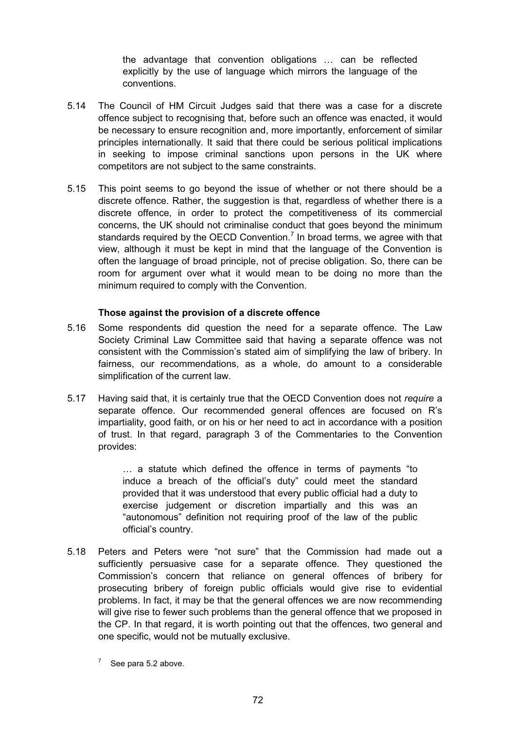the advantage that convention obligations … can be reflected explicitly by the use of language which mirrors the language of the conventions.

- 5.14 The Council of HM Circuit Judges said that there was a case for a discrete offence subject to recognising that, before such an offence was enacted, it would be necessary to ensure recognition and, more importantly, enforcement of similar principles internationally. It said that there could be serious political implications in seeking to impose criminal sanctions upon persons in the UK where competitors are not subject to the same constraints.
- 5.15 This point seems to go beyond the issue of whether or not there should be a discrete offence. Rather, the suggestion is that, regardless of whether there is a discrete offence, in order to protect the competitiveness of its commercial concerns, the UK should not criminalise conduct that goes beyond the minimum standards required by the OECD Convention.<sup>7</sup> In broad terms, we agree with that view, although it must be kept in mind that the language of the Convention is often the language of broad principle, not of precise obligation. So, there can be room for argument over what it would mean to be doing no more than the minimum required to comply with the Convention.

#### **Those against the provision of a discrete offence**

- 5.16 Some respondents did question the need for a separate offence. The Law Society Criminal Law Committee said that having a separate offence was not consistent with the Commission's stated aim of simplifying the law of bribery. In fairness, our recommendations, as a whole, do amount to a considerable simplification of the current law.
- 5.17 Having said that, it is certainly true that the OECD Convention does not *require* a separate offence. Our recommended general offences are focused on R's impartiality, good faith, or on his or her need to act in accordance with a position of trust. In that regard, paragraph 3 of the Commentaries to the Convention provides:

… a statute which defined the offence in terms of payments "to induce a breach of the official's duty" could meet the standard provided that it was understood that every public official had a duty to exercise judgement or discretion impartially and this was an "autonomous" definition not requiring proof of the law of the public official's country.

- 5.18 Peters and Peters were "not sure" that the Commission had made out a sufficiently persuasive case for a separate offence. They questioned the Commission's concern that reliance on general offences of bribery for prosecuting bribery of foreign public officials would give rise to evidential problems. In fact, it may be that the general offences we are now recommending will give rise to fewer such problems than the general offence that we proposed in the CP. In that regard, it is worth pointing out that the offences, two general and one specific, would not be mutually exclusive.
	- See para 5.2 above.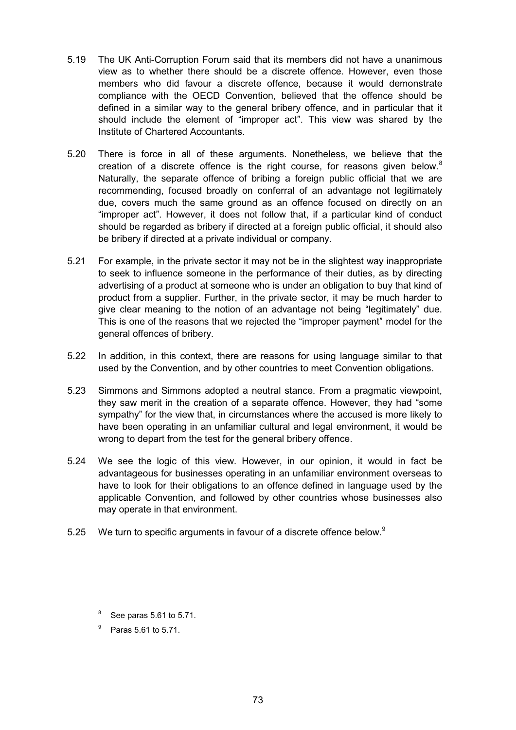- 5.19 The UK Anti-Corruption Forum said that its members did not have a unanimous view as to whether there should be a discrete offence. However, even those members who did favour a discrete offence, because it would demonstrate compliance with the OECD Convention, believed that the offence should be defined in a similar way to the general bribery offence, and in particular that it should include the element of "improper act". This view was shared by the Institute of Chartered Accountants.
- 5.20 There is force in all of these arguments. Nonetheless, we believe that the creation of a discrete offence is the right course, for reasons given below. $8$ Naturally, the separate offence of bribing a foreign public official that we are recommending, focused broadly on conferral of an advantage not legitimately due, covers much the same ground as an offence focused on directly on an "improper act". However, it does not follow that, if a particular kind of conduct should be regarded as bribery if directed at a foreign public official, it should also be bribery if directed at a private individual or company.
- 5.21 For example, in the private sector it may not be in the slightest way inappropriate to seek to influence someone in the performance of their duties, as by directing advertising of a product at someone who is under an obligation to buy that kind of product from a supplier. Further, in the private sector, it may be much harder to give clear meaning to the notion of an advantage not being "legitimately" due. This is one of the reasons that we rejected the "improper payment" model for the general offences of bribery.
- 5.22 In addition, in this context, there are reasons for using language similar to that used by the Convention, and by other countries to meet Convention obligations.
- 5.23 Simmons and Simmons adopted a neutral stance. From a pragmatic viewpoint, they saw merit in the creation of a separate offence. However, they had "some sympathy" for the view that, in circumstances where the accused is more likely to have been operating in an unfamiliar cultural and legal environment, it would be wrong to depart from the test for the general bribery offence.
- 5.24 We see the logic of this view. However, in our opinion, it would in fact be advantageous for businesses operating in an unfamiliar environment overseas to have to look for their obligations to an offence defined in language used by the applicable Convention, and followed by other countries whose businesses also may operate in that environment.
- 5.25 We turn to specific arguments in favour of a discrete offence below.<sup>9</sup>
	- See paras 5.61 to 5.71.
	- <sup>9</sup> Paras 5.61 to 5.71.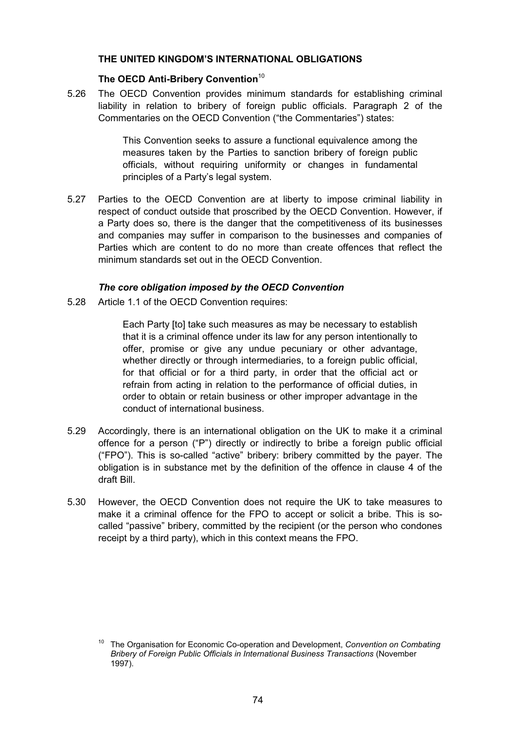## **THE UNITED KINGDOM'S INTERNATIONAL OBLIGATIONS**

# **The OECD Anti-Bribery Convention**<sup>10</sup>

5.26 The OECD Convention provides minimum standards for establishing criminal liability in relation to bribery of foreign public officials. Paragraph 2 of the Commentaries on the OECD Convention ("the Commentaries") states:

> This Convention seeks to assure a functional equivalence among the measures taken by the Parties to sanction bribery of foreign public officials, without requiring uniformity or changes in fundamental principles of a Party's legal system.

5.27 Parties to the OECD Convention are at liberty to impose criminal liability in respect of conduct outside that proscribed by the OECD Convention. However, if a Party does so, there is the danger that the competitiveness of its businesses and companies may suffer in comparison to the businesses and companies of Parties which are content to do no more than create offences that reflect the minimum standards set out in the OECD Convention.

## *The core obligation imposed by the OECD Convention*

5.28 Article 1.1 of the OECD Convention requires:

Each Party [to] take such measures as may be necessary to establish that it is a criminal offence under its law for any person intentionally to offer, promise or give any undue pecuniary or other advantage, whether directly or through intermediaries, to a foreign public official, for that official or for a third party, in order that the official act or refrain from acting in relation to the performance of official duties, in order to obtain or retain business or other improper advantage in the conduct of international business.

- 5.29 Accordingly, there is an international obligation on the UK to make it a criminal offence for a person ("P") directly or indirectly to bribe a foreign public official ("FPO"). This is so-called "active" bribery: bribery committed by the payer. The obligation is in substance met by the definition of the offence in clause 4 of the draft Bill.
- 5.30 However, the OECD Convention does not require the UK to take measures to make it a criminal offence for the FPO to accept or solicit a bribe. This is socalled "passive" bribery, committed by the recipient (or the person who condones receipt by a third party), which in this context means the FPO.

<sup>10</sup> The Organisation for Economic Co-operation and Development, *Convention on Combating Bribery of Foreign Public Officials in International Business Transactions* (November 1997).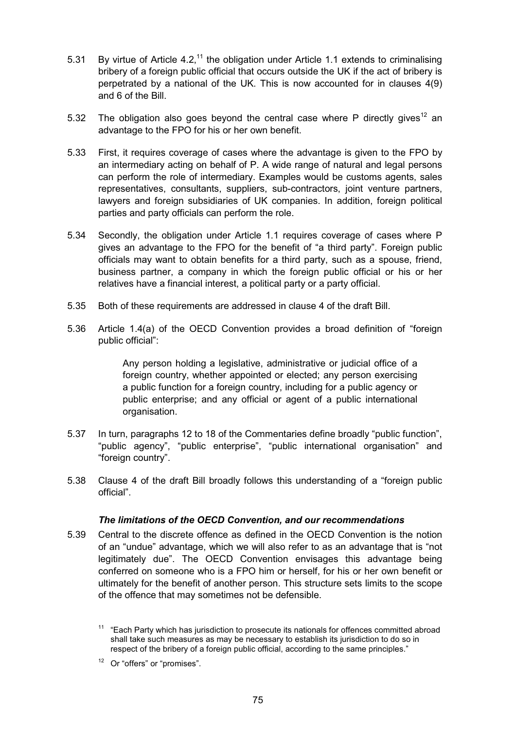- 5.31 By virtue of Article 4.2,<sup>11</sup> the obligation under Article 1.1 extends to criminalising bribery of a foreign public official that occurs outside the UK if the act of bribery is perpetrated by a national of the UK. This is now accounted for in clauses 4(9) and 6 of the Bill.
- 5.32 The obligation also goes beyond the central case where P directly gives<sup>12</sup> an advantage to the FPO for his or her own benefit.
- 5.33 First, it requires coverage of cases where the advantage is given to the FPO by an intermediary acting on behalf of P. A wide range of natural and legal persons can perform the role of intermediary. Examples would be customs agents, sales representatives, consultants, suppliers, sub-contractors, joint venture partners, lawyers and foreign subsidiaries of UK companies. In addition, foreign political parties and party officials can perform the role.
- 5.34 Secondly, the obligation under Article 1.1 requires coverage of cases where P gives an advantage to the FPO for the benefit of "a third party". Foreign public officials may want to obtain benefits for a third party, such as a spouse, friend, business partner, a company in which the foreign public official or his or her relatives have a financial interest, a political party or a party official.
- 5.35 Both of these requirements are addressed in clause 4 of the draft Bill.
- 5.36 Article 1.4(a) of the OECD Convention provides a broad definition of "foreign public official":

Any person holding a legislative, administrative or judicial office of a foreign country, whether appointed or elected; any person exercising a public function for a foreign country, including for a public agency or public enterprise; and any official or agent of a public international organisation.

- 5.37 In turn, paragraphs 12 to 18 of the Commentaries define broadly "public function", "public agency", "public enterprise", "public international organisation" and "foreign country".
- 5.38 Clause 4 of the draft Bill broadly follows this understanding of a "foreign public official".

# *The limitations of the OECD Convention, and our recommendations*

5.39 Central to the discrete offence as defined in the OECD Convention is the notion of an "undue" advantage, which we will also refer to as an advantage that is "not legitimately due". The OECD Convention envisages this advantage being conferred on someone who is a FPO him or herself, for his or her own benefit or ultimately for the benefit of another person. This structure sets limits to the scope of the offence that may sometimes not be defensible.

 $11$  "Each Party which has jurisdiction to prosecute its nationals for offences committed abroad shall take such measures as may be necessary to establish its jurisdiction to do so in respect of the bribery of a foreign public official, according to the same principles."

<sup>&</sup>lt;sup>12</sup> Or "offers" or "promises".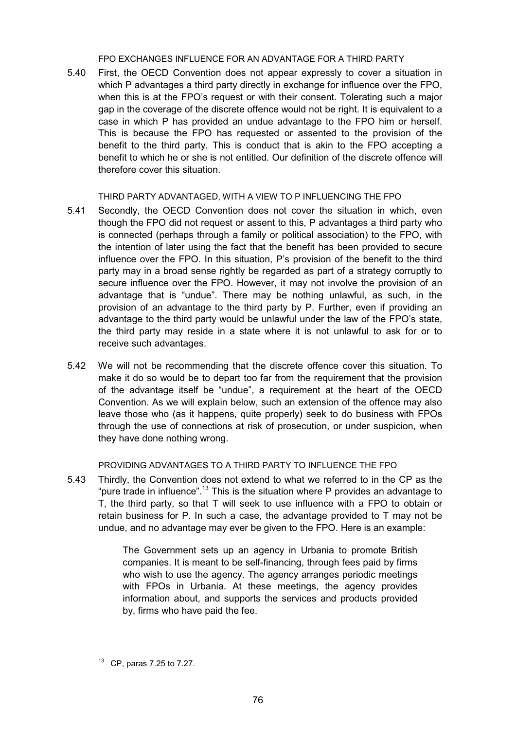FPO EXCHANGES INFLUENCE FOR AN ADVANTAGE FOR A THIRD PARTY

5.40 First, the OECD Convention does not appear expressly to cover a situation in which P advantages a third party directly in exchange for influence over the FPO, when this is at the FPO's request or with their consent. Tolerating such a major gap in the coverage of the discrete offence would not be right. It is equivalent to a case in which P has provided an undue advantage to the FPO him or herself. This is because the FPO has requested or assented to the provision of the benefit to the third party. This is conduct that is akin to the FPO accepting a benefit to which he or she is not entitled. Our definition of the discrete offence will therefore cover this situation.

#### THIRD PARTY ADVANTAGED, WITH A VIEW TO P INFLUENCING THE FPO

- 5.41 Secondly, the OECD Convention does not cover the situation in which, even though the FPO did not request or assent to this, P advantages a third party who is connected (perhaps through a family or political association) to the FPO, with the intention of later using the fact that the benefit has been provided to secure influence over the FPO. In this situation, P's provision of the benefit to the third party may in a broad sense rightly be regarded as part of a strategy corruptly to secure influence over the FPO. However, it may not involve the provision of an advantage that is "undue". There may be nothing unlawful, as such, in the provision of an advantage to the third party by P. Further, even if providing an advantage to the third party would be unlawful under the law of the FPO's state, the third party may reside in a state where it is not unlawful to ask for or to receive such advantages.
- 5.42 We will not be recommending that the discrete offence cover this situation. To make it do so would be to depart too far from the requirement that the provision of the advantage itself be "undue", a requirement at the heart of the OECD Convention. As we will explain below, such an extension of the offence may also leave those who (as it happens, quite properly) seek to do business with FPOs through the use of connections at risk of prosecution, or under suspicion, when they have done nothing wrong.

PROVIDING ADVANTAGES TO A THIRD PARTY TO INFLUENCE THE FPO

5.43 Thirdly, the Convention does not extend to what we referred to in the CP as the "pure trade in influence".<sup>13</sup> This is the situation where P provides an advantage to T, the third party, so that T will seek to use influence with a FPO to obtain or retain business for P. In such a case, the advantage provided to T may not be undue, and no advantage may ever be given to the FPO. Here is an example:

> The Government sets up an agency in Urbania to promote British companies. It is meant to be self-financing, through fees paid by firms who wish to use the agency. The agency arranges periodic meetings with FPOs in Urbania. At these meetings, the agency provides information about, and supports the services and products provided by, firms who have paid the fee.

<sup>13</sup> CP, paras 7.25 to 7.27.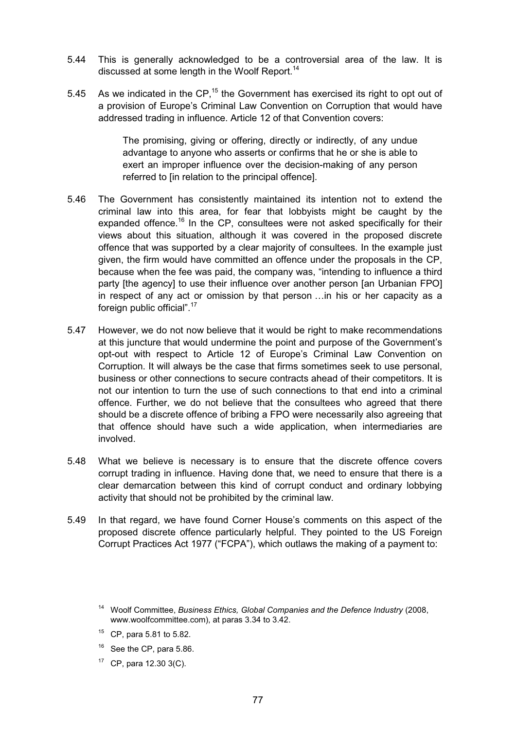- 5.44 This is generally acknowledged to be a controversial area of the law. It is discussed at some length in the Woolf Report.<sup>14</sup>
- 5.45 As we indicated in the CP, $15$  the Government has exercised its right to opt out of a provision of Europe's Criminal Law Convention on Corruption that would have addressed trading in influence. Article 12 of that Convention covers:

The promising, giving or offering, directly or indirectly, of any undue advantage to anyone who asserts or confirms that he or she is able to exert an improper influence over the decision-making of any person referred to [in relation to the principal offence].

- 5.46 The Government has consistently maintained its intention not to extend the criminal law into this area, for fear that lobbyists might be caught by the expanded offence.<sup>16</sup> In the CP, consultees were not asked specifically for their views about this situation, although it was covered in the proposed discrete offence that was supported by a clear majority of consultees. In the example just given, the firm would have committed an offence under the proposals in the CP, because when the fee was paid, the company was, "intending to influence a third party [the agency] to use their influence over another person [an Urbanian FPO] in respect of any act or omission by that person …in his or her capacity as a foreign public official".17
- 5.47 However, we do not now believe that it would be right to make recommendations at this juncture that would undermine the point and purpose of the Government's opt-out with respect to Article 12 of Europe's Criminal Law Convention on Corruption. It will always be the case that firms sometimes seek to use personal, business or other connections to secure contracts ahead of their competitors. It is not our intention to turn the use of such connections to that end into a criminal offence. Further, we do not believe that the consultees who agreed that there should be a discrete offence of bribing a FPO were necessarily also agreeing that that offence should have such a wide application, when intermediaries are involved.
- 5.48 What we believe is necessary is to ensure that the discrete offence covers corrupt trading in influence. Having done that, we need to ensure that there is a clear demarcation between this kind of corrupt conduct and ordinary lobbying activity that should not be prohibited by the criminal law.
- 5.49 In that regard, we have found Corner House's comments on this aspect of the proposed discrete offence particularly helpful. They pointed to the US Foreign Corrupt Practices Act 1977 ("FCPA"), which outlaws the making of a payment to:

- $15$  CP, para 5.81 to 5.82.
- $16$  See the CP, para 5.86.
- $17$  CP, para 12.30 3(C).

<sup>14</sup> Woolf Committee, *Business Ethics, Global Companies and the Defence Industry* (2008, www.woolfcommittee.com), at paras 3.34 to 3.42.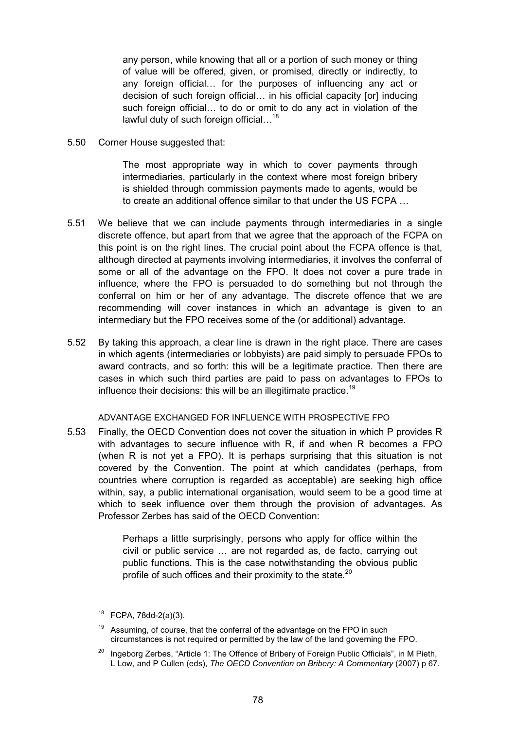any person, while knowing that all or a portion of such money or thing of value will be offered, given, or promised, directly or indirectly, to any foreign official… for the purposes of influencing any act or decision of such foreign official… in his official capacity [or] inducing such foreign official… to do or omit to do any act in violation of the lawful duty of such foreign official...<sup>18</sup>

5.50 Corner House suggested that:

The most appropriate way in which to cover payments through intermediaries, particularly in the context where most foreign bribery is shielded through commission payments made to agents, would be to create an additional offence similar to that under the US FCPA …

- 5.51 We believe that we can include payments through intermediaries in a single discrete offence, but apart from that we agree that the approach of the FCPA on this point is on the right lines. The crucial point about the FCPA offence is that, although directed at payments involving intermediaries, it involves the conferral of some or all of the advantage on the FPO. It does not cover a pure trade in influence, where the FPO is persuaded to do something but not through the conferral on him or her of any advantage. The discrete offence that we are recommending will cover instances in which an advantage is given to an intermediary but the FPO receives some of the (or additional) advantage.
- 5.52 By taking this approach, a clear line is drawn in the right place. There are cases in which agents (intermediaries or lobbyists) are paid simply to persuade FPOs to award contracts, and so forth: this will be a legitimate practice. Then there are cases in which such third parties are paid to pass on advantages to FPOs to influence their decisions: this will be an illegitimate practice.<sup>19</sup>

#### ADVANTAGE EXCHANGED FOR INFLUENCE WITH PROSPECTIVE FPO

5.53 Finally, the OECD Convention does not cover the situation in which P provides R with advantages to secure influence with R, if and when R becomes a FPO (when R is not yet a FPO). It is perhaps surprising that this situation is not covered by the Convention. The point at which candidates (perhaps, from countries where corruption is regarded as acceptable) are seeking high office within, say, a public international organisation, would seem to be a good time at which to seek influence over them through the provision of advantages. As Professor Zerbes has said of the OECD Convention:

> Perhaps a little surprisingly, persons who apply for office within the civil or public service … are not regarded as, de facto, carrying out public functions. This is the case notwithstanding the obvious public profile of such offices and their proximity to the state.<sup>20</sup>

 $18$  FCPA, 78dd-2(a)(3).

Assuming, of course, that the conferral of the advantage on the FPO in such circumstances is not required or permitted by the law of the land governing the FPO.

Ingeborg Zerbes, "Article 1: The Offence of Bribery of Foreign Public Officials", in M Pieth, L Low, and P Cullen (eds), *The OECD Convention on Bribery: A Commentary* (2007) p 67.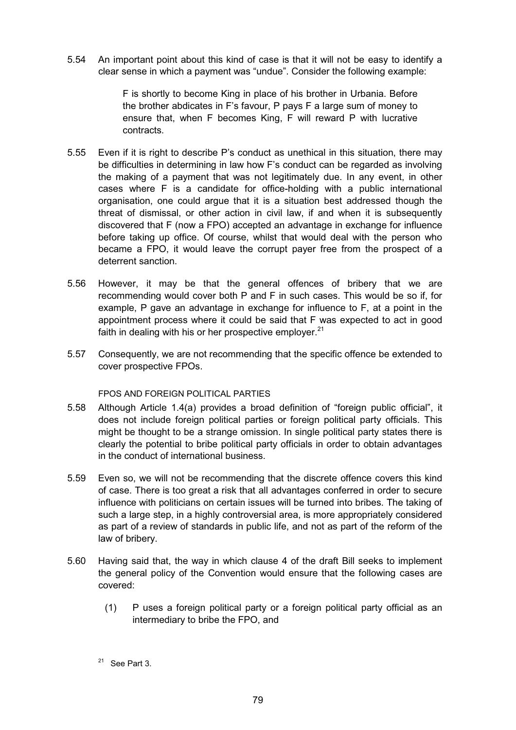5.54 An important point about this kind of case is that it will not be easy to identify a clear sense in which a payment was "undue". Consider the following example:

> F is shortly to become King in place of his brother in Urbania. Before the brother abdicates in F's favour, P pays F a large sum of money to ensure that, when F becomes King, F will reward P with lucrative contracts.

- 5.55 Even if it is right to describe P's conduct as unethical in this situation, there may be difficulties in determining in law how F's conduct can be regarded as involving the making of a payment that was not legitimately due. In any event, in other cases where F is a candidate for office-holding with a public international organisation, one could argue that it is a situation best addressed though the threat of dismissal, or other action in civil law, if and when it is subsequently discovered that F (now a FPO) accepted an advantage in exchange for influence before taking up office. Of course, whilst that would deal with the person who became a FPO, it would leave the corrupt payer free from the prospect of a deterrent sanction.
- 5.56 However, it may be that the general offences of bribery that we are recommending would cover both P and F in such cases. This would be so if, for example, P gave an advantage in exchange for influence to F, at a point in the appointment process where it could be said that F was expected to act in good faith in dealing with his or her prospective employer. $21$
- 5.57 Consequently, we are not recommending that the specific offence be extended to cover prospective FPOs.

## FPOS AND FOREIGN POLITICAL PARTIES

- 5.58 Although Article 1.4(a) provides a broad definition of "foreign public official", it does not include foreign political parties or foreign political party officials. This might be thought to be a strange omission. In single political party states there is clearly the potential to bribe political party officials in order to obtain advantages in the conduct of international business.
- 5.59 Even so, we will not be recommending that the discrete offence covers this kind of case. There is too great a risk that all advantages conferred in order to secure influence with politicians on certain issues will be turned into bribes. The taking of such a large step, in a highly controversial area, is more appropriately considered as part of a review of standards in public life, and not as part of the reform of the law of bribery.
- 5.60 Having said that, the way in which clause 4 of the draft Bill seeks to implement the general policy of the Convention would ensure that the following cases are covered:
	- (1) P uses a foreign political party or a foreign political party official as an intermediary to bribe the FPO, and

 $21$  See Part 3.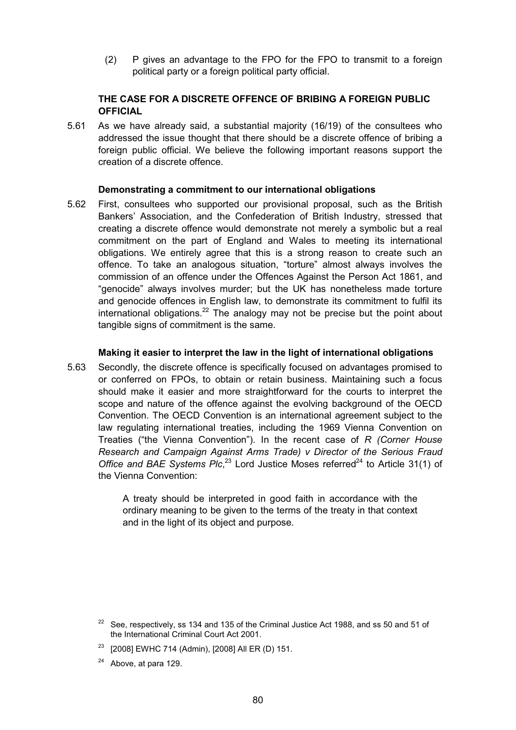(2) P gives an advantage to the FPO for the FPO to transmit to a foreign political party or a foreign political party official.

# **THE CASE FOR A DISCRETE OFFENCE OF BRIBING A FOREIGN PUBLIC OFFICIAL**

5.61 As we have already said, a substantial majority (16/19) of the consultees who addressed the issue thought that there should be a discrete offence of bribing a foreign public official. We believe the following important reasons support the creation of a discrete offence.

#### **Demonstrating a commitment to our international obligations**

5.62 First, consultees who supported our provisional proposal, such as the British Bankers' Association, and the Confederation of British Industry, stressed that creating a discrete offence would demonstrate not merely a symbolic but a real commitment on the part of England and Wales to meeting its international obligations. We entirely agree that this is a strong reason to create such an offence. To take an analogous situation, "torture" almost always involves the commission of an offence under the Offences Against the Person Act 1861, and "genocide" always involves murder; but the UK has nonetheless made torture and genocide offences in English law, to demonstrate its commitment to fulfil its international obligations. $^{22}$  The analogy may not be precise but the point about tangible signs of commitment is the same.

#### **Making it easier to interpret the law in the light of international obligations**

5.63 Secondly, the discrete offence is specifically focused on advantages promised to or conferred on FPOs, to obtain or retain business. Maintaining such a focus should make it easier and more straightforward for the courts to interpret the scope and nature of the offence against the evolving background of the OECD Convention. The OECD Convention is an international agreement subject to the law regulating international treaties, including the 1969 Vienna Convention on Treaties ("the Vienna Convention"). In the recent case of *R (Corner House Research and Campaign Against Arms Trade) v Director of the Serious Fraud* Office and BAE Systems Plc,<sup>23</sup> Lord Justice Moses referred<sup>24</sup> to Article 31(1) of the Vienna Convention:

> A treaty should be interpreted in good faith in accordance with the ordinary meaning to be given to the terms of the treaty in that context and in the light of its object and purpose.

 $24$  Above, at para 129.

 $22$  See, respectively, ss 134 and 135 of the Criminal Justice Act 1988, and ss 50 and 51 of the International Criminal Court Act 2001.

<sup>&</sup>lt;sup>23</sup> [2008] EWHC 714 (Admin), [2008] All ER (D) 151.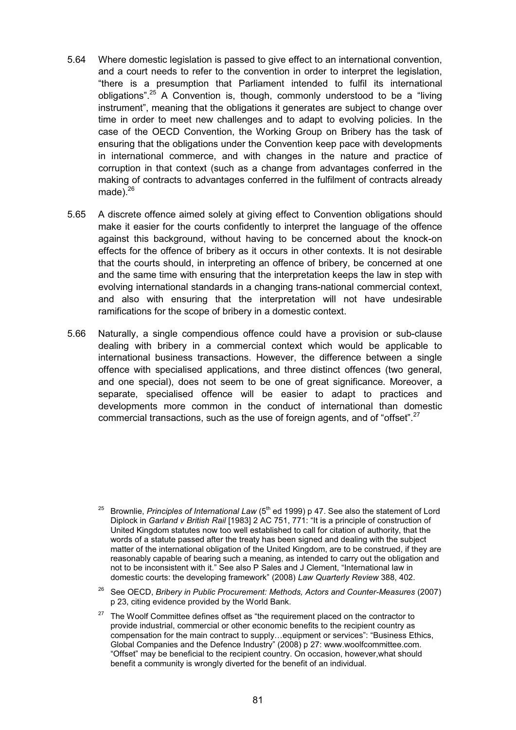- 5.64 Where domestic legislation is passed to give effect to an international convention, and a court needs to refer to the convention in order to interpret the legislation, "there is a presumption that Parliament intended to fulfil its international obligations".<sup>25</sup> A Convention is, though, commonly understood to be a "living instrument", meaning that the obligations it generates are subject to change over time in order to meet new challenges and to adapt to evolving policies. In the case of the OECD Convention, the Working Group on Bribery has the task of ensuring that the obligations under the Convention keep pace with developments in international commerce, and with changes in the nature and practice of corruption in that context (such as a change from advantages conferred in the making of contracts to advantages conferred in the fulfilment of contracts already made). $26$
- 5.65 A discrete offence aimed solely at giving effect to Convention obligations should make it easier for the courts confidently to interpret the language of the offence against this background, without having to be concerned about the knock-on effects for the offence of bribery as it occurs in other contexts. It is not desirable that the courts should, in interpreting an offence of bribery, be concerned at one and the same time with ensuring that the interpretation keeps the law in step with evolving international standards in a changing trans-national commercial context, and also with ensuring that the interpretation will not have undesirable ramifications for the scope of bribery in a domestic context.
- 5.66 Naturally, a single compendious offence could have a provision or sub-clause dealing with bribery in a commercial context which would be applicable to international business transactions. However, the difference between a single offence with specialised applications, and three distinct offences (two general, and one special), does not seem to be one of great significance. Moreover, a separate, specialised offence will be easier to adapt to practices and developments more common in the conduct of international than domestic commercial transactions, such as the use of foreign agents, and of "offset".<sup>27</sup>

- <sup>26</sup> See OECD, *Bribery in Public Procurement: Methods, Actors and Counter-Measures* (2007) p 23, citing evidence provided by the World Bank.
- $27$  The Woolf Committee defines offset as "the requirement placed on the contractor to provide industrial, commercial or other economic benefits to the recipient country as compensation for the main contract to supply…equipment or services": "Business Ethics, Global Companies and the Defence Industry" (2008) p 27: www.woolfcommittee.com. "Offset" may be beneficial to the recipient country. On occasion, however,what should benefit a community is wrongly diverted for the benefit of an individual.

<sup>&</sup>lt;sup>25</sup> Brownlie, *Principles of International Law* (5<sup>th</sup> ed 1999) p 47. See also the statement of Lord Diplock in *Garland v British Rail* [1983] 2 AC 751, 771: "It is a principle of construction of United Kingdom statutes now too well established to call for citation of authority, that the words of a statute passed after the treaty has been signed and dealing with the subject matter of the international obligation of the United Kingdom, are to be construed, if they are reasonably capable of bearing such a meaning, as intended to carry out the obligation and not to be inconsistent with it." See also P Sales and J Clement, "International law in domestic courts: the developing framework" (2008) *Law Quarterly Review* 388, 402.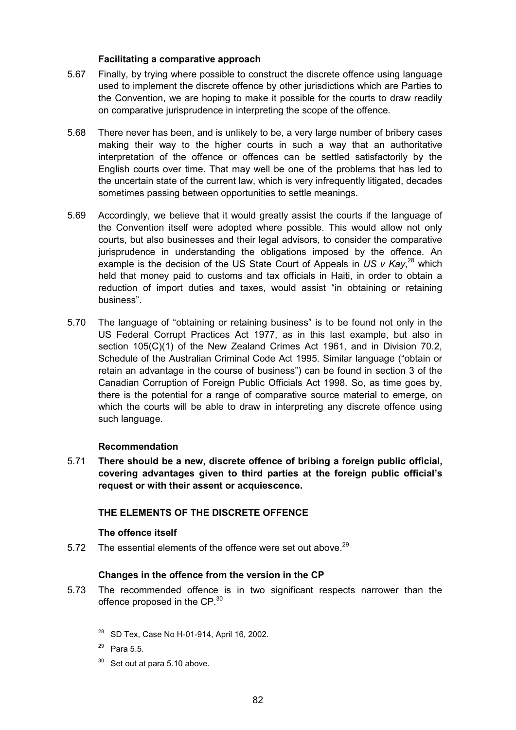## **Facilitating a comparative approach**

- 5.67 Finally, by trying where possible to construct the discrete offence using language used to implement the discrete offence by other jurisdictions which are Parties to the Convention, we are hoping to make it possible for the courts to draw readily on comparative jurisprudence in interpreting the scope of the offence.
- 5.68 There never has been, and is unlikely to be, a very large number of bribery cases making their way to the higher courts in such a way that an authoritative interpretation of the offence or offences can be settled satisfactorily by the English courts over time. That may well be one of the problems that has led to the uncertain state of the current law, which is very infrequently litigated, decades sometimes passing between opportunities to settle meanings.
- 5.69 Accordingly, we believe that it would greatly assist the courts if the language of the Convention itself were adopted where possible. This would allow not only courts, but also businesses and their legal advisors, to consider the comparative jurisprudence in understanding the obligations imposed by the offence. An example is the decision of the US State Court of Appeals in US v Kay,<sup>28</sup> which held that money paid to customs and tax officials in Haiti, in order to obtain a reduction of import duties and taxes, would assist "in obtaining or retaining business".
- 5.70 The language of "obtaining or retaining business" is to be found not only in the US Federal Corrupt Practices Act 1977, as in this last example, but also in section 105(C)(1) of the New Zealand Crimes Act 1961, and in Division 70.2, Schedule of the Australian Criminal Code Act 1995. Similar language ("obtain or retain an advantage in the course of business") can be found in section 3 of the Canadian Corruption of Foreign Public Officials Act 1998. So, as time goes by, there is the potential for a range of comparative source material to emerge, on which the courts will be able to draw in interpreting any discrete offence using such language.

## **Recommendation**

5.71 **There should be a new, discrete offence of bribing a foreign public official, covering advantages given to third parties at the foreign public official's request or with their assent or acquiescence.**

## **THE ELEMENTS OF THE DISCRETE OFFENCE**

#### **The offence itself**

5.72 The essential elements of the offence were set out above. $^{29}$ 

## **Changes in the offence from the version in the CP**

- 5.73 The recommended offence is in two significant respects narrower than the offence proposed in the CP.<sup>30</sup>
	- <sup>28</sup> SD Tex, Case No H-01-914, April 16, 2002.
	- <sup>29</sup> Para 5.5.
	- $30$  Set out at para 5.10 above.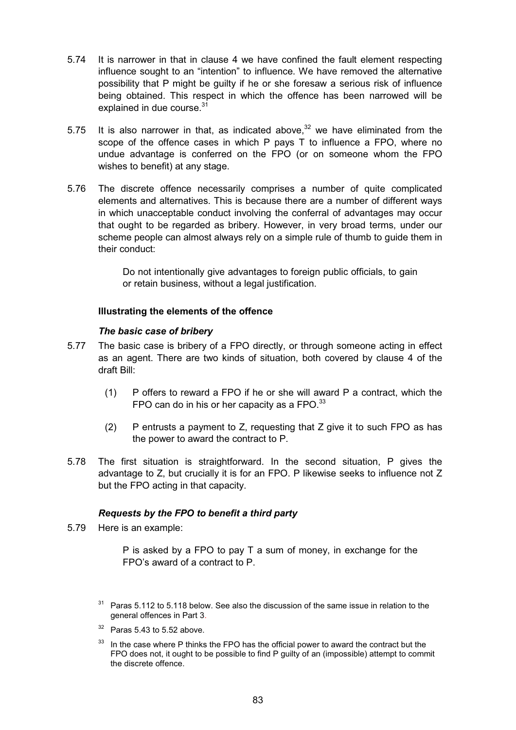- 5.74 It is narrower in that in clause 4 we have confined the fault element respecting influence sought to an "intention" to influence. We have removed the alternative possibility that P might be guilty if he or she foresaw a serious risk of influence being obtained. This respect in which the offence has been narrowed will be explained in due course.<sup>31</sup>
- 5.75 It is also narrower in that, as indicated above.<sup>32</sup> we have eliminated from the scope of the offence cases in which P pays T to influence a FPO, where no undue advantage is conferred on the FPO (or on someone whom the FPO wishes to benefit) at any stage.
- 5.76 The discrete offence necessarily comprises a number of quite complicated elements and alternatives. This is because there are a number of different ways in which unacceptable conduct involving the conferral of advantages may occur that ought to be regarded as bribery. However, in very broad terms, under our scheme people can almost always rely on a simple rule of thumb to guide them in their conduct:

Do not intentionally give advantages to foreign public officials, to gain or retain business, without a legal justification.

# **Illustrating the elements of the offence**

## *The basic case of bribery*

- 5.77 The basic case is bribery of a FPO directly, or through someone acting in effect as an agent. There are two kinds of situation, both covered by clause 4 of the draft Bill:
	- (1) P offers to reward a FPO if he or she will award P a contract, which the FPO can do in his or her capacity as a FPO. $^{33}$
	- (2) P entrusts a payment to Z, requesting that Z give it to such FPO as has the power to award the contract to P.
- 5.78 The first situation is straightforward. In the second situation, P gives the advantage to Z, but crucially it is for an FPO. P likewise seeks to influence not Z but the FPO acting in that capacity.

## *Requests by the FPO to benefit a third party*

5.79 Here is an example:

P is asked by a FPO to pay T a sum of money, in exchange for the FPO's award of a contract to P.

 $31$  Paras 5.112 to 5.118 below. See also the discussion of the same issue in relation to the general offences in Part 3.

 $32$  Paras 5.43 to 5.52 above.

In the case where P thinks the FPO has the official power to award the contract but the FPO does not, it ought to be possible to find P guilty of an (impossible) attempt to commit the discrete offence.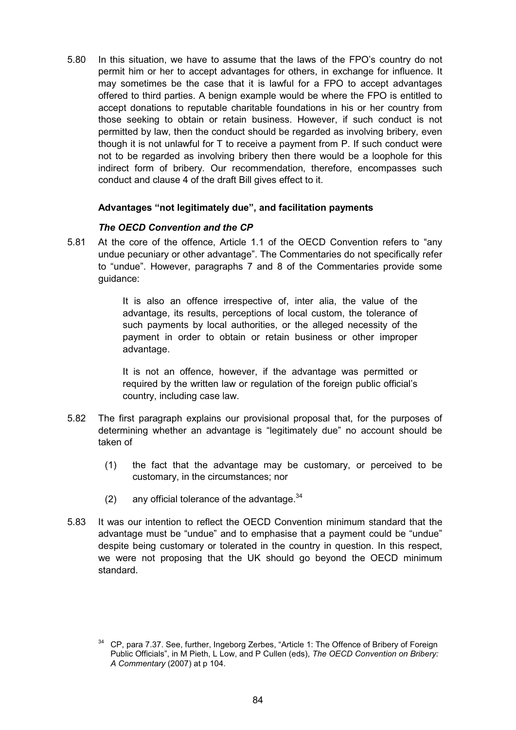5.80 In this situation, we have to assume that the laws of the FPO's country do not permit him or her to accept advantages for others, in exchange for influence. It may sometimes be the case that it is lawful for a FPO to accept advantages offered to third parties. A benign example would be where the FPO is entitled to accept donations to reputable charitable foundations in his or her country from those seeking to obtain or retain business. However, if such conduct is not permitted by law, then the conduct should be regarded as involving bribery, even though it is not unlawful for T to receive a payment from P. If such conduct were not to be regarded as involving bribery then there would be a loophole for this indirect form of bribery. Our recommendation, therefore, encompasses such conduct and clause 4 of the draft Bill gives effect to it.

## **Advantages "not legitimately due", and facilitation payments**

# *The OECD Convention and the CP*

5.81 At the core of the offence, Article 1.1 of the OECD Convention refers to "any undue pecuniary or other advantage". The Commentaries do not specifically refer to "undue". However, paragraphs 7 and 8 of the Commentaries provide some guidance:

> It is also an offence irrespective of, inter alia, the value of the advantage, its results, perceptions of local custom, the tolerance of such payments by local authorities, or the alleged necessity of the payment in order to obtain or retain business or other improper advantage.

> It is not an offence, however, if the advantage was permitted or required by the written law or regulation of the foreign public official's country, including case law.

- 5.82 The first paragraph explains our provisional proposal that, for the purposes of determining whether an advantage is "legitimately due" no account should be taken of
	- (1) the fact that the advantage may be customary, or perceived to be customary, in the circumstances; nor
	- (2) any official tolerance of the advantage.  $34$
- 5.83 It was our intention to reflect the OECD Convention minimum standard that the advantage must be "undue" and to emphasise that a payment could be "undue" despite being customary or tolerated in the country in question. In this respect, we were not proposing that the UK should go beyond the OECD minimum standard.

<sup>&</sup>lt;sup>34</sup> CP, para 7.37. See, further, Ingeborg Zerbes, "Article 1: The Offence of Bribery of Foreign Public Officials", in M Pieth, L Low, and P Cullen (eds), *The OECD Convention on Bribery: A Commentary* (2007) at p 104.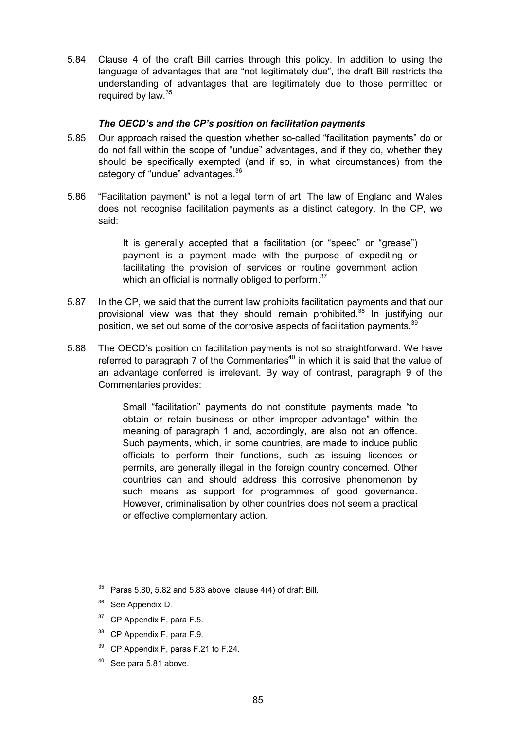5.84 Clause 4 of the draft Bill carries through this policy. In addition to using the language of advantages that are "not legitimately due", the draft Bill restricts the understanding of advantages that are legitimately due to those permitted or required by law.<sup>35</sup>

## *The OECD's and the CP's position on facilitation payments*

- 5.85 Our approach raised the question whether so-called "facilitation payments" do or do not fall within the scope of "undue" advantages, and if they do, whether they should be specifically exempted (and if so, in what circumstances) from the category of "undue" advantages.<sup>36</sup>
- 5.86 "Facilitation payment" is not a legal term of art. The law of England and Wales does not recognise facilitation payments as a distinct category. In the CP, we said:

It is generally accepted that a facilitation (or "speed" or "grease") payment is a payment made with the purpose of expediting or facilitating the provision of services or routine government action which an official is normally obliged to perform.<sup>37</sup>

- 5.87 In the CP, we said that the current law prohibits facilitation payments and that our provisional view was that they should remain prohibited.<sup>38</sup> In justifying our position, we set out some of the corrosive aspects of facilitation payments.<sup>39</sup>
- 5.88 The OECD's position on facilitation payments is not so straightforward. We have referred to paragraph 7 of the Commentaries $40$  in which it is said that the value of an advantage conferred is irrelevant. By way of contrast, paragraph 9 of the Commentaries provides:

Small "facilitation" payments do not constitute payments made "to obtain or retain business or other improper advantage" within the meaning of paragraph 1 and, accordingly, are also not an offence. Such payments, which, in some countries, are made to induce public officials to perform their functions, such as issuing licences or permits, are generally illegal in the foreign country concerned. Other countries can and should address this corrosive phenomenon by such means as support for programmes of good governance. However, criminalisation by other countries does not seem a practical or effective complementary action.

- $37$  CP Appendix F, para F.5.
- <sup>38</sup> CP Appendix F, para F.9.
- <sup>39</sup> CP Appendix F, paras F.21 to F.24.
- See para 5.81 above.

 $35$  Paras 5.80, 5.82 and 5.83 above; clause 4(4) of draft Bill.

<sup>&</sup>lt;sup>36</sup> See Appendix D.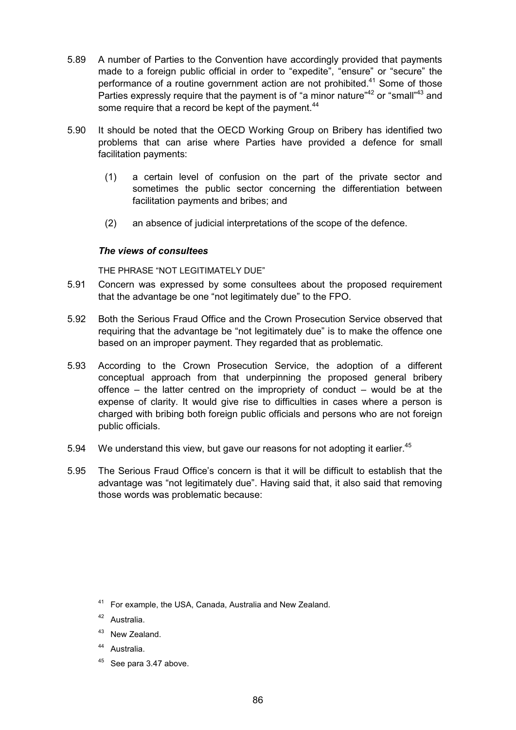- 5.89 A number of Parties to the Convention have accordingly provided that payments made to a foreign public official in order to "expedite", "ensure" or "secure" the performance of a routine government action are not prohibited.<sup>41</sup> Some of those Parties expressly require that the payment is of "a minor nature"<sup>42</sup> or "small"<sup>43</sup> and some require that a record be kept of the payment.<sup>44</sup>
- 5.90 It should be noted that the OECD Working Group on Bribery has identified two problems that can arise where Parties have provided a defence for small facilitation payments:
	- (1) a certain level of confusion on the part of the private sector and sometimes the public sector concerning the differentiation between facilitation payments and bribes; and
	- (2) an absence of judicial interpretations of the scope of the defence.

#### *The views of consultees*

THE PHRASE "NOT LEGITIMATELY DUE"

- 5.91 Concern was expressed by some consultees about the proposed requirement that the advantage be one "not legitimately due" to the FPO.
- 5.92 Both the Serious Fraud Office and the Crown Prosecution Service observed that requiring that the advantage be "not legitimately due" is to make the offence one based on an improper payment. They regarded that as problematic.
- 5.93 According to the Crown Prosecution Service, the adoption of a different conceptual approach from that underpinning the proposed general bribery offence – the latter centred on the impropriety of conduct – would be at the expense of clarity. It would give rise to difficulties in cases where a person is charged with bribing both foreign public officials and persons who are not foreign public officials.
- 5.94 We understand this view, but gave our reasons for not adopting it earlier.<sup>45</sup>
- 5.95 The Serious Fraud Office's concern is that it will be difficult to establish that the advantage was "not legitimately due". Having said that, it also said that removing those words was problematic because:

- <sup>43</sup> New Zealand.
- <sup>44</sup> Australia.
- $45$  See para 3.47 above.

<sup>41</sup> For example, the USA, Canada, Australia and New Zealand.

<sup>42</sup> Australia.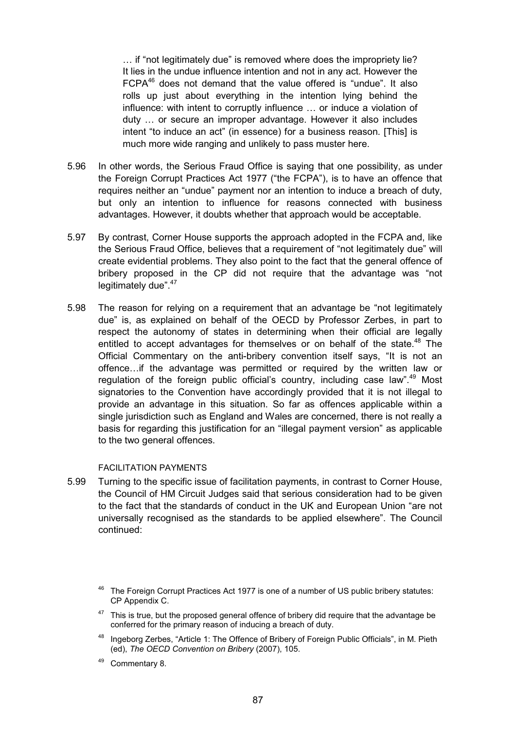… if "not legitimately due" is removed where does the impropriety lie? It lies in the undue influence intention and not in any act. However the FCPA46 does not demand that the value offered is "undue". It also rolls up just about everything in the intention lying behind the influence: with intent to corruptly influence … or induce a violation of duty … or secure an improper advantage. However it also includes intent "to induce an act" (in essence) for a business reason. [This] is much more wide ranging and unlikely to pass muster here.

- 5.96 In other words, the Serious Fraud Office is saying that one possibility, as under the Foreign Corrupt Practices Act 1977 ("the FCPA"), is to have an offence that requires neither an "undue" payment nor an intention to induce a breach of duty, but only an intention to influence for reasons connected with business advantages. However, it doubts whether that approach would be acceptable.
- 5.97 By contrast, Corner House supports the approach adopted in the FCPA and, like the Serious Fraud Office, believes that a requirement of "not legitimately due" will create evidential problems. They also point to the fact that the general offence of bribery proposed in the CP did not require that the advantage was "not legitimately due".<sup>47</sup>
- 5.98 The reason for relying on a requirement that an advantage be "not legitimately due" is, as explained on behalf of the OECD by Professor Zerbes, in part to respect the autonomy of states in determining when their official are legally entitled to accept advantages for themselves or on behalf of the state.<sup>48</sup> The Official Commentary on the anti-bribery convention itself says, "It is not an offence…if the advantage was permitted or required by the written law or regulation of the foreign public official's country, including case law".<sup>49</sup> Most signatories to the Convention have accordingly provided that it is not illegal to provide an advantage in this situation. So far as offences applicable within a single jurisdiction such as England and Wales are concerned, there is not really a basis for regarding this justification for an "illegal payment version" as applicable to the two general offences.

#### FACILITATION PAYMENTS

5.99 Turning to the specific issue of facilitation payments, in contrast to Corner House, the Council of HM Circuit Judges said that serious consideration had to be given to the fact that the standards of conduct in the UK and European Union "are not universally recognised as the standards to be applied elsewhere". The Council continued:

- $47$  This is true, but the proposed general offence of bribery did require that the advantage be conferred for the primary reason of inducing a breach of duty.
- <sup>48</sup> Ingeborg Zerbes, "Article 1: The Offence of Bribery of Foreign Public Officials", in M. Pieth (ed), *The OECD Convention on Bribery* (2007), 105.
- 49 Commentary 8.

<sup>&</sup>lt;sup>46</sup> The Foreign Corrupt Practices Act 1977 is one of a number of US public bribery statutes: CP Appendix C.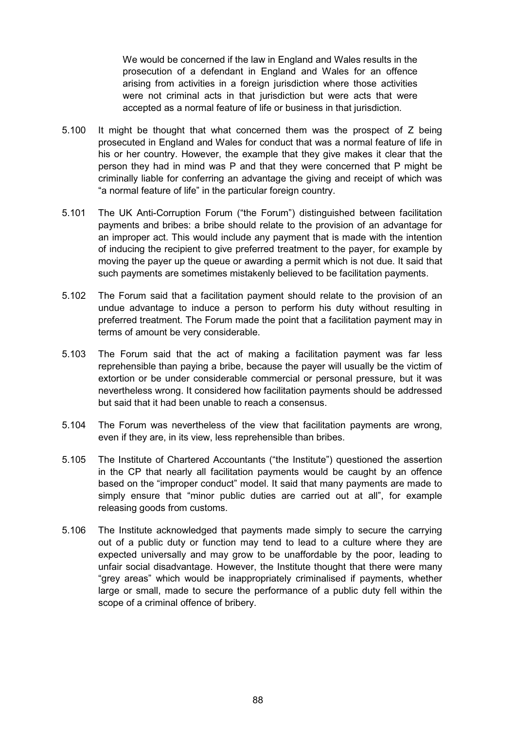We would be concerned if the law in England and Wales results in the prosecution of a defendant in England and Wales for an offence arising from activities in a foreign jurisdiction where those activities were not criminal acts in that jurisdiction but were acts that were accepted as a normal feature of life or business in that jurisdiction.

- 5.100 It might be thought that what concerned them was the prospect of Z being prosecuted in England and Wales for conduct that was a normal feature of life in his or her country. However, the example that they give makes it clear that the person they had in mind was P and that they were concerned that P might be criminally liable for conferring an advantage the giving and receipt of which was "a normal feature of life" in the particular foreign country.
- 5.101 The UK Anti-Corruption Forum ("the Forum") distinguished between facilitation payments and bribes: a bribe should relate to the provision of an advantage for an improper act. This would include any payment that is made with the intention of inducing the recipient to give preferred treatment to the payer, for example by moving the payer up the queue or awarding a permit which is not due. It said that such payments are sometimes mistakenly believed to be facilitation payments.
- 5.102 The Forum said that a facilitation payment should relate to the provision of an undue advantage to induce a person to perform his duty without resulting in preferred treatment. The Forum made the point that a facilitation payment may in terms of amount be very considerable.
- 5.103 The Forum said that the act of making a facilitation payment was far less reprehensible than paying a bribe, because the payer will usually be the victim of extortion or be under considerable commercial or personal pressure, but it was nevertheless wrong. It considered how facilitation payments should be addressed but said that it had been unable to reach a consensus.
- 5.104 The Forum was nevertheless of the view that facilitation payments are wrong, even if they are, in its view, less reprehensible than bribes.
- 5.105 The Institute of Chartered Accountants ("the Institute") questioned the assertion in the CP that nearly all facilitation payments would be caught by an offence based on the "improper conduct" model. It said that many payments are made to simply ensure that "minor public duties are carried out at all", for example releasing goods from customs.
- 5.106 The Institute acknowledged that payments made simply to secure the carrying out of a public duty or function may tend to lead to a culture where they are expected universally and may grow to be unaffordable by the poor, leading to unfair social disadvantage. However, the Institute thought that there were many "grey areas" which would be inappropriately criminalised if payments, whether large or small, made to secure the performance of a public duty fell within the scope of a criminal offence of bribery.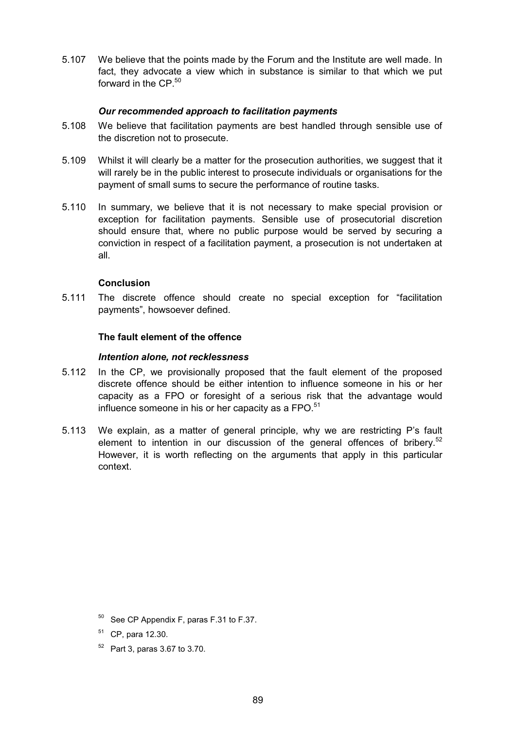5.107 We believe that the points made by the Forum and the Institute are well made. In fact, they advocate a view which in substance is similar to that which we put forward in the CP. $50$ 

## *Our recommended approach to facilitation payments*

- 5.108 We believe that facilitation payments are best handled through sensible use of the discretion not to prosecute.
- 5.109 Whilst it will clearly be a matter for the prosecution authorities, we suggest that it will rarely be in the public interest to prosecute individuals or organisations for the payment of small sums to secure the performance of routine tasks.
- 5.110 In summary, we believe that it is not necessary to make special provision or exception for facilitation payments. Sensible use of prosecutorial discretion should ensure that, where no public purpose would be served by securing a conviction in respect of a facilitation payment, a prosecution is not undertaken at all.

#### **Conclusion**

5.111 The discrete offence should create no special exception for "facilitation payments", howsoever defined.

#### **The fault element of the offence**

#### *Intention alone, not recklessness*

- 5.112 In the CP, we provisionally proposed that the fault element of the proposed discrete offence should be either intention to influence someone in his or her capacity as a FPO or foresight of a serious risk that the advantage would influence someone in his or her capacity as a  $FPO.<sup>51</sup>$
- 5.113 We explain, as a matter of general principle, why we are restricting P's fault element to intention in our discussion of the general offences of bribery.<sup>52</sup> However, it is worth reflecting on the arguments that apply in this particular context.

<sup>52</sup> Part 3, paras 3.67 to 3.70.

<sup>50</sup> See CP Appendix F, paras F.31 to F.37.

<sup>51</sup> CP, para 12.30.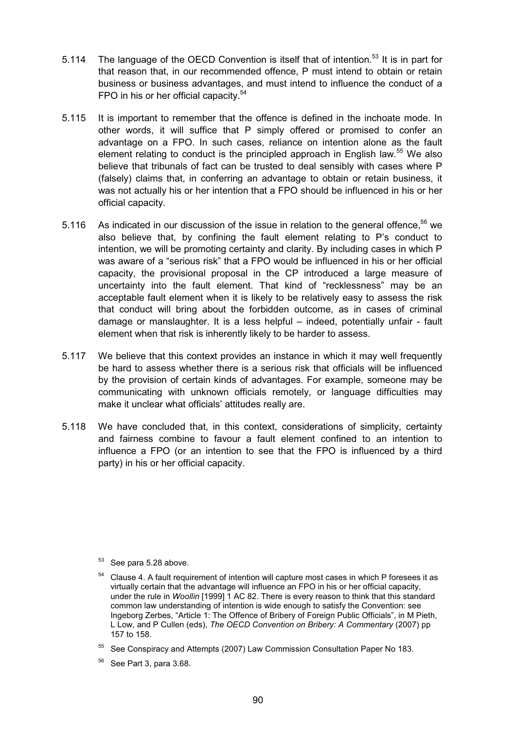- 5.114 The language of the OECD Convention is itself that of intention.<sup>53</sup> It is in part for that reason that, in our recommended offence, P must intend to obtain or retain business or business advantages, and must intend to influence the conduct of a FPO in his or her official capacity.<sup>54</sup>
- 5.115 It is important to remember that the offence is defined in the inchoate mode. In other words, it will suffice that P simply offered or promised to confer an advantage on a FPO. In such cases, reliance on intention alone as the fault element relating to conduct is the principled approach in English law.<sup>55</sup> We also believe that tribunals of fact can be trusted to deal sensibly with cases where P (falsely) claims that, in conferring an advantage to obtain or retain business, it was not actually his or her intention that a FPO should be influenced in his or her official capacity.
- 5.116 As indicated in our discussion of the issue in relation to the general offence.<sup>56</sup> we also believe that, by confining the fault element relating to P's conduct to intention, we will be promoting certainty and clarity. By including cases in which P was aware of a "serious risk" that a FPO would be influenced in his or her official capacity, the provisional proposal in the CP introduced a large measure of uncertainty into the fault element. That kind of "recklessness" may be an acceptable fault element when it is likely to be relatively easy to assess the risk that conduct will bring about the forbidden outcome, as in cases of criminal damage or manslaughter. It is a less helpful – indeed, potentially unfair - fault element when that risk is inherently likely to be harder to assess.
- 5.117 We believe that this context provides an instance in which it may well frequently be hard to assess whether there is a serious risk that officials will be influenced by the provision of certain kinds of advantages. For example, someone may be communicating with unknown officials remotely, or language difficulties may make it unclear what officials' attitudes really are.
- 5.118 We have concluded that, in this context, considerations of simplicity, certainty and fairness combine to favour a fault element confined to an intention to influence a FPO (or an intention to see that the FPO is influenced by a third party) in his or her official capacity.

- <sup>53</sup> See para 5.28 above.
- <sup>54</sup> Clause 4. A fault requirement of intention will capture most cases in which P foresees it as virtually certain that the advantage will influence an FPO in his or her official capacity, under the rule in *Woollin* [1999] 1 AC 82. There is every reason to think that this standard common law understanding of intention is wide enough to satisfy the Convention: see Ingeborg Zerbes, "Article 1: The Offence of Bribery of Foreign Public Officials", in M Pieth, L Low, and P Cullen (eds), *The OECD Convention on Bribery: A Commentary* (2007) pp 157 to 158.
- <sup>55</sup> See Conspiracy and Attempts (2007) Law Commission Consultation Paper No 183.
- <sup>56</sup> See Part 3, para 3.68.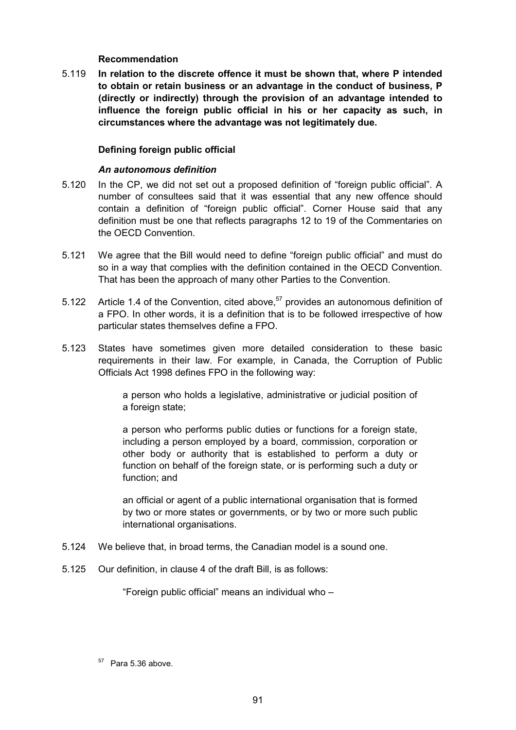### **Recommendation**

5.119 **In relation to the discrete offence it must be shown that, where P intended to obtain or retain business or an advantage in the conduct of business, P (directly or indirectly) through the provision of an advantage intended to influence the foreign public official in his or her capacity as such, in circumstances where the advantage was not legitimately due.**

## **Defining foreign public official**

#### *An autonomous definition*

- 5.120 In the CP, we did not set out a proposed definition of "foreign public official". A number of consultees said that it was essential that any new offence should contain a definition of "foreign public official". Corner House said that any definition must be one that reflects paragraphs 12 to 19 of the Commentaries on the OECD Convention.
- 5.121 We agree that the Bill would need to define "foreign public official" and must do so in a way that complies with the definition contained in the OECD Convention. That has been the approach of many other Parties to the Convention.
- 5.122 Article 1.4 of the Convention, cited above,  $57$  provides an autonomous definition of a FPO. In other words, it is a definition that is to be followed irrespective of how particular states themselves define a FPO.
- 5.123 States have sometimes given more detailed consideration to these basic requirements in their law. For example, in Canada, the Corruption of Public Officials Act 1998 defines FPO in the following way:

a person who holds a legislative, administrative or judicial position of a foreign state;

a person who performs public duties or functions for a foreign state, including a person employed by a board, commission, corporation or other body or authority that is established to perform a duty or function on behalf of the foreign state, or is performing such a duty or function; and

an official or agent of a public international organisation that is formed by two or more states or governments, or by two or more such public international organisations.

- 5.124 We believe that, in broad terms, the Canadian model is a sound one.
- 5.125 Our definition, in clause 4 of the draft Bill, is as follows:

"Foreign public official" means an individual who –

 $57$  Para 5.36 above.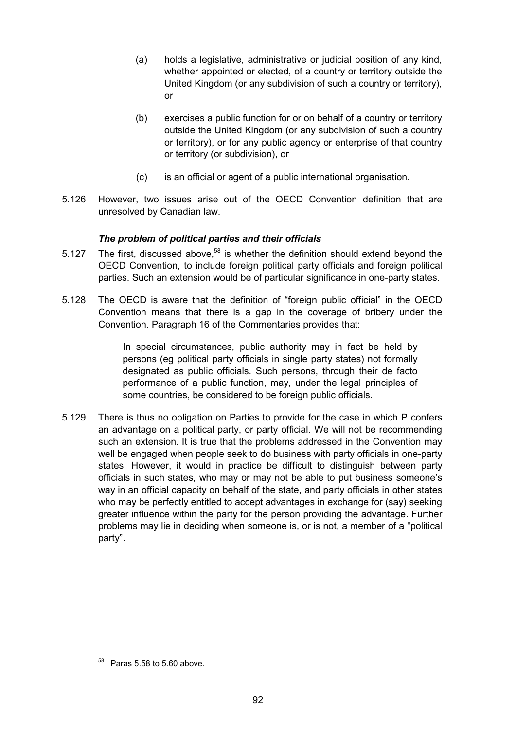- (a) holds a legislative, administrative or judicial position of any kind, whether appointed or elected, of a country or territory outside the United Kingdom (or any subdivision of such a country or territory), or
- (b) exercises a public function for or on behalf of a country or territory outside the United Kingdom (or any subdivision of such a country or territory), or for any public agency or enterprise of that country or territory (or subdivision), or
- (c) is an official or agent of a public international organisation.
- 5.126 However, two issues arise out of the OECD Convention definition that are unresolved by Canadian law.

## *The problem of political parties and their officials*

- 5.127 The first, discussed above,  $58$  is whether the definition should extend beyond the OECD Convention, to include foreign political party officials and foreign political parties. Such an extension would be of particular significance in one-party states.
- 5.128 The OECD is aware that the definition of "foreign public official" in the OECD Convention means that there is a gap in the coverage of bribery under the Convention. Paragraph 16 of the Commentaries provides that:

In special circumstances, public authority may in fact be held by persons (eg political party officials in single party states) not formally designated as public officials. Such persons, through their de facto performance of a public function, may, under the legal principles of some countries, be considered to be foreign public officials.

5.129 There is thus no obligation on Parties to provide for the case in which P confers an advantage on a political party, or party official. We will not be recommending such an extension. It is true that the problems addressed in the Convention may well be engaged when people seek to do business with party officials in one-party states. However, it would in practice be difficult to distinguish between party officials in such states, who may or may not be able to put business someone's way in an official capacity on behalf of the state, and party officials in other states who may be perfectly entitled to accept advantages in exchange for (say) seeking greater influence within the party for the person providing the advantage. Further problems may lie in deciding when someone is, or is not, a member of a "political party".

 $58$  Paras 5.58 to 5.60 above.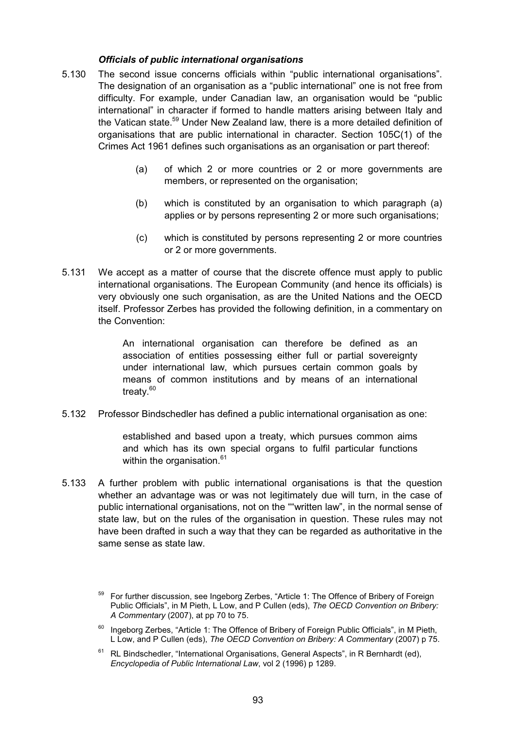## *Officials of public international organisations*

- 5.130 The second issue concerns officials within "public international organisations". The designation of an organisation as a "public international" one is not free from difficulty. For example, under Canadian law, an organisation would be "public international" in character if formed to handle matters arising between Italy and the Vatican state.<sup>59</sup> Under New Zealand law, there is a more detailed definition of organisations that are public international in character. Section 105C(1) of the Crimes Act 1961 defines such organisations as an organisation or part thereof:
	- (a) of which 2 or more countries or 2 or more governments are members, or represented on the organisation;
	- (b) which is constituted by an organisation to which paragraph (a) applies or by persons representing 2 or more such organisations;
	- (c) which is constituted by persons representing 2 or more countries or 2 or more governments.
- 5.131 We accept as a matter of course that the discrete offence must apply to public international organisations. The European Community (and hence its officials) is very obviously one such organisation, as are the United Nations and the OECD itself. Professor Zerbes has provided the following definition, in a commentary on the Convention:

An international organisation can therefore be defined as an association of entities possessing either full or partial sovereignty under international law, which pursues certain common goals by means of common institutions and by means of an international treaty.<sup>60</sup>

5.132 Professor Bindschedler has defined a public international organisation as one:

established and based upon a treaty, which pursues common aims and which has its own special organs to fulfil particular functions within the organisation. $61$ 

5.133 A further problem with public international organisations is that the question whether an advantage was or was not legitimately due will turn, in the case of public international organisations, not on the ""written law", in the normal sense of state law, but on the rules of the organisation in question. These rules may not have been drafted in such a way that they can be regarded as authoritative in the same sense as state law.

- Ingeborg Zerbes, "Article 1: The Offence of Bribery of Foreign Public Officials", in M Pieth, L Low, and P Cullen (eds), *The OECD Convention on Bribery: A Commentary* (2007) p 75.
- $61$  RL Bindschedler, "International Organisations, General Aspects", in R Bernhardt (ed), *Encyclopedia of Public International Law*, vol 2 (1996) p 1289.

<sup>59</sup> For further discussion, see Ingeborg Zerbes, "Article 1: The Offence of Bribery of Foreign Public Officials", in M Pieth, L Low, and P Cullen (eds), *The OECD Convention on Bribery: A Commentary* (2007), at pp 70 to 75.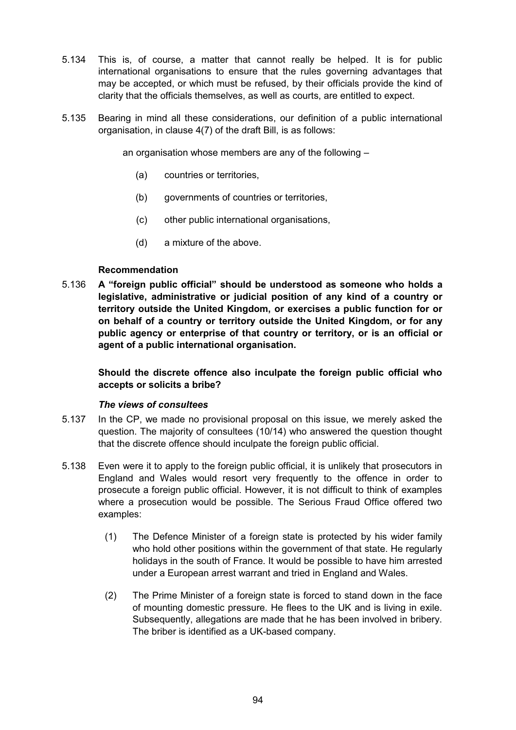- 5.134 This is, of course, a matter that cannot really be helped. It is for public international organisations to ensure that the rules governing advantages that may be accepted, or which must be refused, by their officials provide the kind of clarity that the officials themselves, as well as courts, are entitled to expect.
- 5.135 Bearing in mind all these considerations, our definition of a public international organisation, in clause 4(7) of the draft Bill, is as follows:

an organisation whose members are any of the following –

- (a) countries or territories,
- (b) governments of countries or territories,
- (c) other public international organisations,
- (d) a mixture of the above.

## **Recommendation**

5.136 **A "foreign public official" should be understood as someone who holds a legislative, administrative or judicial position of any kind of a country or territory outside the United Kingdom, or exercises a public function for or on behalf of a country or territory outside the United Kingdom, or for any public agency or enterprise of that country or territory, or is an official or agent of a public international organisation.**

**Should the discrete offence also inculpate the foreign public official who accepts or solicits a bribe?**

#### *The views of consultees*

- 5.137 In the CP, we made no provisional proposal on this issue, we merely asked the question. The majority of consultees (10/14) who answered the question thought that the discrete offence should inculpate the foreign public official.
- 5.138 Even were it to apply to the foreign public official, it is unlikely that prosecutors in England and Wales would resort very frequently to the offence in order to prosecute a foreign public official. However, it is not difficult to think of examples where a prosecution would be possible. The Serious Fraud Office offered two examples:
	- (1) The Defence Minister of a foreign state is protected by his wider family who hold other positions within the government of that state. He regularly holidays in the south of France. It would be possible to have him arrested under a European arrest warrant and tried in England and Wales.
	- (2) The Prime Minister of a foreign state is forced to stand down in the face of mounting domestic pressure. He flees to the UK and is living in exile. Subsequently, allegations are made that he has been involved in bribery. The briber is identified as a UK-based company.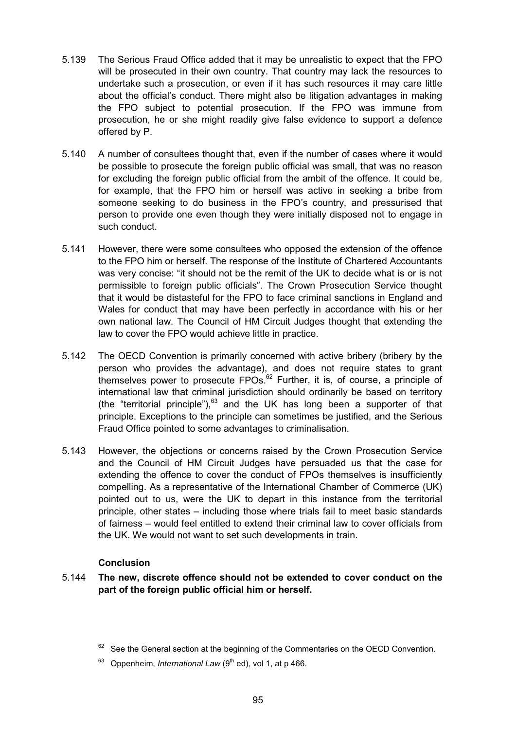- 5.139 The Serious Fraud Office added that it may be unrealistic to expect that the FPO will be prosecuted in their own country. That country may lack the resources to undertake such a prosecution, or even if it has such resources it may care little about the official's conduct. There might also be litigation advantages in making the FPO subject to potential prosecution. If the FPO was immune from prosecution, he or she might readily give false evidence to support a defence offered by P.
- 5.140 A number of consultees thought that, even if the number of cases where it would be possible to prosecute the foreign public official was small, that was no reason for excluding the foreign public official from the ambit of the offence. It could be, for example, that the FPO him or herself was active in seeking a bribe from someone seeking to do business in the FPO's country, and pressurised that person to provide one even though they were initially disposed not to engage in such conduct.
- 5.141 However, there were some consultees who opposed the extension of the offence to the FPO him or herself. The response of the Institute of Chartered Accountants was very concise: "it should not be the remit of the UK to decide what is or is not permissible to foreign public officials". The Crown Prosecution Service thought that it would be distasteful for the FPO to face criminal sanctions in England and Wales for conduct that may have been perfectly in accordance with his or her own national law. The Council of HM Circuit Judges thought that extending the law to cover the FPO would achieve little in practice.
- 5.142 The OECD Convention is primarily concerned with active bribery (bribery by the person who provides the advantage), and does not require states to grant themselves power to prosecute FPOs.<sup>62</sup> Further, it is, of course, a principle of international law that criminal jurisdiction should ordinarily be based on territory (the "territorial principle"), $^{63}$  and the UK has long been a supporter of that principle. Exceptions to the principle can sometimes be justified, and the Serious Fraud Office pointed to some advantages to criminalisation.
- 5.143 However, the objections or concerns raised by the Crown Prosecution Service and the Council of HM Circuit Judges have persuaded us that the case for extending the offence to cover the conduct of FPOs themselves is insufficiently compelling. As a representative of the International Chamber of Commerce (UK) pointed out to us, were the UK to depart in this instance from the territorial principle, other states – including those where trials fail to meet basic standards of fairness – would feel entitled to extend their criminal law to cover officials from the UK. We would not want to set such developments in train.

## **Conclusion**

5.144 **The new, discrete offence should not be extended to cover conduct on the part of the foreign public official him or herself.**

 $62$  See the General section at the beginning of the Commentaries on the OECD Convention.

Oppenheim, *International Law* (9<sup>th</sup> ed), vol 1, at p 466.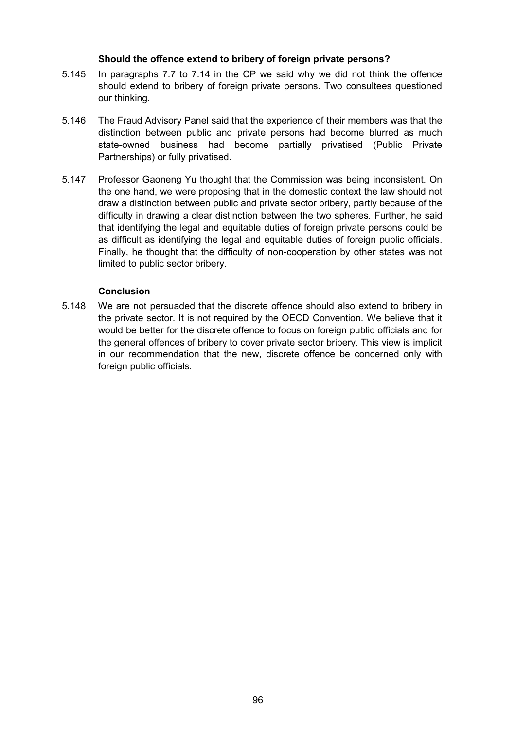## **Should the offence extend to bribery of foreign private persons?**

- 5.145 In paragraphs 7.7 to 7.14 in the CP we said why we did not think the offence should extend to bribery of foreign private persons. Two consultees questioned our thinking.
- 5.146 The Fraud Advisory Panel said that the experience of their members was that the distinction between public and private persons had become blurred as much state-owned business had become partially privatised (Public Private Partnerships) or fully privatised.
- 5.147 Professor Gaoneng Yu thought that the Commission was being inconsistent. On the one hand, we were proposing that in the domestic context the law should not draw a distinction between public and private sector bribery, partly because of the difficulty in drawing a clear distinction between the two spheres. Further, he said that identifying the legal and equitable duties of foreign private persons could be as difficult as identifying the legal and equitable duties of foreign public officials. Finally, he thought that the difficulty of non-cooperation by other states was not limited to public sector bribery.

## **Conclusion**

5.148 We are not persuaded that the discrete offence should also extend to bribery in the private sector. It is not required by the OECD Convention. We believe that it would be better for the discrete offence to focus on foreign public officials and for the general offences of bribery to cover private sector bribery. This view is implicit in our recommendation that the new, discrete offence be concerned only with foreign public officials.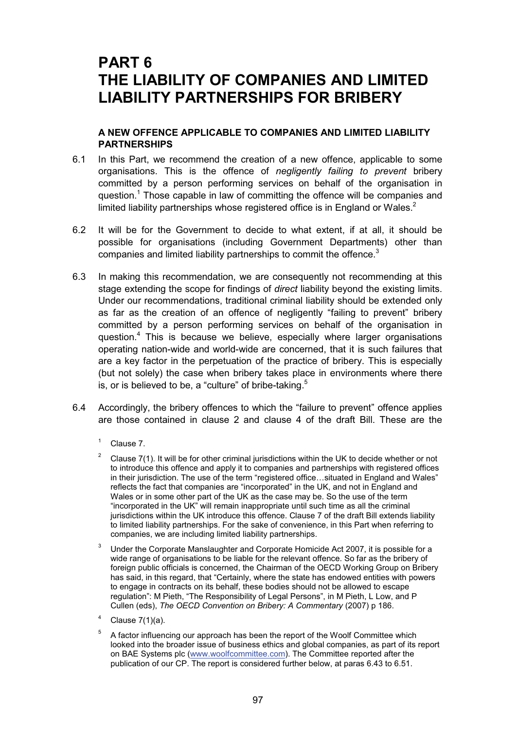# **PART 6 THE LIABILITY OF COMPANIES AND LIMITED LIABILITY PARTNERSHIPS FOR BRIBERY**

## **A NEW OFFENCE APPLICABLE TO COMPANIES AND LIMITED LIABILITY PARTNERSHIPS**

- 6.1 In this Part, we recommend the creation of a new offence, applicable to some organisations. This is the offence of *negligently failing to prevent* bribery committed by a person performing services on behalf of the organisation in question.<sup>1</sup> Those capable in law of committing the offence will be companies and limited liability partnerships whose registered office is in England or Wales.<sup>2</sup>
- 6.2 It will be for the Government to decide to what extent, if at all, it should be possible for organisations (including Government Departments) other than companies and limited liability partnerships to commit the offence.<sup>3</sup>
- 6.3 In making this recommendation, we are consequently not recommending at this stage extending the scope for findings of *direct* liability beyond the existing limits. Under our recommendations, traditional criminal liability should be extended only as far as the creation of an offence of negligently "failing to prevent" bribery committed by a person performing services on behalf of the organisation in question.<sup>4</sup> This is because we believe, especially where larger organisations operating nation-wide and world-wide are concerned, that it is such failures that are a key factor in the perpetuation of the practice of bribery. This is especially (but not solely) the case when bribery takes place in environments where there is, or is believed to be, a "culture" of bribe-taking. $5$
- 6.4 Accordingly, the bribery offences to which the "failure to prevent" offence applies are those contained in clause 2 and clause 4 of the draft Bill. These are the
	- $1 \quad$  Clause 7.
	- <sup>2</sup> Clause 7(1). It will be for other criminal jurisdictions within the UK to decide whether or not to introduce this offence and apply it to companies and partnerships with registered offices in their jurisdiction. The use of the term "registered office…situated in England and Wales" reflects the fact that companies are "incorporated" in the UK, and not in England and Wales or in some other part of the UK as the case may be. So the use of the term "incorporated in the UK" will remain inappropriate until such time as all the criminal jurisdictions within the UK introduce this offence. Clause 7 of the draft Bill extends liability to limited liability partnerships. For the sake of convenience, in this Part when referring to companies, we are including limited liability partnerships.
	- <sup>3</sup> Under the Corporate Manslaughter and Corporate Homicide Act 2007, it is possible for a wide range of organisations to be liable for the relevant offence. So far as the bribery of foreign public officials is concerned, the Chairman of the OECD Working Group on Bribery has said, in this regard, that "Certainly, where the state has endowed entities with powers to engage in contracts on its behalf, these bodies should not be allowed to escape regulation": M Pieth, "The Responsibility of Legal Persons", in M Pieth, L Low, and P Cullen (eds), *The OECD Convention on Bribery: A Commentary* (2007) p 186.
	- Clause  $7(1)(a)$ .
	- 5 A factor influencing our approach has been the report of the Woolf Committee which looked into the broader issue of business ethics and global companies, as part of its report on BAE Systems plc (www.woolfcommittee.com). The Committee reported after the publication of our CP. The report is considered further below, at paras 6.43 to 6.51.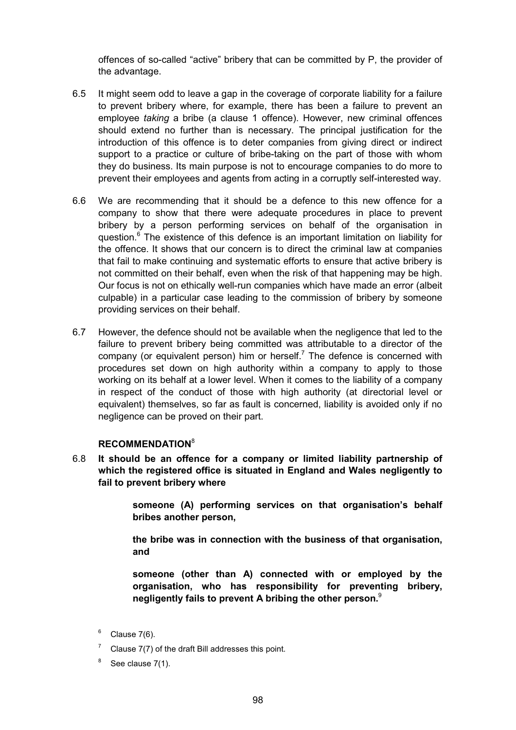offences of so-called "active" bribery that can be committed by P, the provider of the advantage.

- 6.5 It might seem odd to leave a gap in the coverage of corporate liability for a failure to prevent bribery where, for example, there has been a failure to prevent an employee *taking* a bribe (a clause 1 offence). However, new criminal offences should extend no further than is necessary. The principal justification for the introduction of this offence is to deter companies from giving direct or indirect support to a practice or culture of bribe-taking on the part of those with whom they do business. Its main purpose is not to encourage companies to do more to prevent their employees and agents from acting in a corruptly self-interested way.
- 6.6 We are recommending that it should be a defence to this new offence for a company to show that there were adequate procedures in place to prevent bribery by a person performing services on behalf of the organisation in question.<sup>6</sup> The existence of this defence is an important limitation on liability for the offence. It shows that our concern is to direct the criminal law at companies that fail to make continuing and systematic efforts to ensure that active bribery is not committed on their behalf, even when the risk of that happening may be high. Our focus is not on ethically well-run companies which have made an error (albeit culpable) in a particular case leading to the commission of bribery by someone providing services on their behalf.
- 6.7 However, the defence should not be available when the negligence that led to the failure to prevent bribery being committed was attributable to a director of the company (or equivalent person) him or herself.<sup>7</sup> The defence is concerned with procedures set down on high authority within a company to apply to those working on its behalf at a lower level. When it comes to the liability of a company in respect of the conduct of those with high authority (at directorial level or equivalent) themselves, so far as fault is concerned, liability is avoided only if no negligence can be proved on their part.

## **RECOMMENDATION**<sup>8</sup>

6.8 **It should be an offence for a company or limited liability partnership of which the registered office is situated in England and Wales negligently to fail to prevent bribery where**

> **someone (A) performing services on that organisation's behalf bribes another person,**

> **the bribe was in connection with the business of that organisation, and**

> **someone (other than A) connected with or employed by the organisation, who has responsibility for preventing bribery, negligently fails to prevent A bribing the other person.**<sup>9</sup>

- $6$  Clause 7(6).
- Clause 7(7) of the draft Bill addresses this point.
- $8^8$  See clause 7(1).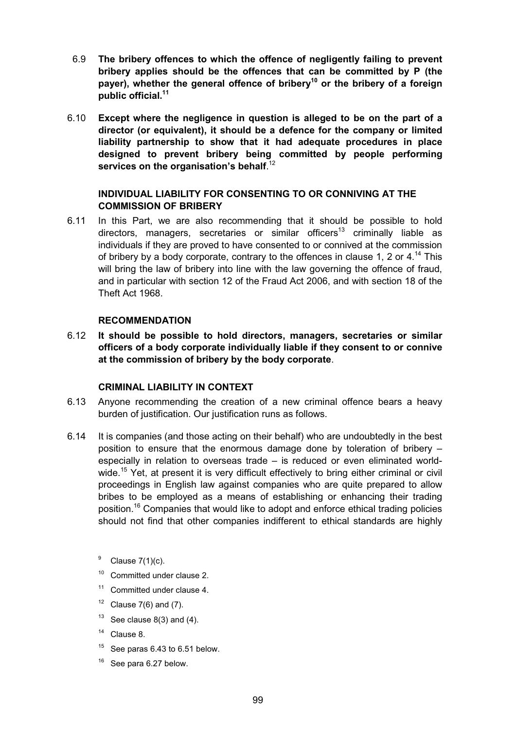- 6.9 **The bribery offences to which the offence of negligently failing to prevent bribery applies should be the offences that can be committed by P (the** payer), whether the general offence of bribery<sup>10</sup> or the bribery of a foreign **public official.11**
- 6.10 **Except where the negligence in question is alleged to be on the part of a director (or equivalent), it should be a defence for the company or limited liability partnership to show that it had adequate procedures in place designed to prevent bribery being committed by people performing services on the organisation's behalf**. 12

## **INDIVIDUAL LIABILITY FOR CONSENTING TO OR CONNIVING AT THE COMMISSION OF BRIBERY**

6.11 In this Part, we are also recommending that it should be possible to hold directors, managers, secretaries or similar officers<sup>13</sup> criminally liable as individuals if they are proved to have consented to or connived at the commission of bribery by a body corporate, contrary to the offences in clause 1, 2 or  $4^{14}$  This will bring the law of bribery into line with the law governing the offence of fraud, and in particular with section 12 of the Fraud Act 2006, and with section 18 of the Theft Act 1968.

#### **RECOMMENDATION**

6.12 **It should be possible to hold directors, managers, secretaries or similar officers of a body corporate individually liable if they consent to or connive at the commission of bribery by the body corporate**.

## **CRIMINAL LIABILITY IN CONTEXT**

- 6.13 Anyone recommending the creation of a new criminal offence bears a heavy burden of justification. Our justification runs as follows.
- 6.14 It is companies (and those acting on their behalf) who are undoubtedly in the best position to ensure that the enormous damage done by toleration of bribery – especially in relation to overseas trade – is reduced or even eliminated worldwide.<sup>15</sup> Yet, at present it is very difficult effectively to bring either criminal or civil proceedings in English law against companies who are quite prepared to allow bribes to be employed as a means of establishing or enhancing their trading position.16 Companies that would like to adopt and enforce ethical trading policies should not find that other companies indifferent to ethical standards are highly
	- $9$  Clause 7(1)(c).
	- <sup>10</sup> Committed under clause 2.
	- <sup>11</sup> Committed under clause 4.
	- $12$  Clause 7(6) and (7).
	- $13$  See clause 8(3) and (4).
	- <sup>14</sup> Clause 8.
	- $15$  See paras 6.43 to 6.51 below.
	- See para 6.27 below.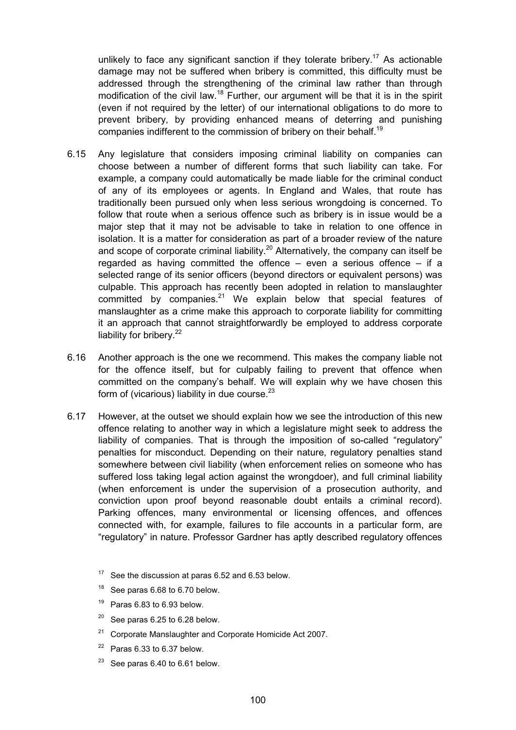unlikely to face any significant sanction if they tolerate bribery.<sup>17</sup> As actionable damage may not be suffered when bribery is committed, this difficulty must be addressed through the strengthening of the criminal law rather than through modification of the civil law.<sup>18</sup> Further, our argument will be that it is in the spirit (even if not required by the letter) of our international obligations to do more to prevent bribery, by providing enhanced means of deterring and punishing companies indifferent to the commission of bribery on their behalf.<sup>19</sup>

- 6.15 Any legislature that considers imposing criminal liability on companies can choose between a number of different forms that such liability can take. For example, a company could automatically be made liable for the criminal conduct of any of its employees or agents. In England and Wales, that route has traditionally been pursued only when less serious wrongdoing is concerned. To follow that route when a serious offence such as bribery is in issue would be a major step that it may not be advisable to take in relation to one offence in isolation. It is a matter for consideration as part of a broader review of the nature and scope of corporate criminal liability.<sup>20</sup> Alternatively, the company can itself be regarded as having committed the offence  $-$  even a serious offence  $-$  if a selected range of its senior officers (beyond directors or equivalent persons) was culpable. This approach has recently been adopted in relation to manslaughter committed by companies. $21$  We explain below that special features of manslaughter as a crime make this approach to corporate liability for committing it an approach that cannot straightforwardly be employed to address corporate liability for bribery. $22$
- 6.16 Another approach is the one we recommend. This makes the company liable not for the offence itself, but for culpably failing to prevent that offence when committed on the company's behalf. We will explain why we have chosen this form of (vicarious) liability in due course. $23$
- 6.17 However, at the outset we should explain how we see the introduction of this new offence relating to another way in which a legislature might seek to address the liability of companies. That is through the imposition of so-called "regulatory" penalties for misconduct. Depending on their nature, regulatory penalties stand somewhere between civil liability (when enforcement relies on someone who has suffered loss taking legal action against the wrongdoer), and full criminal liability (when enforcement is under the supervision of a prosecution authority, and conviction upon proof beyond reasonable doubt entails a criminal record). Parking offences, many environmental or licensing offences, and offences connected with, for example, failures to file accounts in a particular form, are "regulatory" in nature. Professor Gardner has aptly described regulatory offences
	- $17$  See the discussion at paras 6.52 and 6.53 below.
	- <sup>18</sup> See paras 6.68 to 6.70 below.
	- $19$  Paras 6.83 to 6.93 below.
	- $20$  See paras 6.25 to 6.28 below.
	- $21$  Corporate Manslaughter and Corporate Homicide Act 2007.
	- $22$  Paras 6.33 to 6.37 below.
	- $23$  See paras 6.40 to 6.61 below.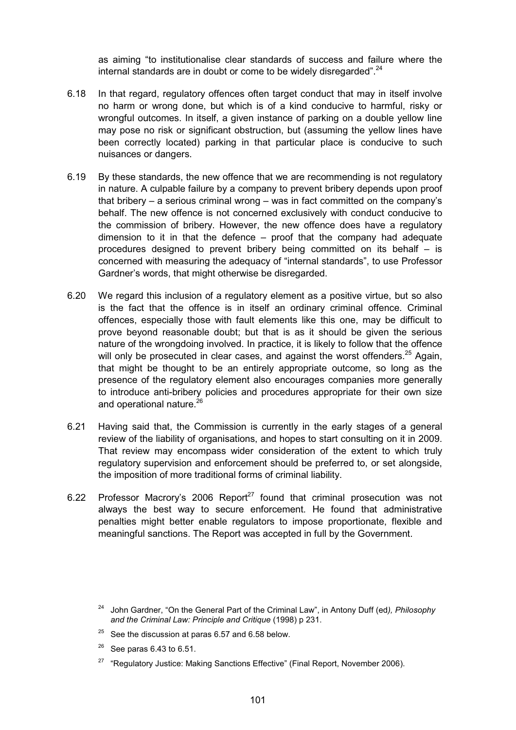as aiming "to institutionalise clear standards of success and failure where the internal standards are in doubt or come to be widely disregarded".<sup>24</sup>

- 6.18 In that regard, regulatory offences often target conduct that may in itself involve no harm or wrong done, but which is of a kind conducive to harmful, risky or wrongful outcomes. In itself, a given instance of parking on a double yellow line may pose no risk or significant obstruction, but (assuming the yellow lines have been correctly located) parking in that particular place is conducive to such nuisances or dangers.
- 6.19 By these standards, the new offence that we are recommending is not regulatory in nature. A culpable failure by a company to prevent bribery depends upon proof that bribery – a serious criminal wrong – was in fact committed on the company's behalf. The new offence is not concerned exclusively with conduct conducive to the commission of bribery. However, the new offence does have a regulatory dimension to it in that the defence – proof that the company had adequate procedures designed to prevent bribery being committed on its behalf – is concerned with measuring the adequacy of "internal standards", to use Professor Gardner's words, that might otherwise be disregarded.
- 6.20 We regard this inclusion of a regulatory element as a positive virtue, but so also is the fact that the offence is in itself an ordinary criminal offence. Criminal offences, especially those with fault elements like this one, may be difficult to prove beyond reasonable doubt; but that is as it should be given the serious nature of the wrongdoing involved. In practice, it is likely to follow that the offence will only be prosecuted in clear cases, and against the worst offenders.<sup>25</sup> Again, that might be thought to be an entirely appropriate outcome, so long as the presence of the regulatory element also encourages companies more generally to introduce anti-bribery policies and procedures appropriate for their own size and operational nature.<sup>26</sup>
- 6.21 Having said that, the Commission is currently in the early stages of a general review of the liability of organisations, and hopes to start consulting on it in 2009. That review may encompass wider consideration of the extent to which truly regulatory supervision and enforcement should be preferred to, or set alongside, the imposition of more traditional forms of criminal liability.
- 6.22 Professor Macrory's 2006 Report<sup>27</sup> found that criminal prosecution was not always the best way to secure enforcement. He found that administrative penalties might better enable regulators to impose proportionate, flexible and meaningful sanctions. The Report was accepted in full by the Government.

- $25$  See the discussion at paras 6.57 and 6.58 below.
- See paras 6.43 to 6.51.
- $27$  "Regulatory Justice: Making Sanctions Effective" (Final Report, November 2006).

<sup>24</sup> John Gardner, "On the General Part of the Criminal Law", in Antony Duff (ed*), Philosophy and the Criminal Law: Principle and Critique* (1998) p 231.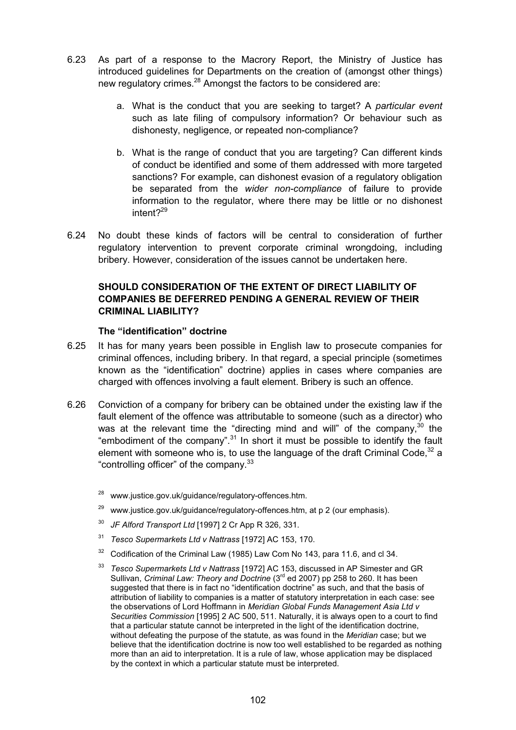- 6.23 As part of a response to the Macrory Report, the Ministry of Justice has introduced guidelines for Departments on the creation of (amongst other things) new regulatory crimes.<sup>28</sup> Amongst the factors to be considered are:
	- a. What is the conduct that you are seeking to target? A *particular event* such as late filing of compulsory information? Or behaviour such as dishonesty, negligence, or repeated non-compliance?
	- b. What is the range of conduct that you are targeting? Can different kinds of conduct be identified and some of them addressed with more targeted sanctions? For example, can dishonest evasion of a regulatory obligation be separated from the *wider non-compliance* of failure to provide information to the regulator, where there may be little or no dishonest intent?<sup>29</sup>
- 6.24 No doubt these kinds of factors will be central to consideration of further regulatory intervention to prevent corporate criminal wrongdoing, including bribery. However, consideration of the issues cannot be undertaken here.

## **SHOULD CONSIDERATION OF THE EXTENT OF DIRECT LIABILITY OF COMPANIES BE DEFERRED PENDING A GENERAL REVIEW OF THEIR CRIMINAL LIABILITY?**

#### **The "identification" doctrine**

- 6.25 It has for many years been possible in English law to prosecute companies for criminal offences, including bribery. In that regard, a special principle (sometimes known as the "identification" doctrine) applies in cases where companies are charged with offences involving a fault element. Bribery is such an offence.
- 6.26 Conviction of a company for bribery can be obtained under the existing law if the fault element of the offence was attributable to someone (such as a director) who was at the relevant time the "directing mind and will" of the company,  $30$  the "embodiment of the company".<sup>31</sup> In short it must be possible to identify the fault element with someone who is, to use the language of the draft Criminal Code.<sup>32</sup> a "controlling officer" of the company. $33$ 
	- <sup>28</sup> www.justice.gov.uk/guidance/regulatory-offences.htm.
	- <sup>29</sup> www.justice.gov.uk/guidance/regulatory-offences.htm, at p 2 (our emphasis).
	- <sup>30</sup> *JF Alford Transport Ltd* [1997] 2 Cr App R 326, 331.
	- <sup>31</sup> *Tesco Supermarkets Ltd v Nattrass* [1972] AC 153, 170.
	- <sup>32</sup> Codification of the Criminal Law (1985) Law Com No 143, para 11.6, and cl 34.
	- <sup>33</sup> *Tesco Supermarkets Ltd v Nattrass* [1972] AC 153, discussed in AP Simester and GR Sullivan, *Criminal Law: Theory and Doctrine* (3<sup>rd</sup> ed 2007) pp 258 to 260. It has been suggested that there is in fact no "identification doctrine" as such, and that the basis of attribution of liability to companies is a matter of statutory interpretation in each case: see the observations of Lord Hoffmann in *Meridian Global Funds Management Asia Ltd v Securities Commission* [1995] 2 AC 500, 511. Naturally, it is always open to a court to find that a particular statute cannot be interpreted in the light of the identification doctrine, without defeating the purpose of the statute, as was found in the *Meridian* case; but we believe that the identification doctrine is now too well established to be regarded as nothing more than an aid to interpretation. It is a rule of law, whose application may be displaced by the context in which a particular statute must be interpreted.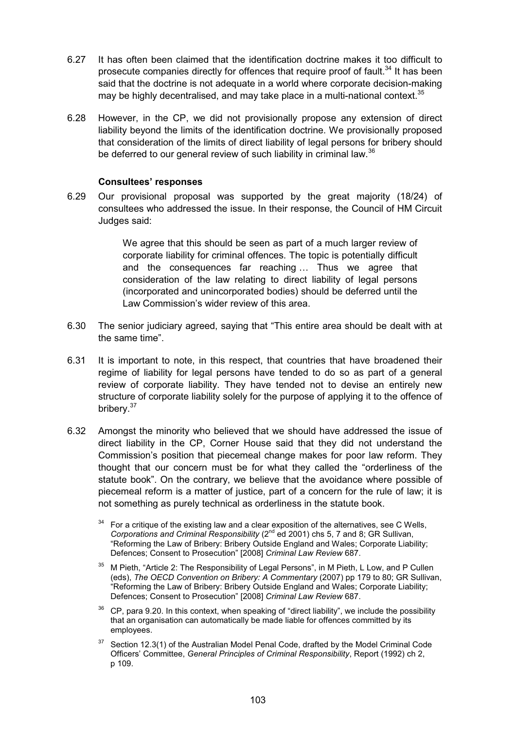- 6.27 It has often been claimed that the identification doctrine makes it too difficult to prosecute companies directly for offences that require proof of fault.<sup>34</sup> It has been said that the doctrine is not adequate in a world where corporate decision-making may be highly decentralised, and may take place in a multi-national context.<sup>35</sup>
- 6.28 However, in the CP, we did not provisionally propose any extension of direct liability beyond the limits of the identification doctrine. We provisionally proposed that consideration of the limits of direct liability of legal persons for bribery should be deferred to our general review of such liability in criminal law.<sup>36</sup>

#### **Consultees' responses**

6.29 Our provisional proposal was supported by the great majority (18/24) of consultees who addressed the issue. In their response, the Council of HM Circuit Judges said:

> We agree that this should be seen as part of a much larger review of corporate liability for criminal offences. The topic is potentially difficult and the consequences far reaching … Thus we agree that consideration of the law relating to direct liability of legal persons (incorporated and unincorporated bodies) should be deferred until the Law Commission's wider review of this area.

- 6.30 The senior judiciary agreed, saying that "This entire area should be dealt with at the same time".
- 6.31 It is important to note, in this respect, that countries that have broadened their regime of liability for legal persons have tended to do so as part of a general review of corporate liability. They have tended not to devise an entirely new structure of corporate liability solely for the purpose of applying it to the offence of bribery.<sup>37</sup>
- 6.32 Amongst the minority who believed that we should have addressed the issue of direct liability in the CP, Corner House said that they did not understand the Commission's position that piecemeal change makes for poor law reform. They thought that our concern must be for what they called the "orderliness of the statute book". On the contrary, we believe that the avoidance where possible of piecemeal reform is a matter of justice, part of a concern for the rule of law; it is not something as purely technical as orderliness in the statute book.
	- $34$  For a critique of the existing law and a clear exposition of the alternatives, see C Wells, *Corporations and Criminal Responsibility* (2<sup>nd</sup> ed 2001) chs 5, 7 and 8; GR Sullivan, "Reforming the Law of Bribery: Bribery Outside England and Wales; Corporate Liability; Defences; Consent to Prosecution" [2008] *Criminal Law Review* 687.
	- <sup>35</sup> M Pieth, "Article 2: The Responsibility of Legal Persons", in M Pieth, L Low, and P Cullen (eds), *The OECD Convention on Bribery: A Commentary* (2007) pp 179 to 80; GR Sullivan, "Reforming the Law of Bribery: Bribery Outside England and Wales; Corporate Liability; Defences; Consent to Prosecution" [2008] *Criminal Law Review* 687.
	- $36$  CP, para 9.20. In this context, when speaking of "direct liability", we include the possibility that an organisation can automatically be made liable for offences committed by its employees.
	- $37$  Section 12.3(1) of the Australian Model Penal Code, drafted by the Model Criminal Code Officers' Committee, *General Principles of Criminal Responsibility*, Report (1992) ch 2, p 109.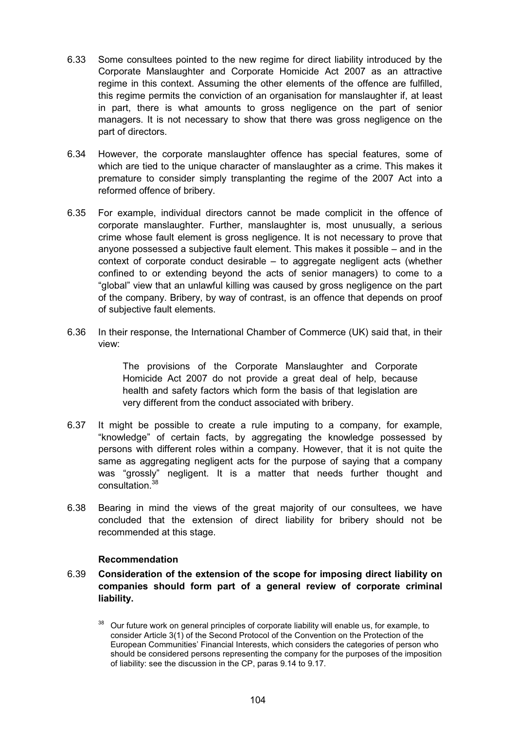- 6.33 Some consultees pointed to the new regime for direct liability introduced by the Corporate Manslaughter and Corporate Homicide Act 2007 as an attractive regime in this context. Assuming the other elements of the offence are fulfilled, this regime permits the conviction of an organisation for manslaughter if, at least in part, there is what amounts to gross negligence on the part of senior managers. It is not necessary to show that there was gross negligence on the part of directors.
- 6.34 However, the corporate manslaughter offence has special features, some of which are tied to the unique character of manslaughter as a crime. This makes it premature to consider simply transplanting the regime of the 2007 Act into a reformed offence of bribery.
- 6.35 For example, individual directors cannot be made complicit in the offence of corporate manslaughter. Further, manslaughter is, most unusually, a serious crime whose fault element is gross negligence. It is not necessary to prove that anyone possessed a subjective fault element. This makes it possible – and in the context of corporate conduct desirable – to aggregate negligent acts (whether confined to or extending beyond the acts of senior managers) to come to a "global" view that an unlawful killing was caused by gross negligence on the part of the company. Bribery, by way of contrast, is an offence that depends on proof of subjective fault elements.
- 6.36 In their response, the International Chamber of Commerce (UK) said that, in their view:

The provisions of the Corporate Manslaughter and Corporate Homicide Act 2007 do not provide a great deal of help, because health and safety factors which form the basis of that legislation are very different from the conduct associated with bribery.

- 6.37 It might be possible to create a rule imputing to a company, for example, "knowledge" of certain facts, by aggregating the knowledge possessed by persons with different roles within a company. However, that it is not quite the same as aggregating negligent acts for the purpose of saying that a company was "grossly" negligent. It is a matter that needs further thought and consultation.<sup>38</sup>
- 6.38 Bearing in mind the views of the great majority of our consultees, we have concluded that the extension of direct liability for bribery should not be recommended at this stage.

#### **Recommendation**

6.39 **Consideration of the extension of the scope for imposing direct liability on companies should form part of a general review of corporate criminal liability.**

 $38$  Our future work on general principles of corporate liability will enable us, for example, to consider Article 3(1) of the Second Protocol of the Convention on the Protection of the European Communities' Financial Interests, which considers the categories of person who should be considered persons representing the company for the purposes of the imposition of liability: see the discussion in the CP, paras 9.14 to 9.17.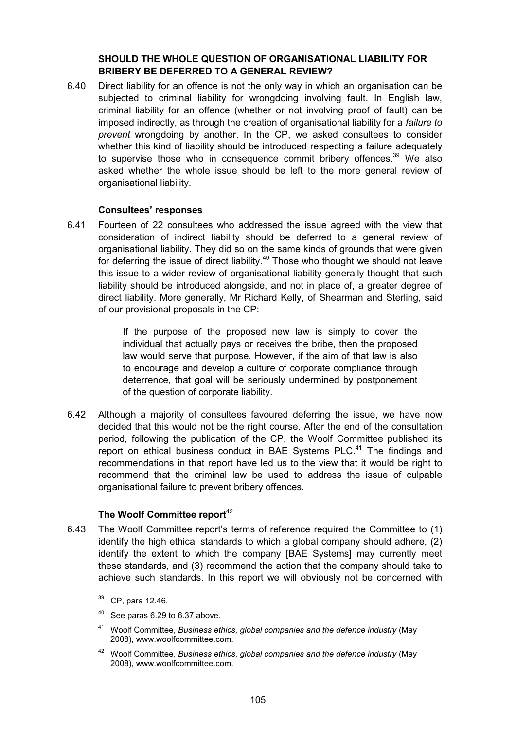### **SHOULD THE WHOLE QUESTION OF ORGANISATIONAL LIABILITY FOR BRIBERY BE DEFERRED TO A GENERAL REVIEW?**

6.40 Direct liability for an offence is not the only way in which an organisation can be subjected to criminal liability for wrongdoing involving fault. In English law, criminal liability for an offence (whether or not involving proof of fault) can be imposed indirectly, as through the creation of organisational liability for a *failure to prevent* wrongdoing by another. In the CP, we asked consultees to consider whether this kind of liability should be introduced respecting a failure adequately to supervise those who in consequence commit bribery offences.<sup>39</sup> We also asked whether the whole issue should be left to the more general review of organisational liability.

#### **Consultees' responses**

6.41 Fourteen of 22 consultees who addressed the issue agreed with the view that consideration of indirect liability should be deferred to a general review of organisational liability. They did so on the same kinds of grounds that were given for deferring the issue of direct liability. $40$  Those who thought we should not leave this issue to a wider review of organisational liability generally thought that such liability should be introduced alongside, and not in place of, a greater degree of direct liability. More generally, Mr Richard Kelly, of Shearman and Sterling, said of our provisional proposals in the CP:

> If the purpose of the proposed new law is simply to cover the individual that actually pays or receives the bribe, then the proposed law would serve that purpose. However, if the aim of that law is also to encourage and develop a culture of corporate compliance through deterrence, that goal will be seriously undermined by postponement of the question of corporate liability.

6.42 Although a majority of consultees favoured deferring the issue, we have now decided that this would not be the right course. After the end of the consultation period, following the publication of the CP, the Woolf Committee published its report on ethical business conduct in BAE Systems  $PLC<sup>41</sup>$  The findings and recommendations in that report have led us to the view that it would be right to recommend that the criminal law be used to address the issue of culpable organisational failure to prevent bribery offences.

## **The Woolf Committee report**<sup>42</sup>

- 6.43 The Woolf Committee report's terms of reference required the Committee to (1) identify the high ethical standards to which a global company should adhere, (2) identify the extent to which the company [BAE Systems] may currently meet these standards, and (3) recommend the action that the company should take to achieve such standards. In this report we will obviously not be concerned with
	- 39 CP, para 12.46.
	- $40$  See paras 6.29 to 6.37 above.
	- <sup>41</sup> Woolf Committee, *Business ethics, global companies and the defence industry* (May 2008), www.woolfcommittee.com.
	- <sup>42</sup> Woolf Committee, *Business ethics, global companies and the defence industry* (May 2008), www.woolfcommittee.com.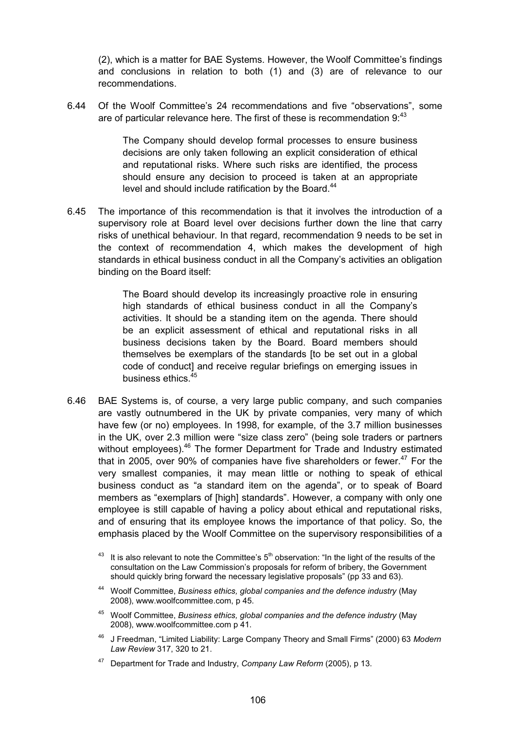(2), which is a matter for BAE Systems. However, the Woolf Committee's findings and conclusions in relation to both (1) and (3) are of relevance to our recommendations.

6.44 Of the Woolf Committee's 24 recommendations and five "observations", some are of particular relevance here. The first of these is recommendation  $9<sup>43</sup>$ 

> The Company should develop formal processes to ensure business decisions are only taken following an explicit consideration of ethical and reputational risks. Where such risks are identified, the process should ensure any decision to proceed is taken at an appropriate level and should include ratification by the Board.<sup>44</sup>

6.45 The importance of this recommendation is that it involves the introduction of a supervisory role at Board level over decisions further down the line that carry risks of unethical behaviour. In that regard, recommendation 9 needs to be set in the context of recommendation 4, which makes the development of high standards in ethical business conduct in all the Company's activities an obligation binding on the Board itself:

> The Board should develop its increasingly proactive role in ensuring high standards of ethical business conduct in all the Company's activities. It should be a standing item on the agenda. There should be an explicit assessment of ethical and reputational risks in all business decisions taken by the Board. Board members should themselves be exemplars of the standards [to be set out in a global code of conduct] and receive regular briefings on emerging issues in business ethics.45

6.46 BAE Systems is, of course, a very large public company, and such companies are vastly outnumbered in the UK by private companies, very many of which have few (or no) employees. In 1998, for example, of the 3.7 million businesses in the UK, over 2.3 million were "size class zero" (being sole traders or partners without employees).<sup>46</sup> The former Department for Trade and Industry estimated that in 2005, over 90% of companies have five shareholders or fewer.<sup>47</sup> For the very smallest companies, it may mean little or nothing to speak of ethical business conduct as "a standard item on the agenda", or to speak of Board members as "exemplars of [high] standards". However, a company with only one employee is still capable of having a policy about ethical and reputational risks, and of ensuring that its employee knows the importance of that policy. So, the emphasis placed by the Woolf Committee on the supervisory responsibilities of a

- <sup>44</sup> Woolf Committee, *Business ethics, global companies and the defence industry* (May 2008), www.woolfcommittee.com, p 45.
- <sup>45</sup> Woolf Committee, *Business ethics, global companies and the defence industry* (May 2008), www.woolfcommittee.com p 41.
- <sup>46</sup> J Freedman, "Limited Liability: Large Company Theory and Small Firms" (2000) 63 *Modern Law Review* 317, 320 to 21.
- <sup>47</sup> Department for Trade and Industry, *Company Law Reform* (2005), p 13.

 $43$  It is also relevant to note the Committee's  $5<sup>th</sup>$  observation: "In the light of the results of the consultation on the Law Commission's proposals for reform of bribery, the Government should quickly bring forward the necessary legislative proposals" (pp 33 and 63).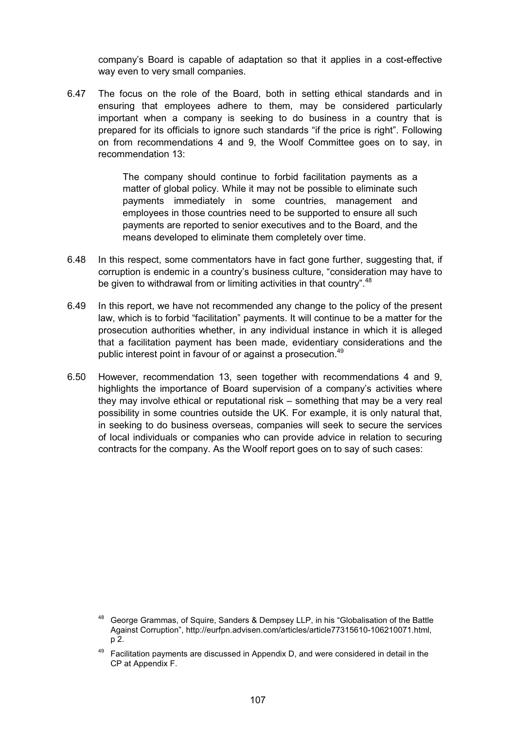company's Board is capable of adaptation so that it applies in a cost-effective way even to very small companies.

6.47 The focus on the role of the Board, both in setting ethical standards and in ensuring that employees adhere to them, may be considered particularly important when a company is seeking to do business in a country that is prepared for its officials to ignore such standards "if the price is right". Following on from recommendations 4 and 9, the Woolf Committee goes on to say, in recommendation 13:

> The company should continue to forbid facilitation payments as a matter of global policy. While it may not be possible to eliminate such payments immediately in some countries, management and employees in those countries need to be supported to ensure all such payments are reported to senior executives and to the Board, and the means developed to eliminate them completely over time.

- 6.48 In this respect, some commentators have in fact gone further, suggesting that, if corruption is endemic in a country's business culture, "consideration may have to be given to withdrawal from or limiting activities in that country".<sup>48</sup>
- 6.49 In this report, we have not recommended any change to the policy of the present law, which is to forbid "facilitation" payments. It will continue to be a matter for the prosecution authorities whether, in any individual instance in which it is alleged that a facilitation payment has been made, evidentiary considerations and the public interest point in favour of or against a prosecution.<sup>49</sup>
- 6.50 However, recommendation 13, seen together with recommendations 4 and 9, highlights the importance of Board supervision of a company's activities where they may involve ethical or reputational risk – something that may be a very real possibility in some countries outside the UK. For example, it is only natural that, in seeking to do business overseas, companies will seek to secure the services of local individuals or companies who can provide advice in relation to securing contracts for the company. As the Woolf report goes on to say of such cases:

<sup>&</sup>lt;sup>48</sup> George Grammas, of Squire, Sanders & Dempsey LLP, in his "Globalisation of the Battle Against Corruption", http://eurfpn.advisen.com/articles/article77315610-106210071.html, p 2.

 $49$  Facilitation payments are discussed in Appendix D, and were considered in detail in the CP at Appendix F.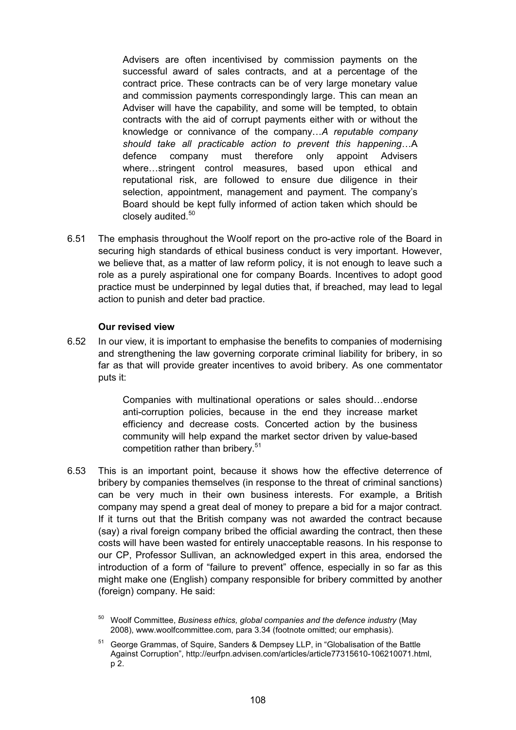Advisers are often incentivised by commission payments on the successful award of sales contracts, and at a percentage of the contract price. These contracts can be of very large monetary value and commission payments correspondingly large. This can mean an Adviser will have the capability, and some will be tempted, to obtain contracts with the aid of corrupt payments either with or without the knowledge or connivance of the company…*A reputable company should take all practicable action to prevent this happening*…A defence company must therefore only appoint Advisers where…stringent control measures, based upon ethical and reputational risk, are followed to ensure due diligence in their selection, appointment, management and payment. The company's Board should be kept fully informed of action taken which should be closely audited.<sup>50</sup>

6.51 The emphasis throughout the Woolf report on the pro-active role of the Board in securing high standards of ethical business conduct is very important. However, we believe that, as a matter of law reform policy, it is not enough to leave such a role as a purely aspirational one for company Boards. Incentives to adopt good practice must be underpinned by legal duties that, if breached, may lead to legal action to punish and deter bad practice.

#### **Our revised view**

6.52 In our view, it is important to emphasise the benefits to companies of modernising and strengthening the law governing corporate criminal liability for bribery, in so far as that will provide greater incentives to avoid bribery. As one commentator puts it:

> Companies with multinational operations or sales should…endorse anti-corruption policies, because in the end they increase market efficiency and decrease costs. Concerted action by the business community will help expand the market sector driven by value-based competition rather than bribery.<sup>51</sup>

6.53 This is an important point, because it shows how the effective deterrence of bribery by companies themselves (in response to the threat of criminal sanctions) can be very much in their own business interests. For example, a British company may spend a great deal of money to prepare a bid for a major contract. If it turns out that the British company was not awarded the contract because (say) a rival foreign company bribed the official awarding the contract, then these costs will have been wasted for entirely unacceptable reasons. In his response to our CP, Professor Sullivan, an acknowledged expert in this area, endorsed the introduction of a form of "failure to prevent" offence, especially in so far as this might make one (English) company responsible for bribery committed by another (foreign) company. He said:

<sup>50</sup> Woolf Committee, *Business ethics, global companies and the defence industry* (May 2008), www.woolfcommittee.com, para 3.34 (footnote omitted; our emphasis).

<sup>51</sup> George Grammas, of Squire, Sanders & Dempsey LLP, in "Globalisation of the Battle Against Corruption", http://eurfpn.advisen.com/articles/article77315610-106210071.html, p 2.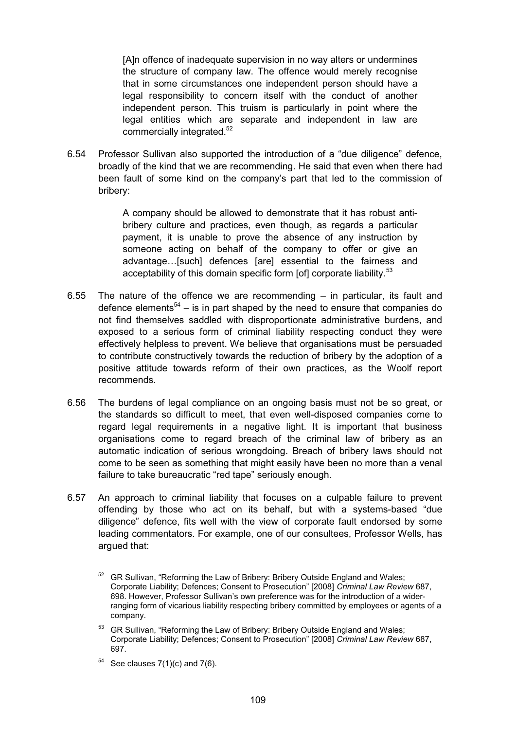[A]n offence of inadequate supervision in no way alters or undermines the structure of company law. The offence would merely recognise that in some circumstances one independent person should have a legal responsibility to concern itself with the conduct of another independent person. This truism is particularly in point where the legal entities which are separate and independent in law are commercially integrated.<sup>52</sup>

6.54 Professor Sullivan also supported the introduction of a "due diligence" defence, broadly of the kind that we are recommending. He said that even when there had been fault of some kind on the company's part that led to the commission of bribery:

> A company should be allowed to demonstrate that it has robust antibribery culture and practices, even though, as regards a particular payment, it is unable to prove the absence of any instruction by someone acting on behalf of the company to offer or give an advantage…[such] defences [are] essential to the fairness and acceptability of this domain specific form [of] corporate liability.<sup>53</sup>

- 6.55 The nature of the offence we are recommending in particular, its fault and defence elements<sup>54</sup> – is in part shaped by the need to ensure that companies do not find themselves saddled with disproportionate administrative burdens, and exposed to a serious form of criminal liability respecting conduct they were effectively helpless to prevent. We believe that organisations must be persuaded to contribute constructively towards the reduction of bribery by the adoption of a positive attitude towards reform of their own practices, as the Woolf report recommends.
- 6.56 The burdens of legal compliance on an ongoing basis must not be so great, or the standards so difficult to meet, that even well-disposed companies come to regard legal requirements in a negative light. It is important that business organisations come to regard breach of the criminal law of bribery as an automatic indication of serious wrongdoing. Breach of bribery laws should not come to be seen as something that might easily have been no more than a venal failure to take bureaucratic "red tape" seriously enough.
- 6.57 An approach to criminal liability that focuses on a culpable failure to prevent offending by those who act on its behalf, but with a systems-based "due diligence" defence, fits well with the view of corporate fault endorsed by some leading commentators. For example, one of our consultees, Professor Wells, has argued that:

53 GR Sullivan, "Reforming the Law of Bribery: Bribery Outside England and Wales; Corporate Liability; Defences; Consent to Prosecution" [2008] *Criminal Law Review* 687, 697.

 $54$  See clauses  $7(1)(c)$  and  $7(6)$ .

<sup>&</sup>lt;sup>52</sup> GR Sullivan, "Reforming the Law of Bribery: Bribery Outside England and Wales; Corporate Liability; Defences; Consent to Prosecution" [2008] *Criminal Law Review* 687, 698. However, Professor Sullivan's own preference was for the introduction of a widerranging form of vicarious liability respecting bribery committed by employees or agents of a company.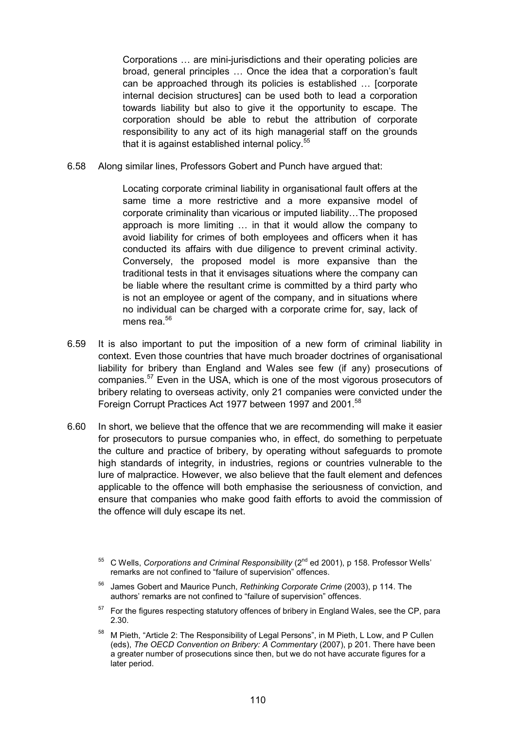Corporations … are mini-jurisdictions and their operating policies are broad, general principles … Once the idea that a corporation's fault can be approached through its policies is established … [corporate internal decision structures] can be used both to lead a corporation towards liability but also to give it the opportunity to escape. The corporation should be able to rebut the attribution of corporate responsibility to any act of its high managerial staff on the grounds that it is against established internal policy.<sup>55</sup>

6.58 Along similar lines, Professors Gobert and Punch have argued that:

Locating corporate criminal liability in organisational fault offers at the same time a more restrictive and a more expansive model of corporate criminality than vicarious or imputed liability…The proposed approach is more limiting … in that it would allow the company to avoid liability for crimes of both employees and officers when it has conducted its affairs with due diligence to prevent criminal activity. Conversely, the proposed model is more expansive than the traditional tests in that it envisages situations where the company can be liable where the resultant crime is committed by a third party who is not an employee or agent of the company, and in situations where no individual can be charged with a corporate crime for, say, lack of mens rea $^{56}$ 

- 6.59 It is also important to put the imposition of a new form of criminal liability in context. Even those countries that have much broader doctrines of organisational liability for bribery than England and Wales see few (if any) prosecutions of companies.57 Even in the USA, which is one of the most vigorous prosecutors of bribery relating to overseas activity, only 21 companies were convicted under the Foreign Corrupt Practices Act 1977 between 1997 and 2001.<sup>58</sup>
- 6.60 In short, we believe that the offence that we are recommending will make it easier for prosecutors to pursue companies who, in effect, do something to perpetuate the culture and practice of bribery, by operating without safeguards to promote high standards of integrity, in industries, regions or countries vulnerable to the lure of malpractice. However, we also believe that the fault element and defences applicable to the offence will both emphasise the seriousness of conviction, and ensure that companies who make good faith efforts to avoid the commission of the offence will duly escape its net.

<sup>&</sup>lt;sup>55</sup> C Wells, *Corporations and Criminal Responsibility* (2<sup>nd</sup> ed 2001), p 158. Professor Wells' remarks are not confined to "failure of supervision" offences.

<sup>56</sup> James Gobert and Maurice Punch, *Rethinking Corporate Crime* (2003), p 114. The authors' remarks are not confined to "failure of supervision" offences.

<sup>&</sup>lt;sup>57</sup> For the figures respecting statutory offences of bribery in England Wales, see the CP, para 2.30.

<sup>&</sup>lt;sup>58</sup> M Pieth, "Article 2: The Responsibility of Legal Persons", in M Pieth, L Low, and P Cullen (eds), *The OECD Convention on Bribery: A Commentary* (2007), p 201. There have been a greater number of prosecutions since then, but we do not have accurate figures for a later period.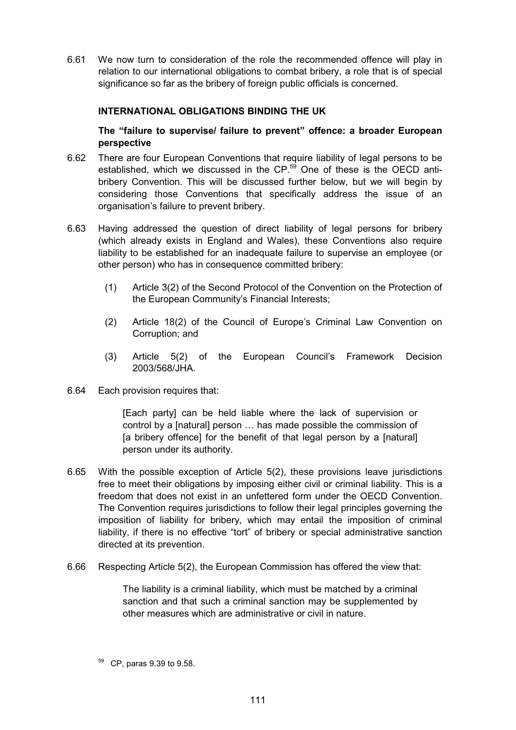6.61 We now turn to consideration of the role the recommended offence will play in relation to our international obligations to combat bribery, a role that is of special significance so far as the bribery of foreign public officials is concerned.

## **INTERNATIONAL OBLIGATIONS BINDING THE UK**

**The "failure to supervise/ failure to prevent" offence: a broader European perspective**

- 6.62 There are four European Conventions that require liability of legal persons to be established, which we discussed in the CP.<sup>59</sup> One of these is the OECD antibribery Convention. This will be discussed further below, but we will begin by considering those Conventions that specifically address the issue of an organisation's failure to prevent bribery.
- 6.63 Having addressed the question of direct liability of legal persons for bribery (which already exists in England and Wales), these Conventions also require liability to be established for an inadequate failure to supervise an employee (or other person) who has in consequence committed bribery:
	- (1) Article 3(2) of the Second Protocol of the Convention on the Protection of the European Community's Financial Interests;
	- (2) Article 18(2) of the Council of Europe's Criminal Law Convention on Corruption; and
	- (3) Article 5(2) of the European Council's Framework Decision 2003/568/JHA.
- 6.64 Each provision requires that:

[Each party] can be held liable where the lack of supervision or control by a [natural] person … has made possible the commission of [a bribery offence] for the benefit of that legal person by a [natural] person under its authority.

- 6.65 With the possible exception of Article 5(2), these provisions leave jurisdictions free to meet their obligations by imposing either civil or criminal liability. This is a freedom that does not exist in an unfettered form under the OECD Convention. The Convention requires jurisdictions to follow their legal principles governing the imposition of liability for bribery, which may entail the imposition of criminal liability, if there is no effective "tort" of bribery or special administrative sanction directed at its prevention.
- 6.66 Respecting Article 5(2), the European Commission has offered the view that:

The liability is a criminal liability, which must be matched by a criminal sanction and that such a criminal sanction may be supplemented by other measures which are administrative or civil in nature.

<sup>59</sup> CP, paras 9.39 to 9.58.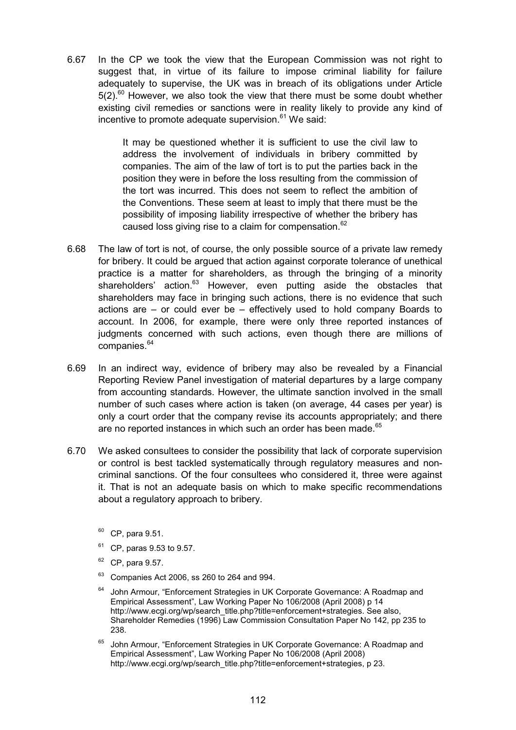6.67 In the CP we took the view that the European Commission was not right to suggest that, in virtue of its failure to impose criminal liability for failure adequately to supervise, the UK was in breach of its obligations under Article  $5(2).<sup>60</sup>$  However, we also took the view that there must be some doubt whether existing civil remedies or sanctions were in reality likely to provide any kind of incentive to promote adequate supervision. $61$  We said:

> It may be questioned whether it is sufficient to use the civil law to address the involvement of individuals in bribery committed by companies. The aim of the law of tort is to put the parties back in the position they were in before the loss resulting from the commission of the tort was incurred. This does not seem to reflect the ambition of the Conventions. These seem at least to imply that there must be the possibility of imposing liability irrespective of whether the bribery has caused loss giving rise to a claim for compensation.<sup>62</sup>

- 6.68 The law of tort is not, of course, the only possible source of a private law remedy for bribery. It could be argued that action against corporate tolerance of unethical practice is a matter for shareholders, as through the bringing of a minority shareholders' action.<sup>63</sup> However, even putting aside the obstacles that shareholders may face in bringing such actions, there is no evidence that such actions are – or could ever be – effectively used to hold company Boards to account. In 2006, for example, there were only three reported instances of judgments concerned with such actions, even though there are millions of companies.<sup>64</sup>
- 6.69 In an indirect way, evidence of bribery may also be revealed by a Financial Reporting Review Panel investigation of material departures by a large company from accounting standards. However, the ultimate sanction involved in the small number of such cases where action is taken (on average, 44 cases per year) is only a court order that the company revise its accounts appropriately; and there are no reported instances in which such an order has been made.<sup>65</sup>
- 6.70 We asked consultees to consider the possibility that lack of corporate supervision or control is best tackled systematically through regulatory measures and noncriminal sanctions. Of the four consultees who considered it, three were against it. That is not an adequate basis on which to make specific recommendations about a regulatory approach to bribery.
	- $60$  CP, para 9.51.
	- $61$  CP, paras 9.53 to 9.57.
	- $62$  CP, para 9.57.
	- $63$  Companies Act 2006, ss 260 to 264 and 994.
	- $64$  John Armour, "Enforcement Strategies in UK Corporate Governance: A Roadmap and Empirical Assessment", Law Working Paper No 106/2008 (April 2008) p 14 http://www.ecgi.org/wp/search\_title.php?title=enforcement+strategies. See also, Shareholder Remedies (1996) Law Commission Consultation Paper No 142, pp 235 to 238.
	- <sup>65</sup> John Armour, "Enforcement Strategies in UK Corporate Governance: A Roadmap and Empirical Assessment", Law Working Paper No 106/2008 (April 2008) http://www.ecgi.org/wp/search\_title.php?title=enforcement+strategies. p 23.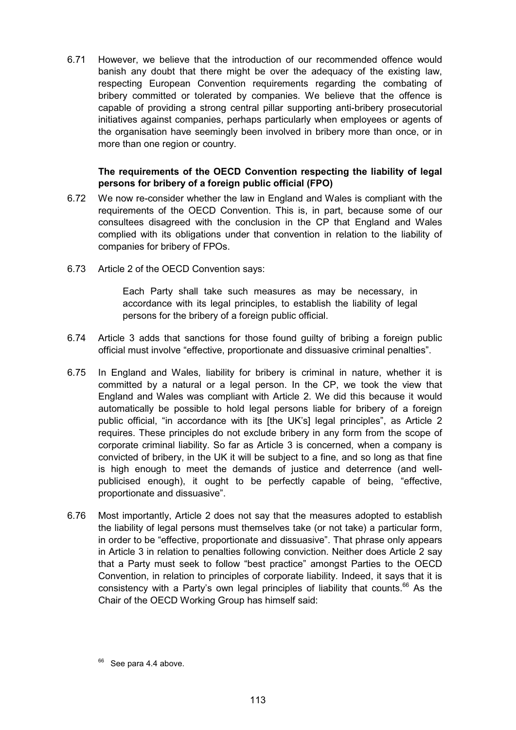6.71 However, we believe that the introduction of our recommended offence would banish any doubt that there might be over the adequacy of the existing law, respecting European Convention requirements regarding the combating of bribery committed or tolerated by companies. We believe that the offence is capable of providing a strong central pillar supporting anti-bribery prosecutorial initiatives against companies, perhaps particularly when employees or agents of the organisation have seemingly been involved in bribery more than once, or in more than one region or country.

## **The requirements of the OECD Convention respecting the liability of legal persons for bribery of a foreign public official (FPO)**

- 6.72 We now re-consider whether the law in England and Wales is compliant with the requirements of the OECD Convention. This is, in part, because some of our consultees disagreed with the conclusion in the CP that England and Wales complied with its obligations under that convention in relation to the liability of companies for bribery of FPOs.
- 6.73 Article 2 of the OECD Convention says:

Each Party shall take such measures as may be necessary, in accordance with its legal principles, to establish the liability of legal persons for the bribery of a foreign public official.

- 6.74 Article 3 adds that sanctions for those found guilty of bribing a foreign public official must involve "effective, proportionate and dissuasive criminal penalties".
- 6.75 In England and Wales, liability for bribery is criminal in nature, whether it is committed by a natural or a legal person. In the CP, we took the view that England and Wales was compliant with Article 2. We did this because it would automatically be possible to hold legal persons liable for bribery of a foreign public official, "in accordance with its [the UK's] legal principles", as Article 2 requires. These principles do not exclude bribery in any form from the scope of corporate criminal liability. So far as Article 3 is concerned, when a company is convicted of bribery, in the UK it will be subject to a fine, and so long as that fine is high enough to meet the demands of justice and deterrence (and wellpublicised enough), it ought to be perfectly capable of being, "effective, proportionate and dissuasive".
- 6.76 Most importantly, Article 2 does not say that the measures adopted to establish the liability of legal persons must themselves take (or not take) a particular form, in order to be "effective, proportionate and dissuasive". That phrase only appears in Article 3 in relation to penalties following conviction. Neither does Article 2 say that a Party must seek to follow "best practice" amongst Parties to the OECD Convention, in relation to principles of corporate liability. Indeed, it says that it is consistency with a Party's own legal principles of liability that counts.<sup>66</sup> As the Chair of the OECD Working Group has himself said:

See para 4.4 above.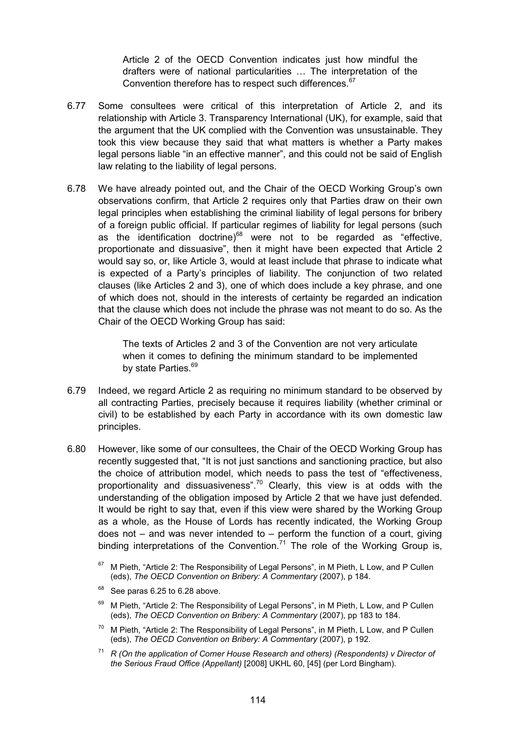Article 2 of the OECD Convention indicates just how mindful the drafters were of national particularities … The interpretation of the Convention therefore has to respect such differences.<sup>67</sup>

- 6.77 Some consultees were critical of this interpretation of Article 2, and its relationship with Article 3. Transparency International (UK), for example, said that the argument that the UK complied with the Convention was unsustainable. They took this view because they said that what matters is whether a Party makes legal persons liable "in an effective manner", and this could not be said of English law relating to the liability of legal persons.
- 6.78 We have already pointed out, and the Chair of the OECD Working Group's own observations confirm, that Article 2 requires only that Parties draw on their own legal principles when establishing the criminal liability of legal persons for bribery of a foreign public official. If particular regimes of liability for legal persons (such as the identification doctrine) $68$  were not to be regarded as "effective, proportionate and dissuasive", then it might have been expected that Article 2 would say so, or, like Article 3, would at least include that phrase to indicate what is expected of a Party's principles of liability. The conjunction of two related clauses (like Articles 2 and 3), one of which does include a key phrase, and one of which does not, should in the interests of certainty be regarded an indication that the clause which does not include the phrase was not meant to do so. As the Chair of the OECD Working Group has said:

The texts of Articles 2 and 3 of the Convention are not very articulate when it comes to defining the minimum standard to be implemented by state Parties.<sup>69</sup>

- 6.79 Indeed, we regard Article 2 as requiring no minimum standard to be observed by all contracting Parties, precisely because it requires liability (whether criminal or civil) to be established by each Party in accordance with its own domestic law principles.
- 6.80 However, like some of our consultees, the Chair of the OECD Working Group has recently suggested that, "It is not just sanctions and sanctioning practice, but also the choice of attribution model, which needs to pass the test of "effectiveness, proportionality and dissuasiveness".<sup>70</sup> Clearly, this view is at odds with the understanding of the obligation imposed by Article 2 that we have just defended. It would be right to say that, even if this view were shared by the Working Group as a whole, as the House of Lords has recently indicated, the Working Group does not  $-$  and was never intended to  $-$  perform the function of a court, giving binding interpretations of the Convention.<sup>71</sup> The role of the Working Group is,
	- $67$  M Pieth, "Article 2: The Responsibility of Legal Persons", in M Pieth, L Low, and P Cullen (eds), *The OECD Convention on Bribery: A Commentary* (2007), p 184.
	- $68$  See paras 6.25 to 6.28 above.
	- <sup>69</sup> M Pieth, "Article 2: The Responsibility of Legal Persons", in M Pieth, L Low, and P Cullen (eds), *The OECD Convention on Bribery: A Commentary* (2007), pp 183 to 184.
	- $70$  M Pieth, "Article 2: The Responsibility of Legal Persons", in M Pieth, L Low, and P Cullen (eds), *The OECD Convention on Bribery: A Commentary* (2007), p 192.
	- <sup>71</sup> *R (On the application of Corner House Research and others) (Respondents) v Director of the Serious Fraud Office (Appellant)* [2008] UKHL 60, [45] (per Lord Bingham).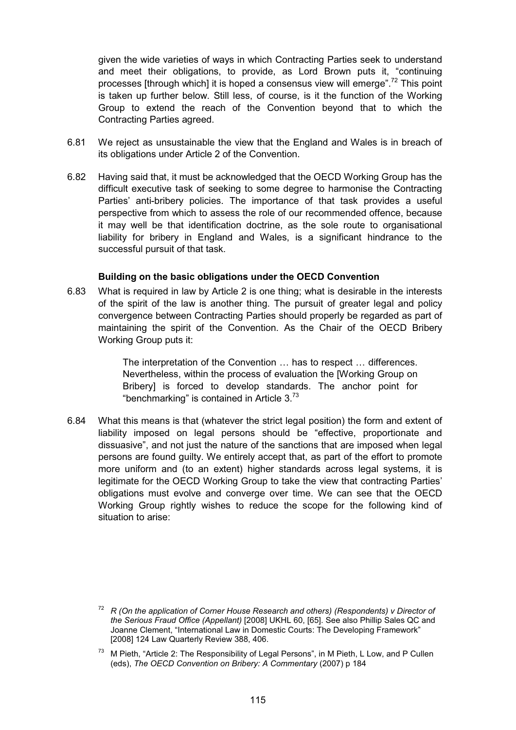given the wide varieties of ways in which Contracting Parties seek to understand and meet their obligations, to provide, as Lord Brown puts it, "continuing processes [through which] it is hoped a consensus view will emerge".<sup>72</sup> This point is taken up further below. Still less, of course, is it the function of the Working Group to extend the reach of the Convention beyond that to which the Contracting Parties agreed.

- 6.81 We reject as unsustainable the view that the England and Wales is in breach of its obligations under Article 2 of the Convention.
- 6.82 Having said that, it must be acknowledged that the OECD Working Group has the difficult executive task of seeking to some degree to harmonise the Contracting Parties' anti-bribery policies. The importance of that task provides a useful perspective from which to assess the role of our recommended offence, because it may well be that identification doctrine, as the sole route to organisational liability for bribery in England and Wales, is a significant hindrance to the successful pursuit of that task.

## **Building on the basic obligations under the OECD Convention**

6.83 What is required in law by Article 2 is one thing; what is desirable in the interests of the spirit of the law is another thing. The pursuit of greater legal and policy convergence between Contracting Parties should properly be regarded as part of maintaining the spirit of the Convention. As the Chair of the OECD Bribery Working Group puts it:

> The interpretation of the Convention … has to respect … differences. Nevertheless, within the process of evaluation the [Working Group on Bribery] is forced to develop standards. The anchor point for "benchmarking" is contained in Article  $3.^{73}$

6.84 What this means is that (whatever the strict legal position) the form and extent of liability imposed on legal persons should be "effective, proportionate and dissuasive", and not just the nature of the sanctions that are imposed when legal persons are found guilty. We entirely accept that, as part of the effort to promote more uniform and (to an extent) higher standards across legal systems, it is legitimate for the OECD Working Group to take the view that contracting Parties' obligations must evolve and converge over time. We can see that the OECD Working Group rightly wishes to reduce the scope for the following kind of situation to arise:

<sup>72</sup> *R (On the application of Corner House Research and others) (Respondents) v Director of the Serious Fraud Office (Appellant)* [2008] UKHL 60, [65]. See also Phillip Sales QC and Joanne Clement, "International Law in Domestic Courts: The Developing Framework" [2008] 124 Law Quarterly Review 388, 406.

 $73$  M Pieth, "Article 2: The Responsibility of Legal Persons", in M Pieth, L Low, and P Cullen (eds), *The OECD Convention on Bribery: A Commentary* (2007) p 184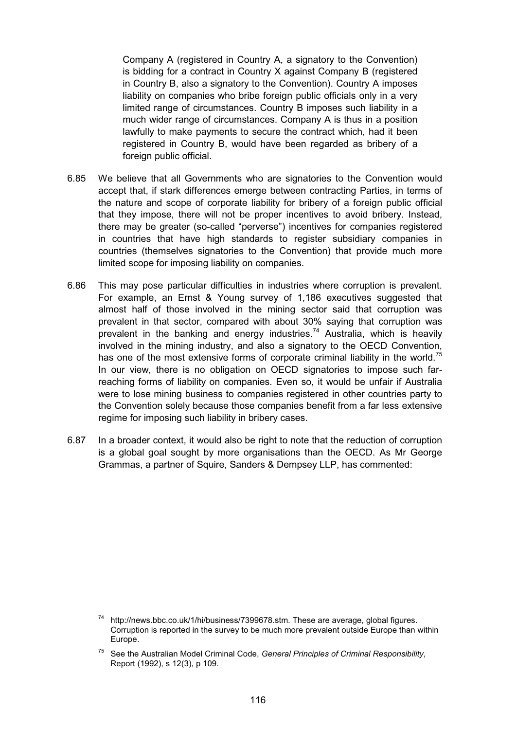Company A (registered in Country A, a signatory to the Convention) is bidding for a contract in Country X against Company B (registered in Country B, also a signatory to the Convention). Country A imposes liability on companies who bribe foreign public officials only in a very limited range of circumstances. Country B imposes such liability in a much wider range of circumstances. Company A is thus in a position lawfully to make payments to secure the contract which, had it been registered in Country B, would have been regarded as bribery of a foreign public official.

- 6.85 We believe that all Governments who are signatories to the Convention would accept that, if stark differences emerge between contracting Parties, in terms of the nature and scope of corporate liability for bribery of a foreign public official that they impose, there will not be proper incentives to avoid bribery. Instead, there may be greater (so-called "perverse") incentives for companies registered in countries that have high standards to register subsidiary companies in countries (themselves signatories to the Convention) that provide much more limited scope for imposing liability on companies.
- 6.86 This may pose particular difficulties in industries where corruption is prevalent. For example, an Ernst & Young survey of 1,186 executives suggested that almost half of those involved in the mining sector said that corruption was prevalent in that sector, compared with about 30% saying that corruption was prevalent in the banking and energy industries.<sup>74</sup> Australia, which is heavily involved in the mining industry, and also a signatory to the OECD Convention, has one of the most extensive forms of corporate criminal liability in the world.<sup>75</sup> In our view, there is no obligation on OECD signatories to impose such farreaching forms of liability on companies. Even so, it would be unfair if Australia were to lose mining business to companies registered in other countries party to the Convention solely because those companies benefit from a far less extensive regime for imposing such liability in bribery cases.
- 6.87 In a broader context, it would also be right to note that the reduction of corruption is a global goal sought by more organisations than the OECD. As Mr George Grammas, a partner of Squire, Sanders & Dempsey LLP, has commented:

 $74$  http://news.bbc.co.uk/1/hi/business/7399678.stm. These are average, global figures. Corruption is reported in the survey to be much more prevalent outside Europe than within Europe.

<sup>75</sup> See the Australian Model Criminal Code, *General Principles of Criminal Responsibility*, Report (1992), s 12(3), p 109.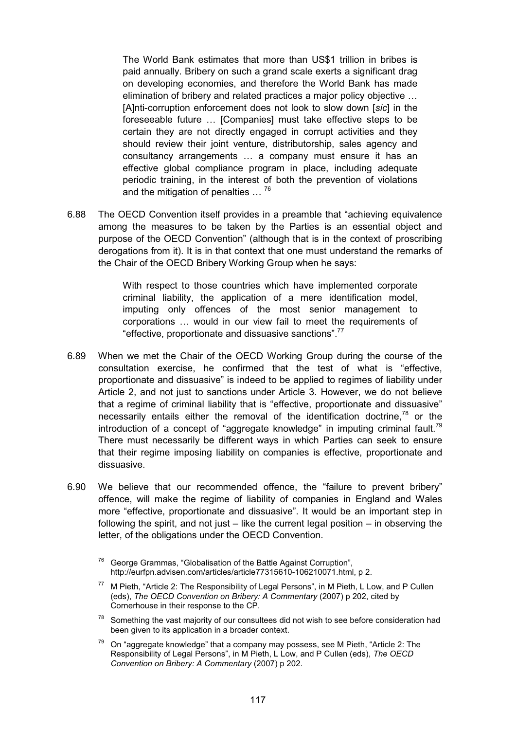The World Bank estimates that more than US\$1 trillion in bribes is paid annually. Bribery on such a grand scale exerts a significant drag on developing economies, and therefore the World Bank has made elimination of bribery and related practices a major policy objective … [A]nti-corruption enforcement does not look to slow down [*sic*] in the foreseeable future … [Companies] must take effective steps to be certain they are not directly engaged in corrupt activities and they should review their joint venture, distributorship, sales agency and consultancy arrangements … a company must ensure it has an effective global compliance program in place, including adequate periodic training, in the interest of both the prevention of violations and the mitigation of penalties ...<sup>76</sup>

6.88 The OECD Convention itself provides in a preamble that "achieving equivalence among the measures to be taken by the Parties is an essential object and purpose of the OECD Convention" (although that is in the context of proscribing derogations from it). It is in that context that one must understand the remarks of the Chair of the OECD Bribery Working Group when he says:

> With respect to those countries which have implemented corporate criminal liability, the application of a mere identification model, imputing only offences of the most senior management to corporations … would in our view fail to meet the requirements of "effective, proportionate and dissuasive sanctions".<sup>77</sup>

- 6.89 When we met the Chair of the OECD Working Group during the course of the consultation exercise, he confirmed that the test of what is "effective, proportionate and dissuasive" is indeed to be applied to regimes of liability under Article 2, and not just to sanctions under Article 3. However, we do not believe that a regime of criminal liability that is "effective, proportionate and dissuasive" necessarily entails either the removal of the identification doctrine.<sup>78</sup> or the introduction of a concept of "aggregate knowledge" in imputing criminal fault.<sup>79</sup> There must necessarily be different ways in which Parties can seek to ensure that their regime imposing liability on companies is effective, proportionate and dissuasive.
- 6.90 We believe that our recommended offence, the "failure to prevent bribery" offence, will make the regime of liability of companies in England and Wales more "effective, proportionate and dissuasive". It would be an important step in following the spirit, and not just  $-$  like the current legal position  $-$  in observing the letter, of the obligations under the OECD Convention.
	- $76$  George Grammas, "Globalisation of the Battle Against Corruption", http://eurfpn.advisen.com/articles/article77315610-106210071.html, p 2.
	- <sup>77</sup> M Pieth. "Article 2: The Responsibility of Legal Persons", in M Pieth, L Low, and P Cullen (eds), *The OECD Convention on Bribery: A Commentary* (2007) p 202, cited by Cornerhouse in their response to the CP.
	- $78$  Something the vast majority of our consultees did not wish to see before consideration had been given to its application in a broader context.
	- <sup>79</sup> On "aggregate knowledge" that a company may possess, see M Pieth, "Article 2: The Responsibility of Legal Persons", in M Pieth, L Low, and P Cullen (eds), *The OECD Convention on Bribery: A Commentary* (2007) p 202.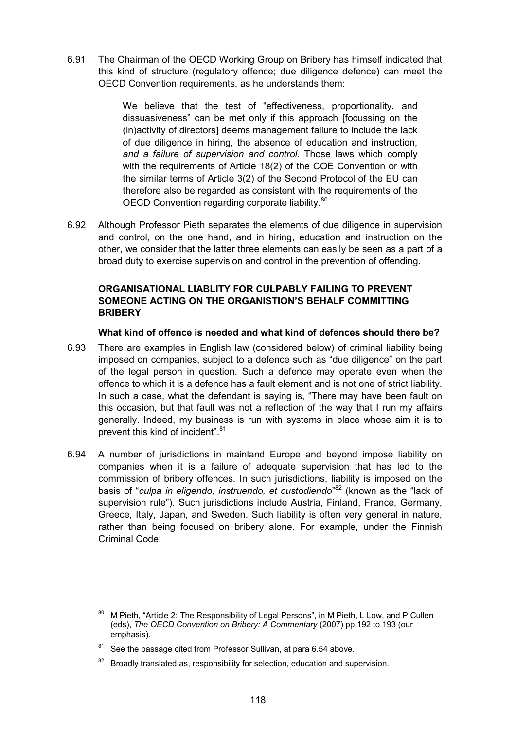6.91 The Chairman of the OECD Working Group on Bribery has himself indicated that this kind of structure (regulatory offence; due diligence defence) can meet the OECD Convention requirements, as he understands them:

> We believe that the test of "effectiveness, proportionality, and dissuasiveness" can be met only if this approach [focussing on the (in)activity of directors] deems management failure to include the lack of due diligence in hiring, the absence of education and instruction, *and a failure of supervision and control*. Those laws which comply with the requirements of Article 18(2) of the COE Convention or with the similar terms of Article 3(2) of the Second Protocol of the EU can therefore also be regarded as consistent with the requirements of the OECD Convention regarding corporate liability.<sup>80</sup>

6.92 Although Professor Pieth separates the elements of due diligence in supervision and control, on the one hand, and in hiring, education and instruction on the other, we consider that the latter three elements can easily be seen as a part of a broad duty to exercise supervision and control in the prevention of offending.

## **ORGANISATIONAL LIABLITY FOR CULPABLY FAILING TO PREVENT SOMEONE ACTING ON THE ORGANISTION'S BEHALF COMMITTING BRIBERY**

#### **What kind of offence is needed and what kind of defences should there be?**

- 6.93 There are examples in English law (considered below) of criminal liability being imposed on companies, subject to a defence such as "due diligence" on the part of the legal person in question. Such a defence may operate even when the offence to which it is a defence has a fault element and is not one of strict liability. In such a case, what the defendant is saying is, "There may have been fault on this occasion, but that fault was not a reflection of the way that I run my affairs generally. Indeed, my business is run with systems in place whose aim it is to prevent this kind of incident".<sup>81</sup>
- 6.94 A number of jurisdictions in mainland Europe and beyond impose liability on companies when it is a failure of adequate supervision that has led to the commission of bribery offences. In such jurisdictions, liability is imposed on the basis of "*culpa in eligendo, instruendo, et custodiendo*" 82 (known as the "lack of supervision rule"). Such jurisdictions include Austria, Finland, France, Germany, Greece, Italy, Japan, and Sweden. Such liability is often very general in nature, rather than being focused on bribery alone. For example, under the Finnish Criminal Code:

<sup>80</sup> M Pieth, "Article 2: The Responsibility of Legal Persons", in M Pieth, L Low, and P Cullen (eds), *The OECD Convention on Bribery: A Commentary* (2007) pp 192 to 193 (our emphasis).

 $81$  See the passage cited from Professor Sullivan, at para 6.54 above.

Broadly translated as, responsibility for selection, education and supervision.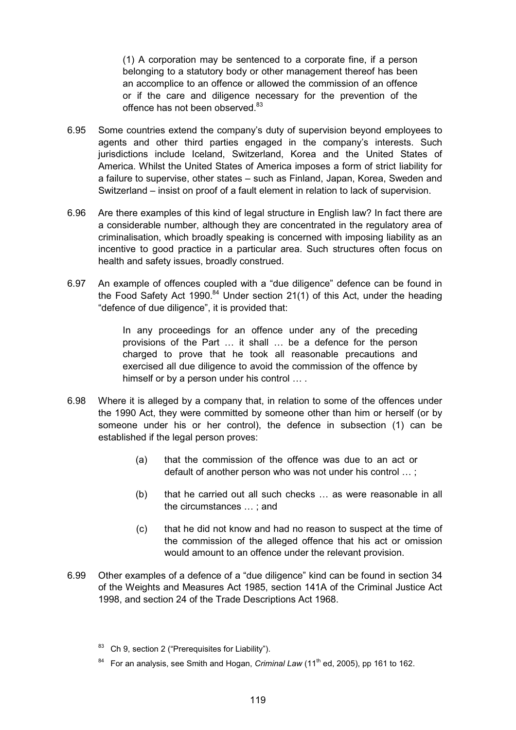(1) A corporation may be sentenced to a corporate fine, if a person belonging to a statutory body or other management thereof has been an accomplice to an offence or allowed the commission of an offence or if the care and diligence necessary for the prevention of the offence has not been observed.<sup>83</sup>

- 6.95 Some countries extend the company's duty of supervision beyond employees to agents and other third parties engaged in the company's interests. Such jurisdictions include Iceland, Switzerland, Korea and the United States of America. Whilst the United States of America imposes a form of strict liability for a failure to supervise, other states – such as Finland, Japan, Korea, Sweden and Switzerland – insist on proof of a fault element in relation to lack of supervision.
- 6.96 Are there examples of this kind of legal structure in English law? In fact there are a considerable number, although they are concentrated in the regulatory area of criminalisation, which broadly speaking is concerned with imposing liability as an incentive to good practice in a particular area. Such structures often focus on health and safety issues, broadly construed.
- 6.97 An example of offences coupled with a "due diligence" defence can be found in the Food Safety Act 1990.<sup>84</sup> Under section 21(1) of this Act, under the heading "defence of due diligence", it is provided that:

In any proceedings for an offence under any of the preceding provisions of the Part … it shall … be a defence for the person charged to prove that he took all reasonable precautions and exercised all due diligence to avoid the commission of the offence by himself or by a person under his control ....

- 6.98 Where it is alleged by a company that, in relation to some of the offences under the 1990 Act, they were committed by someone other than him or herself (or by someone under his or her control), the defence in subsection (1) can be established if the legal person proves:
	- (a) that the commission of the offence was due to an act or default of another person who was not under his control … ;
	- (b) that he carried out all such checks … as were reasonable in all the circumstances … ; and
	- (c) that he did not know and had no reason to suspect at the time of the commission of the alleged offence that his act or omission would amount to an offence under the relevant provision.
- 6.99 Other examples of a defence of a "due diligence" kind can be found in section 34 of the Weights and Measures Act 1985, section 141A of the Criminal Justice Act 1998, and section 24 of the Trade Descriptions Act 1968.

 $83$  Ch 9, section 2 ("Prerequisites for Liability").

<sup>&</sup>lt;sup>84</sup> For an analysis, see Smith and Hogan, *Criminal Law* (11<sup>th</sup> ed, 2005), pp 161 to 162.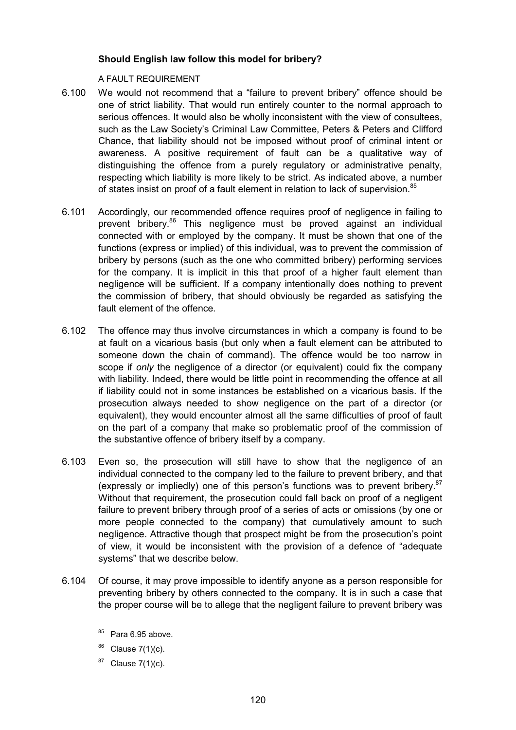## **Should English law follow this model for bribery?**

### A FAULT REQUIREMENT

- 6.100 We would not recommend that a "failure to prevent bribery" offence should be one of strict liability. That would run entirely counter to the normal approach to serious offences. It would also be wholly inconsistent with the view of consultees, such as the Law Society's Criminal Law Committee, Peters & Peters and Clifford Chance, that liability should not be imposed without proof of criminal intent or awareness. A positive requirement of fault can be a qualitative way of distinguishing the offence from a purely regulatory or administrative penalty, respecting which liability is more likely to be strict. As indicated above, a number of states insist on proof of a fault element in relation to lack of supervision.<sup>85</sup>
- 6.101 Accordingly, our recommended offence requires proof of negligence in failing to prevent bribery.<sup>86</sup> This negligence must be proved against an individual connected with or employed by the company. It must be shown that one of the functions (express or implied) of this individual, was to prevent the commission of bribery by persons (such as the one who committed bribery) performing services for the company. It is implicit in this that proof of a higher fault element than negligence will be sufficient. If a company intentionally does nothing to prevent the commission of bribery, that should obviously be regarded as satisfying the fault element of the offence.
- 6.102 The offence may thus involve circumstances in which a company is found to be at fault on a vicarious basis (but only when a fault element can be attributed to someone down the chain of command). The offence would be too narrow in scope if *only* the negligence of a director (or equivalent) could fix the company with liability. Indeed, there would be little point in recommending the offence at all if liability could not in some instances be established on a vicarious basis. If the prosecution always needed to show negligence on the part of a director (or equivalent), they would encounter almost all the same difficulties of proof of fault on the part of a company that make so problematic proof of the commission of the substantive offence of bribery itself by a company.
- 6.103 Even so, the prosecution will still have to show that the negligence of an individual connected to the company led to the failure to prevent bribery, and that (expressly or impliedly) one of this person's functions was to prevent bribery. $87$ Without that requirement, the prosecution could fall back on proof of a negligent failure to prevent bribery through proof of a series of acts or omissions (by one or more people connected to the company) that cumulatively amount to such negligence. Attractive though that prospect might be from the prosecution's point of view, it would be inconsistent with the provision of a defence of "adequate systems" that we describe below.
- 6.104 Of course, it may prove impossible to identify anyone as a person responsible for preventing bribery by others connected to the company. It is in such a case that the proper course will be to allege that the negligent failure to prevent bribery was
	- $85$  Para 6.95 above.
	- $86$  Clause 7(1)(c).
	- $87$  Clause 7(1)(c).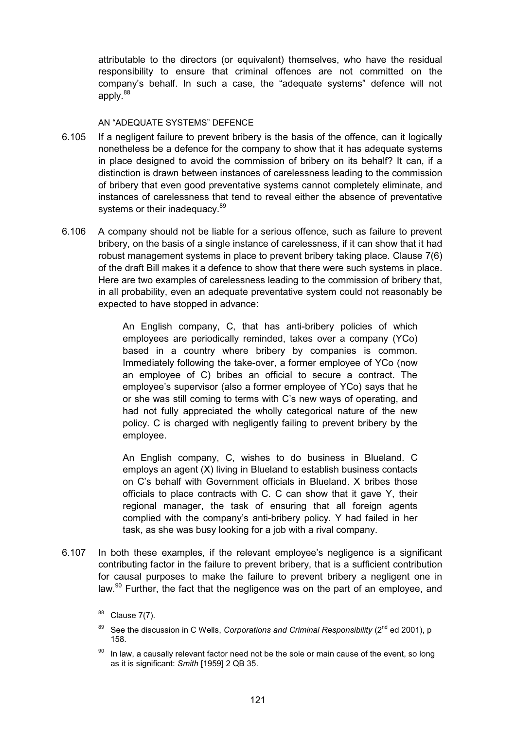attributable to the directors (or equivalent) themselves, who have the residual responsibility to ensure that criminal offences are not committed on the company's behalf. In such a case, the "adequate systems" defence will not apply.<sup>88</sup>

### AN "ADEQUATE SYSTEMS" DEFENCE

- 6.105 If a negligent failure to prevent bribery is the basis of the offence, can it logically nonetheless be a defence for the company to show that it has adequate systems in place designed to avoid the commission of bribery on its behalf? It can, if a distinction is drawn between instances of carelessness leading to the commission of bribery that even good preventative systems cannot completely eliminate, and instances of carelessness that tend to reveal either the absence of preventative systems or their inadequacy.<sup>89</sup>
- 6.106 A company should not be liable for a serious offence, such as failure to prevent bribery, on the basis of a single instance of carelessness, if it can show that it had robust management systems in place to prevent bribery taking place. Clause 7(6) of the draft Bill makes it a defence to show that there were such systems in place. Here are two examples of carelessness leading to the commission of bribery that, in all probability, even an adequate preventative system could not reasonably be expected to have stopped in advance:

An English company, C, that has anti-bribery policies of which employees are periodically reminded, takes over a company (YCo) based in a country where bribery by companies is common. Immediately following the take-over, a former employee of YCo (now an employee of C) bribes an official to secure a contract. The employee's supervisor (also a former employee of YCo) says that he or she was still coming to terms with C's new ways of operating, and had not fully appreciated the wholly categorical nature of the new policy. C is charged with negligently failing to prevent bribery by the employee.

An English company, C, wishes to do business in Blueland. C employs an agent (X) living in Blueland to establish business contacts on C's behalf with Government officials in Blueland. X bribes those officials to place contracts with C. C can show that it gave Y, their regional manager, the task of ensuring that all foreign agents complied with the company's anti-bribery policy. Y had failed in her task, as she was busy looking for a job with a rival company.

6.107 In both these examples, if the relevant employee's negligence is a significant contributing factor in the failure to prevent bribery, that is a sufficient contribution for causal purposes to make the failure to prevent bribery a negligent one in law. $90$  Further, the fact that the negligence was on the part of an employee, and

 $88$  Clause 7(7).

<sup>89</sup> See the discussion in C Wells, *Corporations and Criminal Responsibility* (2<sup>nd</sup> ed 2001), p 158.

 $90$  In law, a causally relevant factor need not be the sole or main cause of the event, so long as it is significant: *Smith* [1959] 2 QB 35.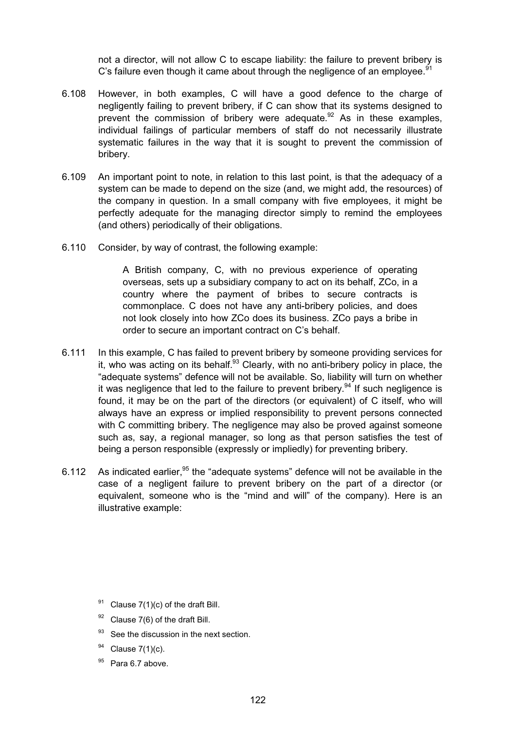not a director, will not allow C to escape liability: the failure to prevent bribery is C's failure even though it came about through the negligence of an employee.<sup>91</sup>

- 6.108 However, in both examples, C will have a good defence to the charge of negligently failing to prevent bribery, if C can show that its systems designed to prevent the commission of bribery were adequate.  $92$  As in these examples, individual failings of particular members of staff do not necessarily illustrate systematic failures in the way that it is sought to prevent the commission of bribery.
- 6.109 An important point to note, in relation to this last point, is that the adequacy of a system can be made to depend on the size (and, we might add, the resources) of the company in question. In a small company with five employees, it might be perfectly adequate for the managing director simply to remind the employees (and others) periodically of their obligations.
- 6.110 Consider, by way of contrast, the following example:

A British company, C, with no previous experience of operating overseas, sets up a subsidiary company to act on its behalf, ZCo, in a country where the payment of bribes to secure contracts is commonplace. C does not have any anti-bribery policies, and does not look closely into how ZCo does its business. ZCo pays a bribe in order to secure an important contract on C's behalf.

- 6.111 In this example, C has failed to prevent bribery by someone providing services for it, who was acting on its behalf. $93$  Clearly, with no anti-bribery policy in place, the "adequate systems" defence will not be available. So, liability will turn on whether it was negligence that led to the failure to prevent bribery.<sup>94</sup> If such negligence is found, it may be on the part of the directors (or equivalent) of C itself, who will always have an express or implied responsibility to prevent persons connected with C committing bribery. The negligence may also be proved against someone such as, say, a regional manager, so long as that person satisfies the test of being a person responsible (expressly or impliedly) for preventing bribery.
- 6.112 As indicated earlier.<sup>95</sup> the "adequate systems" defence will not be available in the case of a negligent failure to prevent bribery on the part of a director (or equivalent, someone who is the "mind and will" of the company). Here is an illustrative example:

- <sup>91</sup> Clause  $7(1)(c)$  of the draft Bill.
- $92$  Clause 7(6) of the draft Bill.
- <sup>93</sup> See the discussion in the next section.
- $94$  Clause 7(1)(c).
- $95$  Para 6.7 above.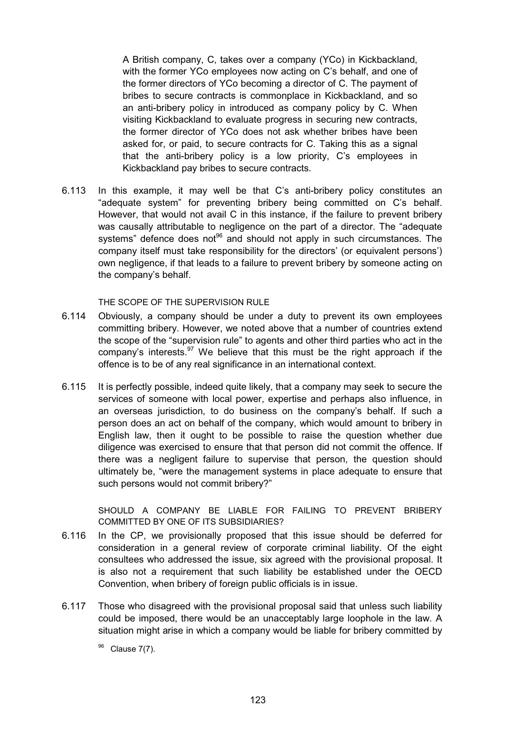A British company, C, takes over a company (YCo) in Kickbackland, with the former YCo employees now acting on C's behalf, and one of the former directors of YCo becoming a director of C. The payment of bribes to secure contracts is commonplace in Kickbackland, and so an anti-bribery policy in introduced as company policy by C. When visiting Kickbackland to evaluate progress in securing new contracts, the former director of YCo does not ask whether bribes have been asked for, or paid, to secure contracts for C. Taking this as a signal that the anti-bribery policy is a low priority, C's employees in Kickbackland pay bribes to secure contracts.

6.113 In this example, it may well be that C's anti-bribery policy constitutes an "adequate system" for preventing bribery being committed on C's behalf. However, that would not avail C in this instance, if the failure to prevent bribery was causally attributable to negligence on the part of a director. The "adequate systems" defence does not<sup>96</sup> and should not apply in such circumstances. The company itself must take responsibility for the directors' (or equivalent persons') own negligence, if that leads to a failure to prevent bribery by someone acting on the company's behalf.

THE SCOPE OF THE SUPERVISION RULE

- 6.114 Obviously, a company should be under a duty to prevent its own employees committing bribery. However, we noted above that a number of countries extend the scope of the "supervision rule" to agents and other third parties who act in the company's interests. $97$  We believe that this must be the right approach if the offence is to be of any real significance in an international context.
- 6.115 It is perfectly possible, indeed quite likely, that a company may seek to secure the services of someone with local power, expertise and perhaps also influence, in an overseas jurisdiction, to do business on the company's behalf. If such a person does an act on behalf of the company, which would amount to bribery in English law, then it ought to be possible to raise the question whether due diligence was exercised to ensure that that person did not commit the offence. If there was a negligent failure to supervise that person, the question should ultimately be, "were the management systems in place adequate to ensure that such persons would not commit bribery?"

SHOULD A COMPANY BE LIABLE FOR FAILING TO PREVENT BRIBERY COMMITTED BY ONE OF ITS SUBSIDIARIES?

- 6.116 In the CP, we provisionally proposed that this issue should be deferred for consideration in a general review of corporate criminal liability. Of the eight consultees who addressed the issue, six agreed with the provisional proposal. It is also not a requirement that such liability be established under the OECD Convention, when bribery of foreign public officials is in issue.
- 6.117 Those who disagreed with the provisional proposal said that unless such liability could be imposed, there would be an unacceptably large loophole in the law. A situation might arise in which a company would be liable for bribery committed by

<sup>96</sup> Clause 7(7).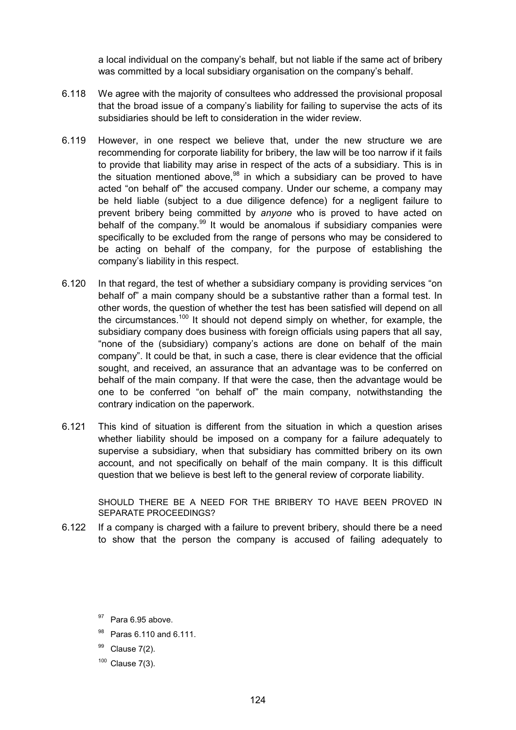a local individual on the company's behalf, but not liable if the same act of bribery was committed by a local subsidiary organisation on the company's behalf.

- 6.118 We agree with the majority of consultees who addressed the provisional proposal that the broad issue of a company's liability for failing to supervise the acts of its subsidiaries should be left to consideration in the wider review.
- 6.119 However, in one respect we believe that, under the new structure we are recommending for corporate liability for bribery, the law will be too narrow if it fails to provide that liability may arise in respect of the acts of a subsidiary. This is in the situation mentioned above,  $98$  in which a subsidiary can be proved to have acted "on behalf of" the accused company. Under our scheme, a company may be held liable (subject to a due diligence defence) for a negligent failure to prevent bribery being committed by *anyone* who is proved to have acted on behalf of the company. $99$  It would be anomalous if subsidiary companies were specifically to be excluded from the range of persons who may be considered to be acting on behalf of the company, for the purpose of establishing the company's liability in this respect.
- 6.120 In that regard, the test of whether a subsidiary company is providing services "on behalf of" a main company should be a substantive rather than a formal test. In other words, the question of whether the test has been satisfied will depend on all the circumstances.<sup>100</sup> It should not depend simply on whether, for example, the subsidiary company does business with foreign officials using papers that all say, "none of the (subsidiary) company's actions are done on behalf of the main company". It could be that, in such a case, there is clear evidence that the official sought, and received, an assurance that an advantage was to be conferred on behalf of the main company. If that were the case, then the advantage would be one to be conferred "on behalf of" the main company, notwithstanding the contrary indication on the paperwork.
- 6.121 This kind of situation is different from the situation in which a question arises whether liability should be imposed on a company for a failure adequately to supervise a subsidiary, when that subsidiary has committed bribery on its own account, and not specifically on behalf of the main company. It is this difficult question that we believe is best left to the general review of corporate liability.

SHOULD THERE BE A NEED FOR THE BRIBERY TO HAVE BEEN PROVED IN SEPARATE PROCEEDINGS?

6.122 If a company is charged with a failure to prevent bribery, should there be a need to show that the person the company is accused of failing adequately to

- <sup>98</sup> Paras 6.110 and 6.111.
- $99$  Clause 7(2).
- $100$  Clause 7(3).

<sup>&</sup>lt;sup>97</sup> Para 6.95 above.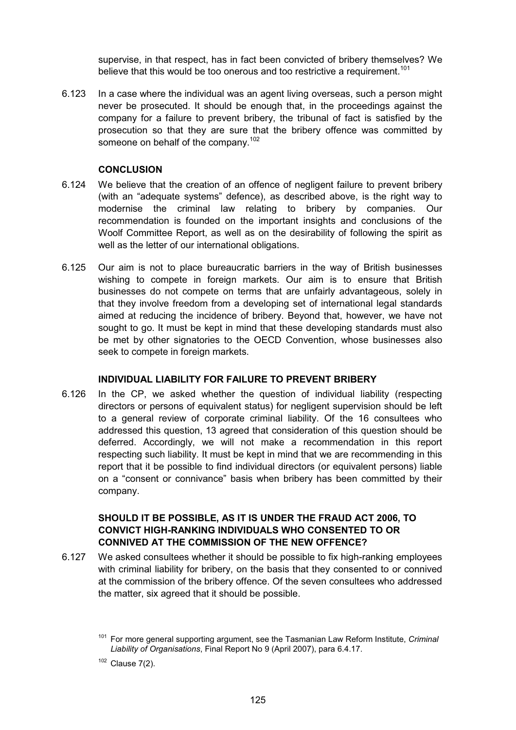supervise, in that respect, has in fact been convicted of bribery themselves? We believe that this would be too onerous and too restrictive a requirement.<sup>101</sup>

6.123 In a case where the individual was an agent living overseas, such a person might never be prosecuted. It should be enough that, in the proceedings against the company for a failure to prevent bribery, the tribunal of fact is satisfied by the prosecution so that they are sure that the bribery offence was committed by someone on behalf of the company.<sup>102</sup>

## **CONCLUSION**

- 6.124 We believe that the creation of an offence of negligent failure to prevent bribery (with an "adequate systems" defence), as described above, is the right way to modernise the criminal law relating to bribery by companies. Our recommendation is founded on the important insights and conclusions of the Woolf Committee Report, as well as on the desirability of following the spirit as well as the letter of our international obligations.
- 6.125 Our aim is not to place bureaucratic barriers in the way of British businesses wishing to compete in foreign markets. Our aim is to ensure that British businesses do not compete on terms that are unfairly advantageous, solely in that they involve freedom from a developing set of international legal standards aimed at reducing the incidence of bribery. Beyond that, however, we have not sought to go. It must be kept in mind that these developing standards must also be met by other signatories to the OECD Convention, whose businesses also seek to compete in foreign markets.

## **INDIVIDUAL LIABILITY FOR FAILURE TO PREVENT BRIBERY**

6.126 In the CP, we asked whether the question of individual liability (respecting directors or persons of equivalent status) for negligent supervision should be left to a general review of corporate criminal liability. Of the 16 consultees who addressed this question, 13 agreed that consideration of this question should be deferred. Accordingly, we will not make a recommendation in this report respecting such liability. It must be kept in mind that we are recommending in this report that it be possible to find individual directors (or equivalent persons) liable on a "consent or connivance" basis when bribery has been committed by their company.

# **SHOULD IT BE POSSIBLE, AS IT IS UNDER THE FRAUD ACT 2006, TO CONVICT HIGH-RANKING INDIVIDUALS WHO CONSENTED TO OR CONNIVED AT THE COMMISSION OF THE NEW OFFENCE?**

6.127 We asked consultees whether it should be possible to fix high-ranking employees with criminal liability for bribery, on the basis that they consented to or connived at the commission of the bribery offence. Of the seven consultees who addressed the matter, six agreed that it should be possible.

 $102$  Clause  $7(2)$ .

<sup>101</sup> For more general supporting argument, see the Tasmanian Law Reform Institute, *Criminal Liability of Organisations*, Final Report No 9 (April 2007), para 6.4.17.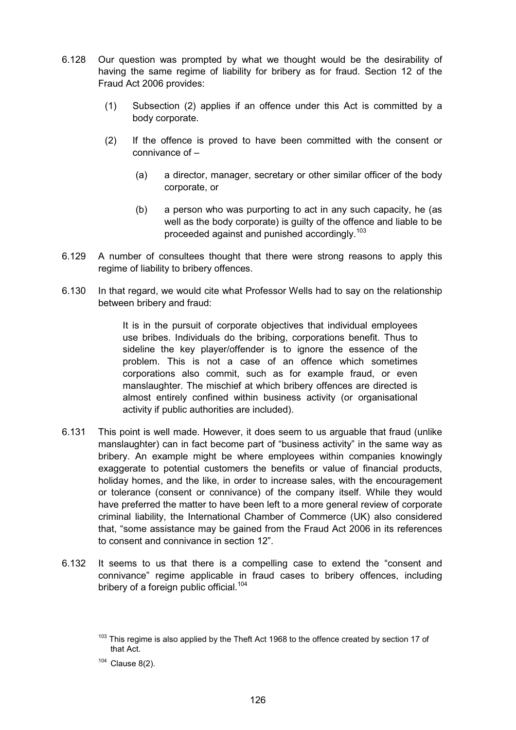- 6.128 Our question was prompted by what we thought would be the desirability of having the same regime of liability for bribery as for fraud. Section 12 of the Fraud Act 2006 provides:
	- (1) Subsection (2) applies if an offence under this Act is committed by a body corporate.
	- (2) If the offence is proved to have been committed with the consent or connivance of –
		- (a) a director, manager, secretary or other similar officer of the body corporate, or
		- (b) a person who was purporting to act in any such capacity, he (as well as the body corporate) is guilty of the offence and liable to be proceeded against and punished accordingly.<sup>103</sup>
- 6.129 A number of consultees thought that there were strong reasons to apply this regime of liability to bribery offences.
- 6.130 In that regard, we would cite what Professor Wells had to say on the relationship between bribery and fraud:

It is in the pursuit of corporate objectives that individual employees use bribes. Individuals do the bribing, corporations benefit. Thus to sideline the key player/offender is to ignore the essence of the problem. This is not a case of an offence which sometimes corporations also commit, such as for example fraud, or even manslaughter. The mischief at which bribery offences are directed is almost entirely confined within business activity (or organisational activity if public authorities are included).

- 6.131 This point is well made. However, it does seem to us arguable that fraud (unlike manslaughter) can in fact become part of "business activity" in the same way as bribery. An example might be where employees within companies knowingly exaggerate to potential customers the benefits or value of financial products, holiday homes, and the like, in order to increase sales, with the encouragement or tolerance (consent or connivance) of the company itself. While they would have preferred the matter to have been left to a more general review of corporate criminal liability, the International Chamber of Commerce (UK) also considered that, "some assistance may be gained from the Fraud Act 2006 in its references to consent and connivance in section 12".
- 6.132 It seems to us that there is a compelling case to extend the "consent and connivance" regime applicable in fraud cases to bribery offences, including bribery of a foreign public official.<sup>104</sup>

<sup>&</sup>lt;sup>103</sup> This regime is also applied by the Theft Act 1968 to the offence created by section 17 of that Act.

 $104$  Clause 8(2).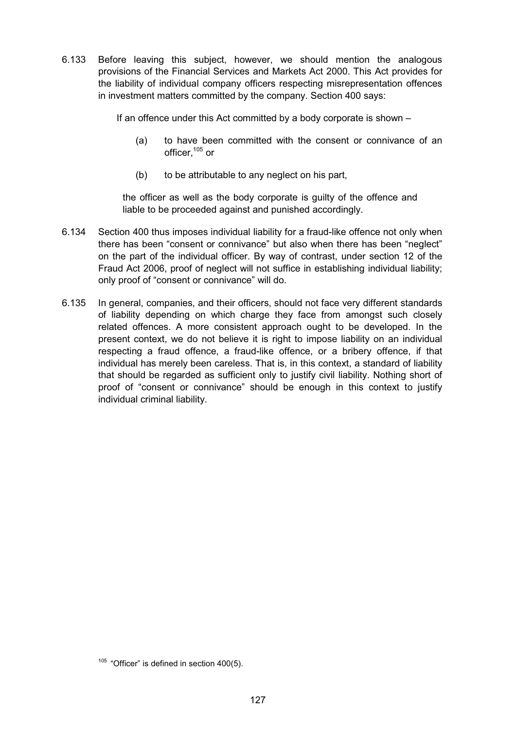6.133 Before leaving this subject, however, we should mention the analogous provisions of the Financial Services and Markets Act 2000. This Act provides for the liability of individual company officers respecting misrepresentation offences in investment matters committed by the company. Section 400 says:

If an offence under this Act committed by a body corporate is shown –

- (a) to have been committed with the consent or connivance of an officer,105 or
- (b) to be attributable to any neglect on his part,

the officer as well as the body corporate is guilty of the offence and liable to be proceeded against and punished accordingly.

- 6.134 Section 400 thus imposes individual liability for a fraud-like offence not only when there has been "consent or connivance" but also when there has been "neglect" on the part of the individual officer. By way of contrast, under section 12 of the Fraud Act 2006, proof of neglect will not suffice in establishing individual liability; only proof of "consent or connivance" will do.
- 6.135 In general, companies, and their officers, should not face very different standards of liability depending on which charge they face from amongst such closely related offences. A more consistent approach ought to be developed. In the present context, we do not believe it is right to impose liability on an individual respecting a fraud offence, a fraud-like offence, or a bribery offence, if that individual has merely been careless. That is, in this context, a standard of liability that should be regarded as sufficient only to justify civil liability. Nothing short of proof of "consent or connivance" should be enough in this context to justify individual criminal liability.

 $105$  "Officer" is defined in section 400(5).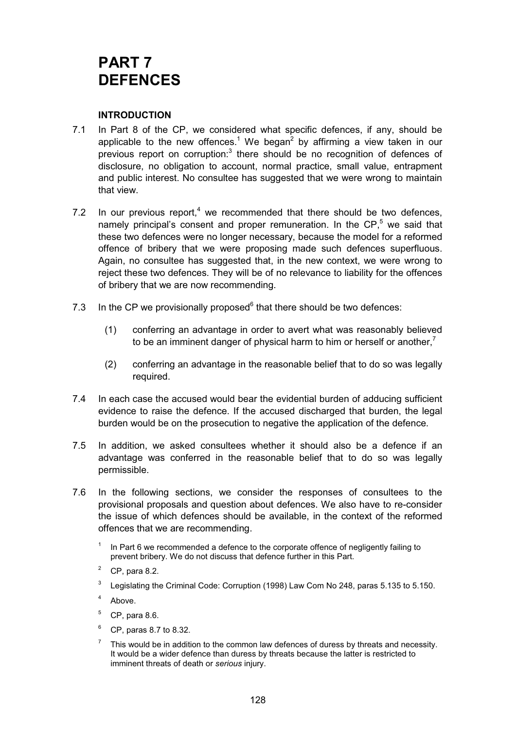# **PART 7 DEFENCES**

## **INTRODUCTION**

- 7.1 In Part 8 of the CP, we considered what specific defences, if any, should be applicable to the new offences.<sup>1</sup> We began<sup>2</sup> by affirming a view taken in our previous report on corruption:<sup>3</sup> there should be no recognition of defences of disclosure, no obligation to account, normal practice, small value, entrapment and public interest. No consultee has suggested that we were wrong to maintain that view.
- 7.2 In our previous report, $4$  we recommended that there should be two defences, namely principal's consent and proper remuneration. In the CP,<sup>5</sup> we said that these two defences were no longer necessary, because the model for a reformed offence of bribery that we were proposing made such defences superfluous. Again, no consultee has suggested that, in the new context, we were wrong to reject these two defences. They will be of no relevance to liability for the offences of bribery that we are now recommending.
- 7.3 In the CP we provisionally proposed $6$  that there should be two defences:
	- (1) conferring an advantage in order to avert what was reasonably believed to be an imminent danger of physical harm to him or herself or another, $<sup>7</sup>$ </sup>
	- (2) conferring an advantage in the reasonable belief that to do so was legally required.
- 7.4 In each case the accused would bear the evidential burden of adducing sufficient evidence to raise the defence. If the accused discharged that burden, the legal burden would be on the prosecution to negative the application of the defence.
- 7.5 In addition, we asked consultees whether it should also be a defence if an advantage was conferred in the reasonable belief that to do so was legally permissible.
- 7.6 In the following sections, we consider the responses of consultees to the provisional proposals and question about defences. We also have to re-consider the issue of which defences should be available, in the context of the reformed offences that we are recommending.
	- In Part 6 we recommended a defence to the corporate offence of negligently failing to prevent bribery. We do not discuss that defence further in this Part.
	- $2^2$  CP, para 8.2.
	- <sup>3</sup> Legislating the Criminal Code: Corruption (1998) Law Com No 248, paras 5.135 to 5.150.
	- <sup>4</sup> Above.
	- $5$  CP, para 8.6.
	- <sup>6</sup> CP, paras 8.7 to 8.32.
	- $7$  This would be in addition to the common law defences of duress by threats and necessity. It would be a wider defence than duress by threats because the latter is restricted to imminent threats of death or *serious* injury.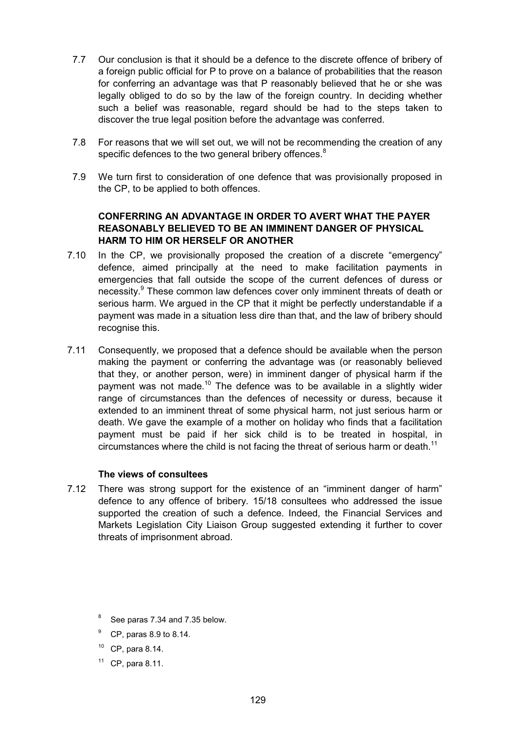- 7.7 Our conclusion is that it should be a defence to the discrete offence of bribery of a foreign public official for P to prove on a balance of probabilities that the reason for conferring an advantage was that P reasonably believed that he or she was legally obliged to do so by the law of the foreign country. In deciding whether such a belief was reasonable, regard should be had to the steps taken to discover the true legal position before the advantage was conferred.
- 7.8 For reasons that we will set out, we will not be recommending the creation of any specific defences to the two general bribery offences.<sup>8</sup>
- 7.9 We turn first to consideration of one defence that was provisionally proposed in the CP, to be applied to both offences.

# **CONFERRING AN ADVANTAGE IN ORDER TO AVERT WHAT THE PAYER REASONABLY BELIEVED TO BE AN IMMINENT DANGER OF PHYSICAL HARM TO HIM OR HERSELF OR ANOTHER**

- 7.10 In the CP, we provisionally proposed the creation of a discrete "emergency" defence, aimed principally at the need to make facilitation payments in emergencies that fall outside the scope of the current defences of duress or necessity.<sup>9</sup> These common law defences cover only imminent threats of death or serious harm. We argued in the CP that it might be perfectly understandable if a payment was made in a situation less dire than that, and the law of bribery should recognise this.
- 7.11 Consequently, we proposed that a defence should be available when the person making the payment or conferring the advantage was (or reasonably believed that they, or another person, were) in imminent danger of physical harm if the payment was not made.<sup>10</sup> The defence was to be available in a slightly wider range of circumstances than the defences of necessity or duress, because it extended to an imminent threat of some physical harm, not just serious harm or death. We gave the example of a mother on holiday who finds that a facilitation payment must be paid if her sick child is to be treated in hospital, in circumstances where the child is not facing the threat of serious harm or death.<sup>11</sup>

#### **The views of consultees**

- 7.12 There was strong support for the existence of an "imminent danger of harm" defence to any offence of bribery. 15/18 consultees who addressed the issue supported the creation of such a defence. Indeed, the Financial Services and Markets Legislation City Liaison Group suggested extending it further to cover threats of imprisonment abroad.
	- <sup>8</sup> See paras 7.34 and 7.35 below.
	- <sup>9</sup> CP, paras 8.9 to 8.14.
	- <sup>10</sup> CP, para 8.14.
	- $11$  CP, para 8.11.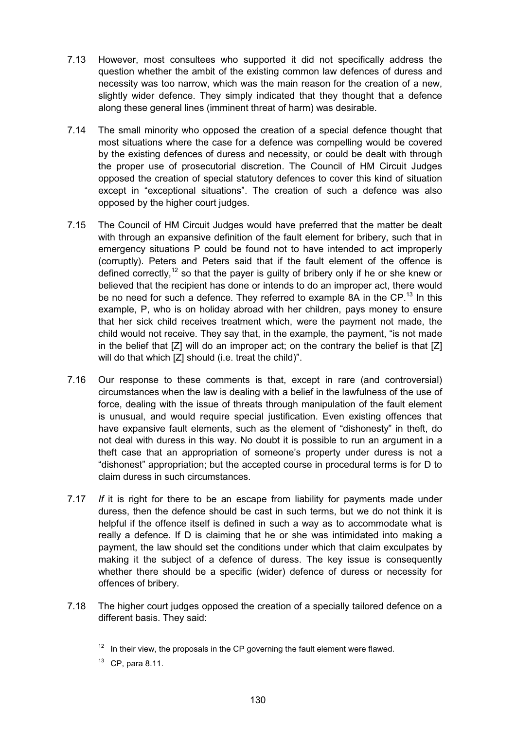- 7.13 However, most consultees who supported it did not specifically address the question whether the ambit of the existing common law defences of duress and necessity was too narrow, which was the main reason for the creation of a new, slightly wider defence. They simply indicated that they thought that a defence along these general lines (imminent threat of harm) was desirable.
- 7.14 The small minority who opposed the creation of a special defence thought that most situations where the case for a defence was compelling would be covered by the existing defences of duress and necessity, or could be dealt with through the proper use of prosecutorial discretion. The Council of HM Circuit Judges opposed the creation of special statutory defences to cover this kind of situation except in "exceptional situations". The creation of such a defence was also opposed by the higher court judges.
- 7.15 The Council of HM Circuit Judges would have preferred that the matter be dealt with through an expansive definition of the fault element for bribery, such that in emergency situations P could be found not to have intended to act improperly (corruptly). Peters and Peters said that if the fault element of the offence is defined correctly,<sup>12</sup> so that the payer is guilty of bribery only if he or she knew or believed that the recipient has done or intends to do an improper act, there would be no need for such a defence. They referred to example 8A in the  $CP<sup>13</sup>$  In this example, P, who is on holiday abroad with her children, pays money to ensure that her sick child receives treatment which, were the payment not made, the child would not receive. They say that, in the example, the payment, "is not made in the belief that [Z] will do an improper act; on the contrary the belief is that [Z] will do that which [Z] should (i.e. treat the child)".
- 7.16 Our response to these comments is that, except in rare (and controversial) circumstances when the law is dealing with a belief in the lawfulness of the use of force, dealing with the issue of threats through manipulation of the fault element is unusual, and would require special justification. Even existing offences that have expansive fault elements, such as the element of "dishonesty" in theft, do not deal with duress in this way. No doubt it is possible to run an argument in a theft case that an appropriation of someone's property under duress is not a "dishonest" appropriation; but the accepted course in procedural terms is for D to claim duress in such circumstances.
- 7.17 *If* it is right for there to be an escape from liability for payments made under duress, then the defence should be cast in such terms, but we do not think it is helpful if the offence itself is defined in such a way as to accommodate what is really a defence. If D is claiming that he or she was intimidated into making a payment, the law should set the conditions under which that claim exculpates by making it the subject of a defence of duress. The key issue is consequently whether there should be a specific (wider) defence of duress or necessity for offences of bribery.
- 7.18 The higher court judges opposed the creation of a specially tailored defence on a different basis. They said:
	- $12$  In their view, the proposals in the CP governing the fault element were flawed.
	- $13$  CP, para 8.11.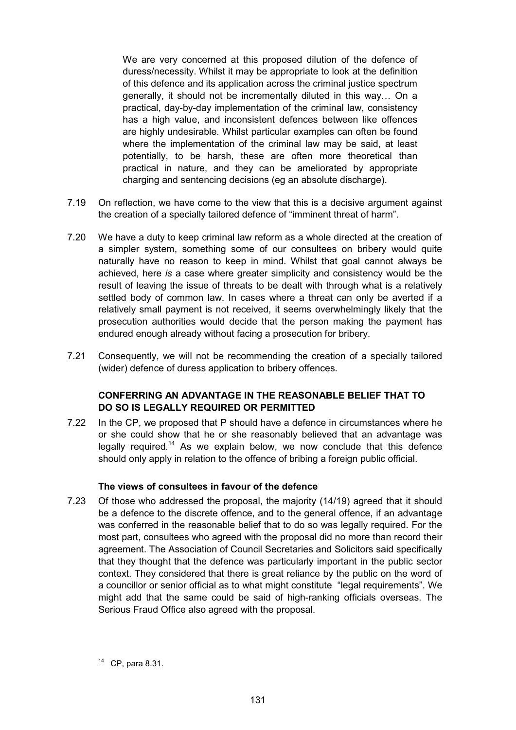We are very concerned at this proposed dilution of the defence of duress/necessity. Whilst it may be appropriate to look at the definition of this defence and its application across the criminal justice spectrum generally, it should not be incrementally diluted in this way… On a practical, day-by-day implementation of the criminal law, consistency has a high value, and inconsistent defences between like offences are highly undesirable. Whilst particular examples can often be found where the implementation of the criminal law may be said, at least potentially, to be harsh, these are often more theoretical than practical in nature, and they can be ameliorated by appropriate charging and sentencing decisions (eg an absolute discharge).

- 7.19 On reflection, we have come to the view that this is a decisive argument against the creation of a specially tailored defence of "imminent threat of harm".
- 7.20 We have a duty to keep criminal law reform as a whole directed at the creation of a simpler system, something some of our consultees on bribery would quite naturally have no reason to keep in mind. Whilst that goal cannot always be achieved, here *is* a case where greater simplicity and consistency would be the result of leaving the issue of threats to be dealt with through what is a relatively settled body of common law. In cases where a threat can only be averted if a relatively small payment is not received, it seems overwhelmingly likely that the prosecution authorities would decide that the person making the payment has endured enough already without facing a prosecution for bribery.
- 7.21 Consequently, we will not be recommending the creation of a specially tailored (wider) defence of duress application to bribery offences.

#### **CONFERRING AN ADVANTAGE IN THE REASONABLE BELIEF THAT TO DO SO IS LEGALLY REQUIRED OR PERMITTED**

7.22 In the CP, we proposed that P should have a defence in circumstances where he or she could show that he or she reasonably believed that an advantage was legally required.<sup>14</sup> As we explain below, we now conclude that this defence should only apply in relation to the offence of bribing a foreign public official.

#### **The views of consultees in favour of the defence**

7.23 Of those who addressed the proposal, the majority (14/19) agreed that it should be a defence to the discrete offence, and to the general offence, if an advantage was conferred in the reasonable belief that to do so was legally required. For the most part, consultees who agreed with the proposal did no more than record their agreement. The Association of Council Secretaries and Solicitors said specifically that they thought that the defence was particularly important in the public sector context. They considered that there is great reliance by the public on the word of a councillor or senior official as to what might constitute "legal requirements". We might add that the same could be said of high-ranking officials overseas. The Serious Fraud Office also agreed with the proposal.

<sup>14</sup> CP, para 8.31.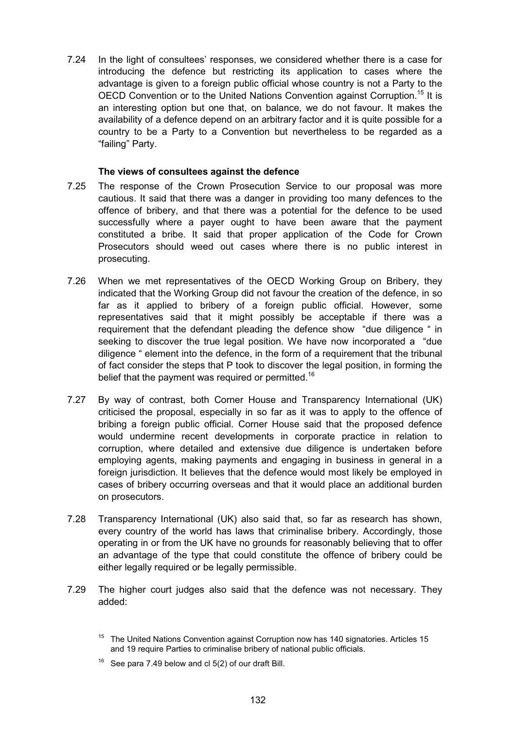7.24 In the light of consultees' responses, we considered whether there is a case for introducing the defence but restricting its application to cases where the advantage is given to a foreign public official whose country is not a Party to the OECD Convention or to the United Nations Convention against Corruption.<sup>15</sup> It is an interesting option but one that, on balance, we do not favour. It makes the availability of a defence depend on an arbitrary factor and it is quite possible for a country to be a Party to a Convention but nevertheless to be regarded as a "failing" Party.

#### **The views of consultees against the defence**

- 7.25 The response of the Crown Prosecution Service to our proposal was more cautious. It said that there was a danger in providing too many defences to the offence of bribery, and that there was a potential for the defence to be used successfully where a payer ought to have been aware that the payment constituted a bribe. It said that proper application of the Code for Crown Prosecutors should weed out cases where there is no public interest in prosecuting.
- 7.26 When we met representatives of the OECD Working Group on Bribery, they indicated that the Working Group did not favour the creation of the defence, in so far as it applied to bribery of a foreign public official. However, some representatives said that it might possibly be acceptable if there was a requirement that the defendant pleading the defence show "due diligence " in seeking to discover the true legal position. We have now incorporated a "due diligence " element into the defence, in the form of a requirement that the tribunal of fact consider the steps that P took to discover the legal position, in forming the belief that the payment was required or permitted.<sup>16</sup>
- 7.27 By way of contrast, both Corner House and Transparency International (UK) criticised the proposal, especially in so far as it was to apply to the offence of bribing a foreign public official. Corner House said that the proposed defence would undermine recent developments in corporate practice in relation to corruption, where detailed and extensive due diligence is undertaken before employing agents, making payments and engaging in business in general in a foreign jurisdiction. It believes that the defence would most likely be employed in cases of bribery occurring overseas and that it would place an additional burden on prosecutors.
- 7.28 Transparency International (UK) also said that, so far as research has shown, every country of the world has laws that criminalise bribery. Accordingly, those operating in or from the UK have no grounds for reasonably believing that to offer an advantage of the type that could constitute the offence of bribery could be either legally required or be legally permissible.
- 7.29 The higher court judges also said that the defence was not necessary. They added:

<sup>&</sup>lt;sup>15</sup> The United Nations Convention against Corruption now has 140 signatories. Articles 15 and 19 require Parties to criminalise bribery of national public officials.

<sup>&</sup>lt;sup>16</sup> See para 7.49 below and cl  $5(2)$  of our draft Bill.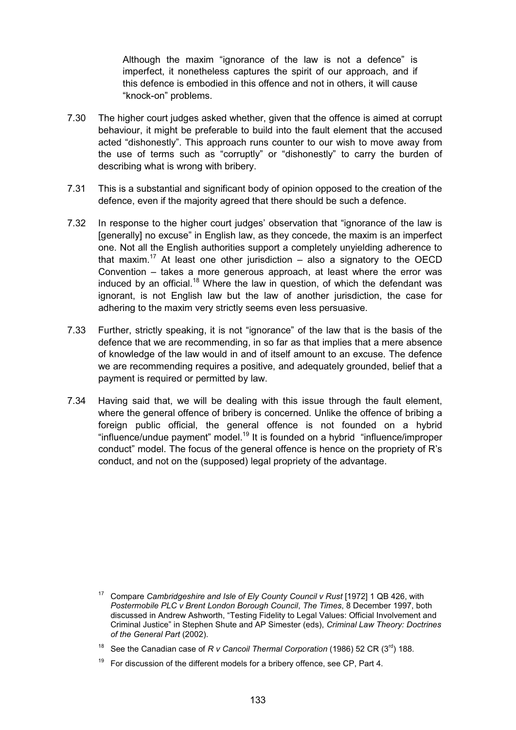Although the maxim "ignorance of the law is not a defence" is imperfect, it nonetheless captures the spirit of our approach, and if this defence is embodied in this offence and not in others, it will cause "knock-on" problems.

- 7.30 The higher court judges asked whether, given that the offence is aimed at corrupt behaviour, it might be preferable to build into the fault element that the accused acted "dishonestly". This approach runs counter to our wish to move away from the use of terms such as "corruptly" or "dishonestly" to carry the burden of describing what is wrong with bribery.
- 7.31 This is a substantial and significant body of opinion opposed to the creation of the defence, even if the majority agreed that there should be such a defence.
- 7.32 In response to the higher court judges' observation that "ignorance of the law is [generally] no excuse" in English law, as they concede, the maxim is an imperfect one. Not all the English authorities support a completely unyielding adherence to that maxim.<sup>17</sup> At least one other jurisdiction – also a signatory to the OECD Convention – takes a more generous approach, at least where the error was induced by an official.<sup>18</sup> Where the law in question, of which the defendant was ignorant, is not English law but the law of another jurisdiction, the case for adhering to the maxim very strictly seems even less persuasive.
- 7.33 Further, strictly speaking, it is not "ignorance" of the law that is the basis of the defence that we are recommending, in so far as that implies that a mere absence of knowledge of the law would in and of itself amount to an excuse. The defence we are recommending requires a positive, and adequately grounded, belief that a payment is required or permitted by law.
- 7.34 Having said that, we will be dealing with this issue through the fault element, where the general offence of bribery is concerned. Unlike the offence of bribing a foreign public official, the general offence is not founded on a hybrid "influence/undue payment" model.<sup>19</sup> It is founded on a hybrid "influence/improper" conduct" model. The focus of the general offence is hence on the propriety of R's conduct, and not on the (supposed) legal propriety of the advantage.

<sup>17</sup> Compare *Cambridgeshire and Isle of Ely County Council v Rust* [1972] 1 QB 426, with *Postermobile PLC v Brent London Borough Council*, *The Times*, 8 December 1997, both discussed in Andrew Ashworth, "Testing Fidelity to Legal Values: Official Involvement and Criminal Justice" in Stephen Shute and AP Simester (eds), *Criminal Law Theory: Doctrines of the General Part* (2002).

<sup>&</sup>lt;sup>18</sup> See the Canadian case of *R v Cancoil Thermal Corporation* (1986) 52 CR (3<sup>rd</sup>) 188.

<sup>19</sup> For discussion of the different models for a bribery offence, see CP, Part 4.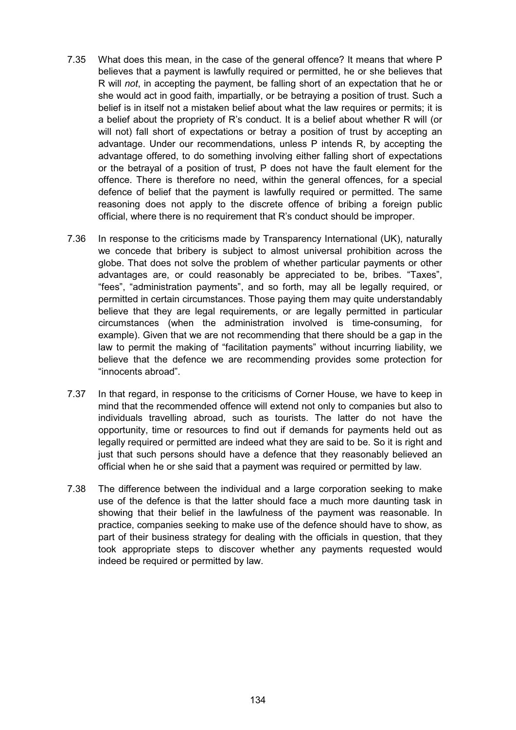- 7.35 What does this mean, in the case of the general offence? It means that where P believes that a payment is lawfully required or permitted, he or she believes that R will *not*, in accepting the payment, be falling short of an expectation that he or she would act in good faith, impartially, or be betraying a position of trust. Such a belief is in itself not a mistaken belief about what the law requires or permits; it is a belief about the propriety of R's conduct. It is a belief about whether R will (or will not) fall short of expectations or betray a position of trust by accepting an advantage. Under our recommendations, unless P intends R, by accepting the advantage offered, to do something involving either falling short of expectations or the betrayal of a position of trust, P does not have the fault element for the offence. There is therefore no need, within the general offences, for a special defence of belief that the payment is lawfully required or permitted. The same reasoning does not apply to the discrete offence of bribing a foreign public official, where there is no requirement that R's conduct should be improper.
- 7.36 In response to the criticisms made by Transparency International (UK), naturally we concede that bribery is subject to almost universal prohibition across the globe. That does not solve the problem of whether particular payments or other advantages are, or could reasonably be appreciated to be, bribes. "Taxes", "fees", "administration payments", and so forth, may all be legally required, or permitted in certain circumstances. Those paying them may quite understandably believe that they are legal requirements, or are legally permitted in particular circumstances (when the administration involved is time-consuming, for example). Given that we are not recommending that there should be a gap in the law to permit the making of "facilitation payments" without incurring liability, we believe that the defence we are recommending provides some protection for "innocents abroad".
- 7.37 In that regard, in response to the criticisms of Corner House, we have to keep in mind that the recommended offence will extend not only to companies but also to individuals travelling abroad, such as tourists. The latter do not have the opportunity, time or resources to find out if demands for payments held out as legally required or permitted are indeed what they are said to be. So it is right and just that such persons should have a defence that they reasonably believed an official when he or she said that a payment was required or permitted by law.
- 7.38 The difference between the individual and a large corporation seeking to make use of the defence is that the latter should face a much more daunting task in showing that their belief in the lawfulness of the payment was reasonable. In practice, companies seeking to make use of the defence should have to show, as part of their business strategy for dealing with the officials in question, that they took appropriate steps to discover whether any payments requested would indeed be required or permitted by law.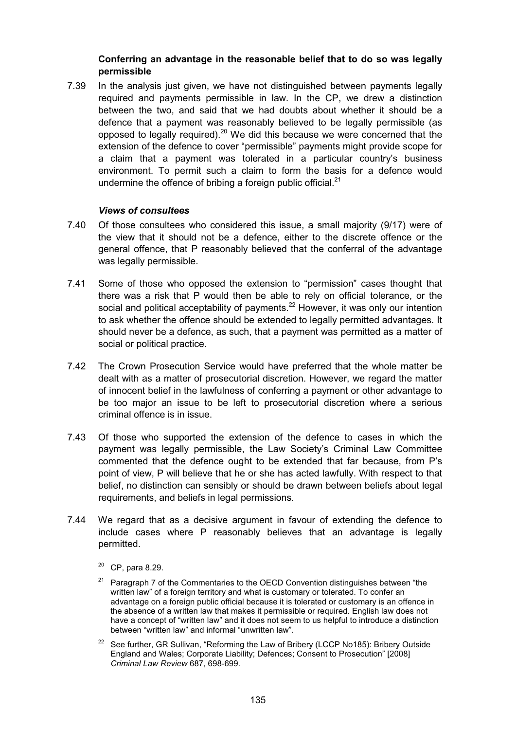#### **Conferring an advantage in the reasonable belief that to do so was legally permissible**

7.39 In the analysis just given, we have not distinguished between payments legally required and payments permissible in law. In the CP, we drew a distinction between the two, and said that we had doubts about whether it should be a defence that a payment was reasonably believed to be legally permissible (as opposed to legally required).<sup>20</sup> We did this because we were concerned that the extension of the defence to cover "permissible" payments might provide scope for a claim that a payment was tolerated in a particular country's business environment. To permit such a claim to form the basis for a defence would undermine the offence of bribing a foreign public official. $^{21}$ 

#### *Views of consultees*

- 7.40 Of those consultees who considered this issue, a small majority (9/17) were of the view that it should not be a defence, either to the discrete offence or the general offence, that P reasonably believed that the conferral of the advantage was legally permissible.
- 7.41 Some of those who opposed the extension to "permission" cases thought that there was a risk that P would then be able to rely on official tolerance, or the social and political acceptability of payments.<sup>22</sup> However, it was only our intention to ask whether the offence should be extended to legally permitted advantages. It should never be a defence, as such, that a payment was permitted as a matter of social or political practice.
- 7.42 The Crown Prosecution Service would have preferred that the whole matter be dealt with as a matter of prosecutorial discretion. However, we regard the matter of innocent belief in the lawfulness of conferring a payment or other advantage to be too major an issue to be left to prosecutorial discretion where a serious criminal offence is in issue.
- 7.43 Of those who supported the extension of the defence to cases in which the payment was legally permissible, the Law Society's Criminal Law Committee commented that the defence ought to be extended that far because, from P's point of view, P will believe that he or she has acted lawfully. With respect to that belief, no distinction can sensibly or should be drawn between beliefs about legal requirements, and beliefs in legal permissions.
- 7.44 We regard that as a decisive argument in favour of extending the defence to include cases where P reasonably believes that an advantage is legally permitted.
	- $20$  CP, para 8.29.
	- $21$  Paragraph 7 of the Commentaries to the OECD Convention distinguishes between "the written law" of a foreign territory and what is customary or tolerated. To confer an advantage on a foreign public official because it is tolerated or customary is an offence in the absence of a written law that makes it permissible or required. English law does not have a concept of "written law" and it does not seem to us helpful to introduce a distinction between "written law" and informal "unwritten law".
	- <sup>22</sup> See further, GR Sullivan, "Reforming the Law of Bribery (LCCP No185): Bribery Outside England and Wales; Corporate Liability; Defences; Consent to Prosecution" [2008] *Criminal Law Review* 687, 698-699.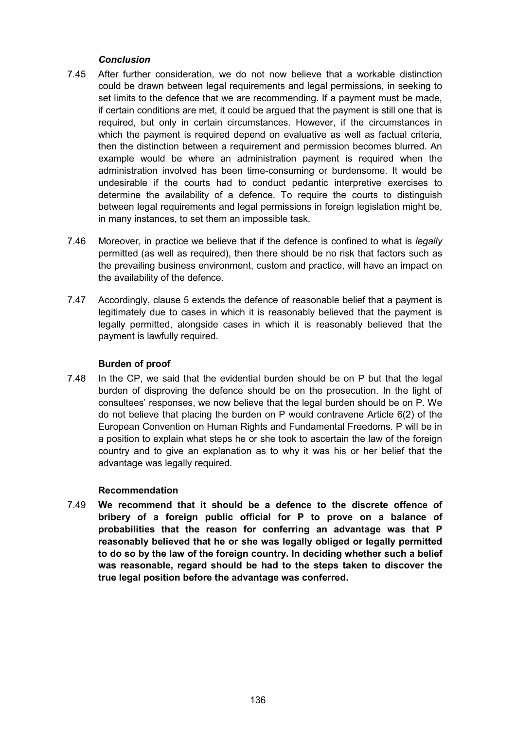# *Conclusion*

- 7.45 After further consideration, we do not now believe that a workable distinction could be drawn between legal requirements and legal permissions, in seeking to set limits to the defence that we are recommending. If a payment must be made, if certain conditions are met, it could be argued that the payment is still one that is required, but only in certain circumstances. However, if the circumstances in which the payment is required depend on evaluative as well as factual criteria, then the distinction between a requirement and permission becomes blurred. An example would be where an administration payment is required when the administration involved has been time-consuming or burdensome. It would be undesirable if the courts had to conduct pedantic interpretive exercises to determine the availability of a defence. To require the courts to distinguish between legal requirements and legal permissions in foreign legislation might be, in many instances, to set them an impossible task.
- 7.46 Moreover, in practice we believe that if the defence is confined to what is *legally* permitted (as well as required), then there should be no risk that factors such as the prevailing business environment, custom and practice, will have an impact on the availability of the defence.
- 7.47 Accordingly, clause 5 extends the defence of reasonable belief that a payment is legitimately due to cases in which it is reasonably believed that the payment is legally permitted, alongside cases in which it is reasonably believed that the payment is lawfully required.

#### **Burden of proof**

7.48 In the CP, we said that the evidential burden should be on P but that the legal burden of disproving the defence should be on the prosecution. In the light of consultees' responses, we now believe that the legal burden should be on P. We do not believe that placing the burden on P would contravene Article 6(2) of the European Convention on Human Rights and Fundamental Freedoms. P will be in a position to explain what steps he or she took to ascertain the law of the foreign country and to give an explanation as to why it was his or her belief that the advantage was legally required.

#### **Recommendation**

7.49 **We recommend that it should be a defence to the discrete offence of bribery of a foreign public official for P to prove on a balance of probabilities that the reason for conferring an advantage was that P reasonably believed that he or she was legally obliged or legally permitted to do so by the law of the foreign country. In deciding whether such a belief was reasonable, regard should be had to the steps taken to discover the true legal position before the advantage was conferred.**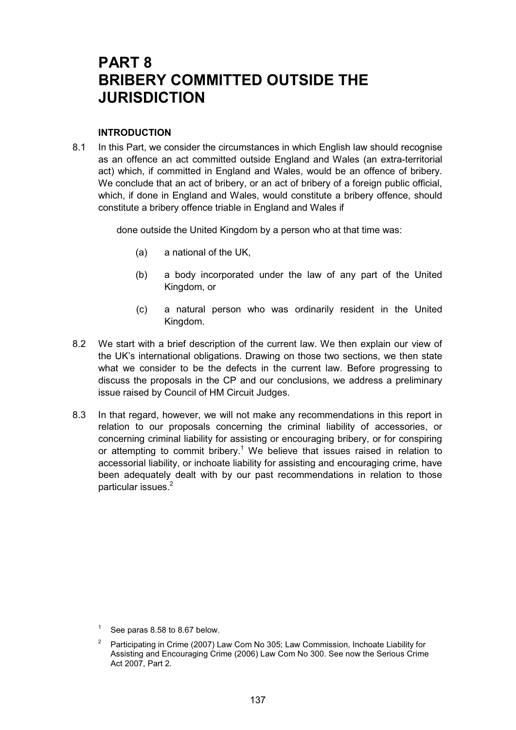# **PART 8 BRIBERY COMMITTED OUTSIDE THE JURISDICTION**

#### **INTRODUCTION**

8.1 In this Part, we consider the circumstances in which English law should recognise as an offence an act committed outside England and Wales (an extra-territorial act) which, if committed in England and Wales, would be an offence of bribery. We conclude that an act of bribery, or an act of bribery of a foreign public official, which, if done in England and Wales, would constitute a bribery offence, should constitute a bribery offence triable in England and Wales if

done outside the United Kingdom by a person who at that time was:

- (a) a national of the UK,
- (b) a body incorporated under the law of any part of the United Kingdom, or
- (c) a natural person who was ordinarily resident in the United Kingdom.
- 8.2 We start with a brief description of the current law. We then explain our view of the UK's international obligations. Drawing on those two sections, we then state what we consider to be the defects in the current law. Before progressing to discuss the proposals in the CP and our conclusions, we address a preliminary issue raised by Council of HM Circuit Judges.
- 8.3 In that regard, however, we will not make any recommendations in this report in relation to our proposals concerning the criminal liability of accessories, or concerning criminal liability for assisting or encouraging bribery, or for conspiring or attempting to commit bribery.<sup>1</sup> We believe that issues raised in relation to accessorial liability, or inchoate liability for assisting and encouraging crime, have been adequately dealt with by our past recommendations in relation to those particular issues.<sup>2</sup>

<sup>1</sup> See paras 8.58 to 8.67 below.

<sup>&</sup>lt;sup>2</sup> Participating in Crime (2007) Law Com No 305; Law Commission, Inchoate Liability for Assisting and Encouraging Crime (2006) Law Com No 300. See now the Serious Crime Act 2007, Part 2.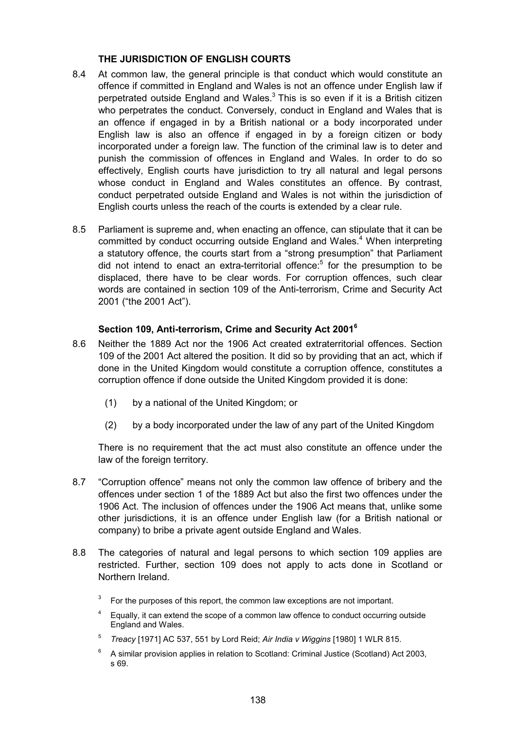#### **THE JURISDICTION OF ENGLISH COURTS**

- 8.4 At common law, the general principle is that conduct which would constitute an offence if committed in England and Wales is not an offence under English law if perpetrated outside England and Wales. $3$  This is so even if it is a British citizen who perpetrates the conduct. Conversely, conduct in England and Wales that is an offence if engaged in by a British national or a body incorporated under English law is also an offence if engaged in by a foreign citizen or body incorporated under a foreign law. The function of the criminal law is to deter and punish the commission of offences in England and Wales. In order to do so effectively, English courts have jurisdiction to try all natural and legal persons whose conduct in England and Wales constitutes an offence. By contrast, conduct perpetrated outside England and Wales is not within the jurisdiction of English courts unless the reach of the courts is extended by a clear rule.
- 8.5 Parliament is supreme and, when enacting an offence, can stipulate that it can be committed by conduct occurring outside England and Wales.<sup>4</sup> When interpreting a statutory offence, the courts start from a "strong presumption" that Parliament did not intend to enact an extra-territorial offence:<sup>5</sup> for the presumption to be displaced, there have to be clear words. For corruption offences, such clear words are contained in section 109 of the Anti-terrorism, Crime and Security Act 2001 ("the 2001 Act").

## **Section 109, Anti-terrorism, Crime and Security Act 2001<sup>6</sup>**

- 8.6 Neither the 1889 Act nor the 1906 Act created extraterritorial offences. Section 109 of the 2001 Act altered the position. It did so by providing that an act, which if done in the United Kingdom would constitute a corruption offence, constitutes a corruption offence if done outside the United Kingdom provided it is done:
	- (1) by a national of the United Kingdom; or
	- (2) by a body incorporated under the law of any part of the United Kingdom

There is no requirement that the act must also constitute an offence under the law of the foreign territory.

- 8.7 "Corruption offence" means not only the common law offence of bribery and the offences under section 1 of the 1889 Act but also the first two offences under the 1906 Act. The inclusion of offences under the 1906 Act means that, unlike some other jurisdictions, it is an offence under English law (for a British national or company) to bribe a private agent outside England and Wales.
- 8.8 The categories of natural and legal persons to which section 109 applies are restricted. Further, section 109 does not apply to acts done in Scotland or Northern Ireland.
	- 3 For the purposes of this report, the common law exceptions are not important.
	- 4 Equally, it can extend the scope of a common law offence to conduct occurring outside England and Wales.
	- <sup>5</sup> *Treacy* [1971] AC 537, 551 by Lord Reid; *Air India v Wiggins* [1980] 1 WLR 815.
	- $6$  A similar provision applies in relation to Scotland: Criminal Justice (Scotland) Act 2003, s 69.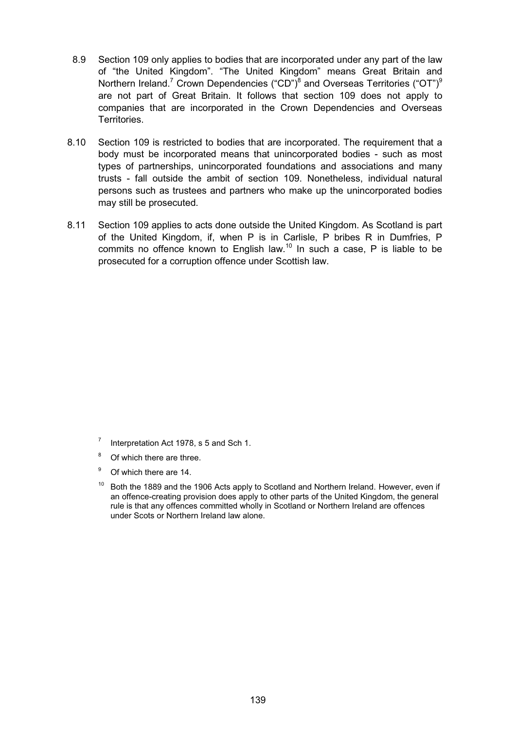- 8.9 Section 109 only applies to bodies that are incorporated under any part of the law of "the United Kingdom". "The United Kingdom" means Great Britain and Northern Ireland.<sup>7</sup> Crown Dependencies ("CD")<sup>8</sup> and Overseas Territories ("OT")<sup>9</sup> are not part of Great Britain. It follows that section 109 does not apply to companies that are incorporated in the Crown Dependencies and Overseas Territories.
- 8.10 Section 109 is restricted to bodies that are incorporated. The requirement that a body must be incorporated means that unincorporated bodies - such as most types of partnerships, unincorporated foundations and associations and many trusts - fall outside the ambit of section 109. Nonetheless, individual natural persons such as trustees and partners who make up the unincorporated bodies may still be prosecuted.
- 8.11 Section 109 applies to acts done outside the United Kingdom. As Scotland is part of the United Kingdom, if, when P is in Carlisle, P bribes R in Dumfries, P commits no offence known to English law.<sup>10</sup> In such a case, P is liable to be prosecuted for a corruption offence under Scottish law.

- <sup>8</sup> Of which there are three.
- <sup>9</sup> Of which there are 14.
- $10$  Both the 1889 and the 1906 Acts apply to Scotland and Northern Ireland. However, even if an offence-creating provision does apply to other parts of the United Kingdom, the general rule is that any offences committed wholly in Scotland or Northern Ireland are offences under Scots or Northern Ireland law alone.

<sup>7</sup> Interpretation Act 1978, s 5 and Sch 1.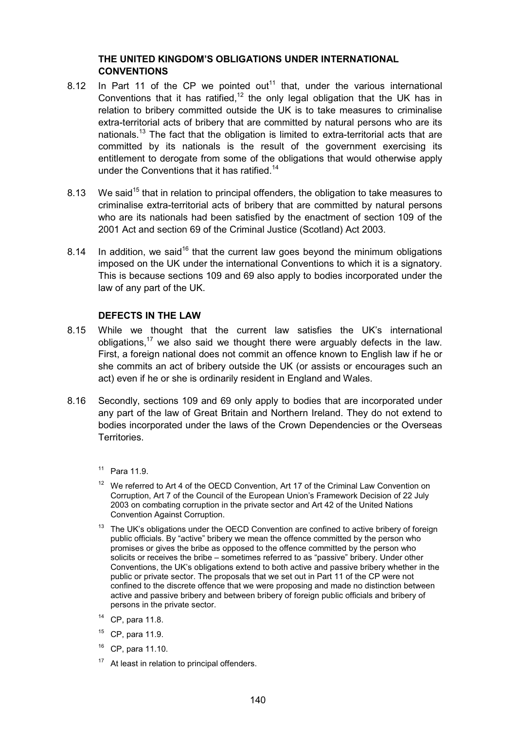#### **THE UNITED KINGDOM'S OBLIGATIONS UNDER INTERNATIONAL CONVENTIONS**

- 8.12 In Part 11 of the CP we pointed out<sup>11</sup> that, under the various international Conventions that it has ratified,<sup>12</sup> the only legal obligation that the UK has in relation to bribery committed outside the UK is to take measures to criminalise extra-territorial acts of bribery that are committed by natural persons who are its nationals.<sup>13</sup> The fact that the obligation is limited to extra-territorial acts that are committed by its nationals is the result of the government exercising its entitlement to derogate from some of the obligations that would otherwise apply under the Conventions that it has ratified.<sup>14</sup>
- 8.13 We said<sup>15</sup> that in relation to principal offenders, the obligation to take measures to criminalise extra-territorial acts of bribery that are committed by natural persons who are its nationals had been satisfied by the enactment of section 109 of the 2001 Act and section 69 of the Criminal Justice (Scotland) Act 2003.
- 8.14 In addition, we said<sup>16</sup> that the current law goes beyond the minimum obligations imposed on the UK under the international Conventions to which it is a signatory. This is because sections 109 and 69 also apply to bodies incorporated under the law of any part of the UK.

#### **DEFECTS IN THE LAW**

- 8.15 While we thought that the current law satisfies the UK's international obligations,<sup>17</sup> we also said we thought there were arguably defects in the law. First, a foreign national does not commit an offence known to English law if he or she commits an act of bribery outside the UK (or assists or encourages such an act) even if he or she is ordinarily resident in England and Wales.
- 8.16 Secondly, sections 109 and 69 only apply to bodies that are incorporated under any part of the law of Great Britain and Northern Ireland. They do not extend to bodies incorporated under the laws of the Crown Dependencies or the Overseas Territories.
	- <sup>11</sup> Para 11.9.
	- $12$  We referred to Art 4 of the OECD Convention, Art 17 of the Criminal Law Convention on Corruption, Art 7 of the Council of the European Union's Framework Decision of 22 July 2003 on combating corruption in the private sector and Art 42 of the United Nations Convention Against Corruption.
	- $13$  The UK's obligations under the OECD Convention are confined to active bribery of foreign public officials. By "active" bribery we mean the offence committed by the person who promises or gives the bribe as opposed to the offence committed by the person who solicits or receives the bribe – sometimes referred to as "passive" bribery. Under other Conventions, the UK's obligations extend to both active and passive bribery whether in the public or private sector. The proposals that we set out in Part 11 of the CP were not confined to the discrete offence that we were proposing and made no distinction between active and passive bribery and between bribery of foreign public officials and bribery of persons in the private sector.
	- <sup>14</sup> CP, para 11.8.
	- $15$  CP, para 11.9.
	- <sup>16</sup> CP, para 11.10.
	- $17$  At least in relation to principal offenders.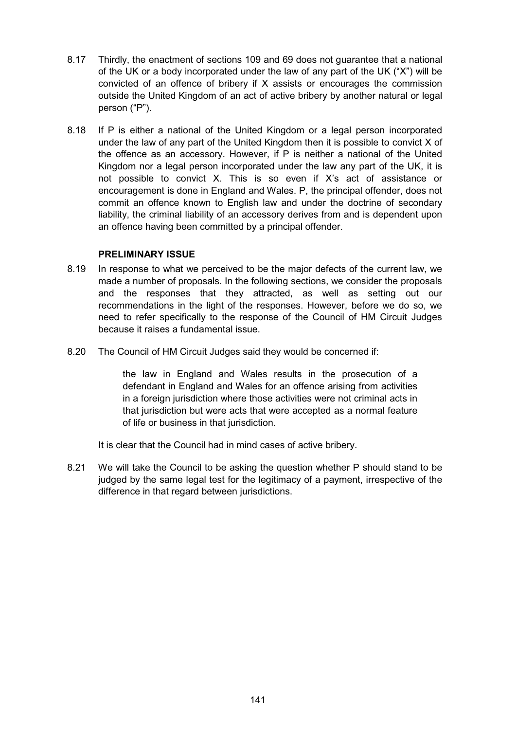- 8.17 Thirdly, the enactment of sections 109 and 69 does not guarantee that a national of the UK or a body incorporated under the law of any part of the UK ("X") will be convicted of an offence of bribery if X assists or encourages the commission outside the United Kingdom of an act of active bribery by another natural or legal person ("P").
- 8.18 If P is either a national of the United Kingdom or a legal person incorporated under the law of any part of the United Kingdom then it is possible to convict X of the offence as an accessory. However, if P is neither a national of the United Kingdom nor a legal person incorporated under the law any part of the UK, it is not possible to convict X. This is so even if X's act of assistance or encouragement is done in England and Wales. P, the principal offender, does not commit an offence known to English law and under the doctrine of secondary liability, the criminal liability of an accessory derives from and is dependent upon an offence having been committed by a principal offender.

#### **PRELIMINARY ISSUE**

- 8.19 In response to what we perceived to be the major defects of the current law, we made a number of proposals. In the following sections, we consider the proposals and the responses that they attracted, as well as setting out our recommendations in the light of the responses. However, before we do so, we need to refer specifically to the response of the Council of HM Circuit Judges because it raises a fundamental issue.
- 8.20 The Council of HM Circuit Judges said they would be concerned if:

the law in England and Wales results in the prosecution of a defendant in England and Wales for an offence arising from activities in a foreign jurisdiction where those activities were not criminal acts in that jurisdiction but were acts that were accepted as a normal feature of life or business in that jurisdiction.

It is clear that the Council had in mind cases of active bribery.

8.21 We will take the Council to be asking the question whether P should stand to be judged by the same legal test for the legitimacy of a payment, irrespective of the difference in that regard between jurisdictions.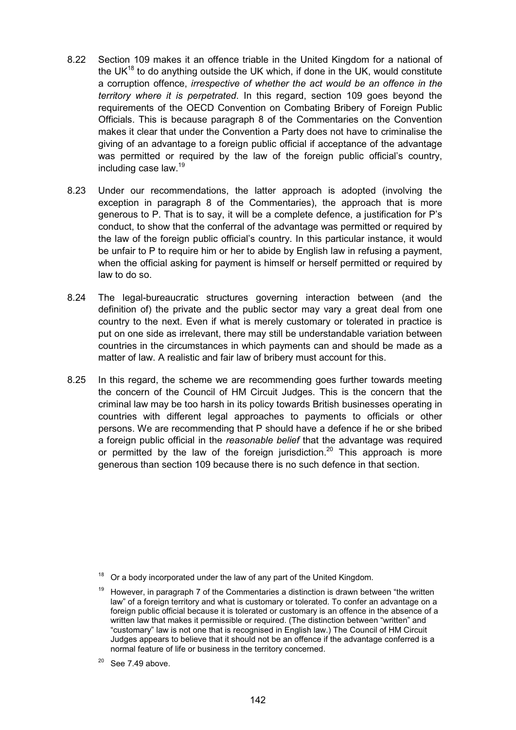- 8.22 Section 109 makes it an offence triable in the United Kingdom for a national of the UK $^{18}$  to do anything outside the UK which, if done in the UK, would constitute a corruption offence, *irrespective of whether the act would be an offence in the territory where it is perpetrated*. In this regard, section 109 goes beyond the requirements of the OECD Convention on Combating Bribery of Foreign Public Officials. This is because paragraph 8 of the Commentaries on the Convention makes it clear that under the Convention a Party does not have to criminalise the giving of an advantage to a foreign public official if acceptance of the advantage was permitted or required by the law of the foreign public official's country, including case law.19
- 8.23 Under our recommendations, the latter approach is adopted (involving the exception in paragraph 8 of the Commentaries), the approach that is more generous to P. That is to say, it will be a complete defence, a justification for P's conduct, to show that the conferral of the advantage was permitted or required by the law of the foreign public official's country. In this particular instance, it would be unfair to P to require him or her to abide by English law in refusing a payment, when the official asking for payment is himself or herself permitted or required by law to do so.
- 8.24 The legal-bureaucratic structures governing interaction between (and the definition of) the private and the public sector may vary a great deal from one country to the next. Even if what is merely customary or tolerated in practice is put on one side as irrelevant, there may still be understandable variation between countries in the circumstances in which payments can and should be made as a matter of law. A realistic and fair law of bribery must account for this.
- 8.25 In this regard, the scheme we are recommending goes further towards meeting the concern of the Council of HM Circuit Judges. This is the concern that the criminal law may be too harsh in its policy towards British businesses operating in countries with different legal approaches to payments to officials or other persons. We are recommending that P should have a defence if he or she bribed a foreign public official in the *reasonable belief* that the advantage was required or permitted by the law of the foreign jurisdiction.<sup>20</sup> This approach is more generous than section 109 because there is no such defence in that section.

Or a body incorporated under the law of any part of the United Kingdom.

<sup>19</sup> However, in paragraph 7 of the Commentaries a distinction is drawn between "the written law" of a foreign territory and what is customary or tolerated. To confer an advantage on a foreign public official because it is tolerated or customary is an offence in the absence of a written law that makes it permissible or required. (The distinction between "written" and "customary" law is not one that is recognised in English law.) The Council of HM Circuit Judges appears to believe that it should not be an offence if the advantage conferred is a normal feature of life or business in the territory concerned.

 $20$  See 7.49 above.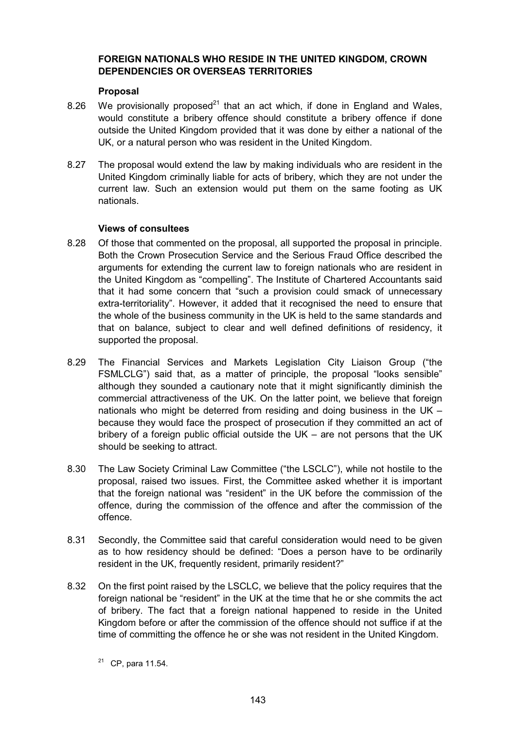### **FOREIGN NATIONALS WHO RESIDE IN THE UNITED KINGDOM, CROWN DEPENDENCIES OR OVERSEAS TERRITORIES**

#### **Proposal**

- 8.26 We provisionally proposed<sup>21</sup> that an act which, if done in England and Wales, would constitute a bribery offence should constitute a bribery offence if done outside the United Kingdom provided that it was done by either a national of the UK, or a natural person who was resident in the United Kingdom.
- 8.27 The proposal would extend the law by making individuals who are resident in the United Kingdom criminally liable for acts of bribery, which they are not under the current law. Such an extension would put them on the same footing as UK nationals.

## **Views of consultees**

- 8.28 Of those that commented on the proposal, all supported the proposal in principle. Both the Crown Prosecution Service and the Serious Fraud Office described the arguments for extending the current law to foreign nationals who are resident in the United Kingdom as "compelling". The Institute of Chartered Accountants said that it had some concern that "such a provision could smack of unnecessary extra-territoriality". However, it added that it recognised the need to ensure that the whole of the business community in the UK is held to the same standards and that on balance, subject to clear and well defined definitions of residency, it supported the proposal.
- 8.29 The Financial Services and Markets Legislation City Liaison Group ("the FSMLCLG") said that, as a matter of principle, the proposal "looks sensible" although they sounded a cautionary note that it might significantly diminish the commercial attractiveness of the UK. On the latter point, we believe that foreign nationals who might be deterred from residing and doing business in the UK – because they would face the prospect of prosecution if they committed an act of bribery of a foreign public official outside the UK – are not persons that the UK should be seeking to attract.
- 8.30 The Law Society Criminal Law Committee ("the LSCLC"), while not hostile to the proposal, raised two issues. First, the Committee asked whether it is important that the foreign national was "resident" in the UK before the commission of the offence, during the commission of the offence and after the commission of the offence.
- 8.31 Secondly, the Committee said that careful consideration would need to be given as to how residency should be defined: "Does a person have to be ordinarily resident in the UK, frequently resident, primarily resident?"
- 8.32 On the first point raised by the LSCLC, we believe that the policy requires that the foreign national be "resident" in the UK at the time that he or she commits the act of bribery. The fact that a foreign national happened to reside in the United Kingdom before or after the commission of the offence should not suffice if at the time of committing the offence he or she was not resident in the United Kingdom.
	- $21$  CP, para 11.54.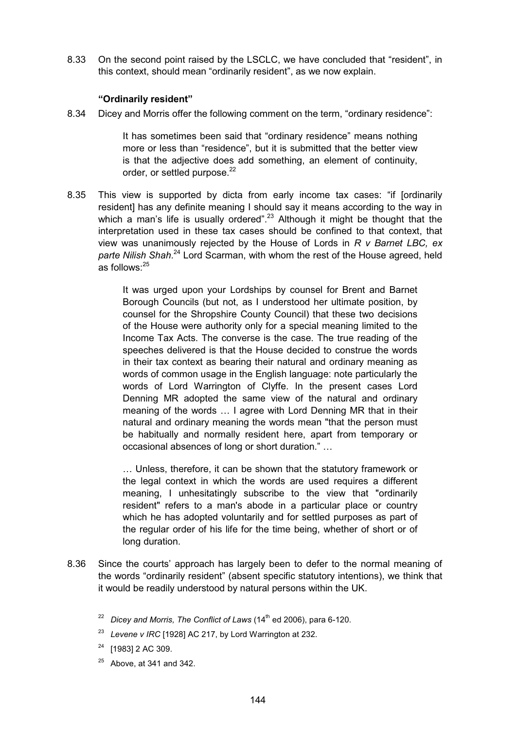8.33 On the second point raised by the LSCLC, we have concluded that "resident", in this context, should mean "ordinarily resident", as we now explain.

#### **"Ordinarily resident"**

8.34 Dicey and Morris offer the following comment on the term, "ordinary residence":

It has sometimes been said that "ordinary residence" means nothing more or less than "residence", but it is submitted that the better view is that the adjective does add something, an element of continuity, order, or settled purpose. $22$ 

8.35 This view is supported by dicta from early income tax cases: "if [ordinarily resident] has any definite meaning I should say it means according to the way in which a man's life is usually ordered".<sup>23</sup> Although it might be thought that the interpretation used in these tax cases should be confined to that context, that view was unanimously rejected by the House of Lords in *R v Barnet LBC, ex parte Nilish Shah*. 24 Lord Scarman, with whom the rest of the House agreed, held as follows:<sup>25</sup>

> It was urged upon your Lordships by counsel for Brent and Barnet Borough Councils (but not, as I understood her ultimate position, by counsel for the Shropshire County Council) that these two decisions of the House were authority only for a special meaning limited to the Income Tax Acts. The converse is the case. The true reading of the speeches delivered is that the House decided to construe the words in their tax context as bearing their natural and ordinary meaning as words of common usage in the English language: note particularly the words of Lord Warrington of Clyffe. In the present cases Lord Denning MR adopted the same view of the natural and ordinary meaning of the words … I agree with Lord Denning MR that in their natural and ordinary meaning the words mean "that the person must be habitually and normally resident here, apart from temporary or occasional absences of long or short duration." …

> … Unless, therefore, it can be shown that the statutory framework or the legal context in which the words are used requires a different meaning, I unhesitatingly subscribe to the view that "ordinarily resident" refers to a man's abode in a particular place or country which he has adopted voluntarily and for settled purposes as part of the regular order of his life for the time being, whether of short or of long duration.

- 8.36 Since the courts' approach has largely been to defer to the normal meaning of the words "ordinarily resident" (absent specific statutory intentions), we think that it would be readily understood by natural persons within the UK.
	- <sup>22</sup> *Dicey and Morris, The Conflict of Laws* (14<sup>th</sup> ed 2006), para 6-120.
	- <sup>23</sup> *Levene v IRC* [1928] AC 217, by Lord Warrington at 232.
	- $24$  [1983] 2 AC 309.
	- $25$  Above, at 341 and 342.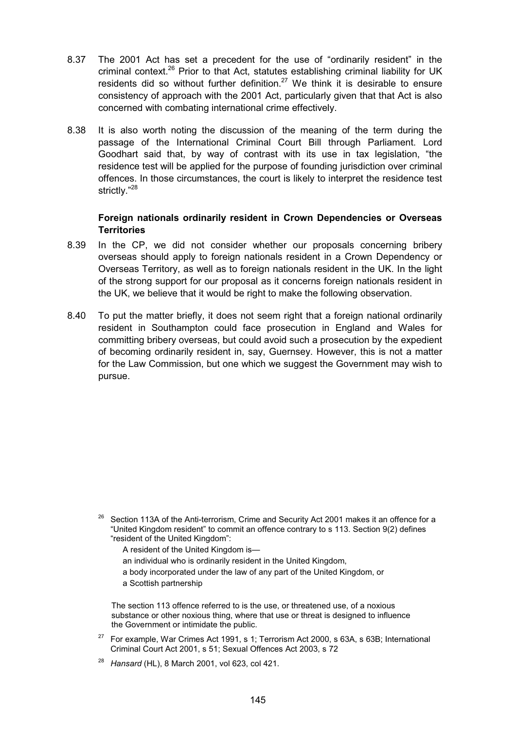- 8.37 The 2001 Act has set a precedent for the use of "ordinarily resident" in the criminal context.<sup>26</sup> Prior to that Act, statutes establishing criminal liability for UK residents did so without further definition.<sup>27</sup> We think it is desirable to ensure consistency of approach with the 2001 Act, particularly given that that Act is also concerned with combating international crime effectively.
- 8.38 It is also worth noting the discussion of the meaning of the term during the passage of the International Criminal Court Bill through Parliament. Lord Goodhart said that, by way of contrast with its use in tax legislation, "the residence test will be applied for the purpose of founding jurisdiction over criminal offences. In those circumstances, the court is likely to interpret the residence test strictly."28

#### **Foreign nationals ordinarily resident in Crown Dependencies or Overseas Territories**

- 8.39 In the CP, we did not consider whether our proposals concerning bribery overseas should apply to foreign nationals resident in a Crown Dependency or Overseas Territory, as well as to foreign nationals resident in the UK. In the light of the strong support for our proposal as it concerns foreign nationals resident in the UK, we believe that it would be right to make the following observation.
- 8.40 To put the matter briefly, it does not seem right that a foreign national ordinarily resident in Southampton could face prosecution in England and Wales for committing bribery overseas, but could avoid such a prosecution by the expedient of becoming ordinarily resident in, say, Guernsey. However, this is not a matter for the Law Commission, but one which we suggest the Government may wish to pursue.

- A resident of the United Kingdom is—
- an individual who is ordinarily resident in the United Kingdom,
- a body incorporated under the law of any part of the United Kingdom, or
- a Scottish partnership

The section 113 offence referred to is the use, or threatened use, of a noxious substance or other noxious thing, where that use or threat is designed to influence the Government or intimidate the public.

- $27$  For example, War Crimes Act 1991, s 1; Terrorism Act 2000, s 63A, s 63B; International Criminal Court Act 2001, s 51; Sexual Offences Act 2003, s 72
- <sup>28</sup> *Hansard* (HL), 8 March 2001, vol 623, col 421.

 $26$  Section 113A of the Anti-terrorism, Crime and Security Act 2001 makes it an offence for a "United Kingdom resident" to commit an offence contrary to s 113. Section 9(2) defines "resident of the United Kingdom":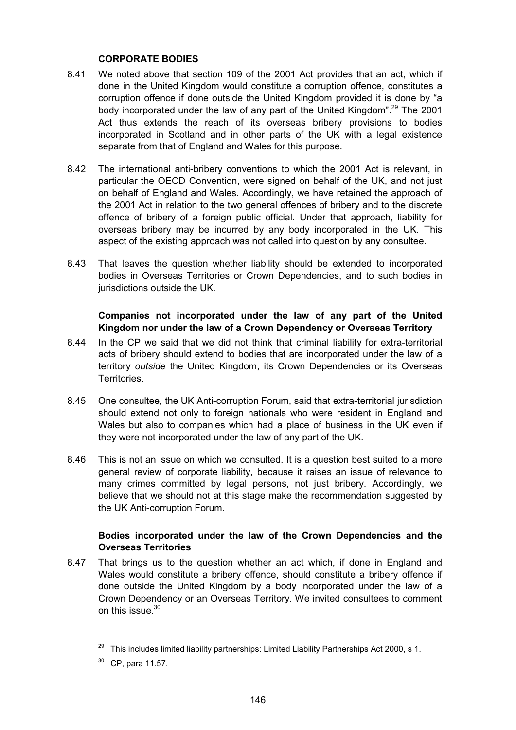#### **CORPORATE BODIES**

- 8.41 We noted above that section 109 of the 2001 Act provides that an act, which if done in the United Kingdom would constitute a corruption offence, constitutes a corruption offence if done outside the United Kingdom provided it is done by "a body incorporated under the law of any part of the United Kingdom".<sup>29</sup> The 2001 Act thus extends the reach of its overseas bribery provisions to bodies incorporated in Scotland and in other parts of the UK with a legal existence separate from that of England and Wales for this purpose.
- 8.42 The international anti-bribery conventions to which the 2001 Act is relevant, in particular the OECD Convention, were signed on behalf of the UK, and not just on behalf of England and Wales. Accordingly, we have retained the approach of the 2001 Act in relation to the two general offences of bribery and to the discrete offence of bribery of a foreign public official. Under that approach, liability for overseas bribery may be incurred by any body incorporated in the UK. This aspect of the existing approach was not called into question by any consultee.
- 8.43 That leaves the question whether liability should be extended to incorporated bodies in Overseas Territories or Crown Dependencies, and to such bodies in jurisdictions outside the UK.

#### **Companies not incorporated under the law of any part of the United Kingdom nor under the law of a Crown Dependency or Overseas Territory**

- 8.44 In the CP we said that we did not think that criminal liability for extra-territorial acts of bribery should extend to bodies that are incorporated under the law of a territory *outside* the United Kingdom, its Crown Dependencies or its Overseas Territories.
- 8.45 One consultee, the UK Anti-corruption Forum, said that extra-territorial jurisdiction should extend not only to foreign nationals who were resident in England and Wales but also to companies which had a place of business in the UK even if they were not incorporated under the law of any part of the UK.
- 8.46 This is not an issue on which we consulted. It is a question best suited to a more general review of corporate liability, because it raises an issue of relevance to many crimes committed by legal persons, not just bribery. Accordingly, we believe that we should not at this stage make the recommendation suggested by the UK Anti-corruption Forum.

## **Bodies incorporated under the law of the Crown Dependencies and the Overseas Territories**

8.47 That brings us to the question whether an act which, if done in England and Wales would constitute a bribery offence, should constitute a bribery offence if done outside the United Kingdom by a body incorporated under the law of a Crown Dependency or an Overseas Territory. We invited consultees to comment on this issue.<sup>30</sup>

30 CP, para 11.57.

 $29$  This includes limited liability partnerships: Limited Liability Partnerships Act 2000, s 1.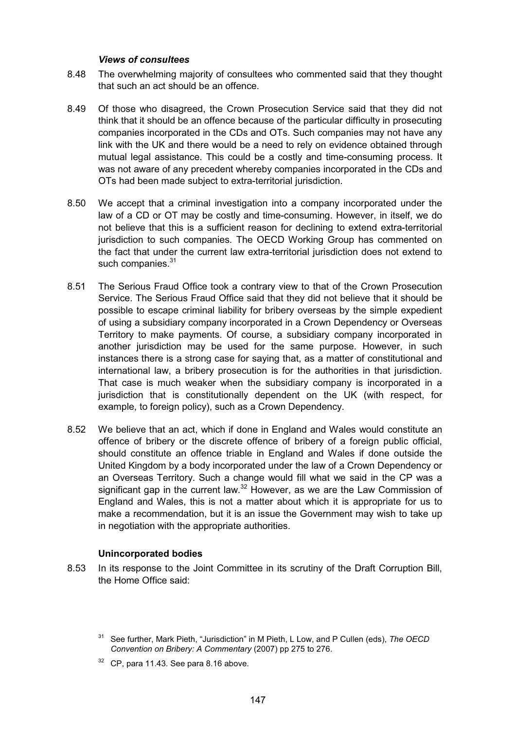#### *Views of consultees*

- 8.48 The overwhelming majority of consultees who commented said that they thought that such an act should be an offence.
- 8.49 Of those who disagreed, the Crown Prosecution Service said that they did not think that it should be an offence because of the particular difficulty in prosecuting companies incorporated in the CDs and OTs. Such companies may not have any link with the UK and there would be a need to rely on evidence obtained through mutual legal assistance. This could be a costly and time-consuming process. It was not aware of any precedent whereby companies incorporated in the CDs and OTs had been made subject to extra-territorial jurisdiction.
- 8.50 We accept that a criminal investigation into a company incorporated under the law of a CD or OT may be costly and time-consuming. However, in itself, we do not believe that this is a sufficient reason for declining to extend extra-territorial jurisdiction to such companies. The OECD Working Group has commented on the fact that under the current law extra-territorial jurisdiction does not extend to such companies.<sup>31</sup>
- 8.51 The Serious Fraud Office took a contrary view to that of the Crown Prosecution Service. The Serious Fraud Office said that they did not believe that it should be possible to escape criminal liability for bribery overseas by the simple expedient of using a subsidiary company incorporated in a Crown Dependency or Overseas Territory to make payments. Of course, a subsidiary company incorporated in another jurisdiction may be used for the same purpose. However, in such instances there is a strong case for saying that, as a matter of constitutional and international law, a bribery prosecution is for the authorities in that jurisdiction. That case is much weaker when the subsidiary company is incorporated in a jurisdiction that is constitutionally dependent on the UK (with respect, for example, to foreign policy), such as a Crown Dependency.
- 8.52 We believe that an act, which if done in England and Wales would constitute an offence of bribery or the discrete offence of bribery of a foreign public official, should constitute an offence triable in England and Wales if done outside the United Kingdom by a body incorporated under the law of a Crown Dependency or an Overseas Territory. Such a change would fill what we said in the CP was a significant gap in the current law. $32$  However, as we are the Law Commission of England and Wales, this is not a matter about which it is appropriate for us to make a recommendation, but it is an issue the Government may wish to take up in negotiation with the appropriate authorities.

#### **Unincorporated bodies**

8.53 In its response to the Joint Committee in its scrutiny of the Draft Corruption Bill, the Home Office said:

 $32$  CP, para 11.43. See para 8.16 above.

<sup>31</sup> See further, Mark Pieth, "Jurisdiction" in M Pieth, L Low, and P Cullen (eds), *The OECD Convention on Bribery: A Commentary* (2007) pp 275 to 276.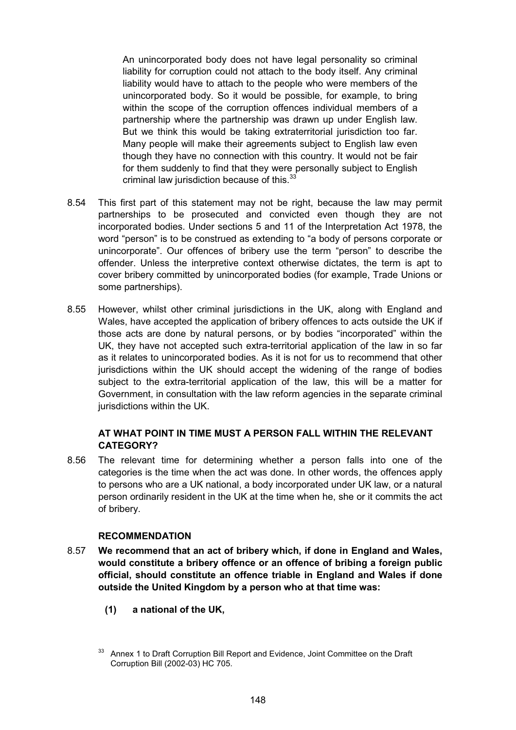An unincorporated body does not have legal personality so criminal liability for corruption could not attach to the body itself. Any criminal liability would have to attach to the people who were members of the unincorporated body. So it would be possible, for example, to bring within the scope of the corruption offences individual members of a partnership where the partnership was drawn up under English law. But we think this would be taking extraterritorial jurisdiction too far. Many people will make their agreements subject to English law even though they have no connection with this country. It would not be fair for them suddenly to find that they were personally subject to English criminal law jurisdiction because of this.<sup>33</sup>

- 8.54 This first part of this statement may not be right, because the law may permit partnerships to be prosecuted and convicted even though they are not incorporated bodies. Under sections 5 and 11 of the Interpretation Act 1978, the word "person" is to be construed as extending to "a body of persons corporate or unincorporate". Our offences of bribery use the term "person" to describe the offender. Unless the interpretive context otherwise dictates, the term is apt to cover bribery committed by unincorporated bodies (for example, Trade Unions or some partnerships).
- 8.55 However, whilst other criminal jurisdictions in the UK, along with England and Wales, have accepted the application of bribery offences to acts outside the UK if those acts are done by natural persons, or by bodies "incorporated" within the UK, they have not accepted such extra-territorial application of the law in so far as it relates to unincorporated bodies. As it is not for us to recommend that other jurisdictions within the UK should accept the widening of the range of bodies subject to the extra-territorial application of the law, this will be a matter for Government, in consultation with the law reform agencies in the separate criminal jurisdictions within the UK.

## **AT WHAT POINT IN TIME MUST A PERSON FALL WITHIN THE RELEVANT CATEGORY?**

8.56 The relevant time for determining whether a person falls into one of the categories is the time when the act was done. In other words, the offences apply to persons who are a UK national, a body incorporated under UK law, or a natural person ordinarily resident in the UK at the time when he, she or it commits the act of bribery.

### **RECOMMENDATION**

- 8.57 **We recommend that an act of bribery which, if done in England and Wales, would constitute a bribery offence or an offence of bribing a foreign public official, should constitute an offence triable in England and Wales if done outside the United Kingdom by a person who at that time was:**
	- **(1) a national of the UK,**

<sup>33</sup> Annex 1 to Draft Corruption Bill Report and Evidence, Joint Committee on the Draft Corruption Bill (2002-03) HC 705.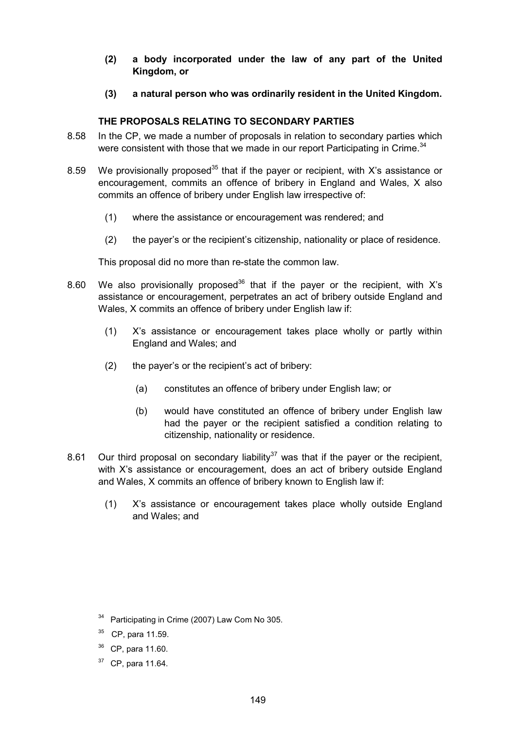- **(2) a body incorporated under the law of any part of the United Kingdom, or**
- **(3) a natural person who was ordinarily resident in the United Kingdom.**

#### **THE PROPOSALS RELATING TO SECONDARY PARTIES**

- 8.58 In the CP, we made a number of proposals in relation to secondary parties which were consistent with those that we made in our report Participating in Crime.<sup>34</sup>
- 8.59 We provisionally proposed<sup>35</sup> that if the payer or recipient, with X's assistance or encouragement, commits an offence of bribery in England and Wales, X also commits an offence of bribery under English law irrespective of:
	- (1) where the assistance or encouragement was rendered; and
	- (2) the payer's or the recipient's citizenship, nationality or place of residence.

This proposal did no more than re-state the common law.

- 8.60 We also provisionally proposed<sup>36</sup> that if the payer or the recipient, with X's assistance or encouragement, perpetrates an act of bribery outside England and Wales, X commits an offence of bribery under English law if:
	- (1) X's assistance or encouragement takes place wholly or partly within England and Wales; and
	- (2) the payer's or the recipient's act of bribery:
		- (a) constitutes an offence of bribery under English law; or
		- (b) would have constituted an offence of bribery under English law had the payer or the recipient satisfied a condition relating to citizenship, nationality or residence.
- 8.61 Our third proposal on secondary liability<sup>37</sup> was that if the payer or the recipient, with X's assistance or encouragement, does an act of bribery outside England and Wales, X commits an offence of bribery known to English law if:
	- (1) X's assistance or encouragement takes place wholly outside England and Wales; and

- <sup>35</sup> CP, para 11.59.
- <sup>36</sup> CP, para 11.60.
- $37$  CP, para 11.64.

<sup>&</sup>lt;sup>34</sup> Participating in Crime (2007) Law Com No 305.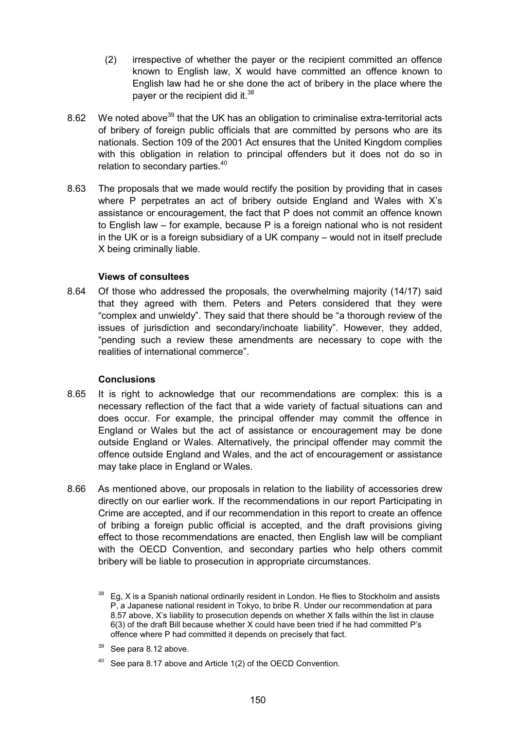- (2) irrespective of whether the payer or the recipient committed an offence known to English law, X would have committed an offence known to English law had he or she done the act of bribery in the place where the payer or the recipient did it.<sup>38</sup>
- 8.62 We noted above<sup>39</sup> that the UK has an obligation to criminalise extra-territorial acts of bribery of foreign public officials that are committed by persons who are its nationals. Section 109 of the 2001 Act ensures that the United Kingdom complies with this obligation in relation to principal offenders but it does not do so in relation to secondary parties.<sup>40</sup>
- 8.63 The proposals that we made would rectify the position by providing that in cases where P perpetrates an act of bribery outside England and Wales with X's assistance or encouragement, the fact that P does not commit an offence known to English law – for example, because P is a foreign national who is not resident in the UK or is a foreign subsidiary of a UK company – would not in itself preclude X being criminally liable.

## **Views of consultees**

8.64 Of those who addressed the proposals, the overwhelming majority (14/17) said that they agreed with them. Peters and Peters considered that they were "complex and unwieldy". They said that there should be "a thorough review of the issues of jurisdiction and secondary/inchoate liability". However, they added, "pending such a review these amendments are necessary to cope with the realities of international commerce".

#### **Conclusions**

- 8.65 It is right to acknowledge that our recommendations are complex: this is a necessary reflection of the fact that a wide variety of factual situations can and does occur. For example, the principal offender may commit the offence in England or Wales but the act of assistance or encouragement may be done outside England or Wales. Alternatively, the principal offender may commit the offence outside England and Wales, and the act of encouragement or assistance may take place in England or Wales.
- 8.66 As mentioned above, our proposals in relation to the liability of accessories drew directly on our earlier work. If the recommendations in our report Participating in Crime are accepted, and if our recommendation in this report to create an offence of bribing a foreign public official is accepted, and the draft provisions giving effect to those recommendations are enacted, then English law will be compliant with the OECD Convention, and secondary parties who help others commit bribery will be liable to prosecution in appropriate circumstances.

<sup>39</sup> See para 8.12 above.

<sup>38</sup> Eg, X is a Spanish national ordinarily resident in London. He flies to Stockholm and assists P, a Japanese national resident in Tokyo, to bribe R. Under our recommendation at para 8.57 above, X's liability to prosecution depends on whether X falls within the list in clause 6(3) of the draft Bill because whether X could have been tried if he had committed P's offence where P had committed it depends on precisely that fact.

See para 8.17 above and Article 1(2) of the OECD Convention.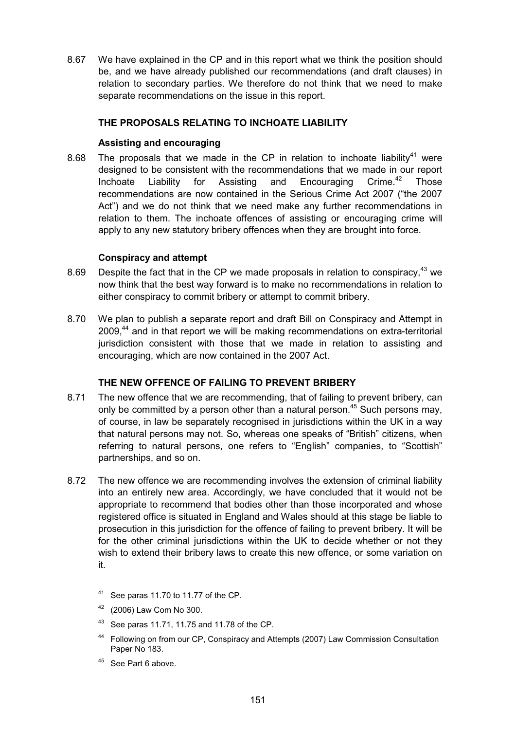8.67 We have explained in the CP and in this report what we think the position should be, and we have already published our recommendations (and draft clauses) in relation to secondary parties. We therefore do not think that we need to make separate recommendations on the issue in this report.

# **THE PROPOSALS RELATING TO INCHOATE LIABILITY**

#### **Assisting and encouraging**

8.68 The proposals that we made in the CP in relation to inchoate liability<sup>41</sup> were designed to be consistent with the recommendations that we made in our report Inchoate Liability for Assisting and Encouraging Crime.<sup>42</sup> Those recommendations are now contained in the Serious Crime Act 2007 ("the 2007 Act") and we do not think that we need make any further recommendations in relation to them. The inchoate offences of assisting or encouraging crime will apply to any new statutory bribery offences when they are brought into force.

#### **Conspiracy and attempt**

- 8.69 Despite the fact that in the CP we made proposals in relation to conspiracy.<sup>43</sup> we now think that the best way forward is to make no recommendations in relation to either conspiracy to commit bribery or attempt to commit bribery.
- 8.70 We plan to publish a separate report and draft Bill on Conspiracy and Attempt in 2009.<sup>44</sup> and in that report we will be making recommendations on extra-territorial jurisdiction consistent with those that we made in relation to assisting and encouraging, which are now contained in the 2007 Act.

#### **THE NEW OFFENCE OF FAILING TO PREVENT BRIBERY**

- 8.71 The new offence that we are recommending, that of failing to prevent bribery, can only be committed by a person other than a natural person.<sup>45</sup> Such persons may, of course, in law be separately recognised in jurisdictions within the UK in a way that natural persons may not. So, whereas one speaks of "British" citizens, when referring to natural persons, one refers to "English" companies, to "Scottish" partnerships, and so on.
- 8.72 The new offence we are recommending involves the extension of criminal liability into an entirely new area. Accordingly, we have concluded that it would not be appropriate to recommend that bodies other than those incorporated and whose registered office is situated in England and Wales should at this stage be liable to prosecution in this jurisdiction for the offence of failing to prevent bribery. It will be for the other criminal jurisdictions within the UK to decide whether or not they wish to extend their bribery laws to create this new offence, or some variation on it.
	- 41 See paras 11.70 to 11.77 of the CP.
	- <sup>42</sup> (2006) Law Com No 300.
	- 43 See paras 11.71, 11.75 and 11.78 of the CP.
	- <sup>44</sup> Following on from our CP, Conspiracy and Attempts (2007) Law Commission Consultation Paper No 183.
	- <sup>45</sup> See Part 6 above.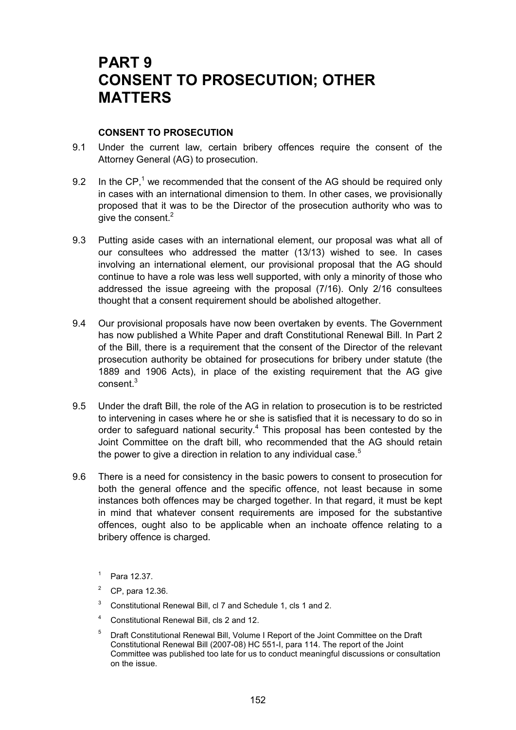# **PART 9 CONSENT TO PROSECUTION; OTHER MATTERS**

#### **CONSENT TO PROSECUTION**

- 9.1 Under the current law, certain bribery offences require the consent of the Attorney General (AG) to prosecution.
- 9.2 In the CP,<sup>1</sup> we recommended that the consent of the AG should be required only in cases with an international dimension to them. In other cases, we provisionally proposed that it was to be the Director of the prosecution authority who was to give the consent.<sup>2</sup>
- 9.3 Putting aside cases with an international element, our proposal was what all of our consultees who addressed the matter (13/13) wished to see. In cases involving an international element, our provisional proposal that the AG should continue to have a role was less well supported, with only a minority of those who addressed the issue agreeing with the proposal (7/16). Only 2/16 consultees thought that a consent requirement should be abolished altogether.
- 9.4 Our provisional proposals have now been overtaken by events. The Government has now published a White Paper and draft Constitutional Renewal Bill. In Part 2 of the Bill, there is a requirement that the consent of the Director of the relevant prosecution authority be obtained for prosecutions for bribery under statute (the 1889 and 1906 Acts), in place of the existing requirement that the AG give consent.<sup>3</sup>
- 9.5 Under the draft Bill, the role of the AG in relation to prosecution is to be restricted to intervening in cases where he or she is satisfied that it is necessary to do so in order to safeguard national security.<sup>4</sup> This proposal has been contested by the Joint Committee on the draft bill, who recommended that the AG should retain the power to give a direction in relation to any individual case. $5$
- 9.6 There is a need for consistency in the basic powers to consent to prosecution for both the general offence and the specific offence, not least because in some instances both offences may be charged together. In that regard, it must be kept in mind that whatever consent requirements are imposed for the substantive offences, ought also to be applicable when an inchoate offence relating to a bribery offence is charged.
	- $1^{1}$  Para 12.37.
	- <sup>2</sup> CP, para 12.36.
	- $3$  Constitutional Renewal Bill, cl 7 and Schedule 1, cls 1 and 2.
	- <sup>4</sup> Constitutional Renewal Bill, cls 2 and 12.
	- <sup>5</sup> Draft Constitutional Renewal Bill, Volume I Report of the Joint Committee on the Draft Constitutional Renewal Bill (2007-08) HC 551-I, para 114. The report of the Joint Committee was published too late for us to conduct meaningful discussions or consultation on the issue.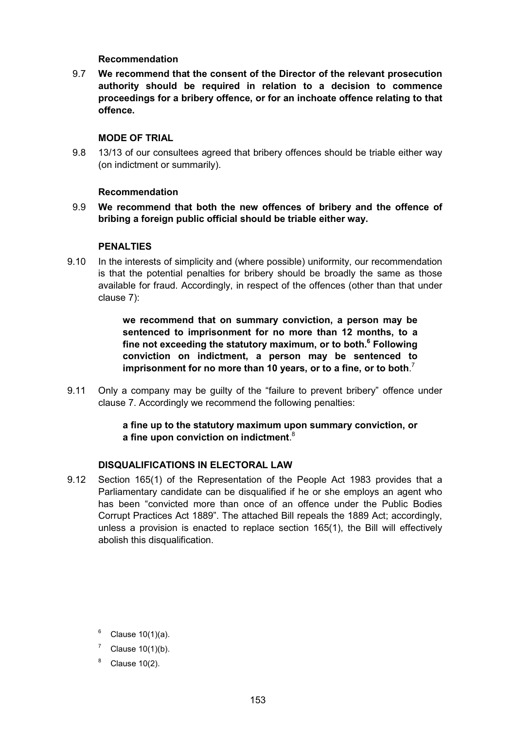#### **Recommendation**

9.7 **We recommend that the consent of the Director of the relevant prosecution authority should be required in relation to a decision to commence proceedings for a bribery offence, or for an inchoate offence relating to that offence.**

#### **MODE OF TRIAL**

9.8 13/13 of our consultees agreed that bribery offences should be triable either way (on indictment or summarily).

#### **Recommendation**

9.9 **We recommend that both the new offences of bribery and the offence of bribing a foreign public official should be triable either way.**

#### **PENALTIES**

9.10 In the interests of simplicity and (where possible) uniformity, our recommendation is that the potential penalties for bribery should be broadly the same as those available for fraud. Accordingly, in respect of the offences (other than that under clause 7):

> **we recommend that on summary conviction, a person may be sentenced to imprisonment for no more than 12 months, to a fine not exceeding the statutory maximum, or to both.6 Following conviction on indictment, a person may be sentenced to imprisonment for no more than 10 years, or to a fine, or to both**. 7

9.11 Only a company may be guilty of the "failure to prevent bribery" offence under clause 7. Accordingly we recommend the following penalties:

## **a fine up to the statutory maximum upon summary conviction, or a fine upon conviction on indictment**. 8

#### **DISQUALIFICATIONS IN ELECTORAL LAW**

9.12 Section 165(1) of the Representation of the People Act 1983 provides that a Parliamentary candidate can be disqualified if he or she employs an agent who has been "convicted more than once of an offence under the Public Bodies Corrupt Practices Act 1889". The attached Bill repeals the 1889 Act; accordingly, unless a provision is enacted to replace section 165(1), the Bill will effectively abolish this disqualification.

- $6$  Clause 10(1)(a).
- Clause 10(1)(b).
- Clause 10(2).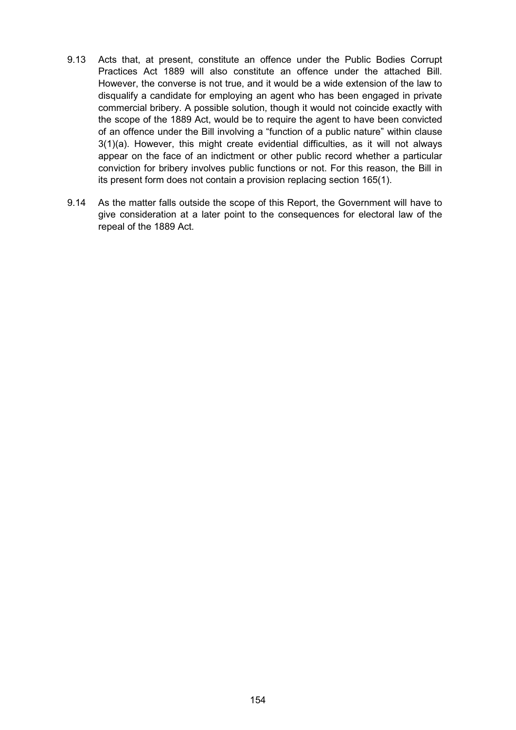- 9.13 Acts that, at present, constitute an offence under the Public Bodies Corrupt Practices Act 1889 will also constitute an offence under the attached Bill. However, the converse is not true, and it would be a wide extension of the law to disqualify a candidate for employing an agent who has been engaged in private commercial bribery. A possible solution, though it would not coincide exactly with the scope of the 1889 Act, would be to require the agent to have been convicted of an offence under the Bill involving a "function of a public nature" within clause 3(1)(a). However, this might create evidential difficulties, as it will not always appear on the face of an indictment or other public record whether a particular conviction for bribery involves public functions or not. For this reason, the Bill in its present form does not contain a provision replacing section 165(1).
- 9.14 As the matter falls outside the scope of this Report, the Government will have to give consideration at a later point to the consequences for electoral law of the repeal of the 1889 Act.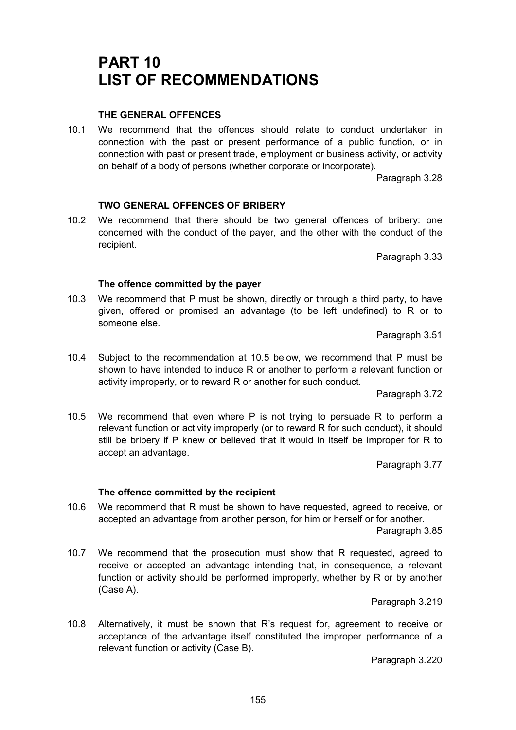# **PART 10 LIST OF RECOMMENDATIONS**

# **THE GENERAL OFFENCES**

10.1 We recommend that the offences should relate to conduct undertaken in connection with the past or present performance of a public function, or in connection with past or present trade, employment or business activity, or activity on behalf of a body of persons (whether corporate or incorporate).

Paragraph 3.28

## **TWO GENERAL OFFENCES OF BRIBERY**

10.2 We recommend that there should be two general offences of bribery: one concerned with the conduct of the payer, and the other with the conduct of the recipient.

Paragraph 3.33

#### **The offence committed by the payer**

10.3 We recommend that P must be shown, directly or through a third party, to have given, offered or promised an advantage (to be left undefined) to R or to someone else.

Paragraph 3.51

10.4 Subject to the recommendation at 10.5 below, we recommend that P must be shown to have intended to induce R or another to perform a relevant function or activity improperly, or to reward R or another for such conduct.

Paragraph 3.72

10.5 We recommend that even where P is not trying to persuade R to perform a relevant function or activity improperly (or to reward R for such conduct), it should still be bribery if P knew or believed that it would in itself be improper for R to accept an advantage.

Paragraph 3.77

#### **The offence committed by the recipient**

10.6 We recommend that R must be shown to have requested, agreed to receive, or accepted an advantage from another person, for him or herself or for another.

Paragraph 3.85

10.7 We recommend that the prosecution must show that R requested, agreed to receive or accepted an advantage intending that, in consequence, a relevant function or activity should be performed improperly, whether by R or by another (Case A).

Paragraph 3.219

10.8 Alternatively, it must be shown that R's request for, agreement to receive or acceptance of the advantage itself constituted the improper performance of a relevant function or activity (Case B).

Paragraph 3.220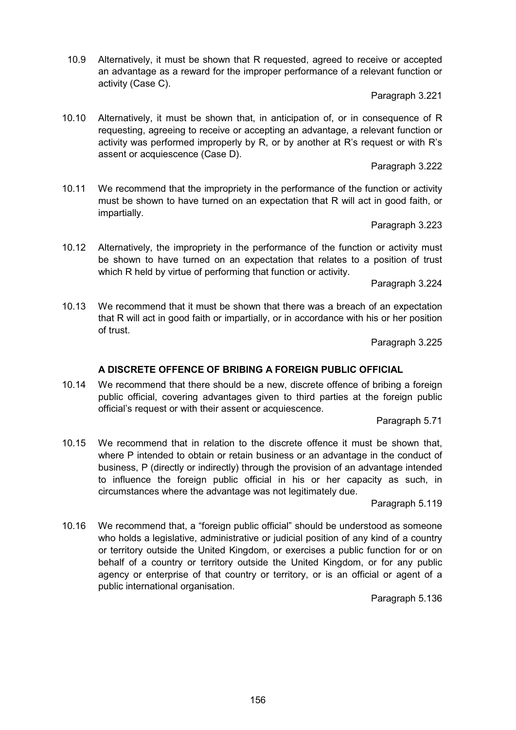10.9 Alternatively, it must be shown that R requested, agreed to receive or accepted an advantage as a reward for the improper performance of a relevant function or activity (Case C).

Paragraph 3.221

10.10 Alternatively, it must be shown that, in anticipation of, or in consequence of R requesting, agreeing to receive or accepting an advantage, a relevant function or activity was performed improperly by R, or by another at R's request or with R's assent or acquiescence (Case D).

Paragraph 3.222

10.11 We recommend that the impropriety in the performance of the function or activity must be shown to have turned on an expectation that R will act in good faith, or impartially.

Paragraph 3.223

10.12 Alternatively, the impropriety in the performance of the function or activity must be shown to have turned on an expectation that relates to a position of trust which R held by virtue of performing that function or activity.

Paragraph 3.224

10.13 We recommend that it must be shown that there was a breach of an expectation that R will act in good faith or impartially, or in accordance with his or her position of trust.

Paragraph 3.225

# **A DISCRETE OFFENCE OF BRIBING A FOREIGN PUBLIC OFFICIAL**

10.14 We recommend that there should be a new, discrete offence of bribing a foreign public official, covering advantages given to third parties at the foreign public official's request or with their assent or acquiescence.

Paragraph 5.71

10.15 We recommend that in relation to the discrete offence it must be shown that, where P intended to obtain or retain business or an advantage in the conduct of business, P (directly or indirectly) through the provision of an advantage intended to influence the foreign public official in his or her capacity as such, in circumstances where the advantage was not legitimately due.

Paragraph 5.119

10.16 We recommend that, a "foreign public official" should be understood as someone who holds a legislative, administrative or judicial position of any kind of a country or territory outside the United Kingdom, or exercises a public function for or on behalf of a country or territory outside the United Kingdom, or for any public agency or enterprise of that country or territory, or is an official or agent of a public international organisation.

Paragraph 5.136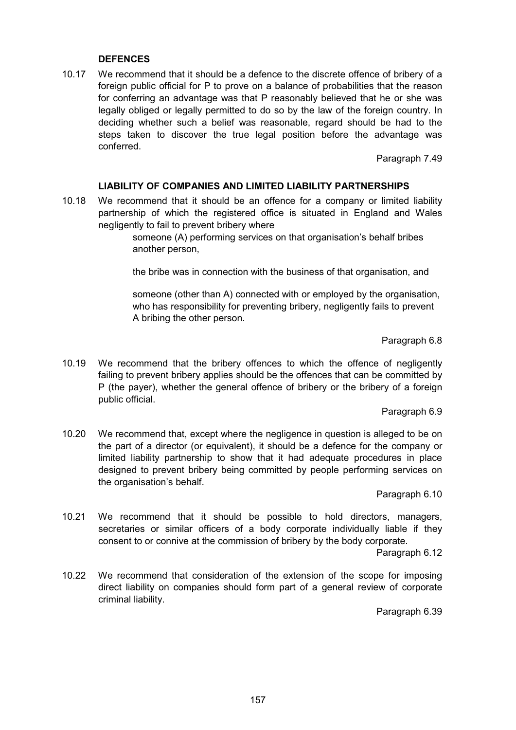#### **DEFENCES**

10.17 We recommend that it should be a defence to the discrete offence of bribery of a foreign public official for P to prove on a balance of probabilities that the reason for conferring an advantage was that P reasonably believed that he or she was legally obliged or legally permitted to do so by the law of the foreign country. In deciding whether such a belief was reasonable, regard should be had to the steps taken to discover the true legal position before the advantage was conferred.

Paragraph 7.49

#### **LIABILITY OF COMPANIES AND LIMITED LIABILITY PARTNERSHIPS**

10.18 We recommend that it should be an offence for a company or limited liability partnership of which the registered office is situated in England and Wales negligently to fail to prevent bribery where

> someone (A) performing services on that organisation's behalf bribes another person,

the bribe was in connection with the business of that organisation, and

someone (other than A) connected with or employed by the organisation, who has responsibility for preventing bribery, negligently fails to prevent A bribing the other person.

Paragraph 6.8

10.19 We recommend that the bribery offences to which the offence of negligently failing to prevent bribery applies should be the offences that can be committed by P (the payer), whether the general offence of bribery or the bribery of a foreign public official.

Paragraph 6.9

10.20 We recommend that, except where the negligence in question is alleged to be on the part of a director (or equivalent), it should be a defence for the company or limited liability partnership to show that it had adequate procedures in place designed to prevent bribery being committed by people performing services on the organisation's behalf.

Paragraph 6.10

10.21 We recommend that it should be possible to hold directors, managers, secretaries or similar officers of a body corporate individually liable if they consent to or connive at the commission of bribery by the body corporate.

Paragraph 6.12

10.22 We recommend that consideration of the extension of the scope for imposing direct liability on companies should form part of a general review of corporate criminal liability.

Paragraph 6.39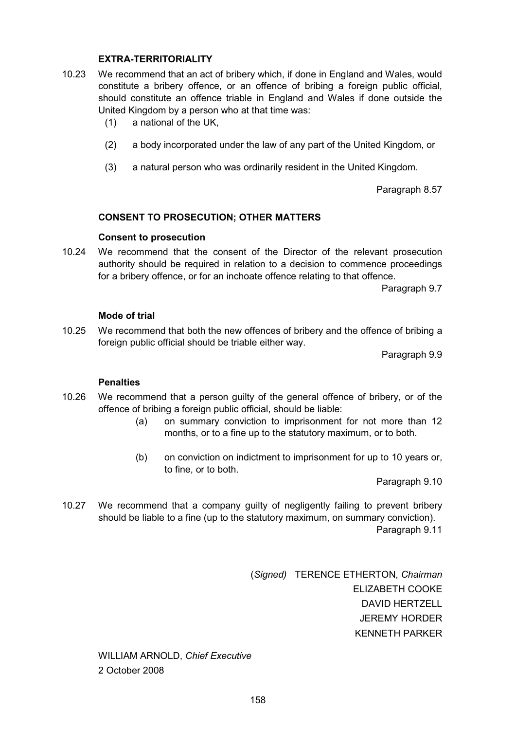#### **EXTRA-TERRITORIALITY**

- 10.23 We recommend that an act of bribery which, if done in England and Wales, would constitute a bribery offence, or an offence of bribing a foreign public official, should constitute an offence triable in England and Wales if done outside the United Kingdom by a person who at that time was:
	- (1) a national of the UK,
	- (2) a body incorporated under the law of any part of the United Kingdom, or
	- (3) a natural person who was ordinarily resident in the United Kingdom.

Paragraph 8.57

#### **CONSENT TO PROSECUTION; OTHER MATTERS**

#### **Consent to prosecution**

10.24 We recommend that the consent of the Director of the relevant prosecution authority should be required in relation to a decision to commence proceedings for a bribery offence, or for an inchoate offence relating to that offence.

Paragraph 9.7

#### **Mode of trial**

10.25 We recommend that both the new offences of bribery and the offence of bribing a foreign public official should be triable either way.

Paragraph 9.9

#### **Penalties**

- 10.26 We recommend that a person guilty of the general offence of bribery, or of the offence of bribing a foreign public official, should be liable:
	- (a) on summary conviction to imprisonment for not more than 12 months, or to a fine up to the statutory maximum, or to both.
	- (b) on conviction on indictment to imprisonment for up to 10 years or, to fine, or to both.

Paragraph 9.10

10.27 We recommend that a company guilty of negligently failing to prevent bribery should be liable to a fine (up to the statutory maximum, on summary conviction).

Paragraph 9.11

(*Signed)* TERENCE ETHERTON, *Chairman* ELIZABETH COOKE DAVID HERTZELL JEREMY HORDER KENNETH PARKER

WILLIAM ARNOLD, *Chief Executive* 2 October 2008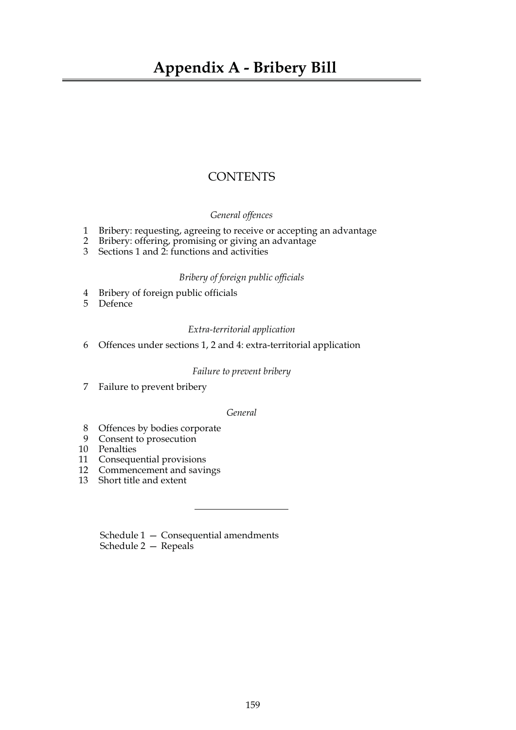# **CONTENTS**

#### *General offences*

- 1 Bribery: requesting, agreeing to receive or accepting an advantage
- 2 Bribery: offering, promising or giving an advantage
- 3 Sections 1 and 2: functions and activities

#### *Bribery of foreign public officials*

- 4 Bribery of foreign public officials
- 5 Defence

#### *Extra-territorial application*

6 Offences under sections 1, 2 and 4: extra-territorial application

#### *Failure to prevent bribery*

7 Failure to prevent bribery

#### *General*

- 8 Offences by bodies corporate
- 9 Consent to prosecution
- 10 Penalties
- 11 Consequential provisions
- 12 Commencement and savings
- 13 Short title and extent

Schedule 1 — Consequential amendments Schedule 2 — Repeals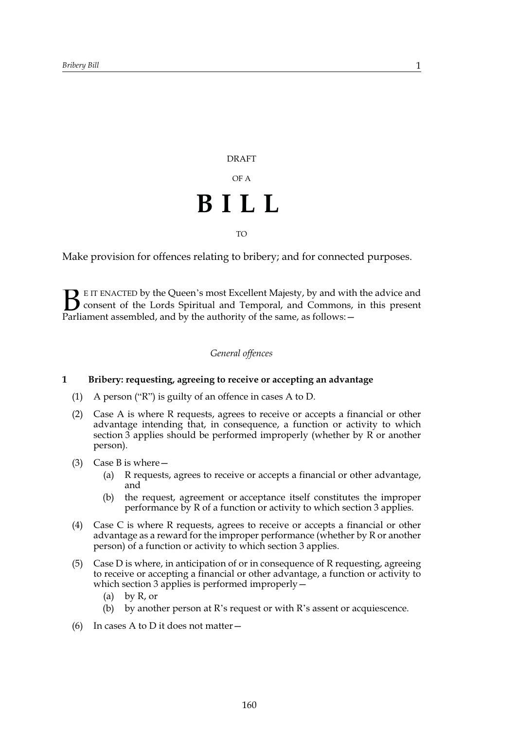DRAFT OF A **BILL** TO

Make provision for offences relating to bribery; and for connected purposes.

E IT ENACTED by the Queen's most Excellent Majesty, by and with the advice and consent of the Lords Spiritual and Temporal, and Commons, in this present **B** E IT ENACTED by the Queen's most Excellent Majesty, by and with consent of the Lords Spiritual and Temporal, and Commons, Parliament assembled, and by the authority of the same, as follows:  $-$ 

#### *General offences*

#### **1 Bribery: requesting, agreeing to receive or accepting an advantage**

- (1) A person ("R") is guilty of an offence in cases A to D.
- (2) Case A is where R requests, agrees to receive or accepts a financial or other advantage intending that, in consequence, a function or activity to which section 3 applies should be performed improperly (whether by R or another person).
- (3) Case B is where—
	- (a) R requests, agrees to receive or accepts a financial or other advantage, and
	- (b) the request, agreement or acceptance itself constitutes the improper performance by R of a function or activity to which section 3 applies.
- (4) Case C is where R requests, agrees to receive or accepts a financial or other advantage as a reward for the improper performance (whether by R or another person) of a function or activity to which section 3 applies.
- (5) Case D is where, in anticipation of or in consequence of R requesting, agreeing to receive or accepting a financial or other advantage, a function or activity to which section 3 applies is performed improperly –
	- (a) by R, or
	- (b) by another person at R's request or with R's assent or acquiescence.
- (6) In cases A to D it does not matter—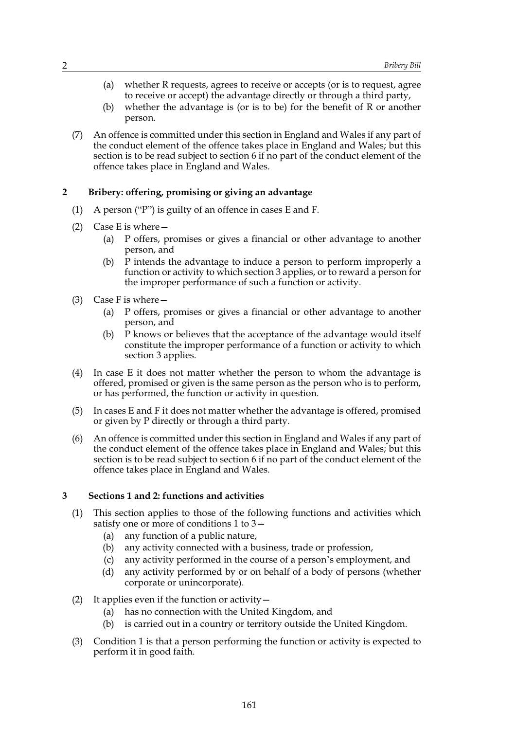- (a) whether R requests, agrees to receive or accepts (or is to request, agree to receive or accept) the advantage directly or through a third party,
- (b) whether the advantage is (or is to be) for the benefit of R or another person.
- (7) An offence is committed under this section in England and Wales if any part of the conduct element of the offence takes place in England and Wales; but this section is to be read subject to section 6 if no part of the conduct element of the offence takes place in England and Wales.

#### **2 Bribery: offering, promising or giving an advantage**

- (1) A person ("P") is guilty of an offence in cases E and F.
- (2) Case E is where—
	- (a) P offers, promises or gives a financial or other advantage to another person, and
	- (b) P intends the advantage to induce a person to perform improperly a function or activity to which section 3 applies, or to reward a person for the improper performance of such a function or activity.
- (3) Case F is where—
	- (a) P offers, promises or gives a financial or other advantage to another person, and
	- (b) P knows or believes that the acceptance of the advantage would itself constitute the improper performance of a function or activity to which section 3 applies.
- (4) In case E it does not matter whether the person to whom the advantage is offered, promised or given is the same person as the person who is to perform, or has performed, the function or activity in question.
- (5) In cases E and F it does not matter whether the advantage is offered, promised or given by P directly or through a third party.
- (6) An offence is committed under this section in England and Wales if any part of the conduct element of the offence takes place in England and Wales; but this section is to be read subject to section 6 if no part of the conduct element of the offence takes place in England and Wales.

#### **3 Sections 1 and 2: functions and activities**

- (1) This section applies to those of the following functions and activities which satisfy one or more of conditions 1 to 3—
	- (a) any function of a public nature,
	- (b) any activity connected with a business, trade or profession,
	- (c) any activity performed in the course of a person's employment, and
	- (d) any activity performed by or on behalf of a body of persons (whether corporate or unincorporate).
- (2) It applies even if the function or activity—
	- (a) has no connection with the United Kingdom, and
	- (b) is carried out in a country or territory outside the United Kingdom.
- (3) Condition 1 is that a person performing the function or activity is expected to perform it in good faith.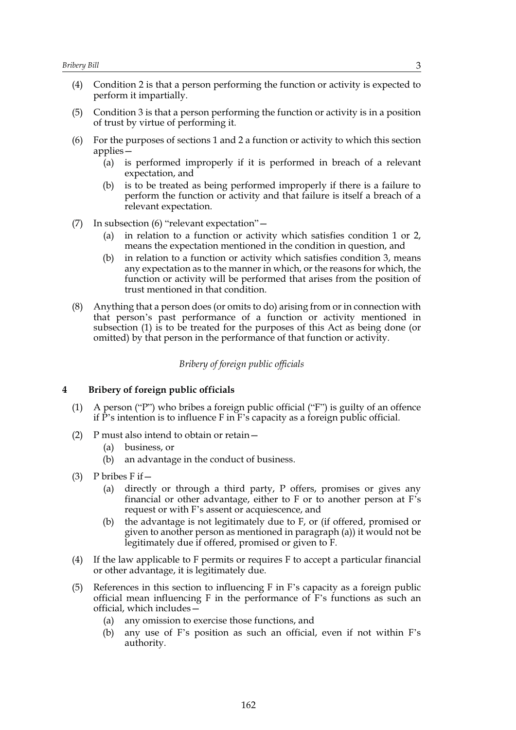- (4) Condition 2 is that a person performing the function or activity is expected to perform it impartially.
- (5) Condition 3 is that a person performing the function or activity is in a position of trust by virtue of performing it.
- (6) For the purposes of sections 1 and 2 a function or activity to which this section applies—
	- (a) is performed improperly if it is performed in breach of a relevant expectation, and
	- (b) is to be treated as being performed improperly if there is a failure to perform the function or activity and that failure is itself a breach of a relevant expectation.
- (7) In subsection (6) "relevant expectation"—
	- (a) in relation to a function or activity which satisfies condition 1 or 2, means the expectation mentioned in the condition in question, and
	- (b) in relation to a function or activity which satisfies condition 3, means any expectation as to the manner in which, or the reasons for which, the function or activity will be performed that arises from the position of trust mentioned in that condition.
- (8) Anything that a person does (or omits to do) arising from or in connection with that person's past performance of a function or activity mentioned in subsection (1) is to be treated for the purposes of this Act as being done (or omitted) by that person in the performance of that function or activity.

*Bribery of foreign public officials*

#### **4 Bribery of foreign public officials**

- (1) A person ("P") who bribes a foreign public official ("F") is guilty of an offence if P's intention is to influence F in F's capacity as a foreign public official.
- (2) P must also intend to obtain or retain—
	- (a) business, or
	- (b) an advantage in the conduct of business.
- (3) P bribes  $F$  if  $-$ 
	- (a) directly or through a third party, P offers, promises or gives any financial or other advantage, either to F or to another person at F's request or with F's assent or acquiescence, and
	- (b) the advantage is not legitimately due to F, or (if offered, promised or given to another person as mentioned in paragraph (a)) it would not be legitimately due if offered, promised or given to F.
- (4) If the law applicable to F permits or requires F to accept a particular financial or other advantage, it is legitimately due.
- (5) References in this section to influencing F in F's capacity as a foreign public official mean influencing F in the performance of F's functions as such an official, which includes—
	- (a) any omission to exercise those functions, and
	- (b) any use of F's position as such an official, even if not within F's authority.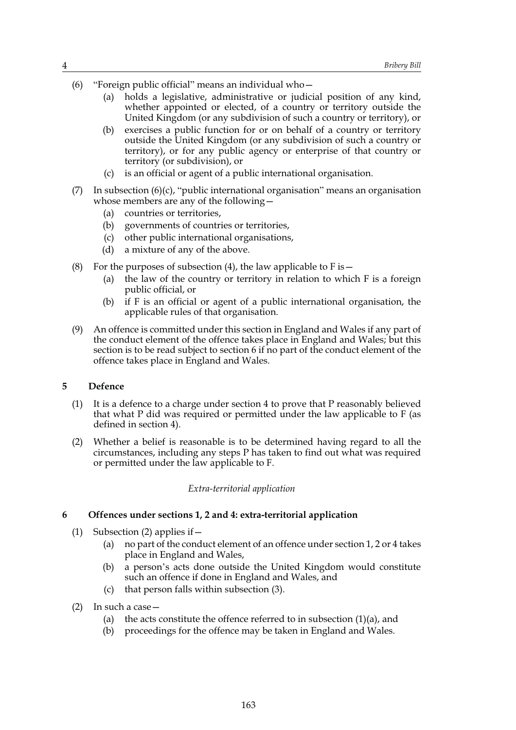- (6) "Foreign public official" means an individual who—
	- (a) holds a legislative, administrative or judicial position of any kind, whether appointed or elected, of a country or territory outside the United Kingdom (or any subdivision of such a country or territory), or
	- (b) exercises a public function for or on behalf of a country or territory outside the United Kingdom (or any subdivision of such a country or territory), or for any public agency or enterprise of that country or territory (or subdivision), or
	- (c) is an official or agent of a public international organisation.
- (7) In subsection  $(6)(c)$ , "public international organisation" means an organisation whose members are any of the following—
	- (a) countries or territories,
	- (b) governments of countries or territories,
	- (c) other public international organisations,
	- (d) a mixture of any of the above.
- (8) For the purposes of subsection (4), the law applicable to F is  $-$ 
	- (a) the law of the country or territory in relation to which F is a foreign public official, or
	- (b) if F is an official or agent of a public international organisation, the applicable rules of that organisation.
- (9) An offence is committed under this section in England and Wales if any part of the conduct element of the offence takes place in England and Wales; but this section is to be read subject to section 6 if no part of the conduct element of the offence takes place in England and Wales.

#### **5 Defence**

- (1) It is a defence to a charge under section 4 to prove that P reasonably believed that what P did was required or permitted under the law applicable to F (as defined in section 4).
- (2) Whether a belief is reasonable is to be determined having regard to all the circumstances, including any steps P has taken to find out what was required or permitted under the law applicable to F.

#### *Extra-territorial application*

#### **6 Offences under sections 1, 2 and 4: extra-territorial application**

- (1) Subsection (2) applies if  $-$ 
	- (a) no part of the conduct element of an offence under section 1, 2 or 4 takes place in England and Wales,
	- (b) a person's acts done outside the United Kingdom would constitute such an offence if done in England and Wales, and
	- (c) that person falls within subsection (3).
- (2) In such a case—
	- (a) the acts constitute the offence referred to in subsection  $(1)(a)$ , and
	- (b) proceedings for the offence may be taken in England and Wales.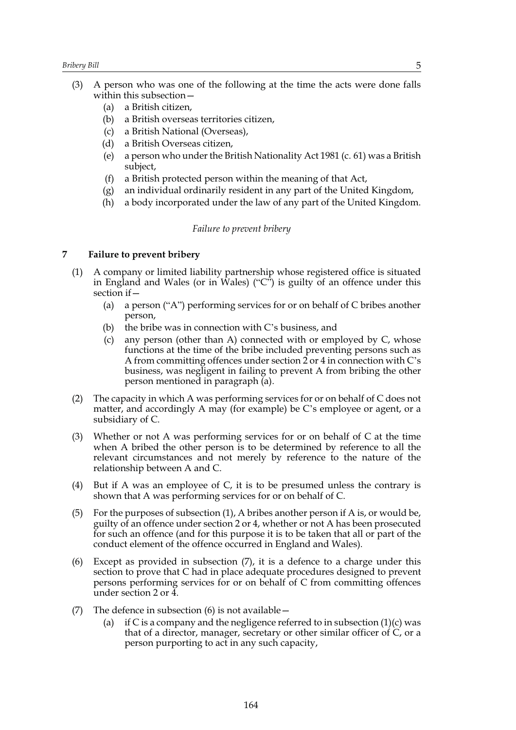- (3) A person who was one of the following at the time the acts were done falls within this subsection—
	- (a) a British citizen,
	- (b) a British overseas territories citizen,
	- (c) a British National (Overseas),
	- (d) a British Overseas citizen,
	- (e) a person who under the British Nationality Act 1981 (c. 61) was a British subject,
	- (f) a British protected person within the meaning of that Act,
	- (g) an individual ordinarily resident in any part of the United Kingdom,
	- (h) a body incorporated under the law of any part of the United Kingdom.

#### *Failure to prevent bribery*

#### **7 Failure to prevent bribery**

- (1) A company or limited liability partnership whose registered office is situated in England and Wales (or in Wales) (" $C$ ") is guilty of an offence under this section if  $-$ 
	- (a) a person ("A") performing services for or on behalf of C bribes another person,
	- (b) the bribe was in connection with C's business, and
	- (c) any person (other than A) connected with or employed by C, whose functions at the time of the bribe included preventing persons such as A from committing offences under section 2 or 4 in connection with C's business, was negligent in failing to prevent A from bribing the other person mentioned in paragraph (a).
- (2) The capacity in which A was performing services for or on behalf of C does not matter, and accordingly A may (for example) be C's employee or agent, or a subsidiary of C.
- (3) Whether or not A was performing services for or on behalf of C at the time when A bribed the other person is to be determined by reference to all the relevant circumstances and not merely by reference to the nature of the relationship between A and C.
- (4) But if A was an employee of C, it is to be presumed unless the contrary is shown that A was performing services for or on behalf of C.
- (5) For the purposes of subsection (1), A bribes another person if A is, or would be, guilty of an offence under section 2 or 4, whether or not A has been prosecuted for such an offence (and for this purpose it is to be taken that all or part of the conduct element of the offence occurred in England and Wales).
- (6) Except as provided in subsection (7), it is a defence to a charge under this section to prove that C had in place adequate procedures designed to prevent persons performing services for or on behalf of C from committing offences under section 2 or 4.
- (7) The defence in subsection  $(6)$  is not available  $-$ 
	- (a) if C is a company and the negligence referred to in subsection  $(1)(c)$  was that of a director, manager, secretary or other similar officer of C, or a person purporting to act in any such capacity,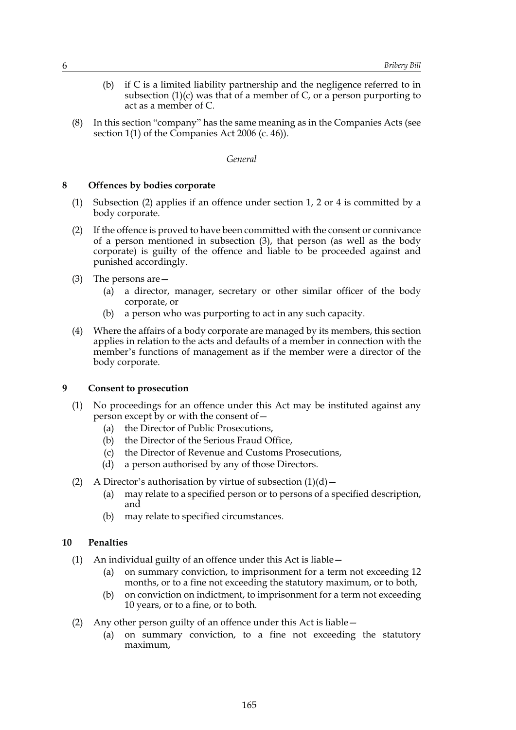- (b) if C is a limited liability partnership and the negligence referred to in subsection  $(1)(c)$  was that of a member of C, or a person purporting to act as a member of C.
- (8) In this section "company" has the same meaning as in the Companies Acts (see section 1(1) of the Companies Act 2006 (c. 46)).

#### *General*

#### **8 Offences by bodies corporate**

- (1) Subsection (2) applies if an offence under section 1, 2 or 4 is committed by a body corporate.
- (2) If the offence is proved to have been committed with the consent or connivance of a person mentioned in subsection (3), that person (as well as the body corporate) is guilty of the offence and liable to be proceeded against and punished accordingly.
- (3) The persons are—
	- (a) a director, manager, secretary or other similar officer of the body corporate, or
	- (b) a person who was purporting to act in any such capacity.
- (4) Where the affairs of a body corporate are managed by its members, this section applies in relation to the acts and defaults of a member in connection with the member's functions of management as if the member were a director of the body corporate.

#### **9 Consent to prosecution**

- (1) No proceedings for an offence under this Act may be instituted against any person except by or with the consent of—
	- (a) the Director of Public Prosecutions,
	- (b) the Director of the Serious Fraud Office,
	- (c) the Director of Revenue and Customs Prosecutions,
	- (d) a person authorised by any of those Directors.
- (2) A Director's authorisation by virtue of subsection  $(1)(d)$ 
	- (a) may relate to a specified person or to persons of a specified description, and
	- (b) may relate to specified circumstances.

#### **10 Penalties**

- (1) An individual guilty of an offence under this Act is liable—
	- (a) on summary conviction, to imprisonment for a term not exceeding 12 months, or to a fine not exceeding the statutory maximum, or to both,
	- (b) on conviction on indictment, to imprisonment for a term not exceeding 10 years, or to a fine, or to both.
- (2) Any other person guilty of an offence under this Act is liable—
	- (a) on summary conviction, to a fine not exceeding the statutory maximum,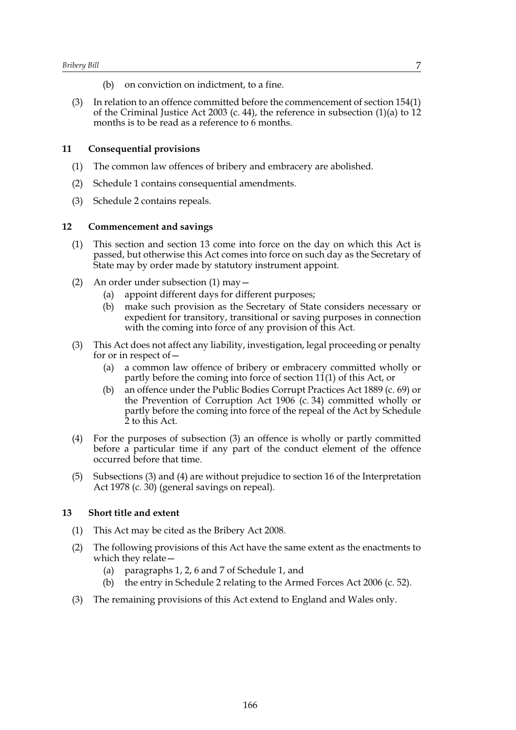- (b) on conviction on indictment, to a fine.
- (3) In relation to an offence committed before the commencement of section 154(1) of the Criminal Justice Act 2003 (c. 44), the reference in subsection  $(1)(a)$  to 12 months is to be read as a reference to 6 months.

#### **11 Consequential provisions**

- (1) The common law offences of bribery and embracery are abolished.
- (2) Schedule 1 contains consequential amendments.
- (3) Schedule 2 contains repeals.

#### **12 Commencement and savings**

- (1) This section and section 13 come into force on the day on which this Act is passed, but otherwise this Act comes into force on such day as the Secretary of State may by order made by statutory instrument appoint.
- (2) An order under subsection (1) may—
	- (a) appoint different days for different purposes;
	- (b) make such provision as the Secretary of State considers necessary or expedient for transitory, transitional or saving purposes in connection with the coming into force of any provision of this Act.
- (3) This Act does not affect any liability, investigation, legal proceeding or penalty for or in respect of—
	- (a) a common law offence of bribery or embracery committed wholly or partly before the coming into force of section 11(1) of this Act, or
	- (b) an offence under the Public Bodies Corrupt Practices Act 1889 (c. 69) or the Prevention of Corruption Act 1906 (c. 34) committed wholly or partly before the coming into force of the repeal of the Act by Schedule 2 to this Act.
- (4) For the purposes of subsection (3) an offence is wholly or partly committed before a particular time if any part of the conduct element of the offence occurred before that time.
- (5) Subsections (3) and (4) are without prejudice to section 16 of the Interpretation Act 1978 (c. 30) (general savings on repeal).

#### **13 Short title and extent**

- (1) This Act may be cited as the Bribery Act 2008.
- (2) The following provisions of this Act have the same extent as the enactments to which they relate—
	- (a) paragraphs 1, 2, 6 and 7 of Schedule 1, and
	- (b) the entry in Schedule 2 relating to the Armed Forces Act 2006 (c. 52).
- (3) The remaining provisions of this Act extend to England and Wales only.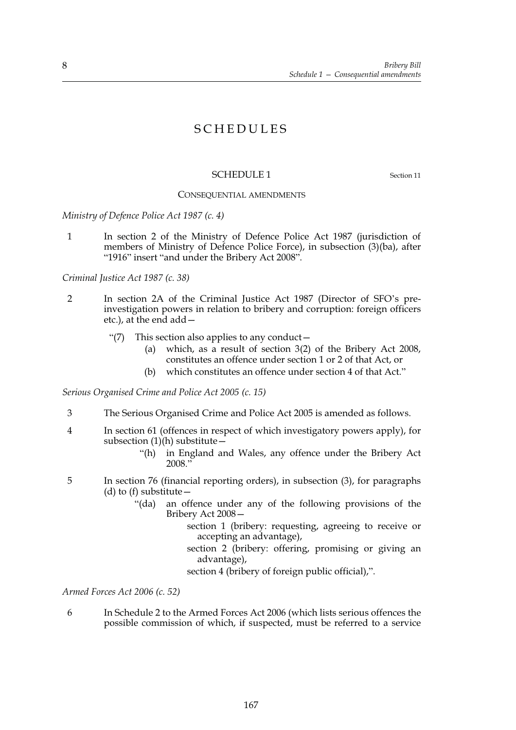# SCHEDULES

#### SCHEDULE 1 Section 11

#### CONSEQUENTIAL AMENDMENTS

*Ministry of Defence Police Act 1987 (c. 4)*

1 In section 2 of the Ministry of Defence Police Act 1987 (jurisdiction of members of Ministry of Defence Police Force), in subsection (3)(ba), after "1916" insert "and under the Bribery Act 2008".

*Criminal Justice Act 1987 (c. 38)*

- 2 In section 2A of the Criminal Justice Act 1987 (Director of SFO's preinvestigation powers in relation to bribery and corruption: foreign officers etc.), at the end add—
	- "(7) This section also applies to any conduct—
		- (a) which, as a result of section 3(2) of the Bribery Act 2008, constitutes an offence under section 1 or 2 of that Act, or
		- (b) which constitutes an offence under section 4 of that Act."

*Serious Organised Crime and Police Act 2005 (c. 15)*

- 3 The Serious Organised Crime and Police Act 2005 is amended as follows.
- 4 In section 61 (offences in respect of which investigatory powers apply), for subsection  $(1)(h)$  substitute  $-$ 
	- "(h) in England and Wales, any offence under the Bribery Act 2008."
- 5 In section 76 (financial reporting orders), in subsection (3), for paragraphs (d) to (f) substitute  $-$ 
	- "(da) an offence under any of the following provisions of the Bribery Act 2008
		- section 1 (bribery: requesting, agreeing to receive or accepting an advantage),
		- section 2 (bribery: offering, promising or giving an advantage),

section 4 (bribery of foreign public official),".

*Armed Forces Act 2006 (c. 52)*

6 In Schedule 2 to the Armed Forces Act 2006 (which lists serious offences the possible commission of which, if suspected, must be referred to a service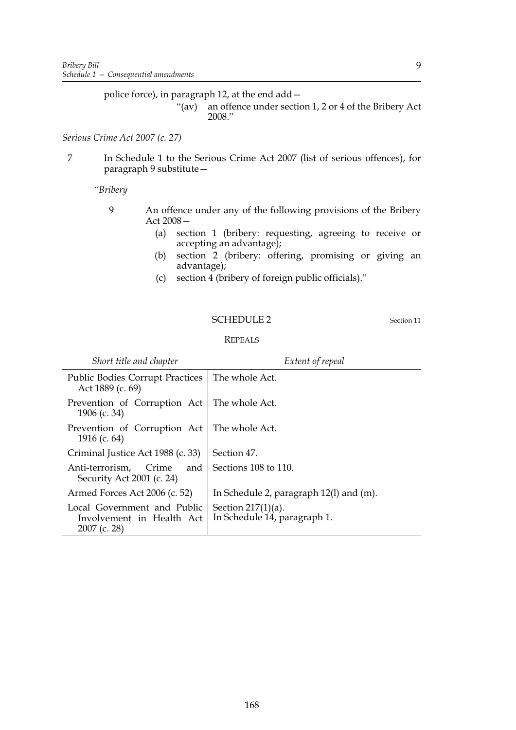police force), in paragraph 12, at the end add—

"(av) an offence under section 1, 2 or 4 of the Bribery Act 2008."

*Serious Crime Act 2007 (c. 27)*

7 In Schedule 1 to the Serious Crime Act 2007 (list of serious offences), for paragraph 9 substitute—

*"Bribery*

- 9 An offence under any of the following provisions of the Bribery Act 2008—
	- (a) section 1 (bribery: requesting, agreeing to receive or accepting an advantage);
	- (b) section 2 (bribery: offering, promising or giving an advantage);
	- (c) section 4 (bribery of foreign public officials)."

#### SCHEDULE 2 Section 11

9

| Short title and chapter                                                  | Extent of repeal                                      |
|--------------------------------------------------------------------------|-------------------------------------------------------|
| <b>Public Bodies Corrupt Practices</b><br>Act 1889 (c. 69)               | The whole Act.                                        |
| Prevention of Corruption Act<br>1906 (c. 34)                             | The whole Act.                                        |
| Prevention of Corruption Act<br>1916 (c. $64$ )                          | The whole Act.                                        |
| Criminal Justice Act 1988 (c. 33)                                        | Section 47.                                           |
| Anti-terrorism,<br>Crime<br>and<br>Security Act 2001 (c. 24)             | Sections 108 to 110.                                  |
| Armed Forces Act 2006 (c. 52)                                            | In Schedule 2, paragraph $12(1)$ and $(m)$ .          |
| Local Government and Public<br>Involvement in Health Act<br>2007 (c. 28) | Section $217(1)(a)$ .<br>In Schedule 14, paragraph 1. |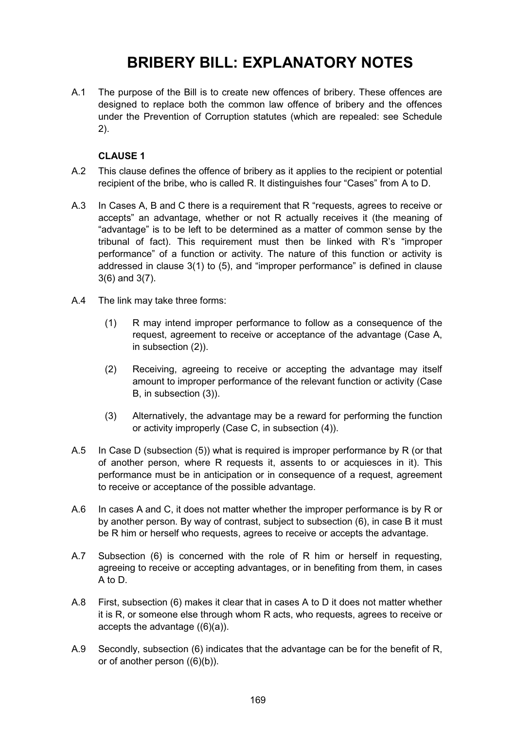# **BRIBERY BILL: EXPLANATORY NOTES**

A.1 The purpose of the Bill is to create new offences of bribery. These offences are designed to replace both the common law offence of bribery and the offences under the Prevention of Corruption statutes (which are repealed: see Schedule 2).

## **CLAUSE 1**

- A.2 This clause defines the offence of bribery as it applies to the recipient or potential recipient of the bribe, who is called R. It distinguishes four "Cases" from A to D.
- A.3 In Cases A, B and C there is a requirement that R "requests, agrees to receive or accepts" an advantage, whether or not R actually receives it (the meaning of "advantage" is to be left to be determined as a matter of common sense by the tribunal of fact). This requirement must then be linked with R's "improper performance" of a function or activity. The nature of this function or activity is addressed in clause 3(1) to (5), and "improper performance" is defined in clause 3(6) and 3(7).
- A.4 The link may take three forms:
	- (1) R may intend improper performance to follow as a consequence of the request, agreement to receive or acceptance of the advantage (Case A, in subsection (2)).
	- (2) Receiving, agreeing to receive or accepting the advantage may itself amount to improper performance of the relevant function or activity (Case B, in subsection (3)).
	- (3) Alternatively, the advantage may be a reward for performing the function or activity improperly (Case C, in subsection (4)).
- A.5 In Case D (subsection (5)) what is required is improper performance by R (or that of another person, where R requests it, assents to or acquiesces in it). This performance must be in anticipation or in consequence of a request, agreement to receive or acceptance of the possible advantage.
- A.6 In cases A and C, it does not matter whether the improper performance is by R or by another person. By way of contrast, subject to subsection (6), in case B it must be R him or herself who requests, agrees to receive or accepts the advantage.
- A.7 Subsection (6) is concerned with the role of R him or herself in requesting, agreeing to receive or accepting advantages, or in benefiting from them, in cases A to D.
- A.8 First, subsection (6) makes it clear that in cases A to D it does not matter whether it is R, or someone else through whom R acts, who requests, agrees to receive or accepts the advantage ((6)(a)).
- A.9 Secondly, subsection (6) indicates that the advantage can be for the benefit of R, or of another person ((6)(b)).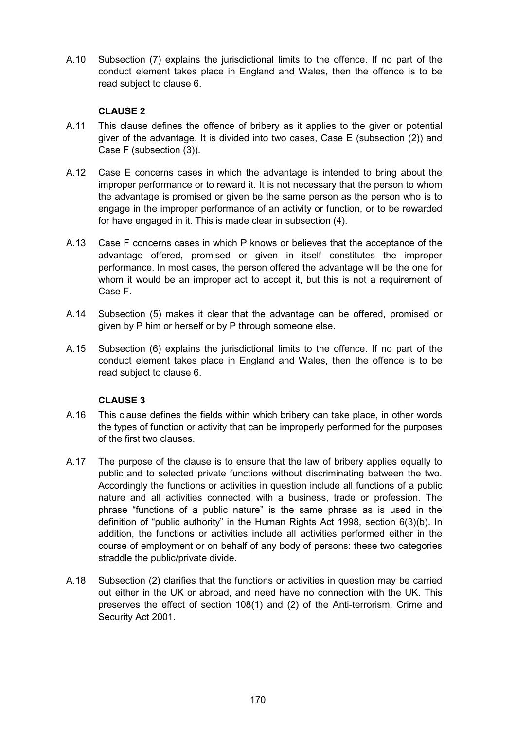A.10 Subsection (7) explains the jurisdictional limits to the offence. If no part of the conduct element takes place in England and Wales, then the offence is to be read subject to clause 6.

# **CLAUSE 2**

- A.11 This clause defines the offence of bribery as it applies to the giver or potential giver of the advantage. It is divided into two cases, Case E (subsection (2)) and Case F (subsection (3)).
- A.12 Case E concerns cases in which the advantage is intended to bring about the improper performance or to reward it. It is not necessary that the person to whom the advantage is promised or given be the same person as the person who is to engage in the improper performance of an activity or function, or to be rewarded for have engaged in it. This is made clear in subsection (4).
- A.13 Case F concerns cases in which P knows or believes that the acceptance of the advantage offered, promised or given in itself constitutes the improper performance. In most cases, the person offered the advantage will be the one for whom it would be an improper act to accept it, but this is not a requirement of Case F.
- A.14 Subsection (5) makes it clear that the advantage can be offered, promised or given by P him or herself or by P through someone else.
- A.15 Subsection (6) explains the jurisdictional limits to the offence. If no part of the conduct element takes place in England and Wales, then the offence is to be read subject to clause 6.

# **CLAUSE 3**

- A.16 This clause defines the fields within which bribery can take place, in other words the types of function or activity that can be improperly performed for the purposes of the first two clauses.
- A.17 The purpose of the clause is to ensure that the law of bribery applies equally to public and to selected private functions without discriminating between the two. Accordingly the functions or activities in question include all functions of a public nature and all activities connected with a business, trade or profession. The phrase "functions of a public nature" is the same phrase as is used in the definition of "public authority" in the Human Rights Act 1998, section 6(3)(b). In addition, the functions or activities include all activities performed either in the course of employment or on behalf of any body of persons: these two categories straddle the public/private divide.
- A.18 Subsection (2) clarifies that the functions or activities in question may be carried out either in the UK or abroad, and need have no connection with the UK. This preserves the effect of section 108(1) and (2) of the Anti-terrorism, Crime and Security Act 2001.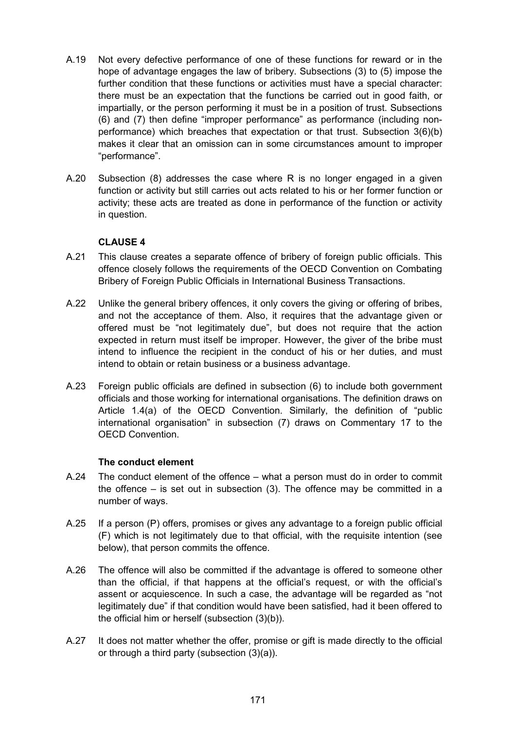- A.19 Not every defective performance of one of these functions for reward or in the hope of advantage engages the law of bribery. Subsections (3) to (5) impose the further condition that these functions or activities must have a special character: there must be an expectation that the functions be carried out in good faith, or impartially, or the person performing it must be in a position of trust. Subsections (6) and (7) then define "improper performance" as performance (including nonperformance) which breaches that expectation or that trust. Subsection 3(6)(b) makes it clear that an omission can in some circumstances amount to improper "performance".
- A.20 Subsection (8) addresses the case where R is no longer engaged in a given function or activity but still carries out acts related to his or her former function or activity; these acts are treated as done in performance of the function or activity in question.

- A.21 This clause creates a separate offence of bribery of foreign public officials. This offence closely follows the requirements of the OECD Convention on Combating Bribery of Foreign Public Officials in International Business Transactions.
- A.22 Unlike the general bribery offences, it only covers the giving or offering of bribes, and not the acceptance of them. Also, it requires that the advantage given or offered must be "not legitimately due", but does not require that the action expected in return must itself be improper. However, the giver of the bribe must intend to influence the recipient in the conduct of his or her duties, and must intend to obtain or retain business or a business advantage.
- A.23 Foreign public officials are defined in subsection (6) to include both government officials and those working for international organisations. The definition draws on Article 1.4(a) of the OECD Convention. Similarly, the definition of "public international organisation" in subsection (7) draws on Commentary 17 to the OECD Convention.

## **The conduct element**

- A.24 The conduct element of the offence what a person must do in order to commit the offence – is set out in subsection (3). The offence may be committed in a number of ways.
- A.25 If a person (P) offers, promises or gives any advantage to a foreign public official (F) which is not legitimately due to that official, with the requisite intention (see below), that person commits the offence.
- A.26 The offence will also be committed if the advantage is offered to someone other than the official, if that happens at the official's request, or with the official's assent or acquiescence. In such a case, the advantage will be regarded as "not legitimately due" if that condition would have been satisfied, had it been offered to the official him or herself (subsection (3)(b)).
- A.27 It does not matter whether the offer, promise or gift is made directly to the official or through a third party (subsection (3)(a)).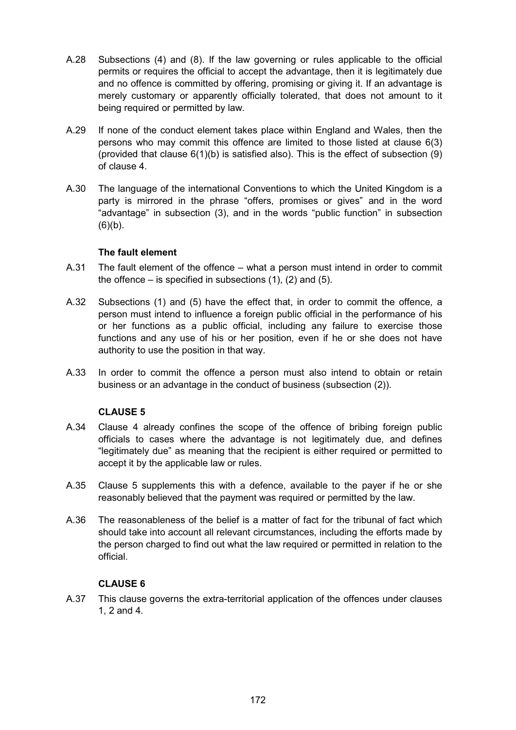- A.28 Subsections (4) and (8). If the law governing or rules applicable to the official permits or requires the official to accept the advantage, then it is legitimately due and no offence is committed by offering, promising or giving it. If an advantage is merely customary or apparently officially tolerated, that does not amount to it being required or permitted by law.
- A.29 If none of the conduct element takes place within England and Wales, then the persons who may commit this offence are limited to those listed at clause 6(3) (provided that clause  $6(1)(b)$  is satisfied also). This is the effect of subsection  $(9)$ of clause 4.
- A.30 The language of the international Conventions to which the United Kingdom is a party is mirrored in the phrase "offers, promises or gives" and in the word "advantage" in subsection (3), and in the words "public function" in subsection  $(6)(b)$ .

# **The fault element**

- A.31 The fault element of the offence what a person must intend in order to commit the offence – is specified in subsections  $(1)$ ,  $(2)$  and  $(5)$ .
- A.32 Subsections (1) and (5) have the effect that, in order to commit the offence, a person must intend to influence a foreign public official in the performance of his or her functions as a public official, including any failure to exercise those functions and any use of his or her position, even if he or she does not have authority to use the position in that way.
- A.33 In order to commit the offence a person must also intend to obtain or retain business or an advantage in the conduct of business (subsection (2)).

## **CLAUSE 5**

- A.34 Clause 4 already confines the scope of the offence of bribing foreign public officials to cases where the advantage is not legitimately due, and defines "legitimately due" as meaning that the recipient is either required or permitted to accept it by the applicable law or rules.
- A.35 Clause 5 supplements this with a defence, available to the payer if he or she reasonably believed that the payment was required or permitted by the law.
- A.36 The reasonableness of the belief is a matter of fact for the tribunal of fact which should take into account all relevant circumstances, including the efforts made by the person charged to find out what the law required or permitted in relation to the official.

## **CLAUSE 6**

A.37 This clause governs the extra-territorial application of the offences under clauses 1, 2 and 4.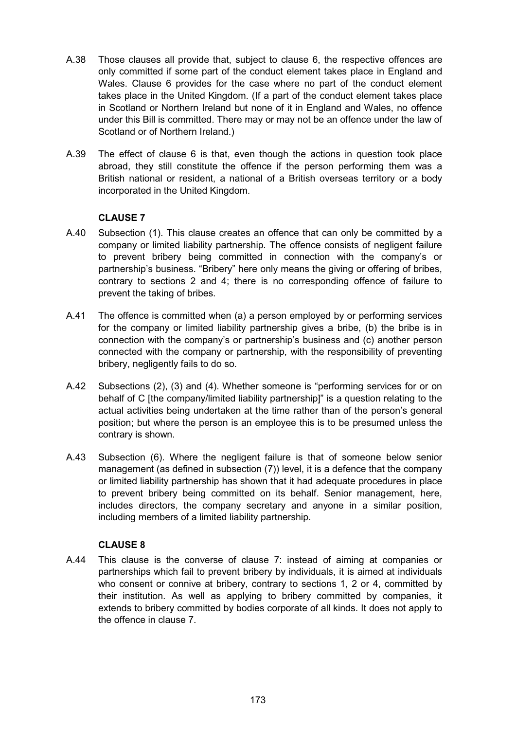- A.38 Those clauses all provide that, subject to clause 6, the respective offences are only committed if some part of the conduct element takes place in England and Wales. Clause 6 provides for the case where no part of the conduct element takes place in the United Kingdom. (If a part of the conduct element takes place in Scotland or Northern Ireland but none of it in England and Wales, no offence under this Bill is committed. There may or may not be an offence under the law of Scotland or of Northern Ireland.)
- A.39 The effect of clause 6 is that, even though the actions in question took place abroad, they still constitute the offence if the person performing them was a British national or resident, a national of a British overseas territory or a body incorporated in the United Kingdom.

- A.40 Subsection (1). This clause creates an offence that can only be committed by a company or limited liability partnership. The offence consists of negligent failure to prevent bribery being committed in connection with the company's or partnership's business. "Bribery" here only means the giving or offering of bribes, contrary to sections 2 and 4; there is no corresponding offence of failure to prevent the taking of bribes.
- A.41 The offence is committed when (a) a person employed by or performing services for the company or limited liability partnership gives a bribe, (b) the bribe is in connection with the company's or partnership's business and (c) another person connected with the company or partnership, with the responsibility of preventing bribery, negligently fails to do so.
- A.42 Subsections (2), (3) and (4). Whether someone is "performing services for or on behalf of C [the company/limited liability partnership]" is a question relating to the actual activities being undertaken at the time rather than of the person's general position; but where the person is an employee this is to be presumed unless the contrary is shown.
- A.43 Subsection (6). Where the negligent failure is that of someone below senior management (as defined in subsection (7)) level, it is a defence that the company or limited liability partnership has shown that it had adequate procedures in place to prevent bribery being committed on its behalf. Senior management, here, includes directors, the company secretary and anyone in a similar position, including members of a limited liability partnership.

# **CLAUSE 8**

A.44 This clause is the converse of clause 7: instead of aiming at companies or partnerships which fail to prevent bribery by individuals, it is aimed at individuals who consent or connive at bribery, contrary to sections 1, 2 or 4, committed by their institution. As well as applying to bribery committed by companies, it extends to bribery committed by bodies corporate of all kinds. It does not apply to the offence in clause 7.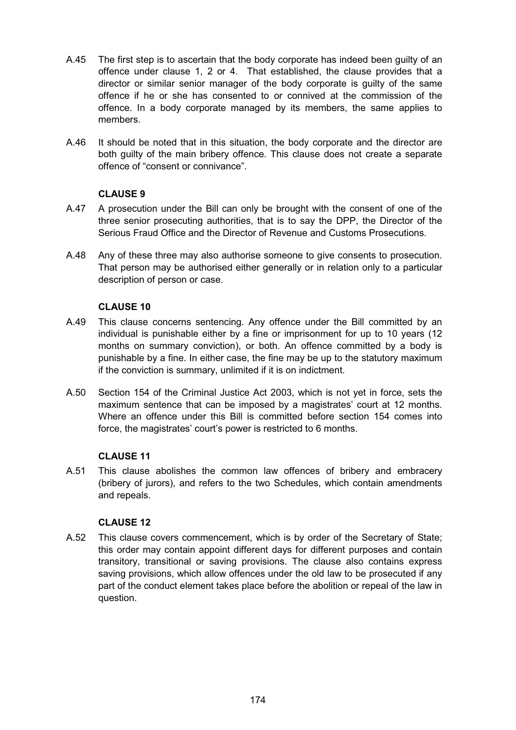- A.45 The first step is to ascertain that the body corporate has indeed been guilty of an offence under clause 1, 2 or 4. That established, the clause provides that a director or similar senior manager of the body corporate is guilty of the same offence if he or she has consented to or connived at the commission of the offence. In a body corporate managed by its members, the same applies to members.
- A.46 It should be noted that in this situation, the body corporate and the director are both guilty of the main bribery offence. This clause does not create a separate offence of "consent or connivance".

- A.47 A prosecution under the Bill can only be brought with the consent of one of the three senior prosecuting authorities, that is to say the DPP, the Director of the Serious Fraud Office and the Director of Revenue and Customs Prosecutions.
- A.48 Any of these three may also authorise someone to give consents to prosecution. That person may be authorised either generally or in relation only to a particular description of person or case.

# **CLAUSE 10**

- A.49 This clause concerns sentencing. Any offence under the Bill committed by an individual is punishable either by a fine or imprisonment for up to 10 years (12 months on summary conviction), or both. An offence committed by a body is punishable by a fine. In either case, the fine may be up to the statutory maximum if the conviction is summary, unlimited if it is on indictment.
- A.50 Section 154 of the Criminal Justice Act 2003, which is not yet in force, sets the maximum sentence that can be imposed by a magistrates' court at 12 months. Where an offence under this Bill is committed before section 154 comes into force, the magistrates' court's power is restricted to 6 months.

# **CLAUSE 11**

A.51 This clause abolishes the common law offences of bribery and embracery (bribery of jurors), and refers to the two Schedules, which contain amendments and repeals.

## **CLAUSE 12**

A.52 This clause covers commencement, which is by order of the Secretary of State; this order may contain appoint different days for different purposes and contain transitory, transitional or saving provisions. The clause also contains express saving provisions, which allow offences under the old law to be prosecuted if any part of the conduct element takes place before the abolition or repeal of the law in question.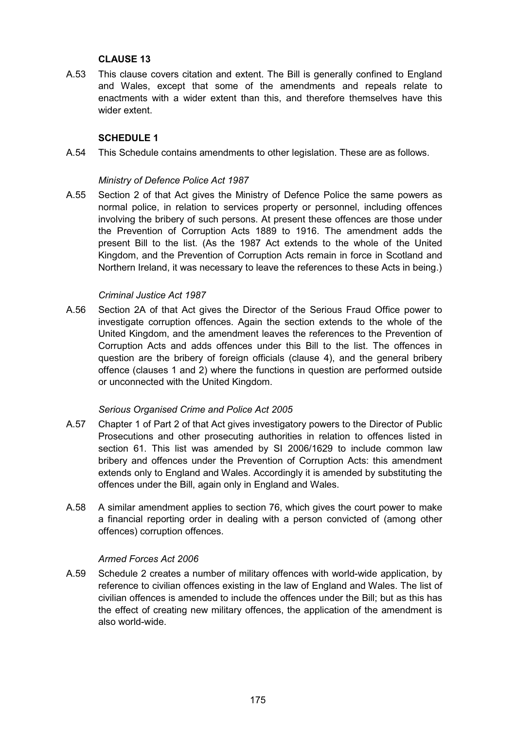A.53 This clause covers citation and extent. The Bill is generally confined to England and Wales, except that some of the amendments and repeals relate to enactments with a wider extent than this, and therefore themselves have this wider extent.

## **SCHEDULE 1**

A.54 This Schedule contains amendments to other legislation. These are as follows.

#### *Ministry of Defence Police Act 1987*

A.55 Section 2 of that Act gives the Ministry of Defence Police the same powers as normal police, in relation to services property or personnel, including offences involving the bribery of such persons. At present these offences are those under the Prevention of Corruption Acts 1889 to 1916. The amendment adds the present Bill to the list. (As the 1987 Act extends to the whole of the United Kingdom, and the Prevention of Corruption Acts remain in force in Scotland and Northern Ireland, it was necessary to leave the references to these Acts in being.)

#### *Criminal Justice Act 1987*

A.56 Section 2A of that Act gives the Director of the Serious Fraud Office power to investigate corruption offences. Again the section extends to the whole of the United Kingdom, and the amendment leaves the references to the Prevention of Corruption Acts and adds offences under this Bill to the list. The offences in question are the bribery of foreign officials (clause 4), and the general bribery offence (clauses 1 and 2) where the functions in question are performed outside or unconnected with the United Kingdom.

## *Serious Organised Crime and Police Act 2005*

- A.57 Chapter 1 of Part 2 of that Act gives investigatory powers to the Director of Public Prosecutions and other prosecuting authorities in relation to offences listed in section 61. This list was amended by SI 2006/1629 to include common law bribery and offences under the Prevention of Corruption Acts: this amendment extends only to England and Wales. Accordingly it is amended by substituting the offences under the Bill, again only in England and Wales.
- A.58 A similar amendment applies to section 76, which gives the court power to make a financial reporting order in dealing with a person convicted of (among other offences) corruption offences.

## *Armed Forces Act 2006*

A.59 Schedule 2 creates a number of military offences with world-wide application, by reference to civilian offences existing in the law of England and Wales. The list of civilian offences is amended to include the offences under the Bill; but as this has the effect of creating new military offences, the application of the amendment is also world-wide.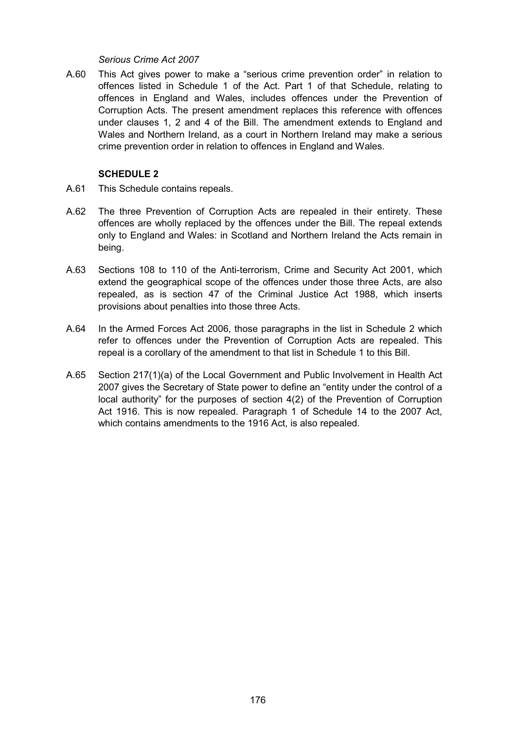#### *Serious Crime Act 2007*

A.60 This Act gives power to make a "serious crime prevention order" in relation to offences listed in Schedule 1 of the Act. Part 1 of that Schedule, relating to offences in England and Wales, includes offences under the Prevention of Corruption Acts. The present amendment replaces this reference with offences under clauses 1, 2 and 4 of the Bill. The amendment extends to England and Wales and Northern Ireland, as a court in Northern Ireland may make a serious crime prevention order in relation to offences in England and Wales.

## **SCHEDULE 2**

- A.61 This Schedule contains repeals.
- A.62 The three Prevention of Corruption Acts are repealed in their entirety. These offences are wholly replaced by the offences under the Bill. The repeal extends only to England and Wales: in Scotland and Northern Ireland the Acts remain in being.
- A.63 Sections 108 to 110 of the Anti-terrorism, Crime and Security Act 2001, which extend the geographical scope of the offences under those three Acts, are also repealed, as is section 47 of the Criminal Justice Act 1988, which inserts provisions about penalties into those three Acts.
- A.64 In the Armed Forces Act 2006, those paragraphs in the list in Schedule 2 which refer to offences under the Prevention of Corruption Acts are repealed. This repeal is a corollary of the amendment to that list in Schedule 1 to this Bill.
- A.65 Section 217(1)(a) of the Local Government and Public Involvement in Health Act 2007 gives the Secretary of State power to define an "entity under the control of a local authority" for the purposes of section 4(2) of the Prevention of Corruption Act 1916. This is now repealed. Paragraph 1 of Schedule 14 to the 2007 Act, which contains amendments to the 1916 Act, is also repealed.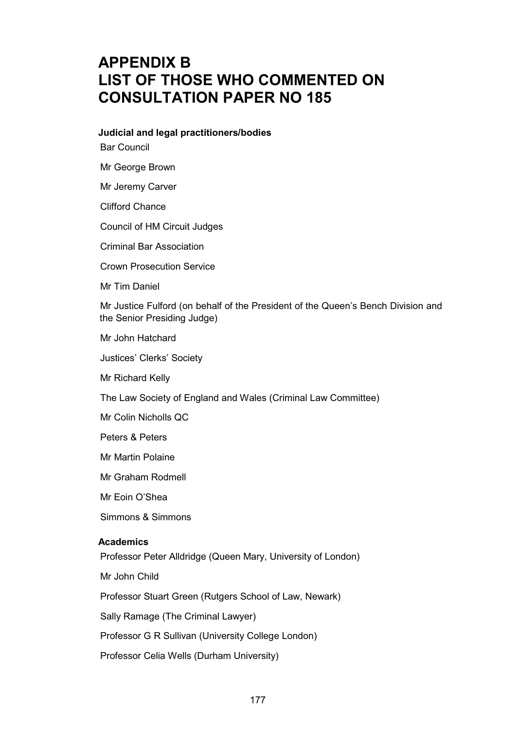# **APPENDIX B LIST OF THOSE WHO COMMENTED ON CONSULTATION PAPER NO 185**

#### **Judicial and legal practitioners/bodies**

Bar Council

Mr George Brown

Mr Jeremy Carver

Clifford Chance

Council of HM Circuit Judges

Criminal Bar Association

Crown Prosecution Service

Mr Tim Daniel

Mr Justice Fulford (on behalf of the President of the Queen's Bench Division and the Senior Presiding Judge)

Mr John Hatchard

Justices' Clerks' Society

Mr Richard Kelly

The Law Society of England and Wales (Criminal Law Committee)

Mr Colin Nicholls QC

Peters & Peters

Mr Martin Polaine

Mr Graham Rodmell

Mr Eoin O'Shea

Simmons & Simmons

#### **Academics**

Professor Peter Alldridge (Queen Mary, University of London)

Mr John Child

Professor Stuart Green (Rutgers School of Law, Newark)

Sally Ramage (The Criminal Lawyer)

Professor G R Sullivan (University College London)

Professor Celia Wells (Durham University)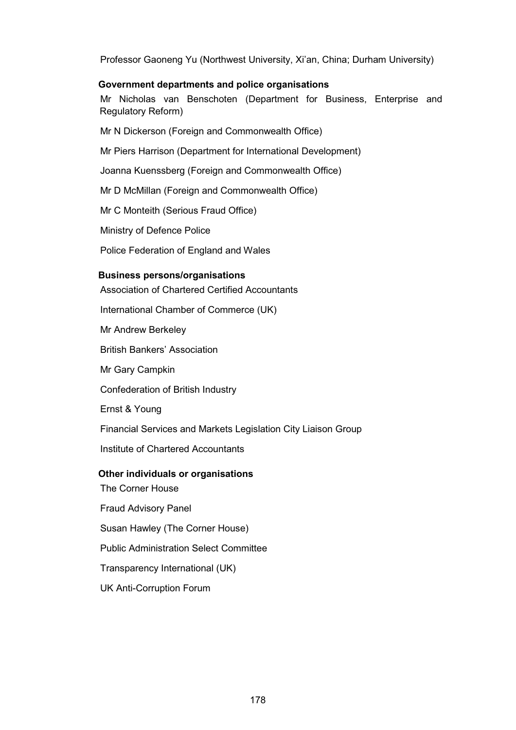Professor Gaoneng Yu (Northwest University, Xi'an, China; Durham University)

## **Government departments and police organisations**

Mr Nicholas van Benschoten (Department for Business, Enterprise and Regulatory Reform)

Mr N Dickerson (Foreign and Commonwealth Office)

Mr Piers Harrison (Department for International Development)

Joanna Kuenssberg (Foreign and Commonwealth Office)

Mr D McMillan (Foreign and Commonwealth Office)

Mr C Monteith (Serious Fraud Office)

Ministry of Defence Police

Police Federation of England and Wales

## **Business persons/organisations**

Association of Chartered Certified Accountants

International Chamber of Commerce (UK)

Mr Andrew Berkeley

British Bankers' Association

Mr Gary Campkin

Confederation of British Industry

Ernst & Young

Financial Services and Markets Legislation City Liaison Group

Institute of Chartered Accountants

## **Other individuals or organisations**

The Corner House

Fraud Advisory Panel

Susan Hawley (The Corner House)

Public Administration Select Committee

Transparency International (UK)

UK Anti-Corruption Forum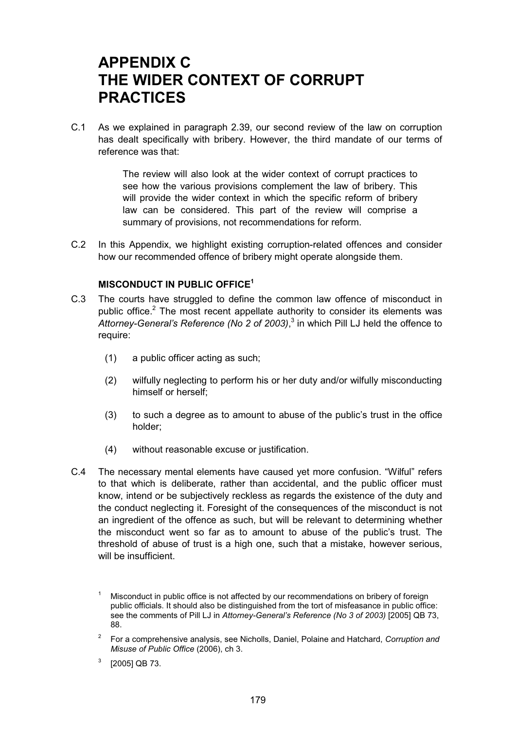# **APPENDIX C THE WIDER CONTEXT OF CORRUPT PRACTICES**

C.1 As we explained in paragraph 2.39, our second review of the law on corruption has dealt specifically with bribery. However, the third mandate of our terms of reference was that:

> The review will also look at the wider context of corrupt practices to see how the various provisions complement the law of bribery. This will provide the wider context in which the specific reform of bribery law can be considered. This part of the review will comprise a summary of provisions, not recommendations for reform.

C.2 In this Appendix, we highlight existing corruption-related offences and consider how our recommended offence of bribery might operate alongside them.

# **MISCONDUCT IN PUBLIC OFFICE1**

- C.3 The courts have struggled to define the common law offence of misconduct in public office.<sup>2</sup> The most recent appellate authority to consider its elements was *Attorney-General's Reference (No 2 of 2003)*, 3 in which Pill LJ held the offence to require:
	- (1) a public officer acting as such;
	- (2) wilfully neglecting to perform his or her duty and/or wilfully misconducting himself or herself;
	- (3) to such a degree as to amount to abuse of the public's trust in the office holder;
	- (4) without reasonable excuse or justification.
- C.4 The necessary mental elements have caused yet more confusion. "Wilful" refers to that which is deliberate, rather than accidental, and the public officer must know, intend or be subjectively reckless as regards the existence of the duty and the conduct neglecting it. Foresight of the consequences of the misconduct is not an ingredient of the offence as such, but will be relevant to determining whether the misconduct went so far as to amount to abuse of the public's trust. The threshold of abuse of trust is a high one, such that a mistake, however serious, will be insufficient.

- <sup>2</sup> For a comprehensive analysis, see Nicholls, Daniel, Polaine and Hatchard, *Corruption and Misuse of Public Office* (2006), ch 3.
- $3$  [2005] QB 73.

<sup>&</sup>lt;sup>1</sup> Misconduct in public office is not affected by our recommendations on bribery of foreign public officials. It should also be distinguished from the tort of misfeasance in public office: see the comments of Pill LJ in *Attorney-General's Reference (No 3 of 2003)* [2005] QB 73, 88.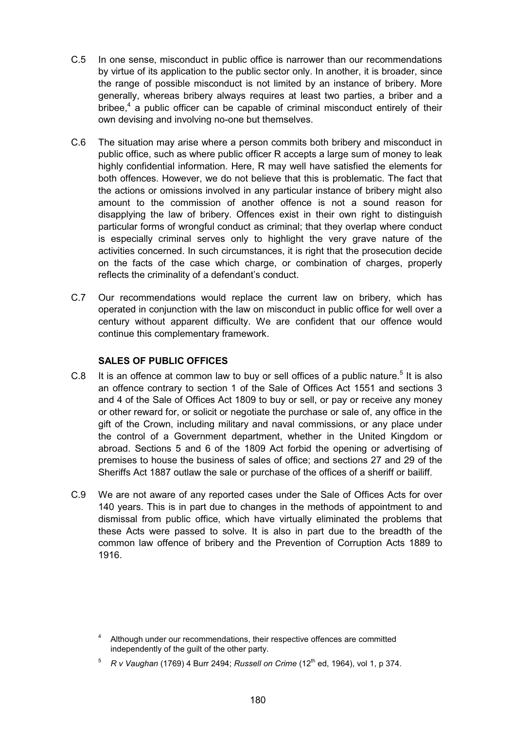- C.5 In one sense, misconduct in public office is narrower than our recommendations by virtue of its application to the public sector only. In another, it is broader, since the range of possible misconduct is not limited by an instance of bribery. More generally, whereas bribery always requires at least two parties, a briber and a bribee,<sup>4</sup> a public officer can be capable of criminal misconduct entirely of their own devising and involving no-one but themselves.
- C.6 The situation may arise where a person commits both bribery and misconduct in public office, such as where public officer R accepts a large sum of money to leak highly confidential information. Here, R may well have satisfied the elements for both offences. However, we do not believe that this is problematic. The fact that the actions or omissions involved in any particular instance of bribery might also amount to the commission of another offence is not a sound reason for disapplying the law of bribery. Offences exist in their own right to distinguish particular forms of wrongful conduct as criminal; that they overlap where conduct is especially criminal serves only to highlight the very grave nature of the activities concerned. In such circumstances, it is right that the prosecution decide on the facts of the case which charge, or combination of charges, properly reflects the criminality of a defendant's conduct.
- C.7 Our recommendations would replace the current law on bribery, which has operated in conjunction with the law on misconduct in public office for well over a century without apparent difficulty. We are confident that our offence would continue this complementary framework.

# **SALES OF PUBLIC OFFICES**

- C.8 It is an offence at common law to buy or sell offices of a public nature.<sup>5</sup> It is also an offence contrary to section 1 of the Sale of Offices Act 1551 and sections 3 and 4 of the Sale of Offices Act 1809 to buy or sell, or pay or receive any money or other reward for, or solicit or negotiate the purchase or sale of, any office in the gift of the Crown, including military and naval commissions, or any place under the control of a Government department, whether in the United Kingdom or abroad. Sections 5 and 6 of the 1809 Act forbid the opening or advertising of premises to house the business of sales of office; and sections 27 and 29 of the Sheriffs Act 1887 outlaw the sale or purchase of the offices of a sheriff or bailiff.
- C.9 We are not aware of any reported cases under the Sale of Offices Acts for over 140 years. This is in part due to changes in the methods of appointment to and dismissal from public office, which have virtually eliminated the problems that these Acts were passed to solve. It is also in part due to the breadth of the common law offence of bribery and the Prevention of Corruption Acts 1889 to 1916.

 $5$  *R v Vaughan* (1769) 4 Burr 2494: *Russell on Crime* (12<sup>th</sup> ed, 1964), vol 1, p 374,

<sup>&</sup>lt;sup>4</sup> Although under our recommendations, their respective offences are committed independently of the guilt of the other party.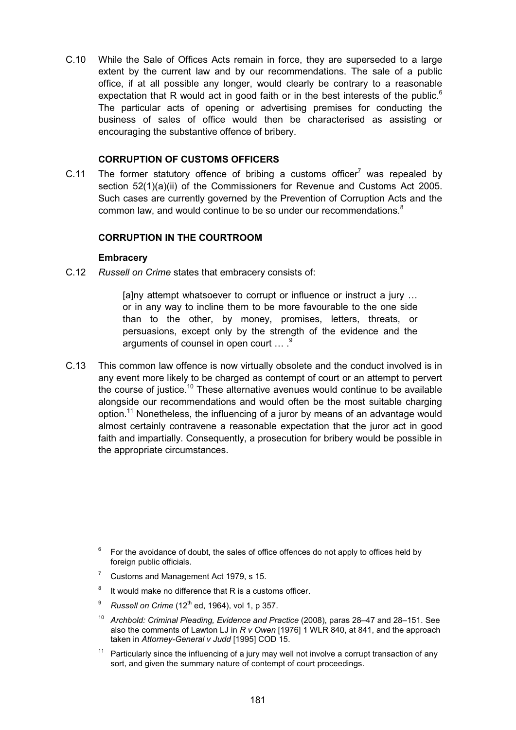C.10 While the Sale of Offices Acts remain in force, they are superseded to a large extent by the current law and by our recommendations. The sale of a public office, if at all possible any longer, would clearly be contrary to a reasonable expectation that R would act in good faith or in the best interests of the public. $6$ The particular acts of opening or advertising premises for conducting the business of sales of office would then be characterised as assisting or encouraging the substantive offence of bribery.

#### **CORRUPTION OF CUSTOMS OFFICERS**

C.11 The former statutory offence of bribing a customs officer $<sup>7</sup>$  was repealed by</sup> section 52(1)(a)(ii) of the Commissioners for Revenue and Customs Act 2005. Such cases are currently governed by the Prevention of Corruption Acts and the common law, and would continue to be so under our recommendations.<sup>8</sup>

## **CORRUPTION IN THE COURTROOM**

#### **Embracery**

C.12 *Russell on Crime* states that embracery consists of:

[a]ny attempt whatsoever to corrupt or influence or instruct a jury … or in any way to incline them to be more favourable to the one side than to the other, by money, promises, letters, threats, or persuasions, except only by the strength of the evidence and the arguments of counsel in open court ... .<sup>9</sup>

C.13 This common law offence is now virtually obsolete and the conduct involved is in any event more likely to be charged as contempt of court or an attempt to pervert the course of justice.10 These alternative avenues would continue to be available alongside our recommendations and would often be the most suitable charging option.<sup>11</sup> Nonetheless, the influencing of a juror by means of an advantage would almost certainly contravene a reasonable expectation that the juror act in good faith and impartially. Consequently, a prosecution for bribery would be possible in the appropriate circumstances.

- <sup>6</sup> For the avoidance of doubt, the sales of office offences do not apply to offices held by foreign public officials.
- <sup>7</sup> Customs and Management Act 1979, s 15.
- $8$  It would make no difference that R is a customs officer.
- $9$  *Russell on Crime* (12<sup>th</sup> ed, 1964), vol 1, p 357.
- <sup>10</sup> *Archbold: Criminal Pleading, Evidence and Practice* (2008), paras 28–47 and 28–151. See also the comments of Lawton LJ in *R v Owen* [1976] 1 WLR 840, at 841, and the approach taken in *Attorney-General v Judd* [1995] COD 15.
- $11$  Particularly since the influencing of a jury may well not involve a corrupt transaction of any sort, and given the summary nature of contempt of court proceedings.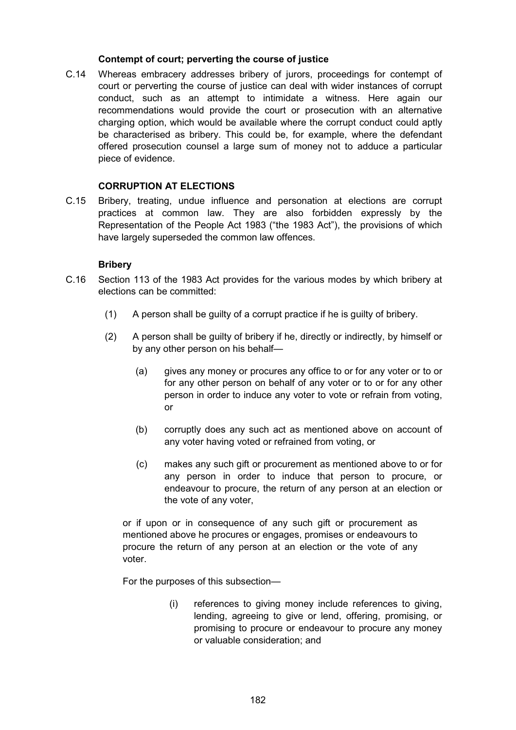## **Contempt of court; perverting the course of justice**

C.14 Whereas embracery addresses bribery of jurors, proceedings for contempt of court or perverting the course of justice can deal with wider instances of corrupt conduct, such as an attempt to intimidate a witness. Here again our recommendations would provide the court or prosecution with an alternative charging option, which would be available where the corrupt conduct could aptly be characterised as bribery. This could be, for example, where the defendant offered prosecution counsel a large sum of money not to adduce a particular piece of evidence.

# **CORRUPTION AT ELECTIONS**

C.15 Bribery, treating, undue influence and personation at elections are corrupt practices at common law. They are also forbidden expressly by the Representation of the People Act 1983 ("the 1983 Act"), the provisions of which have largely superseded the common law offences.

## **Bribery**

- C.16 Section 113 of the 1983 Act provides for the various modes by which bribery at elections can be committed:
	- (1) A person shall be guilty of a corrupt practice if he is guilty of bribery.
	- (2) A person shall be guilty of bribery if he, directly or indirectly, by himself or by any other person on his behalf—
		- (a) gives any money or procures any office to or for any voter or to or for any other person on behalf of any voter or to or for any other person in order to induce any voter to vote or refrain from voting, or
		- (b) corruptly does any such act as mentioned above on account of any voter having voted or refrained from voting, or
		- (c) makes any such gift or procurement as mentioned above to or for any person in order to induce that person to procure, or endeavour to procure, the return of any person at an election or the vote of any voter,

or if upon or in consequence of any such gift or procurement as mentioned above he procures or engages, promises or endeavours to procure the return of any person at an election or the vote of any voter.

For the purposes of this subsection—

(i) references to giving money include references to giving, lending, agreeing to give or lend, offering, promising, or promising to procure or endeavour to procure any money or valuable consideration; and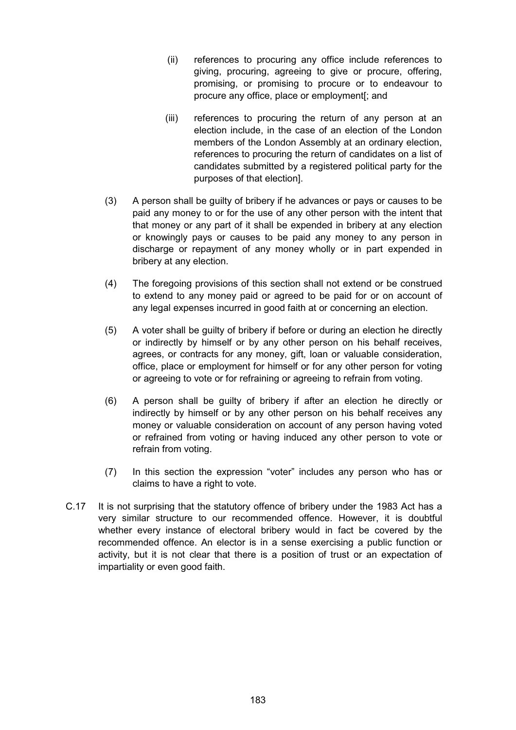- (ii) references to procuring any office include references to giving, procuring, agreeing to give or procure, offering, promising, or promising to procure or to endeavour to procure any office, place or employment[; and
- (iii) references to procuring the return of any person at an election include, in the case of an election of the London members of the London Assembly at an ordinary election, references to procuring the return of candidates on a list of candidates submitted by a registered political party for the purposes of that election].
- (3) A person shall be guilty of bribery if he advances or pays or causes to be paid any money to or for the use of any other person with the intent that that money or any part of it shall be expended in bribery at any election or knowingly pays or causes to be paid any money to any person in discharge or repayment of any money wholly or in part expended in bribery at any election.
- (4) The foregoing provisions of this section shall not extend or be construed to extend to any money paid or agreed to be paid for or on account of any legal expenses incurred in good faith at or concerning an election.
- (5) A voter shall be guilty of bribery if before or during an election he directly or indirectly by himself or by any other person on his behalf receives, agrees, or contracts for any money, gift, loan or valuable consideration, office, place or employment for himself or for any other person for voting or agreeing to vote or for refraining or agreeing to refrain from voting.
- (6) A person shall be guilty of bribery if after an election he directly or indirectly by himself or by any other person on his behalf receives any money or valuable consideration on account of any person having voted or refrained from voting or having induced any other person to vote or refrain from voting.
- (7) In this section the expression "voter" includes any person who has or claims to have a right to vote.
- C.17 It is not surprising that the statutory offence of bribery under the 1983 Act has a very similar structure to our recommended offence. However, it is doubtful whether every instance of electoral bribery would in fact be covered by the recommended offence. An elector is in a sense exercising a public function or activity, but it is not clear that there is a position of trust or an expectation of impartiality or even good faith.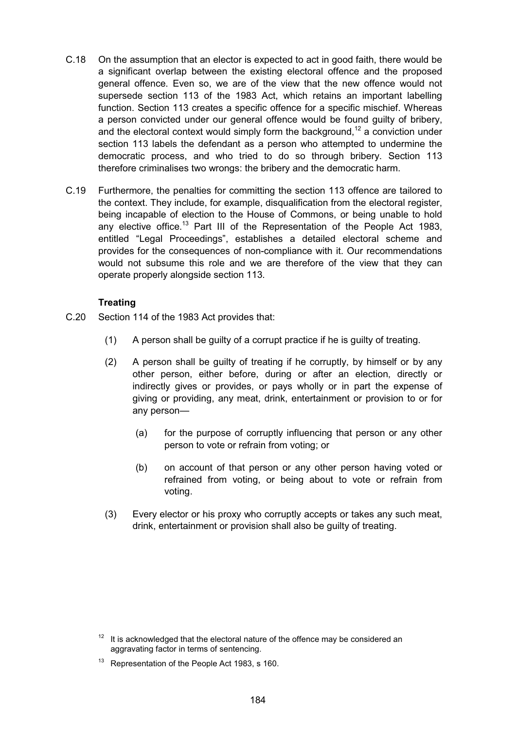- C.18 On the assumption that an elector is expected to act in good faith, there would be a significant overlap between the existing electoral offence and the proposed general offence. Even so, we are of the view that the new offence would not supersede section 113 of the 1983 Act, which retains an important labelling function. Section 113 creates a specific offence for a specific mischief. Whereas a person convicted under our general offence would be found guilty of bribery, and the electoral context would simply form the background,<sup>12</sup> a conviction under section 113 labels the defendant as a person who attempted to undermine the democratic process, and who tried to do so through bribery. Section 113 therefore criminalises two wrongs: the bribery and the democratic harm.
- C.19 Furthermore, the penalties for committing the section 113 offence are tailored to the context. They include, for example, disqualification from the electoral register, being incapable of election to the House of Commons, or being unable to hold any elective office.<sup>13</sup> Part III of the Representation of the People Act 1983, entitled "Legal Proceedings", establishes a detailed electoral scheme and provides for the consequences of non-compliance with it. Our recommendations would not subsume this role and we are therefore of the view that they can operate properly alongside section 113.

# **Treating**

- C.20 Section 114 of the 1983 Act provides that:
	- (1) A person shall be guilty of a corrupt practice if he is guilty of treating.
	- (2) A person shall be guilty of treating if he corruptly, by himself or by any other person, either before, during or after an election, directly or indirectly gives or provides, or pays wholly or in part the expense of giving or providing, any meat, drink, entertainment or provision to or for any person—
		- (a) for the purpose of corruptly influencing that person or any other person to vote or refrain from voting; or
		- (b) on account of that person or any other person having voted or refrained from voting, or being about to vote or refrain from voting.
	- (3) Every elector or his proxy who corruptly accepts or takes any such meat, drink, entertainment or provision shall also be guilty of treating.

 $12$  It is acknowledged that the electoral nature of the offence may be considered an aggravating factor in terms of sentencing.

<sup>&</sup>lt;sup>13</sup> Representation of the People Act 1983, s 160.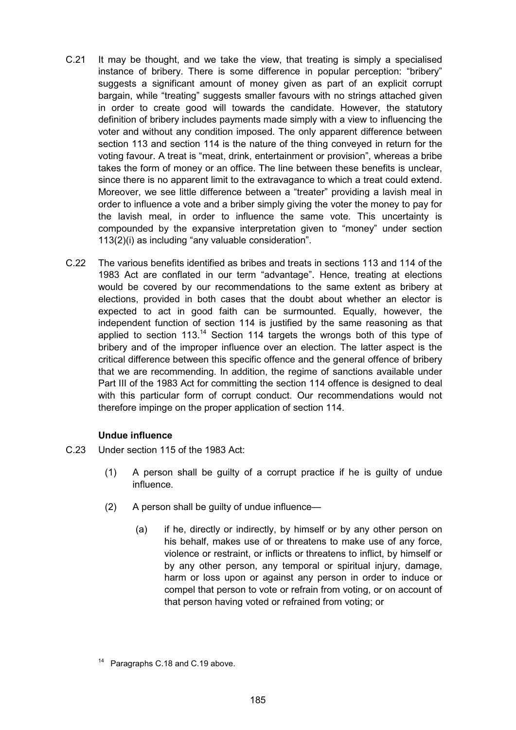- C.21 It may be thought, and we take the view, that treating is simply a specialised instance of bribery. There is some difference in popular perception: "bribery" suggests a significant amount of money given as part of an explicit corrupt bargain, while "treating" suggests smaller favours with no strings attached given in order to create good will towards the candidate. However, the statutory definition of bribery includes payments made simply with a view to influencing the voter and without any condition imposed. The only apparent difference between section 113 and section 114 is the nature of the thing conveyed in return for the voting favour. A treat is "meat, drink, entertainment or provision", whereas a bribe takes the form of money or an office. The line between these benefits is unclear, since there is no apparent limit to the extravagance to which a treat could extend. Moreover, we see little difference between a "treater" providing a lavish meal in order to influence a vote and a briber simply giving the voter the money to pay for the lavish meal, in order to influence the same vote. This uncertainty is compounded by the expansive interpretation given to "money" under section 113(2)(i) as including "any valuable consideration".
- C.22 The various benefits identified as bribes and treats in sections 113 and 114 of the 1983 Act are conflated in our term "advantage". Hence, treating at elections would be covered by our recommendations to the same extent as bribery at elections, provided in both cases that the doubt about whether an elector is expected to act in good faith can be surmounted. Equally, however, the independent function of section 114 is justified by the same reasoning as that applied to section  $113^{14}$  Section 114 targets the wrongs both of this type of bribery and of the improper influence over an election. The latter aspect is the critical difference between this specific offence and the general offence of bribery that we are recommending. In addition, the regime of sanctions available under Part III of the 1983 Act for committing the section 114 offence is designed to deal with this particular form of corrupt conduct. Our recommendations would not therefore impinge on the proper application of section 114.

# **Undue influence**

- C.23 Under section 115 of the 1983 Act:
	- (1) A person shall be guilty of a corrupt practice if he is guilty of undue influence.
	- (2) A person shall be guilty of undue influence—
		- (a) if he, directly or indirectly, by himself or by any other person on his behalf, makes use of or threatens to make use of any force, violence or restraint, or inflicts or threatens to inflict, by himself or by any other person, any temporal or spiritual injury, damage, harm or loss upon or against any person in order to induce or compel that person to vote or refrain from voting, or on account of that person having voted or refrained from voting; or

Paragraphs C.18 and C.19 above.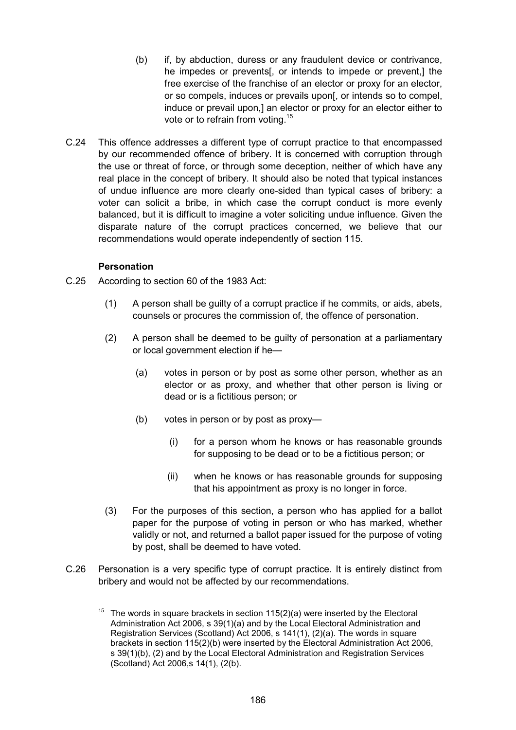- (b) if, by abduction, duress or any fraudulent device or contrivance, he impedes or prevents[, or intends to impede or prevent,] the free exercise of the franchise of an elector or proxy for an elector, or so compels, induces or prevails upon[, or intends so to compel, induce or prevail upon,] an elector or proxy for an elector either to vote or to refrain from voting.15
- C.24 This offence addresses a different type of corrupt practice to that encompassed by our recommended offence of bribery. It is concerned with corruption through the use or threat of force, or through some deception, neither of which have any real place in the concept of bribery. It should also be noted that typical instances of undue influence are more clearly one-sided than typical cases of bribery: a voter can solicit a bribe, in which case the corrupt conduct is more evenly balanced, but it is difficult to imagine a voter soliciting undue influence. Given the disparate nature of the corrupt practices concerned, we believe that our recommendations would operate independently of section 115.

## **Personation**

- C.25 According to section 60 of the 1983 Act:
	- (1) A person shall be guilty of a corrupt practice if he commits, or aids, abets, counsels or procures the commission of, the offence of personation.
	- (2) A person shall be deemed to be guilty of personation at a parliamentary or local government election if he—
		- (a) votes in person or by post as some other person, whether as an elector or as proxy, and whether that other person is living or dead or is a fictitious person; or
		- (b) votes in person or by post as proxy—
			- (i) for a person whom he knows or has reasonable grounds for supposing to be dead or to be a fictitious person; or
			- (ii) when he knows or has reasonable grounds for supposing that his appointment as proxy is no longer in force.
	- (3) For the purposes of this section, a person who has applied for a ballot paper for the purpose of voting in person or who has marked, whether validly or not, and returned a ballot paper issued for the purpose of voting by post, shall be deemed to have voted.
- C.26 Personation is a very specific type of corrupt practice. It is entirely distinct from bribery and would not be affected by our recommendations.
	- <sup>15</sup> The words in square brackets in section  $115(2)(a)$  were inserted by the Electoral Administration Act 2006, s 39(1)(a) and by the Local Electoral Administration and Registration Services (Scotland) Act 2006, s 141(1), (2)(a). The words in square brackets in section 115(2)(b) were inserted by the Electoral Administration Act 2006, s 39(1)(b), (2) and by the Local Electoral Administration and Registration Services (Scotland) Act 2006,s 14(1), (2(b).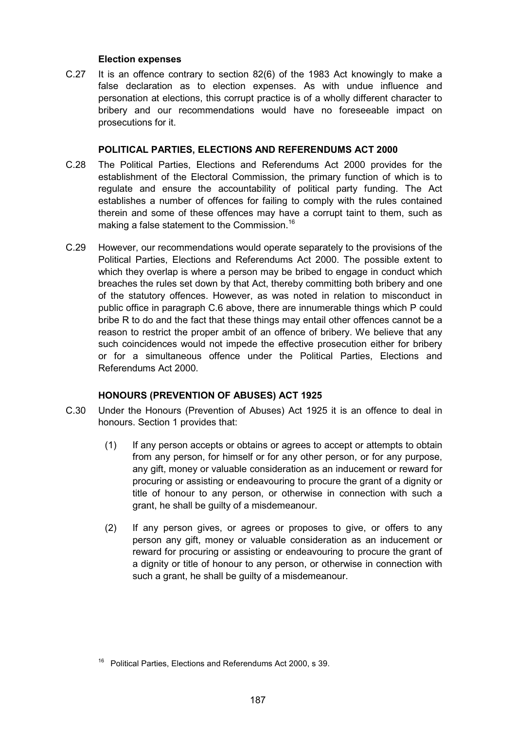## **Election expenses**

C.27 It is an offence contrary to section 82(6) of the 1983 Act knowingly to make a false declaration as to election expenses. As with undue influence and personation at elections, this corrupt practice is of a wholly different character to bribery and our recommendations would have no foreseeable impact on prosecutions for it.

## **POLITICAL PARTIES, ELECTIONS AND REFERENDUMS ACT 2000**

- C.28 The Political Parties, Elections and Referendums Act 2000 provides for the establishment of the Electoral Commission, the primary function of which is to regulate and ensure the accountability of political party funding. The Act establishes a number of offences for failing to comply with the rules contained therein and some of these offences may have a corrupt taint to them, such as making a false statement to the Commission.<sup>16</sup>
- C.29 However, our recommendations would operate separately to the provisions of the Political Parties, Elections and Referendums Act 2000. The possible extent to which they overlap is where a person may be bribed to engage in conduct which breaches the rules set down by that Act, thereby committing both bribery and one of the statutory offences. However, as was noted in relation to misconduct in public office in paragraph C.6 above, there are innumerable things which P could bribe R to do and the fact that these things may entail other offences cannot be a reason to restrict the proper ambit of an offence of bribery. We believe that any such coincidences would not impede the effective prosecution either for bribery or for a simultaneous offence under the Political Parties, Elections and Referendums Act 2000.

## **HONOURS (PREVENTION OF ABUSES) ACT 1925**

- C.30 Under the Honours (Prevention of Abuses) Act 1925 it is an offence to deal in honours. Section 1 provides that:
	- (1) If any person accepts or obtains or agrees to accept or attempts to obtain from any person, for himself or for any other person, or for any purpose, any gift, money or valuable consideration as an inducement or reward for procuring or assisting or endeavouring to procure the grant of a dignity or title of honour to any person, or otherwise in connection with such a grant, he shall be guilty of a misdemeanour.
	- (2) If any person gives, or agrees or proposes to give, or offers to any person any gift, money or valuable consideration as an inducement or reward for procuring or assisting or endeavouring to procure the grant of a dignity or title of honour to any person, or otherwise in connection with such a grant, he shall be quilty of a misdemeanour.

<sup>16</sup> Political Parties, Elections and Referendums Act 2000, s 39.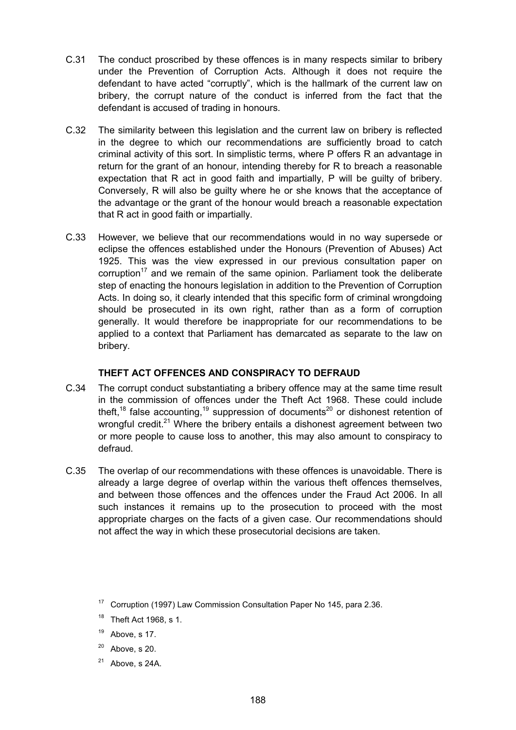- C.31 The conduct proscribed by these offences is in many respects similar to bribery under the Prevention of Corruption Acts. Although it does not require the defendant to have acted "corruptly", which is the hallmark of the current law on bribery, the corrupt nature of the conduct is inferred from the fact that the defendant is accused of trading in honours.
- C.32 The similarity between this legislation and the current law on bribery is reflected in the degree to which our recommendations are sufficiently broad to catch criminal activity of this sort. In simplistic terms, where P offers R an advantage in return for the grant of an honour, intending thereby for R to breach a reasonable expectation that R act in good faith and impartially, P will be guilty of bribery. Conversely, R will also be guilty where he or she knows that the acceptance of the advantage or the grant of the honour would breach a reasonable expectation that R act in good faith or impartially.
- C.33 However, we believe that our recommendations would in no way supersede or eclipse the offences established under the Honours (Prevention of Abuses) Act 1925. This was the view expressed in our previous consultation paper on corruption<sup>17</sup> and we remain of the same opinion. Parliament took the deliberate step of enacting the honours legislation in addition to the Prevention of Corruption Acts. In doing so, it clearly intended that this specific form of criminal wrongdoing should be prosecuted in its own right, rather than as a form of corruption generally. It would therefore be inappropriate for our recommendations to be applied to a context that Parliament has demarcated as separate to the law on bribery.

# **THEFT ACT OFFENCES AND CONSPIRACY TO DEFRAUD**

- C.34 The corrupt conduct substantiating a bribery offence may at the same time result in the commission of offences under the Theft Act 1968. These could include theft,<sup>18</sup> false accounting,<sup>19</sup> suppression of documents<sup>20</sup> or dishonest retention of wrongful credit.<sup>21</sup> Where the bribery entails a dishonest agreement between two or more people to cause loss to another, this may also amount to conspiracy to defraud.
- C.35 The overlap of our recommendations with these offences is unavoidable. There is already a large degree of overlap within the various theft offences themselves, and between those offences and the offences under the Fraud Act 2006. In all such instances it remains up to the prosecution to proceed with the most appropriate charges on the facts of a given case. Our recommendations should not affect the way in which these prosecutorial decisions are taken.

- $20$  Above, s 20.
- $21$  Above, s 24A.

 $17$  Corruption (1997) Law Commission Consultation Paper No 145, para 2.36.

 $18$  Theft Act 1968, s 1.

 $19$  Above, s 17.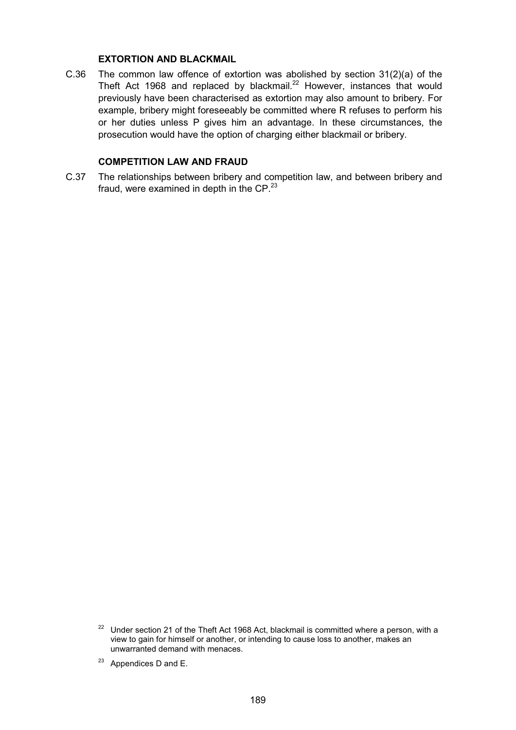#### **EXTORTION AND BLACKMAIL**

C.36 The common law offence of extortion was abolished by section 31(2)(a) of the Theft Act 1968 and replaced by blackmail.<sup>22</sup> However, instances that would previously have been characterised as extortion may also amount to bribery. For example, bribery might foreseeably be committed where R refuses to perform his or her duties unless P gives him an advantage. In these circumstances, the prosecution would have the option of charging either blackmail or bribery.

#### **COMPETITION LAW AND FRAUD**

C.37 The relationships between bribery and competition law, and between bribery and fraud, were examined in depth in the  $\text{CP}.^{23}$ 

 $22$  Under section 21 of the Theft Act 1968 Act, blackmail is committed where a person, with a view to gain for himself or another, or intending to cause loss to another, makes an unwarranted demand with menaces.

 $23$  Appendices D and E.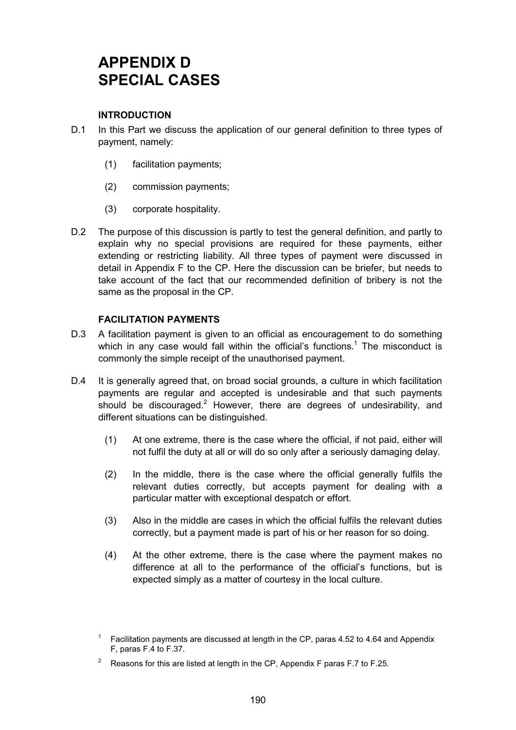# **APPENDIX D SPECIAL CASES**

# **INTRODUCTION**

- D.1 In this Part we discuss the application of our general definition to three types of payment, namely:
	- (1) facilitation payments;
	- (2) commission payments;
	- (3) corporate hospitality.
- D.2 The purpose of this discussion is partly to test the general definition, and partly to explain why no special provisions are required for these payments, either extending or restricting liability. All three types of payment were discussed in detail in Appendix F to the CP. Here the discussion can be briefer, but needs to take account of the fact that our recommended definition of bribery is not the same as the proposal in the CP.

# **FACILITATION PAYMENTS**

- D.3 A facilitation payment is given to an official as encouragement to do something which in any case would fall within the official's functions.<sup>1</sup> The misconduct is commonly the simple receipt of the unauthorised payment.
- D.4 It is generally agreed that, on broad social grounds, a culture in which facilitation payments are regular and accepted is undesirable and that such payments should be discouraged.<sup>2</sup> However, there are degrees of undesirability, and different situations can be distinguished.
	- (1) At one extreme, there is the case where the official, if not paid, either will not fulfil the duty at all or will do so only after a seriously damaging delay.
	- (2) In the middle, there is the case where the official generally fulfils the relevant duties correctly, but accepts payment for dealing with a particular matter with exceptional despatch or effort.
	- (3) Also in the middle are cases in which the official fulfils the relevant duties correctly, but a payment made is part of his or her reason for so doing.
	- (4) At the other extreme, there is the case where the payment makes no difference at all to the performance of the official's functions, but is expected simply as a matter of courtesy in the local culture.

<sup>&</sup>lt;sup>1</sup> Facilitation payments are discussed at length in the CP, paras 4.52 to 4.64 and Appendix F, paras F.4 to F.37.

<sup>&</sup>lt;sup>2</sup> Reasons for this are listed at length in the CP, Appendix F paras F.7 to F.25.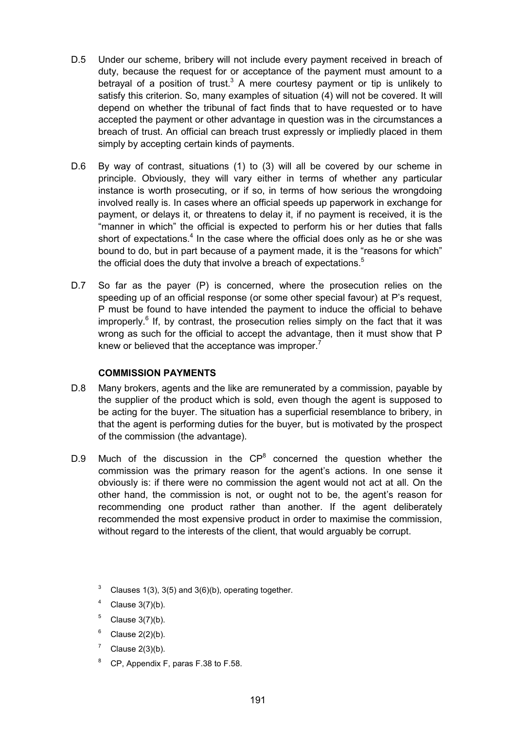- D.5 Under our scheme, bribery will not include every payment received in breach of duty, because the request for or acceptance of the payment must amount to a betrayal of a position of trust.<sup>3</sup> A mere courtesy payment or tip is unlikely to satisfy this criterion. So, many examples of situation (4) will not be covered. It will depend on whether the tribunal of fact finds that to have requested or to have accepted the payment or other advantage in question was in the circumstances a breach of trust. An official can breach trust expressly or impliedly placed in them simply by accepting certain kinds of payments.
- D.6 By way of contrast, situations (1) to (3) will all be covered by our scheme in principle. Obviously, they will vary either in terms of whether any particular instance is worth prosecuting, or if so, in terms of how serious the wrongdoing involved really is. In cases where an official speeds up paperwork in exchange for payment, or delays it, or threatens to delay it, if no payment is received, it is the "manner in which" the official is expected to perform his or her duties that falls short of expectations. $^4$  In the case where the official does only as he or she was bound to do, but in part because of a payment made, it is the "reasons for which" the official does the duty that involve a breach of expectations.<sup>5</sup>
- D.7 So far as the payer (P) is concerned, where the prosecution relies on the speeding up of an official response (or some other special favour) at P's request, P must be found to have intended the payment to induce the official to behave improperly.<sup>6</sup> If, by contrast, the prosecution relies simply on the fact that it was wrong as such for the official to accept the advantage, then it must show that P knew or believed that the acceptance was improper.<sup>7</sup>

## **COMMISSION PAYMENTS**

- D.8 Many brokers, agents and the like are remunerated by a commission, payable by the supplier of the product which is sold, even though the agent is supposed to be acting for the buyer. The situation has a superficial resemblance to bribery, in that the agent is performing duties for the buyer, but is motivated by the prospect of the commission (the advantage).
- D.9 Much of the discussion in the  $\text{CP}^8$  concerned the question whether the commission was the primary reason for the agent's actions. In one sense it obviously is: if there were no commission the agent would not act at all. On the other hand, the commission is not, or ought not to be, the agent's reason for recommending one product rather than another. If the agent deliberately recommended the most expensive product in order to maximise the commission, without regard to the interests of the client, that would arguably be corrupt.
	- <sup>3</sup> Clauses 1(3), 3(5) and 3(6)(b), operating together.
	- $4$  Clause 3(7)(b).
	- $5$  Clause 3(7)(b).
	- $6$  Clause 2(2)(b).
	- Clause  $2(3)(b)$ .
	- <sup>8</sup> CP, Appendix F, paras F.38 to F.58.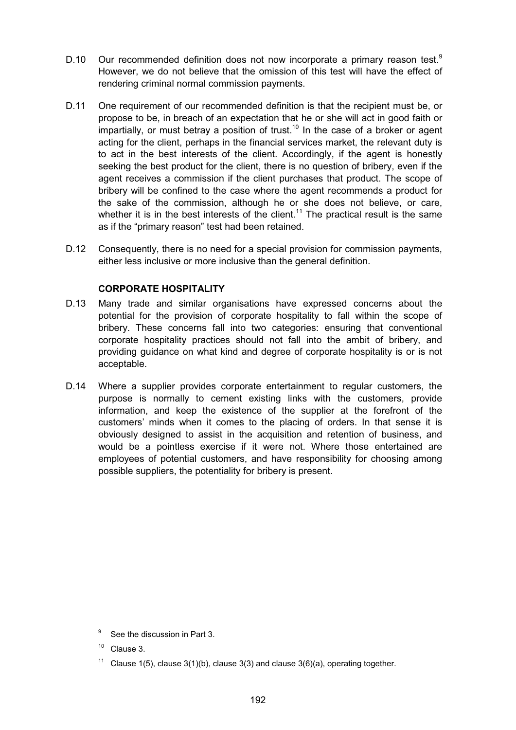- D.10 Our recommended definition does not now incorporate a primary reason test.<sup>9</sup> However, we do not believe that the omission of this test will have the effect of rendering criminal normal commission payments.
- D.11 One requirement of our recommended definition is that the recipient must be, or propose to be, in breach of an expectation that he or she will act in good faith or impartially, or must betray a position of trust.<sup>10</sup> In the case of a broker or agent acting for the client, perhaps in the financial services market, the relevant duty is to act in the best interests of the client. Accordingly, if the agent is honestly seeking the best product for the client, there is no question of bribery, even if the agent receives a commission if the client purchases that product. The scope of bribery will be confined to the case where the agent recommends a product for the sake of the commission, although he or she does not believe, or care, whether it is in the best interests of the client.<sup>11</sup> The practical result is the same as if the "primary reason" test had been retained.
- D.12 Consequently, there is no need for a special provision for commission payments, either less inclusive or more inclusive than the general definition.

## **CORPORATE HOSPITALITY**

- D.13 Many trade and similar organisations have expressed concerns about the potential for the provision of corporate hospitality to fall within the scope of bribery. These concerns fall into two categories: ensuring that conventional corporate hospitality practices should not fall into the ambit of bribery, and providing guidance on what kind and degree of corporate hospitality is or is not acceptable.
- D.14 Where a supplier provides corporate entertainment to regular customers, the purpose is normally to cement existing links with the customers, provide information, and keep the existence of the supplier at the forefront of the customers' minds when it comes to the placing of orders. In that sense it is obviously designed to assist in the acquisition and retention of business, and would be a pointless exercise if it were not. Where those entertained are employees of potential customers, and have responsibility for choosing among possible suppliers, the potentiality for bribery is present.

<sup>11</sup> Clause 1(5), clause 3(1)(b), clause 3(3) and clause 3(6)(a), operating together.

<sup>&</sup>lt;sup>9</sup> See the discussion in Part 3.

 $10$  Clause 3.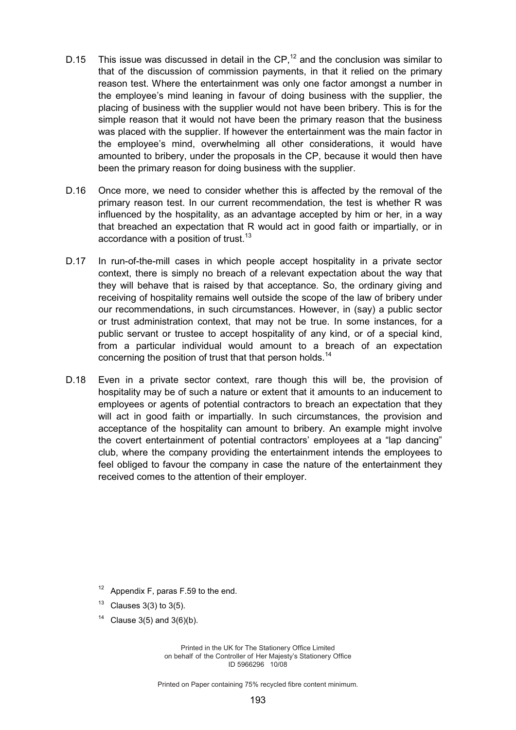- D.15 This issue was discussed in detail in the  $\text{CP}$ ,<sup>12</sup> and the conclusion was similar to that of the discussion of commission payments, in that it relied on the primary reason test. Where the entertainment was only one factor amongst a number in the employee's mind leaning in favour of doing business with the supplier, the placing of business with the supplier would not have been bribery. This is for the simple reason that it would not have been the primary reason that the business was placed with the supplier. If however the entertainment was the main factor in the employee's mind, overwhelming all other considerations, it would have amounted to bribery, under the proposals in the CP, because it would then have been the primary reason for doing business with the supplier.
- D.16 Once more, we need to consider whether this is affected by the removal of the primary reason test. In our current recommendation, the test is whether R was influenced by the hospitality, as an advantage accepted by him or her, in a way that breached an expectation that R would act in good faith or impartially, or in accordance with a position of trust.<sup>13</sup>
- D.17 In run-of-the-mill cases in which people accept hospitality in a private sector context, there is simply no breach of a relevant expectation about the way that they will behave that is raised by that acceptance. So, the ordinary giving and receiving of hospitality remains well outside the scope of the law of bribery under our recommendations, in such circumstances. However, in (say) a public sector or trust administration context, that may not be true. In some instances, for a public servant or trustee to accept hospitality of any kind, or of a special kind, from a particular individual would amount to a breach of an expectation concerning the position of trust that that person holds.<sup>14</sup>
- D.18 Even in a private sector context, rare though this will be, the provision of hospitality may be of such a nature or extent that it amounts to an inducement to employees or agents of potential contractors to breach an expectation that they will act in good faith or impartially. In such circumstances, the provision and acceptance of the hospitality can amount to bribery. An example might involve the covert entertainment of potential contractors' employees at a "lap dancing" club, where the company providing the entertainment intends the employees to feel obliged to favour the company in case the nature of the entertainment they received comes to the attention of their employer.

Appendix F, paras F.59 to the end.

 $13$  Clauses 3(3) to 3(5).

<sup>14</sup> Clause 3(5) and 3(6)(b).

Printed in the UK for The Stationery Office Limited on behalf of the Controller of Her Majesty's Stationery Office ID 5966296 10/08

Printed on Paper containing 75% recycled fibre content minimum.